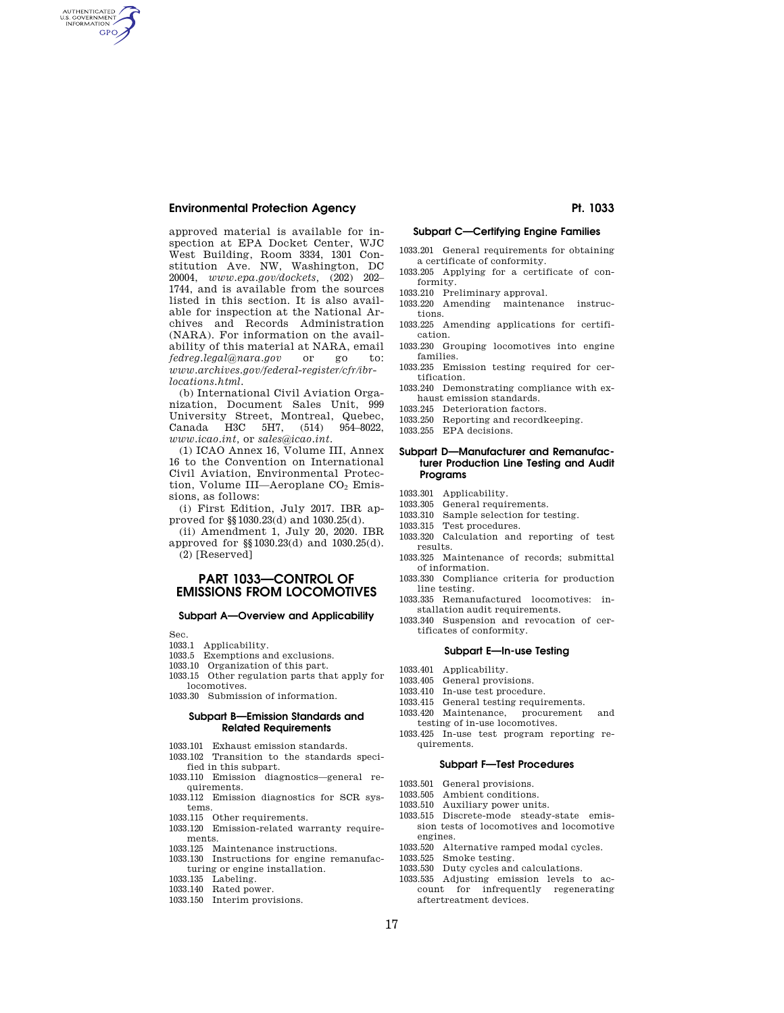# **Environmental Protection Agency Pt. 1033**

AUTHENTICATED<br>U.S. GOVERNMENT<br>INFORMATION **GPO** 

> approved material is available for inspection at EPA Docket Center, WJC West Building, Room 3334, 1301 Constitution Ave. NW, Washington, DC 20004, *www.epa.gov/dockets,* (202) 202– 1744, and is available from the sources listed in this section. It is also available for inspection at the National Archives and Records Administration (NARA). For information on the availability of this material at NARA, email<br>fedreg.legal@nara.gov or go to: *fedreg.legal@nara.gov* or go to: *www.archives.gov/federal-register/cfr/ibrlocations.html.*

> (b) International Civil Aviation Organization, Document Sales Unit, 999 University Street, Montreal, Quebec,<br>Canada H3C 5H7, (514) 954–8022, Canada H3C 5H7,  $(514)$ *www.icao.int,* or *sales@icao.int.*

> (1) ICAO Annex 16, Volume III, Annex 16 to the Convention on International Civil Aviation, Environmental Protection, Volume III—Aeroplane CO<sub>2</sub> Emissions, as follows:

> (i) First Edition, July 2017. IBR approved for §§1030.23(d) and 1030.25(d).

(ii) Amendment 1, July 20, 2020. IBR approved for §§1030.23(d) and 1030.25(d). (2) [Reserved]

# **PART 1033—CONTROL OF EMISSIONS FROM LOCOMOTIVES**

### **Subpart A—Overview and Applicability**

Sec.

- 1033.1 Applicability.
- 1033.5 Exemptions and exclusions.
- 1033.10 Organization of this part.
- 1033.15 Other regulation parts that apply for locomotives.
- 1033.30 Submission of information.

## **Subpart B—Emission Standards and Related Requirements**

- 1033.101 Exhaust emission standards.
- 1033.102 Transition to the standards speci-
- fied in this subpart. 1033.110 Emission diagnostics—general re-
- quirements. 1033.112 Emission diagnostics for SCR systems.
- 1033.115 Other requirements.
- 1033.120 Emission-related warranty requirements.
- 1033.125 Maintenance instructions.
- 1033.130 Instructions for engine remanufacturing or engine installation.
- 1033.135 Labeling.
- 1033.140 Rated power.
- 1033.150 Interim provisions.

## **Subpart C—Certifying Engine Families**

- 1033.201 General requirements for obtaining a certificate of conformity.
- 1033.205 Applying for a certificate of conformity.
- 1033.210 Preliminary approval.
- 1033.220 Amending maintenance instructions.
- 1033.225 Amending applications for certification.
- 1033.230 Grouping locomotives into engine families.
- 1033.235 Emission testing required for certification.
- 1033.240 Demonstrating compliance with exhaust emission standards.
- 1033.245 Deterioration factors.
- 1033.250 Reporting and recordkeeping.
- 1033.255 EPA decisions.

## **Subpart D—Manufacturer and Remanufacturer Production Line Testing and Audit Programs**

- 1033.301 Applicability.<br>1033.305 General require
- General requirements.
- 1033.310 Sample selection for testing.
- 1033.315 Test procedures.
- 1033.320 Calculation and reporting of test results.
- 1033.325 Maintenance of records; submittal of information.
- 1033.330 Compliance criteria for production line testing.
- 1033.335 Remanufactured locomotives: installation audit requirements.
- 1033.340 Suspension and revocation of certificates of conformity.

## **Subpart E—In-use Testing**

- 1033.401 Applicability.
- 1033.405 General provisions.
- 1033.410 In-use test procedure.
- 1033.415 General testing requirements.
- 1033.420 Maintenance, procurement and testing of in-use locomotives.
- 1033.425 In-use test program reporting requirements.

### **Subpart F—Test Procedures**

- 1033.501 General provisions.
- 1033.505 Ambient conditions.
- 1033.510 Auxiliary power units.
- 1033.515 Discrete-mode steady-state emission tests of locomotives and locomotive engines.
- 1033.520 Alternative ramped modal cycles.<br>1033.525 Smoke testing.
- Smoke testing.
- 1033.530 Duty cycles and calculations.
- 1033.535 Adjusting emission levels to account for infrequently regenerating aftertreatment devices.

17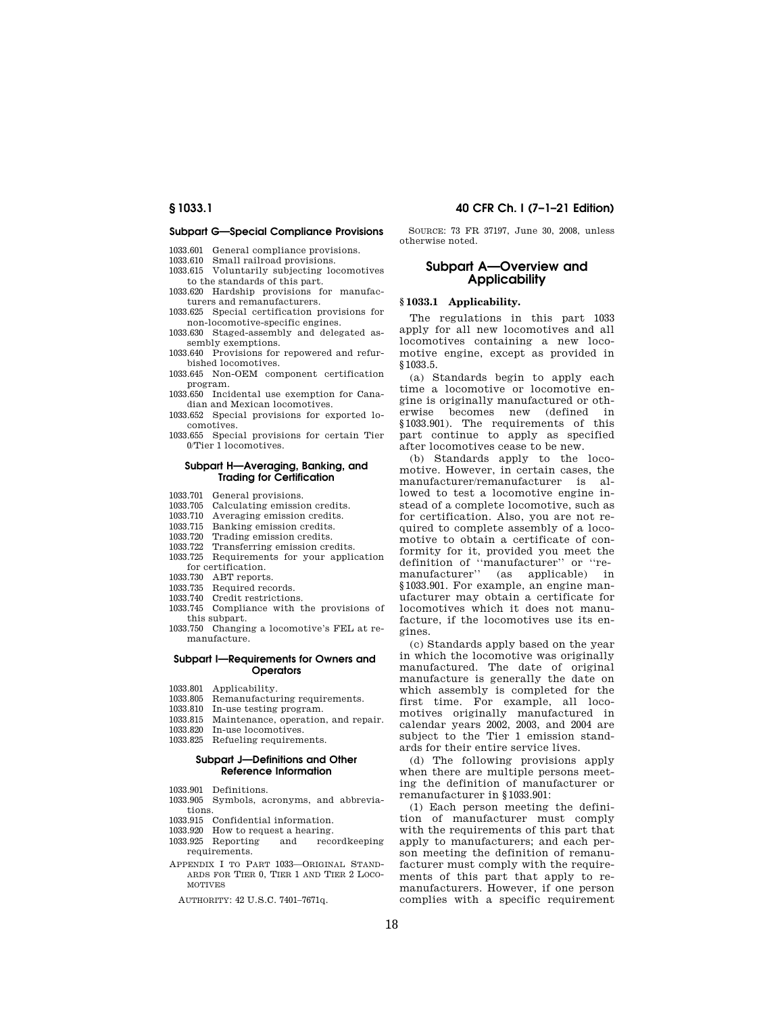# **§ 1033.1 40 CFR Ch. I (7–1–21 Edition)**

### **Subpart G—Special Compliance Provisions**

- 1033.601 General compliance provisions.
- 1033.610 Small railroad provisions.
- 1033.615 Voluntarily subjecting locomotives to the standards of this part.
- 1033.620 Hardship provisions for manufacturers and remanufacturers.
- 1033.625 Special certification provisions for non-locomotive-specific engines.
- 1033.630 Staged-assembly and delegated assembly exemptions.
- 1033.640 Provisions for repowered and refurbished locomotives.
- 1033.645 Non-OEM component certification program.
- 1033.650 Incidental use exemption for Canadian and Mexican locomotives.
- 1033.652 Special provisions for exported locomotives.
- 1033.655 Special provisions for certain Tier 0/Tier 1 locomotives.

### **Subpart H—Averaging, Banking, and Trading for Certification**

- 
- 1033.701 General provisions. Calculating emission credits.
- 1033.710 Averaging emission credits.
- 1033.715 Banking emission credits.
- 1033.720 Trading emission credits.
- 1033.722 Transferring emission credits.
- 1033.725 Requirements for your application for certification.
- 1033.730 ABT reports.
- 1033.735 Required records.
- 1033.740 Credit restrictions.
- 1033.745 Compliance with the provisions of this subpart.
- 1033.750 Changing a locomotive's FEL at remanufacture.

## **Subpart I—Requirements for Owners and Operators**

- 1033.801 Applicability.
- 1033.805 Remanufacturing requirements.<br>1033.810 In-use testing program.
- In-use testing program.
- 1033.815 Maintenance, operation, and repair.
- 1033.820 In-use locomotives.
- 1033.825 Refueling requirements.

## **Subpart J—Definitions and Other Reference Information**

- 1033.901 Definitions.
- 1033.905 Symbols, acronyms, and abbreviations.
- 1033.915 Confidential information.
- 1033.920 How to request a hearing.
- 1033.925 Reporting and recordkeeping requirements.
- APPENDIX I TO PART 1033—ORIGINAL STAND-ARDS FOR TIER 0, TIER 1 AND TIER 2 LOCO-**MOTIVES** 
	- AUTHORITY: 42 U.S.C. 7401–7671q.

SOURCE: 73 FR 37197, June 30, 2008, unless otherwise noted.

# **Subpart A—Overview and Applicability**

# **§ 1033.1 Applicability.**

The regulations in this part 1033 apply for all new locomotives and all locomotives containing a new locomotive engine, except as provided in §1033.5.

(a) Standards begin to apply each time a locomotive or locomotive engine is originally manufactured or otherwise becomes new (defined in §1033.901). The requirements of this part continue to apply as specified after locomotives cease to be new.

(b) Standards apply to the locomotive. However, in certain cases, the manufacturer/remanufacturer is allowed to test a locomotive engine instead of a complete locomotive, such as for certification. Also, you are not required to complete assembly of a locomotive to obtain a certificate of conformity for it, provided you meet the definition of ''manufacturer'' or ''remanufacturer'' (as applicable) in §1033.901. For example, an engine manufacturer may obtain a certificate for locomotives which it does not manufacture, if the locomotives use its engines.

(c) Standards apply based on the year in which the locomotive was originally manufactured. The date of original manufacture is generally the date on which assembly is completed for the first time. For example, all locomotives originally manufactured in calendar years 2002, 2003, and 2004 are subject to the Tier 1 emission standards for their entire service lives.

(d) The following provisions apply when there are multiple persons meeting the definition of manufacturer or remanufacturer in §1033.901:

(1) Each person meeting the definition of manufacturer must comply with the requirements of this part that apply to manufacturers; and each person meeting the definition of remanufacturer must comply with the requirements of this part that apply to remanufacturers. However, if one person complies with a specific requirement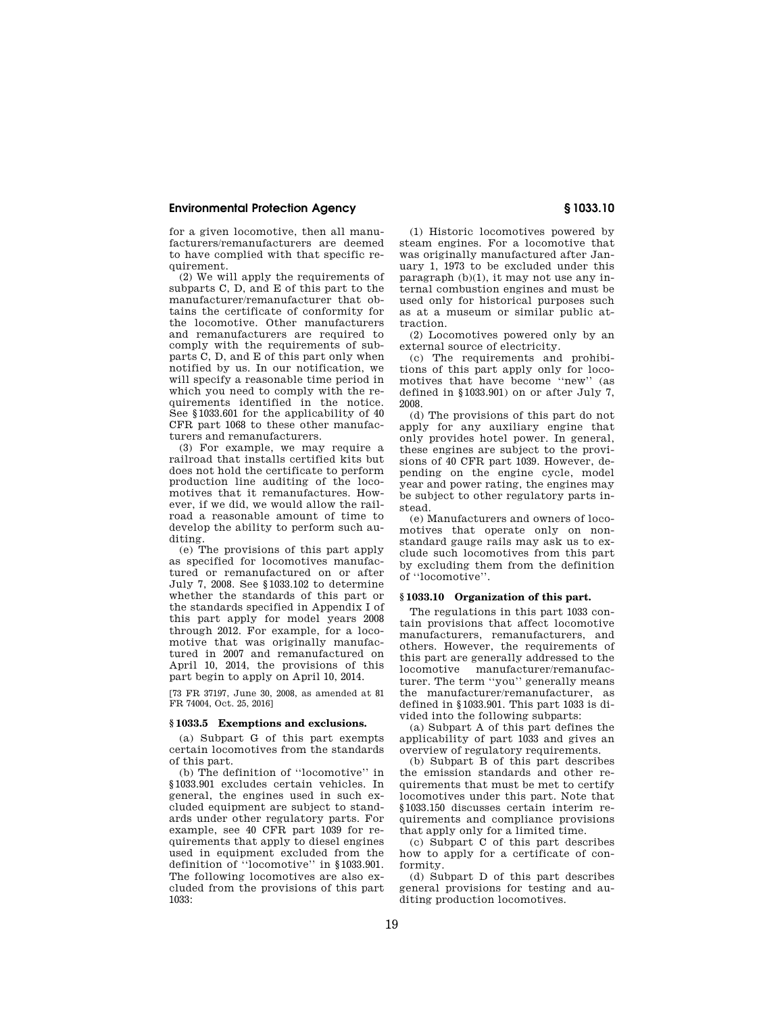for a given locomotive, then all manufacturers/remanufacturers are deemed to have complied with that specific requirement.

(2) We will apply the requirements of subparts C, D, and E of this part to the manufacturer/remanufacturer that obtains the certificate of conformity for the locomotive. Other manufacturers and remanufacturers are required to comply with the requirements of subparts C, D, and E of this part only when notified by us. In our notification, we will specify a reasonable time period in which you need to comply with the requirements identified in the notice. See §1033.601 for the applicability of 40 CFR part 1068 to these other manufacturers and remanufacturers.

(3) For example, we may require a railroad that installs certified kits but does not hold the certificate to perform production line auditing of the locomotives that it remanufactures. However, if we did, we would allow the railroad a reasonable amount of time to develop the ability to perform such auditing.

(e) The provisions of this part apply as specified for locomotives manufactured or remanufactured on or after July 7, 2008. See §1033.102 to determine whether the standards of this part or the standards specified in Appendix I of this part apply for model years 2008 through 2012. For example, for a locomotive that was originally manufactured in 2007 and remanufactured on April 10, 2014, the provisions of this part begin to apply on April 10, 2014.

[73 FR 37197, June 30, 2008, as amended at 81 FR 74004, Oct. 25, 2016]

## **§ 1033.5 Exemptions and exclusions.**

(a) Subpart G of this part exempts certain locomotives from the standards of this part.

(b) The definition of ''locomotive'' in §1033.901 excludes certain vehicles. In general, the engines used in such excluded equipment are subject to standards under other regulatory parts. For example, see 40 CFR part 1039 for requirements that apply to diesel engines used in equipment excluded from the definition of ''locomotive'' in §1033.901. The following locomotives are also excluded from the provisions of this part 1033:

(1) Historic locomotives powered by steam engines. For a locomotive that was originally manufactured after January 1, 1973 to be excluded under this paragraph (b)(1), it may not use any internal combustion engines and must be used only for historical purposes such as at a museum or similar public attraction.

(2) Locomotives powered only by an external source of electricity.

(c) The requirements and prohibitions of this part apply only for locomotives that have become ''new'' (as defined in §1033.901) on or after July 7, 2008.

(d) The provisions of this part do not apply for any auxiliary engine that only provides hotel power. In general, these engines are subject to the provisions of 40 CFR part 1039. However, depending on the engine cycle, model year and power rating, the engines may be subject to other regulatory parts instead.

(e) Manufacturers and owners of locomotives that operate only on nonstandard gauge rails may ask us to exclude such locomotives from this part by excluding them from the definition of ''locomotive''.

## **§ 1033.10 Organization of this part.**

The regulations in this part 1033 contain provisions that affect locomotive manufacturers, remanufacturers, and others. However, the requirements of this part are generally addressed to the locomotive manufacturer/remanufacturer. The term ''you'' generally means the manufacturer/remanufacturer, as defined in §1033.901. This part 1033 is divided into the following subparts:

(a) Subpart A of this part defines the applicability of part 1033 and gives an overview of regulatory requirements.

(b) Subpart B of this part describes the emission standards and other requirements that must be met to certify locomotives under this part. Note that §1033.150 discusses certain interim requirements and compliance provisions that apply only for a limited time.

(c) Subpart C of this part describes how to apply for a certificate of conformity.

(d) Subpart D of this part describes general provisions for testing and auditing production locomotives.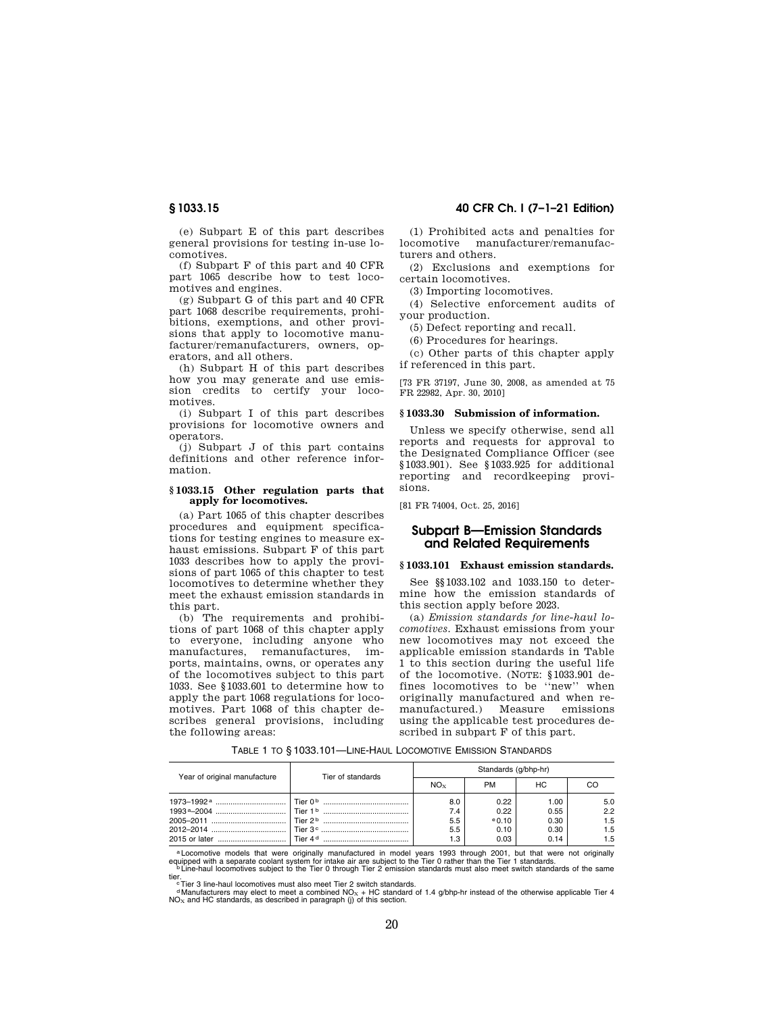(e) Subpart E of this part describes general provisions for testing in-use locomotives.

(f) Subpart F of this part and 40 CFR part 1065 describe how to test locomotives and engines.

(g) Subpart G of this part and 40 CFR part 1068 describe requirements, prohibitions, exemptions, and other provisions that apply to locomotive manufacturer/remanufacturers, owners, operators, and all others.

(h) Subpart H of this part describes how you may generate and use emission credits to certify your locomotives.

(i) Subpart I of this part describes provisions for locomotive owners and operators.

(j) Subpart J of this part contains definitions and other reference information.

## **§ 1033.15 Other regulation parts that apply for locomotives.**

(a) Part 1065 of this chapter describes procedures and equipment specifications for testing engines to measure exhaust emissions. Subpart F of this part 1033 describes how to apply the provisions of part 1065 of this chapter to test locomotives to determine whether they meet the exhaust emission standards in this part.

(b) The requirements and prohibitions of part 1068 of this chapter apply to everyone, including anyone who manufactures, remanufactures, ports, maintains, owns, or operates any of the locomotives subject to this part 1033. See §1033.601 to determine how to apply the part 1068 regulations for locomotives. Part 1068 of this chapter describes general provisions, including the following areas:

# **§ 1033.15 40 CFR Ch. I (7–1–21 Edition)**

(1) Prohibited acts and penalties for locomotive manufacturer/remanufacturers and others.

(2) Exclusions and exemptions for certain locomotives.

(3) Importing locomotives.

(4) Selective enforcement audits of your production.

(5) Defect reporting and recall.

(6) Procedures for hearings.

(c) Other parts of this chapter apply if referenced in this part.

[73 FR 37197, June 30, 2008, as amended at 75 FR 22982, Apr. 30, 2010]

# **§ 1033.30 Submission of information.**

Unless we specify otherwise, send all reports and requests for approval to the Designated Compliance Officer (see §1033.901). See §1033.925 for additional reporting and recordkeeping provisions.

[81 FR 74004, Oct. 25, 2016]

# **Subpart B—Emission Standards and Related Requirements**

## **§ 1033.101 Exhaust emission standards.**

See §§1033.102 and 1033.150 to determine how the emission standards of this section apply before 2023.

(a) *Emission standards for line-haul locomotives.* Exhaust emissions from your new locomotives may not exceed the applicable emission standards in Table 1 to this section during the useful life of the locomotive. (NOTE: §1033.901 defines locomotives to be ''new'' when originally manufactured and when re-<br>manufactured.) Measure emissions manufactured.) using the applicable test procedures described in subpart F of this part.

| Year of original manufacture | Tier of standards                                                        |                                 | Standards (g/bhp-hr)                 |                                      |                                 |
|------------------------------|--------------------------------------------------------------------------|---------------------------------|--------------------------------------|--------------------------------------|---------------------------------|
|                              |                                                                          | $NO_{x}$                        | <b>PM</b>                            | HC.                                  |                                 |
|                              | l Tier 2 <sup>b</sup> ………………………………<br>│ Tier 4 <sup>d</sup> ……………………………… | 8.0<br>7.4<br>5.5<br>5.5<br>1.3 | 0.22<br>0.22<br>0.10<br>0.10<br>0.03 | 1.00<br>0.55<br>0.30<br>0.30<br>0.14 | 5.0<br>2.2<br>1.5<br>1.5<br>1.5 |

TABLE 1 TO § 1033.101—LINE-HAUL LOCOMOTIVE EMISSION STANDARDS

a Locomotive models that were originally manufactured in model years 1993 through 2001, but that were not originally equipped with a separate coolant system for intake air are subject to the Tier 0 rather than the Tier 1 s equipped with a separate coolant system for intake air are subject to the Tier 0 rather than the Tier 1 standards.<br>
PLIne-haul locomotives subject to the Tier 0 through Tier 2 emission standards must also meet switch stand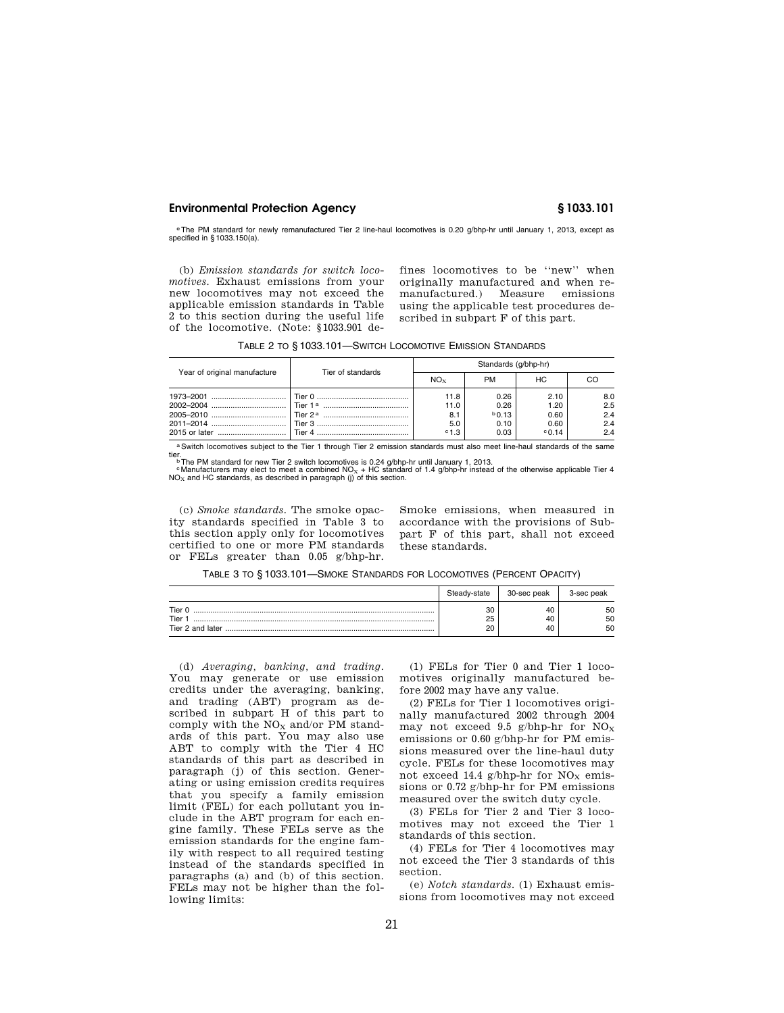eThe PM standard for newly remanufactured Tier 2 line-haul locomotives is 0.20 g/bhp-hr until January 1, 2013, except as specified in § 1033.150(a).

(b) *Emission standards for switch locomotives.* Exhaust emissions from your new locomotives may not exceed the applicable emission standards in Table 2 to this section during the useful life of the locomotive. (Note: §1033.901 defines locomotives to be ''new'' when originally manufactured and when remanufactured.) Measure emissions using the applicable test procedures described in subpart F of this part.

|  | TABLE 2 TO §1033.101-SWITCH LOCOMOTIVE EMISSION STANDARDS |  |  |  |  |
|--|-----------------------------------------------------------|--|--|--|--|
|--|-----------------------------------------------------------|--|--|--|--|

| Year of original manufacture | Tier of standards | Standards (g/bhp-hr) |           |                 |     |
|------------------------------|-------------------|----------------------|-----------|-----------------|-----|
|                              |                   | NO <sub>x</sub>      | <b>PM</b> | НC              | CО  |
|                              |                   | 11.8                 | 0.26      | 2.10            | 8.0 |
|                              |                   | 11.0                 | 0.26      | 1.20            | 2.5 |
|                              |                   | 8.1                  | $b$ 0.13  | 0.60            | 2.4 |
|                              |                   | 5.0                  | 0.10      | 0.60            | 2.4 |
|                              | <b>Tier 4</b>     | $^{\circ}1.3$        | 0.03      | $^{\circ}$ 0.14 | 2.4 |

a Switch locomotives subject to the Tier 1 through Tier 2 emission standards must also meet line-haul standards of the same<br>
<sup>•</sup> Manufacturers may elect to meet a combined NO<sub>X</sub> + HC standard of 1.4 g/bhp-trail January 1,

(c) *Smoke standards.* The smoke opacity standards specified in Table 3 to this section apply only for locomotives certified to one or more PM standards or FELs greater than 0.05 g/bhp-hr.

Smoke emissions, when measured in accordance with the provisions of Subpart F of this part, shall not exceed these standards.

TABLE 3 TO § 1033.101—SMOKE STANDARDS FOR LOCOMOTIVES (PERCENT OPACITY)

|                                    | Steady-state   | 30-sec peak    | 3-sec peak     |
|------------------------------------|----------------|----------------|----------------|
| Tier 0<br>Tier<br>Tier 2 and later | 30<br>25<br>20 | 40<br>40<br>40 | 50<br>50<br>50 |

(d) *Averaging, banking, and trading.*  You may generate or use emission credits under the averaging, banking, and trading (ABT) program as described in subpart H of this part to comply with the  $\rm{NO_{X}}$  and/or PM standards of this part. You may also use ABT to comply with the Tier 4 HC standards of this part as described in paragraph (j) of this section. Generating or using emission credits requires that you specify a family emission limit (FEL) for each pollutant you include in the ABT program for each engine family. These FELs serve as the emission standards for the engine family with respect to all required testing instead of the standards specified in paragraphs (a) and (b) of this section. FELs may not be higher than the following limits:

(1) FELs for Tier 0 and Tier 1 locomotives originally manufactured before 2002 may have any value.

(2) FELs for Tier 1 locomotives originally manufactured 2002 through 2004 may not exceed 9.5 g/bhp-hr for  $NO_X$ emissions or 0.60 g/bhp-hr for PM emissions measured over the line-haul duty cycle. FELs for these locomotives may not exceed 14.4 g/bhp-hr for  $NO<sub>x</sub>$  emissions or 0.72 g/bhp-hr for PM emissions measured over the switch duty cycle.

(3) FELs for Tier 2 and Tier 3 locomotives may not exceed the Tier 1 standards of this section.

(4) FELs for Tier 4 locomotives may not exceed the Tier 3 standards of this section.

(e) *Notch standards.* (1) Exhaust emissions from locomotives may not exceed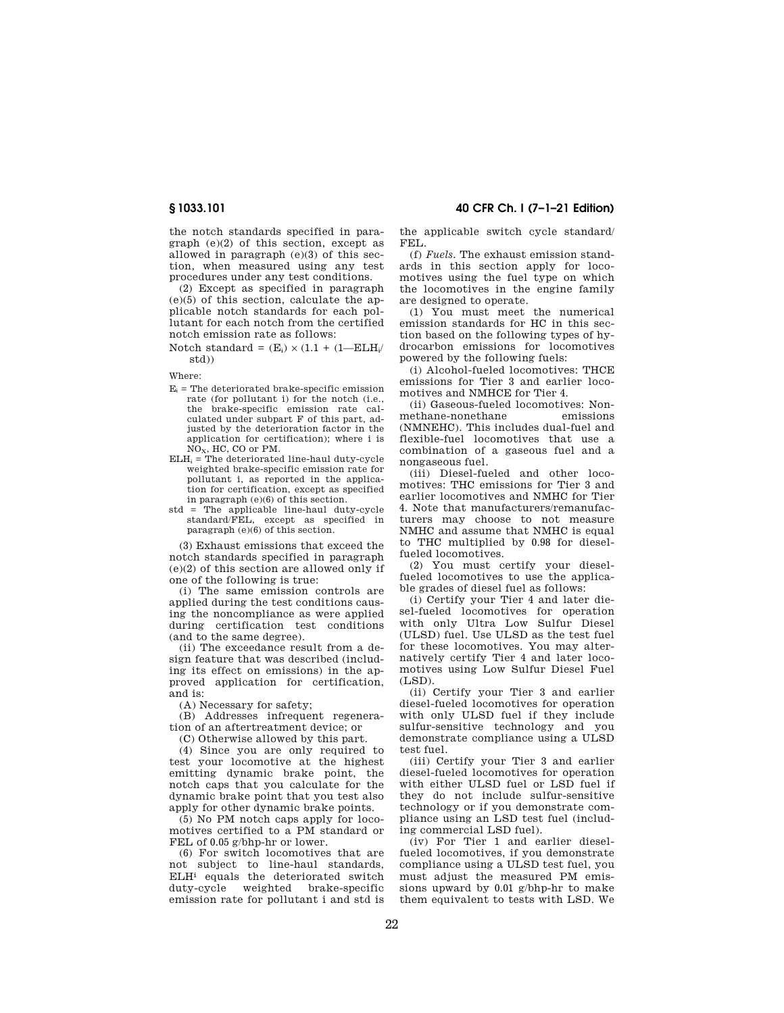**§ 1033.101 40 CFR Ch. I (7–1–21 Edition)** 

the notch standards specified in paragraph (e)(2) of this section, except as allowed in paragraph (e)(3) of this section, when measured using any test procedures under any test conditions.

(2) Except as specified in paragraph (e)(5) of this section, calculate the applicable notch standards for each pollutant for each notch from the certified notch emission rate as follows:

Notch standard =  $(E_i) \times (1.1 + (1 - E L H_i))$ std))

Where:

- $E_i$  = The deteriorated brake-specific emission rate (for pollutant i) for the notch (i.e., the brake-specific emission rate calculated under subpart F of this part, adjusted by the deterioration factor in the application for certification); where i is NOX, HC, CO or PM.
- $ELH_i$  = The deteriorated line-haul duty-cycle weighted brake-specific emission rate for pollutant i, as reported in the application for certification, except as specified in paragraph (e)(6) of this section.
- std = The applicable line-haul duty-cycle standard/FEL, except as specified in paragraph (e)(6) of this section.

(3) Exhaust emissions that exceed the notch standards specified in paragraph (e)(2) of this section are allowed only if one of the following is true:

(i) The same emission controls are applied during the test conditions causing the noncompliance as were applied during certification test conditions (and to the same degree).

(ii) The exceedance result from a design feature that was described (including its effect on emissions) in the approved application for certification, and is:

(A) Necessary for safety;

(B) Addresses infrequent regeneration of an aftertreatment device; or

(C) Otherwise allowed by this part.

(4) Since you are only required to test your locomotive at the highest emitting dynamic brake point, the notch caps that you calculate for the dynamic brake point that you test also apply for other dynamic brake points.

(5) No PM notch caps apply for locomotives certified to a PM standard or FEL of 0.05 g/bhp-hr or lower.

(6) For switch locomotives that are not subject to line-haul standards, ELHi equals the deteriorated switch duty-cycle weighted brake-specific emission rate for pollutant i and std is

the applicable switch cycle standard/ FEL.

(f) *Fuels.* The exhaust emission standards in this section apply for locomotives using the fuel type on which the locomotives in the engine family are designed to operate.

(1) You must meet the numerical emission standards for HC in this section based on the following types of hydrocarbon emissions for locomotives powered by the following fuels:

(i) Alcohol-fueled locomotives: THCE emissions for Tier 3 and earlier locomotives and NMHCE for Tier 4.

(ii) Gaseous-fueled locomotives: Nonmethane-nonethane (NMNEHC). This includes dual-fuel and flexible-fuel locomotives that use a combination of a gaseous fuel and a nongaseous fuel.

(iii) Diesel-fueled and other locomotives: THC emissions for Tier 3 and earlier locomotives and NMHC for Tier 4. Note that manufacturers/remanufacturers may choose to not measure NMHC and assume that NMHC is equal to THC multiplied by 0.98 for dieselfueled locomotives.

(2) You must certify your dieselfueled locomotives to use the applicable grades of diesel fuel as follows:

(i) Certify your Tier 4 and later diesel-fueled locomotives for operation with only Ultra Low Sulfur Diesel (ULSD) fuel. Use ULSD as the test fuel for these locomotives. You may alternatively certify Tier 4 and later locomotives using Low Sulfur Diesel Fuel (LSD).

(ii) Certify your Tier 3 and earlier diesel-fueled locomotives for operation with only ULSD fuel if they include sulfur-sensitive technology and you demonstrate compliance using a ULSD test fuel.

(iii) Certify your Tier 3 and earlier diesel-fueled locomotives for operation with either ULSD fuel or LSD fuel if they do not include sulfur-sensitive technology or if you demonstrate compliance using an LSD test fuel (including commercial LSD fuel).

(iv) For Tier 1 and earlier dieselfueled locomotives, if you demonstrate compliance using a ULSD test fuel, you must adjust the measured PM emissions upward by 0.01 g/bhp-hr to make them equivalent to tests with LSD. We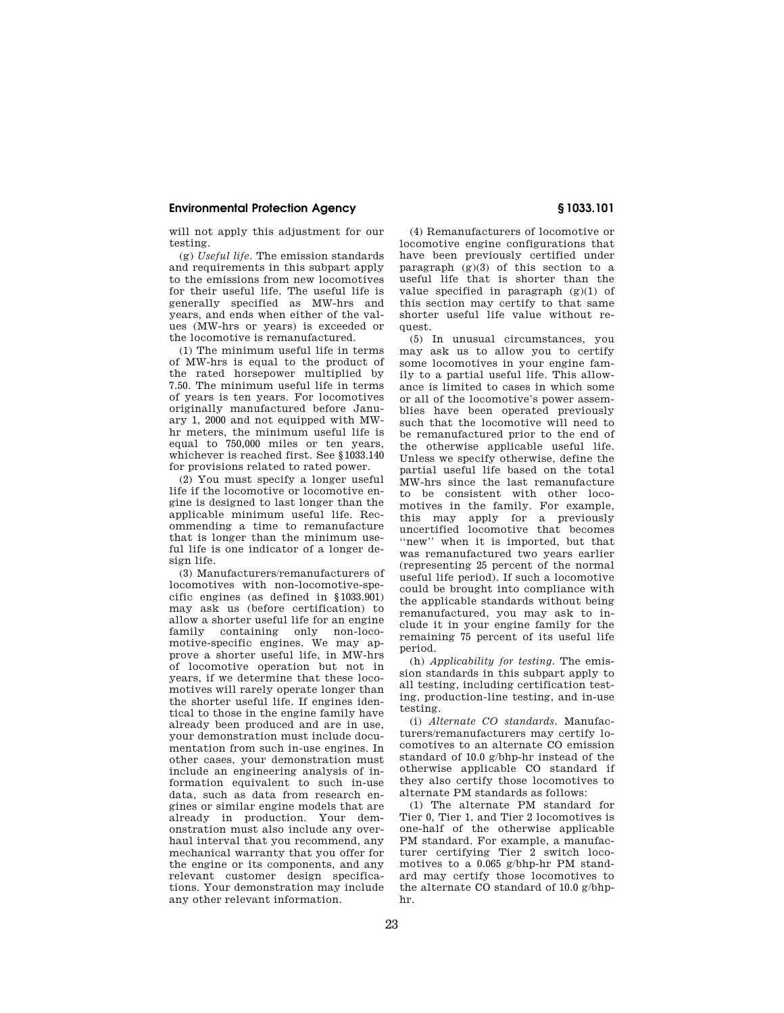will not apply this adjustment for our testing.

(g) *Useful life.* The emission standards and requirements in this subpart apply to the emissions from new locomotives for their useful life. The useful life is generally specified as MW-hrs and years, and ends when either of the values (MW-hrs or years) is exceeded or the locomotive is remanufactured.

(1) The minimum useful life in terms of MW-hrs is equal to the product of the rated horsepower multiplied by 7.50. The minimum useful life in terms of years is ten years. For locomotives originally manufactured before January 1, 2000 and not equipped with MWhr meters, the minimum useful life is equal to 750,000 miles or ten years, whichever is reached first. See §1033.140 for provisions related to rated power.

(2) You must specify a longer useful life if the locomotive or locomotive engine is designed to last longer than the applicable minimum useful life. Recommending a time to remanufacture that is longer than the minimum useful life is one indicator of a longer design life.

(3) Manufacturers/remanufacturers of locomotives with non-locomotive-specific engines (as defined in §1033.901) may ask us (before certification) to allow a shorter useful life for an engine family containing only non-locomotive-specific engines. We may approve a shorter useful life, in MW-hrs of locomotive operation but not in years, if we determine that these locomotives will rarely operate longer than the shorter useful life. If engines identical to those in the engine family have already been produced and are in use, your demonstration must include documentation from such in-use engines. In other cases, your demonstration must include an engineering analysis of information equivalent to such in-use data, such as data from research engines or similar engine models that are already in production. Your demonstration must also include any overhaul interval that you recommend, any mechanical warranty that you offer for the engine or its components, and any relevant customer design specifications. Your demonstration may include any other relevant information.

(4) Remanufacturers of locomotive or locomotive engine configurations that have been previously certified under paragraph  $(g)(3)$  of this section to a useful life that is shorter than the value specified in paragraph  $(g)(1)$  of this section may certify to that same shorter useful life value without request.

(5) In unusual circumstances, you may ask us to allow you to certify some locomotives in your engine family to a partial useful life. This allowance is limited to cases in which some or all of the locomotive's power assemblies have been operated previously such that the locomotive will need to be remanufactured prior to the end of the otherwise applicable useful life. Unless we specify otherwise, define the partial useful life based on the total MW-hrs since the last remanufacture to be consistent with other locomotives in the family. For example, this may apply for a previously uncertified locomotive that becomes ''new'' when it is imported, but that was remanufactured two years earlier (representing 25 percent of the normal useful life period). If such a locomotive could be brought into compliance with the applicable standards without being remanufactured, you may ask to include it in your engine family for the remaining 75 percent of its useful life period.

(h) *Applicability for testing.* The emission standards in this subpart apply to all testing, including certification testing, production-line testing, and in-use testing.

(i) *Alternate CO standards.* Manufacturers/remanufacturers may certify locomotives to an alternate CO emission standard of 10.0 g/bhp-hr instead of the otherwise applicable CO standard if they also certify those locomotives to alternate PM standards as follows:

(1) The alternate PM standard for Tier 0, Tier 1, and Tier 2 locomotives is one-half of the otherwise applicable PM standard. For example, a manufacturer certifying Tier 2 switch locomotives to a 0.065 g/bhp-hr PM standard may certify those locomotives to the alternate CO standard of 10.0 g/bhphr.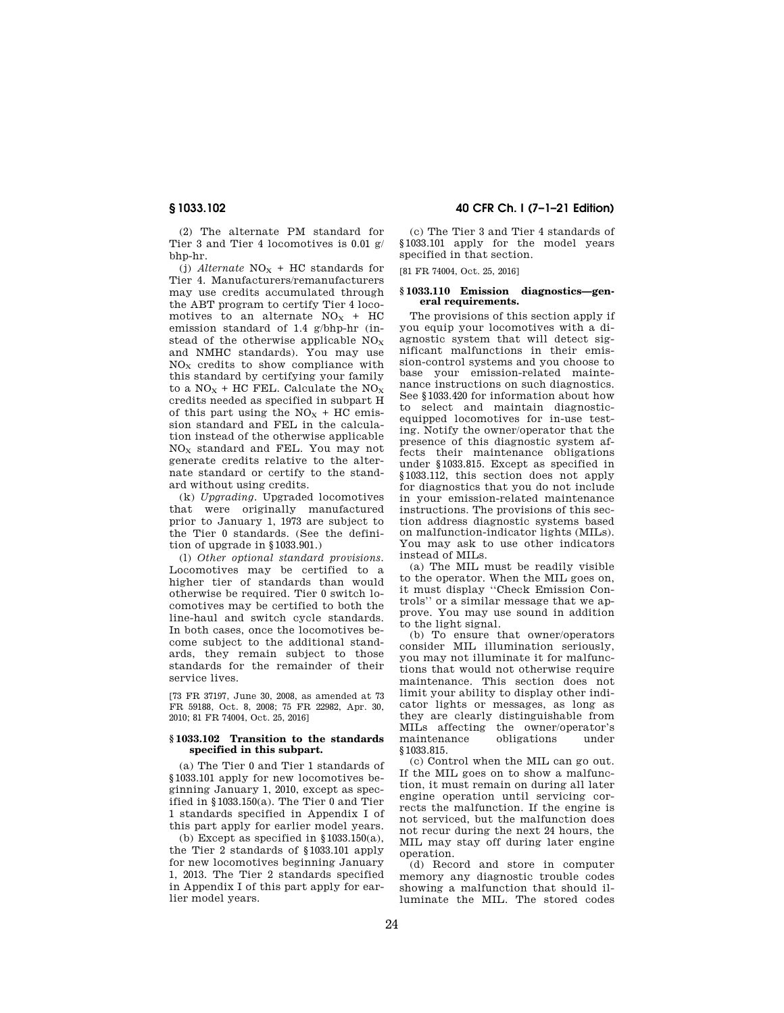(2) The alternate PM standard for Tier 3 and Tier 4 locomotives is 0.01 g/ bhp-hr.

(j) *Alternate*  $NO<sub>X</sub> + HC$  standards for Tier 4. Manufacturers/remanufacturers may use credits accumulated through the ABT program to certify Tier 4 locomotives to an alternate  $NO<sub>X</sub> + HC$ emission standard of 1.4 g/bhp-hr (instead of the otherwise applicable  $NO<sub>X</sub>$ and NMHC standards). You may use  $NO<sub>X</sub>$  credits to show compliance with this standard by certifying your family to a  $NO<sub>X</sub>$  + HC FEL. Calculate the  $NO<sub>X</sub>$ credits needed as specified in subpart H of this part using the  $NO<sub>x</sub> + HC$  emission standard and FEL in the calculation instead of the otherwise applicable NO<sup>X</sup> standard and FEL. You may not generate credits relative to the alternate standard or certify to the standard without using credits.

(k) *Upgrading.* Upgraded locomotives that were originally manufactured prior to January 1, 1973 are subject to the Tier 0 standards. (See the definition of upgrade in §1033.901.)

(l) *Other optional standard provisions.*  Locomotives may be certified to a higher tier of standards than would otherwise be required. Tier 0 switch locomotives may be certified to both the line-haul and switch cycle standards. In both cases, once the locomotives become subject to the additional standards, they remain subject to those standards for the remainder of their service lives.

[73 FR 37197, June 30, 2008, as amended at 73 FR 59188, Oct. 8, 2008; 75 FR 22982, Apr. 30, 2010; 81 FR 74004, Oct. 25, 2016]

## **§ 1033.102 Transition to the standards specified in this subpart.**

(a) The Tier 0 and Tier 1 standards of §1033.101 apply for new locomotives beginning January 1, 2010, except as specified in §1033.150(a). The Tier 0 and Tier 1 standards specified in Appendix I of this part apply for earlier model years.

(b) Except as specified in  $§1033.150(a)$ , the Tier 2 standards of §1033.101 apply for new locomotives beginning January 1, 2013. The Tier 2 standards specified in Appendix I of this part apply for earlier model years.

**§ 1033.102 40 CFR Ch. I (7–1–21 Edition)** 

(c) The Tier 3 and Tier 4 standards of §1033.101 apply for the model years specified in that section.

[81 FR 74004, Oct. 25, 2016]

## **§ 1033.110 Emission diagnostics—general requirements.**

The provisions of this section apply if you equip your locomotives with a diagnostic system that will detect significant malfunctions in their emission-control systems and you choose to base your emission-related maintenance instructions on such diagnostics. See §1033.420 for information about how to select and maintain diagnosticequipped locomotives for in-use testing. Notify the owner/operator that the presence of this diagnostic system affects their maintenance obligations under §1033.815. Except as specified in §1033.112, this section does not apply for diagnostics that you do not include in your emission-related maintenance instructions. The provisions of this section address diagnostic systems based on malfunction-indicator lights (MILs). You may ask to use other indicators instead of MILs.

(a) The MIL must be readily visible to the operator. When the MIL goes on, it must display ''Check Emission Controls'' or a similar message that we approve. You may use sound in addition to the light signal.

(b) To ensure that owner/operators consider MIL illumination seriously, you may not illuminate it for malfunctions that would not otherwise require maintenance. This section does not limit your ability to display other indicator lights or messages, as long as they are clearly distinguishable from MILs affecting the owner/operator's maintenance obligations under §1033.815.

(c) Control when the MIL can go out. If the MIL goes on to show a malfunction, it must remain on during all later engine operation until servicing corrects the malfunction. If the engine is not serviced, but the malfunction does not recur during the next 24 hours, the MIL may stay off during later engine operation.

(d) Record and store in computer memory any diagnostic trouble codes showing a malfunction that should illuminate the MIL. The stored codes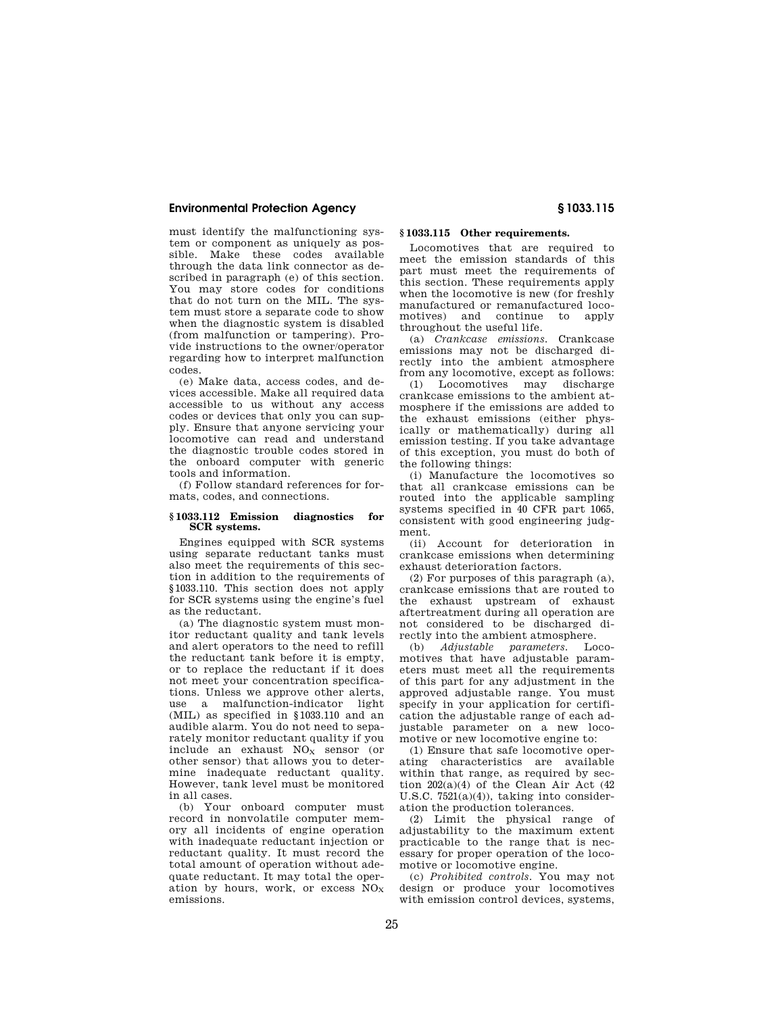must identify the malfunctioning system or component as uniquely as possible. Make these codes available through the data link connector as described in paragraph (e) of this section. You may store codes for conditions that do not turn on the MIL. The system must store a separate code to show when the diagnostic system is disabled (from malfunction or tampering). Provide instructions to the owner/operator regarding how to interpret malfunction codes.

(e) Make data, access codes, and devices accessible. Make all required data accessible to us without any access codes or devices that only you can supply. Ensure that anyone servicing your locomotive can read and understand the diagnostic trouble codes stored in the onboard computer with generic tools and information.

(f) Follow standard references for formats, codes, and connections.

## **§ 1033.112 Emission diagnostics for SCR systems.**

Engines equipped with SCR systems using separate reductant tanks must also meet the requirements of this section in addition to the requirements of §1033.110. This section does not apply for SCR systems using the engine's fuel as the reductant.

(a) The diagnostic system must monitor reductant quality and tank levels and alert operators to the need to refill the reductant tank before it is empty, or to replace the reductant if it does not meet your concentration specifications. Unless we approve other alerts, use a malfunction-indicator light (MIL) as specified in §1033.110 and an audible alarm. You do not need to separately monitor reductant quality if you include an exhaust  $NO<sub>x</sub>$  sensor (or other sensor) that allows you to determine inadequate reductant quality. However, tank level must be monitored in all cases.

(b) Your onboard computer must record in nonvolatile computer memory all incidents of engine operation with inadequate reductant injection or reductant quality. It must record the total amount of operation without adequate reductant. It may total the operation by hours, work, or excess  $NO_X$ emissions.

# **§ 1033.115 Other requirements.**

Locomotives that are required to meet the emission standards of this part must meet the requirements of this section. These requirements apply when the locomotive is new (for freshly manufactured or remanufactured locomotives) and continue to apply throughout the useful life.

(a) *Crankcase emissions.* Crankcase emissions may not be discharged directly into the ambient atmosphere from any locomotive, except as follows:

(1) Locomotives may discharge crankcase emissions to the ambient atmosphere if the emissions are added to the exhaust emissions (either physically or mathematically) during all emission testing. If you take advantage of this exception, you must do both of the following things:

(i) Manufacture the locomotives so that all crankcase emissions can be routed into the applicable sampling systems specified in 40 CFR part 1065, consistent with good engineering judgment.

(ii) Account for deterioration in crankcase emissions when determining exhaust deterioration factors.

(2) For purposes of this paragraph (a), crankcase emissions that are routed to the exhaust upstream of exhaust aftertreatment during all operation are not considered to be discharged directly into the ambient atmosphere.

(b) *Adjustable parameters.* Locomotives that have adjustable parameters must meet all the requirements of this part for any adjustment in the approved adjustable range. You must specify in your application for certification the adjustable range of each adjustable parameter on a new locomotive or new locomotive engine to:

(1) Ensure that safe locomotive operating characteristics are available within that range, as required by section 202(a)(4) of the Clean Air Act (42 U.S.C. 7521(a)(4)), taking into consideration the production tolerances.

(2) Limit the physical range of adjustability to the maximum extent practicable to the range that is necessary for proper operation of the locomotive or locomotive engine.

(c) *Prohibited controls.* You may not design or produce your locomotives with emission control devices, systems,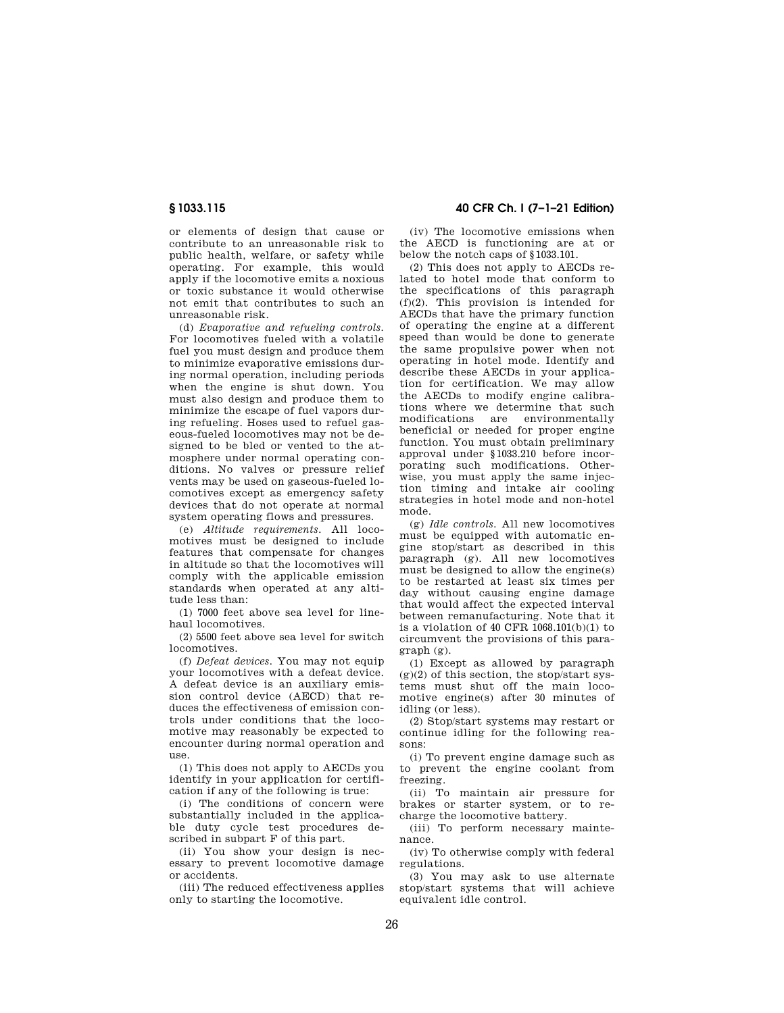or elements of design that cause or contribute to an unreasonable risk to public health, welfare, or safety while operating. For example, this would apply if the locomotive emits a noxious or toxic substance it would otherwise not emit that contributes to such an unreasonable risk.

(d) *Evaporative and refueling controls.*  For locomotives fueled with a volatile fuel you must design and produce them to minimize evaporative emissions during normal operation, including periods when the engine is shut down. You must also design and produce them to minimize the escape of fuel vapors during refueling. Hoses used to refuel gaseous-fueled locomotives may not be designed to be bled or vented to the atmosphere under normal operating conditions. No valves or pressure relief vents may be used on gaseous-fueled locomotives except as emergency safety devices that do not operate at normal system operating flows and pressures.

(e) *Altitude requirements.* All locomotives must be designed to include features that compensate for changes in altitude so that the locomotives will comply with the applicable emission standards when operated at any altitude less than:

(1) 7000 feet above sea level for linehaul locomotives.

(2) 5500 feet above sea level for switch locomotives.

(f) *Defeat devices.* You may not equip your locomotives with a defeat device. A defeat device is an auxiliary emission control device (AECD) that reduces the effectiveness of emission controls under conditions that the locomotive may reasonably be expected to encounter during normal operation and use.

(1) This does not apply to AECDs you identify in your application for certification if any of the following is true:

(i) The conditions of concern were substantially included in the applicable duty cycle test procedures described in subpart F of this part.

(ii) You show your design is necessary to prevent locomotive damage or accidents.

(iii) The reduced effectiveness applies only to starting the locomotive.

**§ 1033.115 40 CFR Ch. I (7–1–21 Edition)** 

(iv) The locomotive emissions when the AECD is functioning are at or below the notch caps of §1033.101.

(2) This does not apply to AECDs related to hotel mode that conform to the specifications of this paragraph (f)(2). This provision is intended for AECDs that have the primary function of operating the engine at a different speed than would be done to generate the same propulsive power when not operating in hotel mode. Identify and describe these AECDs in your application for certification. We may allow the AECDs to modify engine calibrations where we determine that such<br>modifications are environmentally modifications are beneficial or needed for proper engine function. You must obtain preliminary approval under §1033.210 before incorporating such modifications. Otherwise, you must apply the same injection timing and intake air cooling strategies in hotel mode and non-hotel mode.

(g) *Idle controls.* All new locomotives must be equipped with automatic engine stop/start as described in this paragraph (g). All new locomotives must be designed to allow the engine(s) to be restarted at least six times per day without causing engine damage that would affect the expected interval between remanufacturing. Note that it is a violation of 40 CFR 1068.101(b)(1) to circumvent the provisions of this paragraph (g).

(1) Except as allowed by paragraph  $(g)(2)$  of this section, the stop/start systems must shut off the main locomotive engine(s) after 30 minutes of idling (or less).

(2) Stop/start systems may restart or continue idling for the following reasons:

(i) To prevent engine damage such as to prevent the engine coolant from freezing.

(ii) To maintain air pressure for brakes or starter system, or to recharge the locomotive battery.

(iii) To perform necessary maintenance.

(iv) To otherwise comply with federal regulations.

(3) You may ask to use alternate stop/start systems that will achieve equivalent idle control.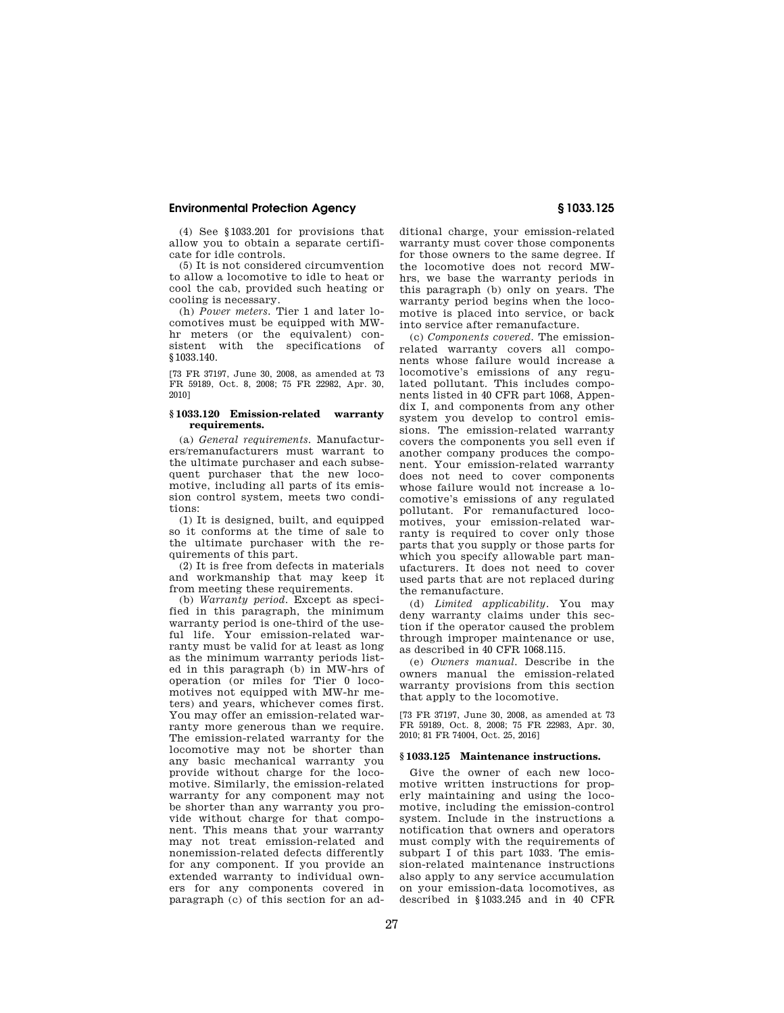(4) See §1033.201 for provisions that allow you to obtain a separate certificate for idle controls.

(5) It is not considered circumvention to allow a locomotive to idle to heat or cool the cab, provided such heating or cooling is necessary.

(h) *Power meters.* Tier 1 and later locomotives must be equipped with MWhr meters (or the equivalent) consistent with the specifications of §1033.140.

[73 FR 37197, June 30, 2008, as amended at 73 FR 59189, Oct. 8, 2008; 75 FR 22982, Apr. 30, 2010]

## **§ 1033.120 Emission-related warranty requirements.**

(a) *General requirements.* Manufacturers/remanufacturers must warrant to the ultimate purchaser and each subsequent purchaser that the new locomotive, including all parts of its emission control system, meets two conditions:

(1) It is designed, built, and equipped so it conforms at the time of sale to the ultimate purchaser with the requirements of this part.

(2) It is free from defects in materials and workmanship that may keep it from meeting these requirements.

(b) *Warranty period.* Except as specified in this paragraph, the minimum warranty period is one-third of the useful life. Your emission-related warranty must be valid for at least as long as the minimum warranty periods listed in this paragraph (b) in MW-hrs of operation (or miles for Tier 0 locomotives not equipped with MW-hr meters) and years, whichever comes first. You may offer an emission-related warranty more generous than we require. The emission-related warranty for the locomotive may not be shorter than any basic mechanical warranty you provide without charge for the locomotive. Similarly, the emission-related warranty for any component may not be shorter than any warranty you provide without charge for that component. This means that your warranty may not treat emission-related and nonemission-related defects differently for any component. If you provide an extended warranty to individual owners for any components covered in paragraph (c) of this section for an additional charge, your emission-related warranty must cover those components for those owners to the same degree. If the locomotive does not record MWhrs, we base the warranty periods in this paragraph (b) only on years. The warranty period begins when the locomotive is placed into service, or back into service after remanufacture.

(c) *Components covered.* The emissionrelated warranty covers all components whose failure would increase a locomotive's emissions of any regulated pollutant. This includes components listed in 40 CFR part 1068, Appendix I, and components from any other system you develop to control emissions. The emission-related warranty covers the components you sell even if another company produces the component. Your emission-related warranty does not need to cover components whose failure would not increase a locomotive's emissions of any regulated pollutant. For remanufactured locomotives, your emission-related warranty is required to cover only those parts that you supply or those parts for which you specify allowable part manufacturers. It does not need to cover used parts that are not replaced during the remanufacture.

(d) *Limited applicability.* You may deny warranty claims under this section if the operator caused the problem through improper maintenance or use, as described in 40 CFR 1068.115.

(e) *Owners manual.* Describe in the owners manual the emission-related warranty provisions from this section that apply to the locomotive.

[73 FR 37197, June 30, 2008, as amended at 73 FR 59189, Oct. 8, 2008; 75 FR 22983, Apr. 30, 2010; 81 FR 74004, Oct. 25, 2016]

## **§ 1033.125 Maintenance instructions.**

Give the owner of each new locomotive written instructions for properly maintaining and using the locomotive, including the emission-control system. Include in the instructions a notification that owners and operators must comply with the requirements of subpart I of this part 1033. The emission-related maintenance instructions also apply to any service accumulation on your emission-data locomotives, as described in §1033.245 and in 40 CFR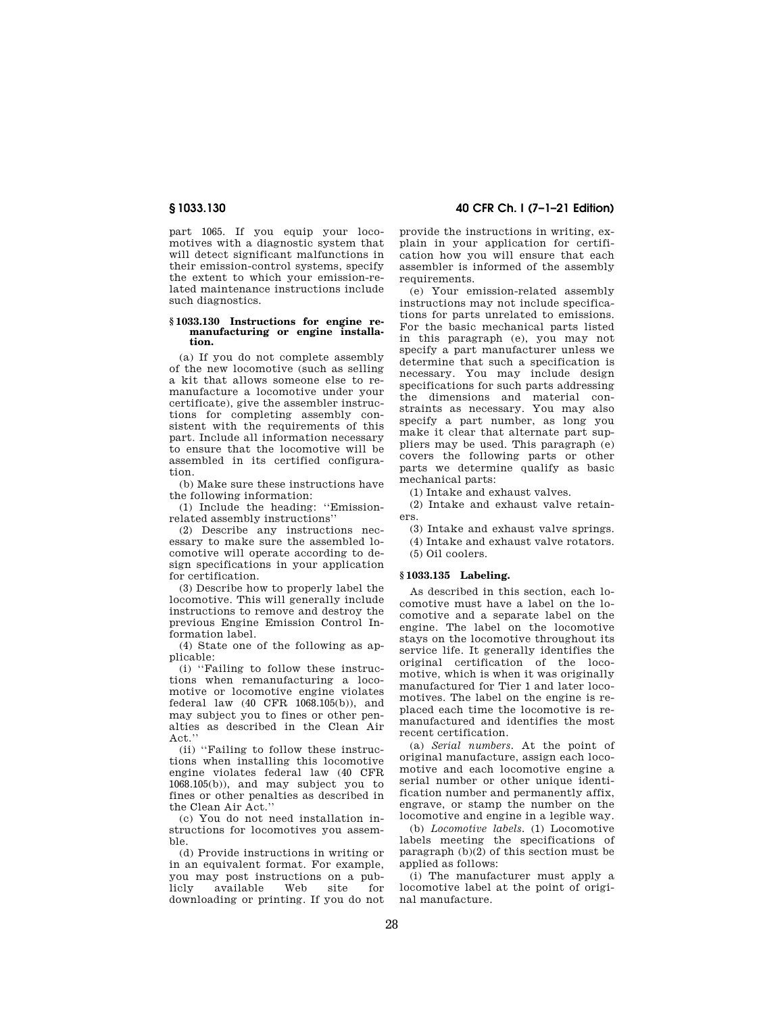part 1065. If you equip your locomotives with a diagnostic system that will detect significant malfunctions in their emission-control systems, specify the extent to which your emission-related maintenance instructions include such diagnostics.

## **§ 1033.130 Instructions for engine remanufacturing or engine installation.**

(a) If you do not complete assembly of the new locomotive (such as selling a kit that allows someone else to remanufacture a locomotive under your certificate), give the assembler instructions for completing assembly consistent with the requirements of this part. Include all information necessary to ensure that the locomotive will be assembled in its certified configuration.

(b) Make sure these instructions have the following information:

(1) Include the heading: ''Emissionrelated assembly instructions''

(2) Describe any instructions necessary to make sure the assembled locomotive will operate according to design specifications in your application for certification.

(3) Describe how to properly label the locomotive. This will generally include instructions to remove and destroy the previous Engine Emission Control Information label.

(4) State one of the following as applicable:

(i) ''Failing to follow these instructions when remanufacturing a locomotive or locomotive engine violates federal law (40 CFR 1068.105(b)), and may subject you to fines or other penalties as described in the Clean Air Act.'

(ii) ''Failing to follow these instructions when installing this locomotive engine violates federal law (40 CFR 1068.105(b)), and may subject you to fines or other penalties as described in the Clean Air Act.''

(c) You do not need installation instructions for locomotives you assemble.

(d) Provide instructions in writing or in an equivalent format. For example, you may post instructions on a publicly available Web site for downloading or printing. If you do not

# **§ 1033.130 40 CFR Ch. I (7–1–21 Edition)**

provide the instructions in writing, explain in your application for certification how you will ensure that each assembler is informed of the assembly requirements

(e) Your emission-related assembly instructions may not include specifications for parts unrelated to emissions. For the basic mechanical parts listed in this paragraph (e), you may not specify a part manufacturer unless we determine that such a specification is necessary. You may include design specifications for such parts addressing the dimensions and material constraints as necessary. You may also specify a part number, as long you make it clear that alternate part suppliers may be used. This paragraph (e) covers the following parts or other parts we determine qualify as basic mechanical parts:

(1) Intake and exhaust valves.

(2) Intake and exhaust valve retainers.

(3) Intake and exhaust valve springs. (4) Intake and exhaust valve rotators.

(5) Oil coolers.

# **§ 1033.135 Labeling.**

As described in this section, each locomotive must have a label on the locomotive and a separate label on the engine. The label on the locomotive stays on the locomotive throughout its service life. It generally identifies the original certification of the locomotive, which is when it was originally manufactured for Tier 1 and later locomotives. The label on the engine is replaced each time the locomotive is remanufactured and identifies the most recent certification.

(a) *Serial numbers.* At the point of original manufacture, assign each locomotive and each locomotive engine a serial number or other unique identification number and permanently affix, engrave, or stamp the number on the locomotive and engine in a legible way.

(b) *Locomotive labels.* (1) Locomotive labels meeting the specifications of paragraph (b)(2) of this section must be applied as follows:

(i) The manufacturer must apply a locomotive label at the point of original manufacture.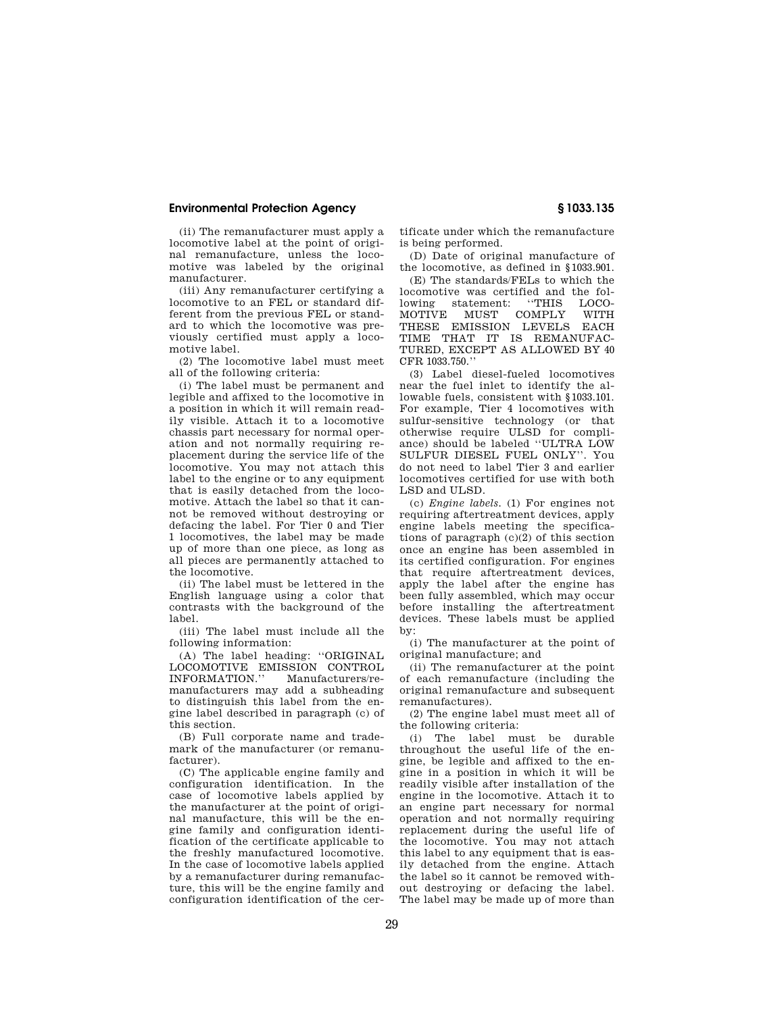(ii) The remanufacturer must apply a locomotive label at the point of original remanufacture, unless the locomotive was labeled by the original manufacturer.

(iii) Any remanufacturer certifying a locomotive to an FEL or standard different from the previous FEL or standard to which the locomotive was previously certified must apply a locomotive label.

(2) The locomotive label must meet all of the following criteria:

(i) The label must be permanent and legible and affixed to the locomotive in a position in which it will remain readily visible. Attach it to a locomotive chassis part necessary for normal operation and not normally requiring replacement during the service life of the locomotive. You may not attach this label to the engine or to any equipment that is easily detached from the locomotive. Attach the label so that it cannot be removed without destroying or defacing the label. For Tier 0 and Tier 1 locomotives, the label may be made up of more than one piece, as long as all pieces are permanently attached to the locomotive.

(ii) The label must be lettered in the English language using a color that contrasts with the background of the label.

(iii) The label must include all the following information:

(A) The label heading: ''ORIGINAL LOCOMOTIVE EMISSION CONTROL<br>INFORMATION." Manufacturers/re-Manufacturers/remanufacturers may add a subheading to distinguish this label from the engine label described in paragraph (c) of this section.

(B) Full corporate name and trademark of the manufacturer (or remanufacturer).

(C) The applicable engine family and configuration identification. In the case of locomotive labels applied by the manufacturer at the point of original manufacture, this will be the engine family and configuration identification of the certificate applicable to the freshly manufactured locomotive. In the case of locomotive labels applied by a remanufacturer during remanufacture, this will be the engine family and configuration identification of the certificate under which the remanufacture is being performed.

(D) Date of original manufacture of the locomotive, as defined in §1033.901.

(E) The standards/FELs to which the locomotive was certified and the following statement: ''THIS LOCO-MOTIVE MUST COMPLY THESE EMISSION LEVELS EACH TIME THAT IT IS REMANUFAC-TURED, EXCEPT AS ALLOWED BY 40 CFR 1033.750.''

(3) Label diesel-fueled locomotives near the fuel inlet to identify the allowable fuels, consistent with §1033.101. For example, Tier 4 locomotives with sulfur-sensitive technology (or that otherwise require ULSD for compliance) should be labeled ''ULTRA LOW SULFUR DIESEL FUEL ONLY''. You do not need to label Tier 3 and earlier locomotives certified for use with both LSD and ULSD.

(c) *Engine labels.* (1) For engines not requiring aftertreatment devices, apply engine labels meeting the specifications of paragraph (c)(2) of this section once an engine has been assembled in its certified configuration. For engines that require aftertreatment devices, apply the label after the engine has been fully assembled, which may occur before installing the aftertreatment devices. These labels must be applied by:

(i) The manufacturer at the point of original manufacture; and

(ii) The remanufacturer at the point of each remanufacture (including the original remanufacture and subsequent remanufactures).

(2) The engine label must meet all of the following criteria:

(i) The label must be durable throughout the useful life of the engine, be legible and affixed to the engine in a position in which it will be readily visible after installation of the engine in the locomotive. Attach it to an engine part necessary for normal operation and not normally requiring replacement during the useful life of the locomotive. You may not attach this label to any equipment that is easily detached from the engine. Attach the label so it cannot be removed without destroying or defacing the label. The label may be made up of more than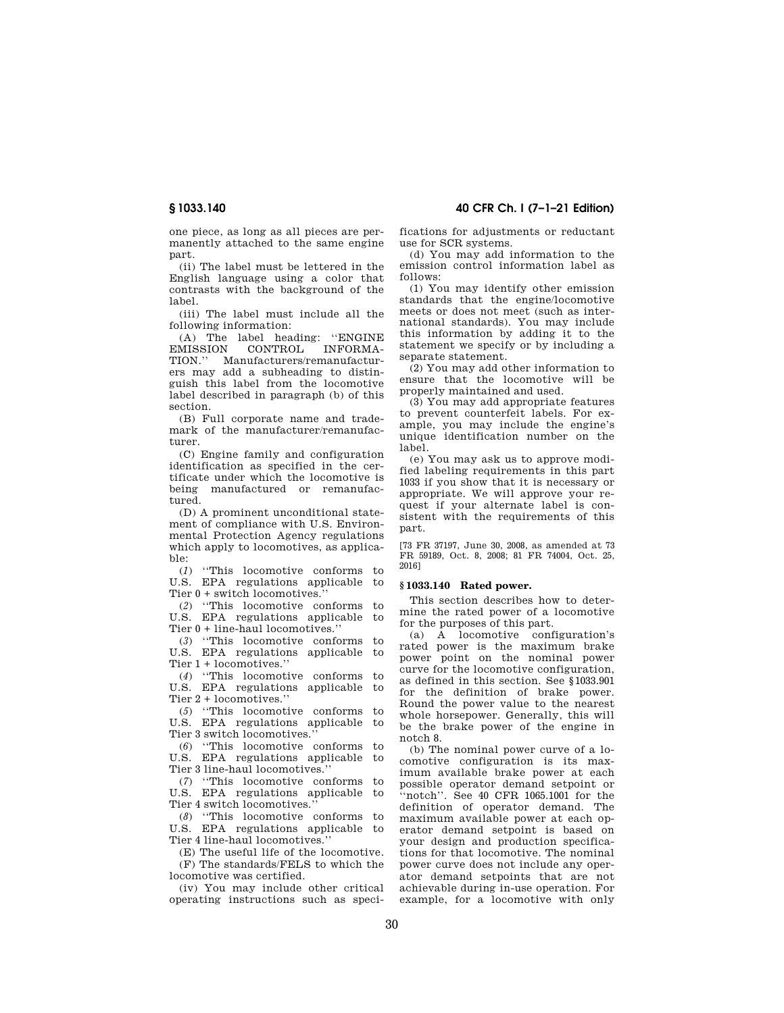one piece, as long as all pieces are permanently attached to the same engine part.

(ii) The label must be lettered in the English language using a color that contrasts with the background of the label.

(iii) The label must include all the following information:

(A) The label heading: ''ENGINE EMISSION CONTROL TION.'' Manufacturers/remanufacturers may add a subheading to distinguish this label from the locomotive label described in paragraph (b) of this section.

(B) Full corporate name and trademark of the manufacturer/remanufacturer.

(C) Engine family and configuration identification as specified in the certificate under which the locomotive is being manufactured or remanufactured.

(D) A prominent unconditional statement of compliance with U.S. Environmental Protection Agency regulations which apply to locomotives, as applicable:

(*1*) ''This locomotive conforms to U.S. EPA regulations applicable to Tier 0 + switch locomotives.''

(*2*) ''This locomotive conforms to U.S. EPA regulations applicable to Tier 0 + line-haul locomotives.''

(*3*) ''This locomotive conforms to U.S. EPA regulations applicable to Tier 1 + locomotives.''

(*4*) ''This locomotive conforms to U.S. EPA regulations applicable to Tier 2 + locomotives.''

(*5*) ''This locomotive conforms to U.S. EPA regulations applicable to Tier 3 switch locomotives.''

(*6*) ''This locomotive conforms to U.S. EPA regulations applicable to Tier 3 line-haul locomotives.''

(*7*) ''This locomotive conforms to U.S. EPA regulations applicable to Tier 4 switch locomotives.''

(*8*) ''This locomotive conforms to U.S. EPA regulations applicable to Tier 4 line-haul locomotives.''

(E) The useful life of the locomotive.

(F) The standards/FELS to which the locomotive was certified.

(iv) You may include other critical operating instructions such as speci-

**§ 1033.140 40 CFR Ch. I (7–1–21 Edition)** 

fications for adjustments or reductant use for SCR systems.

(d) You may add information to the emission control information label as follows:

(1) You may identify other emission standards that the engine/locomotive meets or does not meet (such as international standards). You may include this information by adding it to the statement we specify or by including a separate statement.

(2) You may add other information to ensure that the locomotive will be properly maintained and used.

(3) You may add appropriate features to prevent counterfeit labels. For example, you may include the engine's unique identification number on the label.

(e) You may ask us to approve modified labeling requirements in this part 1033 if you show that it is necessary or appropriate. We will approve your request if your alternate label is consistent with the requirements of this part.

[73 FR 37197, June 30, 2008, as amended at 73 FR 59189, Oct. 8, 2008; 81 FR 74004, Oct. 25, 2016]

## **§ 1033.140 Rated power.**

This section describes how to determine the rated power of a locomotive for the purposes of this part.

(a) A locomotive configuration's rated power is the maximum brake power point on the nominal power curve for the locomotive configuration, as defined in this section. See §1033.901 for the definition of brake power. Round the power value to the nearest whole horsepower. Generally, this will be the brake power of the engine in notch 8.

(b) The nominal power curve of a locomotive configuration is its maximum available brake power at each possible operator demand setpoint or ''notch''. See 40 CFR 1065.1001 for the definition of operator demand. The maximum available power at each operator demand setpoint is based on your design and production specifications for that locomotive. The nominal power curve does not include any operator demand setpoints that are not achievable during in-use operation. For example, for a locomotive with only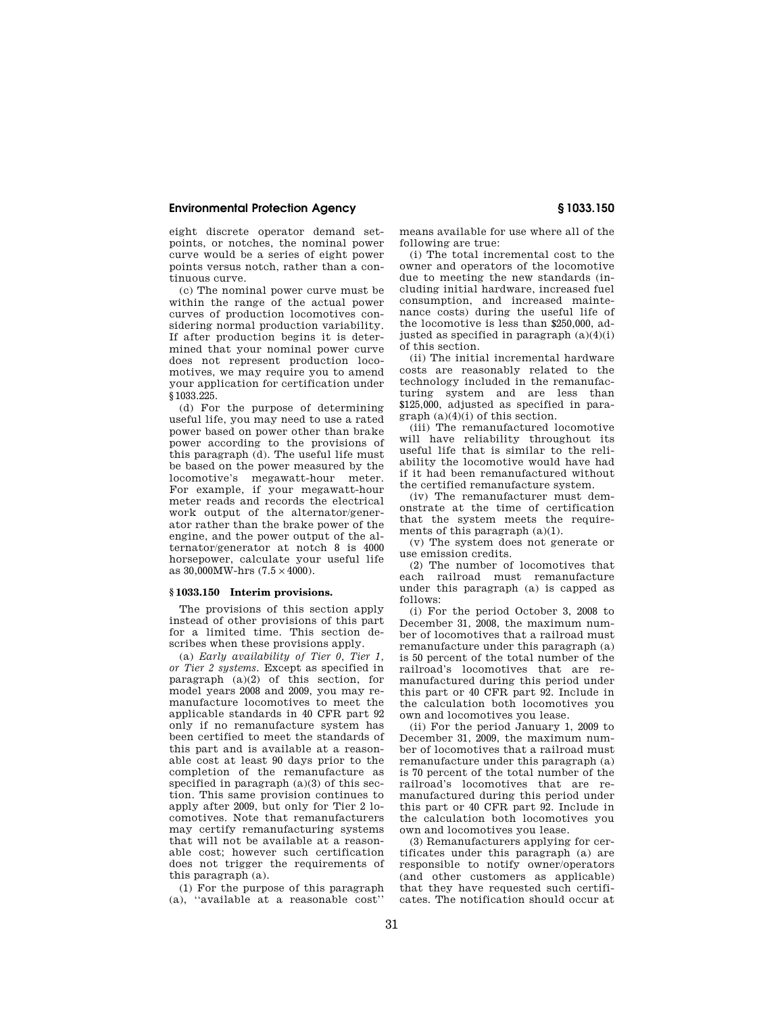eight discrete operator demand setpoints, or notches, the nominal power curve would be a series of eight power points versus notch, rather than a continuous curve.

(c) The nominal power curve must be within the range of the actual power curves of production locomotives considering normal production variability. If after production begins it is determined that your nominal power curve does not represent production locomotives, we may require you to amend your application for certification under §1033.225.

(d) For the purpose of determining useful life, you may need to use a rated power based on power other than brake power according to the provisions of this paragraph (d). The useful life must be based on the power measured by the locomotive's megawatt-hour meter. For example, if your megawatt-hour meter reads and records the electrical work output of the alternator/generator rather than the brake power of the engine, and the power output of the alternator/generator at notch 8 is 4000 horsepower, calculate your useful life as  $30,000$ MW-hrs  $(7.5 \times 4000)$ .

## **§ 1033.150 Interim provisions.**

The provisions of this section apply instead of other provisions of this part for a limited time. This section describes when these provisions apply.

(a) *Early availability of Tier 0, Tier 1, or Tier 2 systems.* Except as specified in paragraph (a)(2) of this section, for model years 2008 and 2009, you may remanufacture locomotives to meet the applicable standards in 40 CFR part 92 only if no remanufacture system has been certified to meet the standards of this part and is available at a reasonable cost at least 90 days prior to the completion of the remanufacture as specified in paragraph  $(a)(3)$  of this section. This same provision continues to apply after 2009, but only for Tier 2 locomotives. Note that remanufacturers may certify remanufacturing systems that will not be available at a reasonable cost; however such certification does not trigger the requirements of this paragraph (a).

(1) For the purpose of this paragraph (a), ''available at a reasonable cost''

means available for use where all of the following are true:

(i) The total incremental cost to the owner and operators of the locomotive due to meeting the new standards (including initial hardware, increased fuel consumption, and increased maintenance costs) during the useful life of the locomotive is less than \$250,000, adjusted as specified in paragraph  $(a)(4)(i)$ of this section.

(ii) The initial incremental hardware costs are reasonably related to the technology included in the remanufacturing system and are less than \$125,000, adjusted as specified in paragraph (a)(4)(i) of this section.

(iii) The remanufactured locomotive will have reliability throughout its useful life that is similar to the reliability the locomotive would have had if it had been remanufactured without the certified remanufacture system.

(iv) The remanufacturer must demonstrate at the time of certification that the system meets the requirements of this paragraph (a)(1).

(v) The system does not generate or use emission credits.

(2) The number of locomotives that each railroad must remanufacture under this paragraph (a) is capped as follows:

(i) For the period October 3, 2008 to December 31, 2008, the maximum number of locomotives that a railroad must remanufacture under this paragraph (a) is 50 percent of the total number of the railroad's locomotives that are remanufactured during this period under this part or 40 CFR part 92. Include in the calculation both locomotives you own and locomotives you lease.

(ii) For the period January 1, 2009 to December 31, 2009, the maximum number of locomotives that a railroad must remanufacture under this paragraph (a) is 70 percent of the total number of the railroad's locomotives that are remanufactured during this period under this part or 40 CFR part 92. Include in the calculation both locomotives you own and locomotives you lease.

(3) Remanufacturers applying for certificates under this paragraph (a) are responsible to notify owner/operators (and other customers as applicable) that they have requested such certificates. The notification should occur at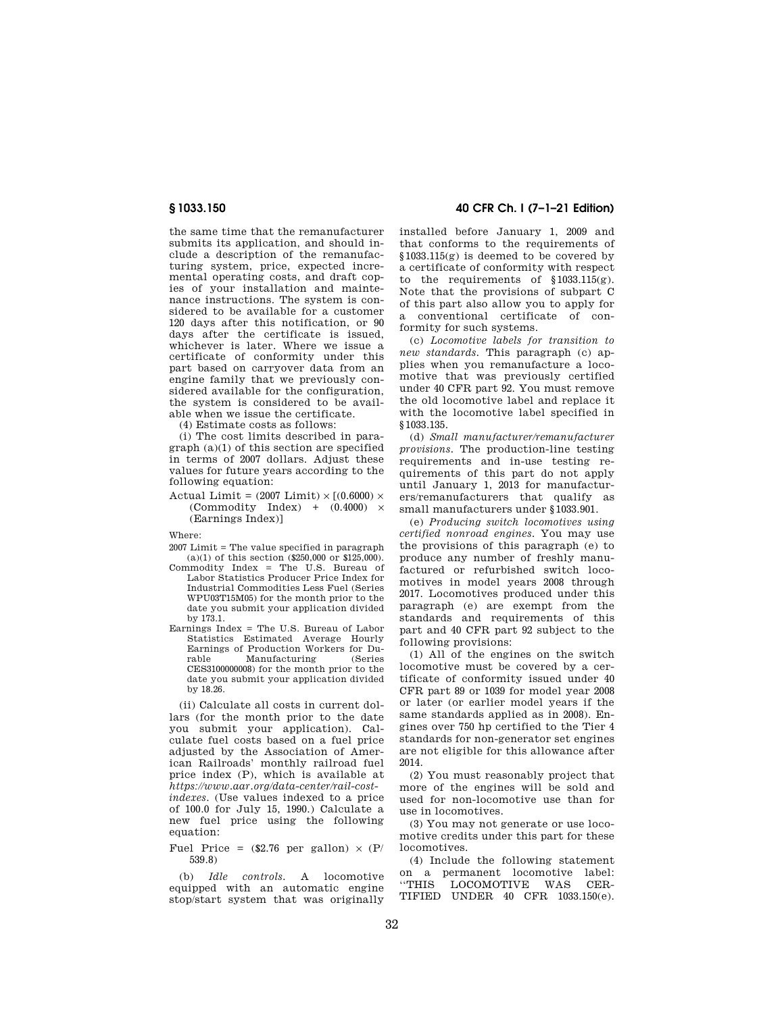the same time that the remanufacturer submits its application, and should include a description of the remanufacturing system, price, expected incremental operating costs, and draft copies of your installation and maintenance instructions. The system is considered to be available for a customer 120 days after this notification, or 90 days after the certificate is issued, whichever is later. Where we issue a certificate of conformity under this part based on carryover data from an engine family that we previously considered available for the configuration, the system is considered to be available when we issue the certificate.

(4) Estimate costs as follows:

(i) The cost limits described in paragraph (a)(1) of this section are specified in terms of 2007 dollars. Adjust these values for future years according to the following equation:

Actual Limit =  $(2007 \text{ Limit}) \times [(0.6000) \times$ (Commodity Index) +  $(0.4000) \times$ (Earnings Index)]

Where:

2007 Limit = The value specified in paragraph  $(a)(1)$  of this section (\$250,000 or \$125,000).

- Commodity Index = The U.S. Bureau of Labor Statistics Producer Price Index for Industrial Commodities Less Fuel (Series WPU03T15M05) for the month prior to the date you submit your application divided by 173.1.
- Earnings Index = The U.S. Bureau of Labor Statistics Estimated Average Hourly Earnings of Production Workers for Du-Manufacturing CES3100000008) for the month prior to the date you submit your application divided by 18.26.

(ii) Calculate all costs in current dollars (for the month prior to the date you submit your application). Calculate fuel costs based on a fuel price adjusted by the Association of American Railroads' monthly railroad fuel price index (P), which is available at *https://www.aar.org/data-center/rail-costindexes*. (Use values indexed to a price of 100.0 for July 15, 1990.) Calculate a new fuel price using the following equation:

Fuel Price =  $(\$2.76$  per gallon)  $\times$  (P/ 539.8)

(b) *Idle controls.* A locomotive equipped with an automatic engine stop/start system that was originally

**§ 1033.150 40 CFR Ch. I (7–1–21 Edition)** 

installed before January 1, 2009 and that conforms to the requirements of §1033.115(g) is deemed to be covered by a certificate of conformity with respect to the requirements of §1033.115(g). Note that the provisions of subpart C of this part also allow you to apply for a conventional certificate of conformity for such systems.

(c) *Locomotive labels for transition to new standards.* This paragraph (c) applies when you remanufacture a locomotive that was previously certified under 40 CFR part 92. You must remove the old locomotive label and replace it with the locomotive label specified in §1033.135.

(d) *Small manufacturer/remanufacturer provisions.* The production-line testing requirements and in-use testing requirements of this part do not apply until January 1, 2013 for manufacturers/remanufacturers that qualify as small manufacturers under §1033.901.

(e) *Producing switch locomotives using certified nonroad engines.* You may use the provisions of this paragraph (e) to produce any number of freshly manufactured or refurbished switch locomotives in model years 2008 through 2017. Locomotives produced under this paragraph (e) are exempt from the standards and requirements of this part and 40 CFR part 92 subject to the following provisions:

(1) All of the engines on the switch locomotive must be covered by a certificate of conformity issued under 40 CFR part 89 or 1039 for model year 2008 or later (or earlier model years if the same standards applied as in 2008). Engines over 750 hp certified to the Tier 4 standards for non-generator set engines are not eligible for this allowance after 2014.

(2) You must reasonably project that more of the engines will be sold and used for non-locomotive use than for use in locomotives.

(3) You may not generate or use locomotive credits under this part for these locomotives.

(4) Include the following statement on a permanent locomotive label:<br>"THIS LOCOMOTIVE WAS CER-LOCOMOTIVE WAS CER-TIFIED UNDER 40 CFR 1033.150(e).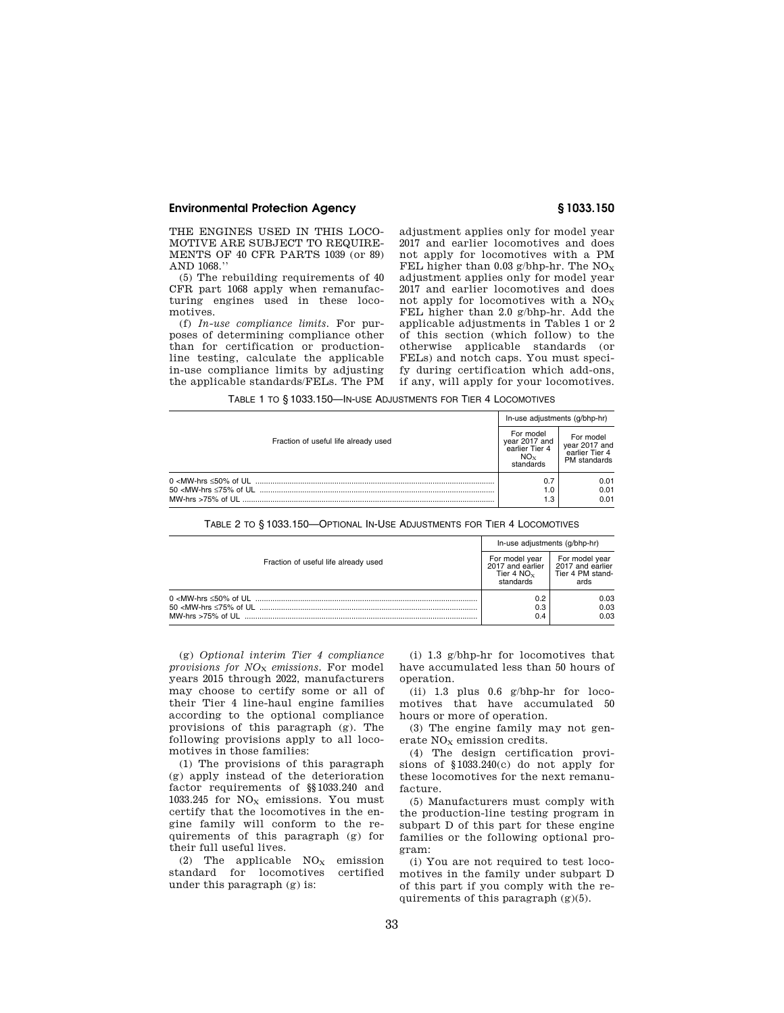THE ENGINES USED IN THIS LOCO-MOTIVE ARE SUBJECT TO REQUIRE-MENTS OF 40 CFR PARTS 1039 (or 89) AND 1068.''

(5) The rebuilding requirements of 40 CFR part 1068 apply when remanufacturing engines used in these locomotives.

(f) *In-use compliance limits.* For purposes of determining compliance other than for certification or productionline testing, calculate the applicable in-use compliance limits by adjusting the applicable standards/FELs. The PM adjustment applies only for model year 2017 and earlier locomotives and does not apply for locomotives with a PM FEL higher than 0.03 g/bhp-hr. The  $NO_X$ adjustment applies only for model year 2017 and earlier locomotives and does not apply for locomotives with a  $NO<sub>x</sub>$ FEL higher than 2.0 g/bhp-hr. Add the applicable adjustments in Tables 1 or 2 of this section (which follow) to the otherwise applicable standards (or FELs) and notch caps. You must specify during certification which add-ons, if any, will apply for your locomotives.

TABLE 1 TO § 1033.150—IN-USE ADJUSTMENTS FOR TIER 4 LOCOMOTIVES

| Fraction of useful life already used | In-use adjustments (g/bhp-hr)                                    |                                                              |  |
|--------------------------------------|------------------------------------------------------------------|--------------------------------------------------------------|--|
|                                      | For model<br>year 2017 and<br>earlier Tier 4<br>NOx<br>standards | For model<br>vear 2017 and<br>earlier Tier 4<br>PM standards |  |
| MW-hrs >75% of UL                    | 0.7<br>1.0<br>1.3                                                | 0.01<br>0.01<br>0.01                                         |  |

TABLE 2 TO § 1033.150—OPTIONAL IN-USE ADJUSTMENTS FOR TIER 4 LOCOMOTIVES

|                                      | In-use adjustments (q/bhp-hr)                                                                 |                                            |  |
|--------------------------------------|-----------------------------------------------------------------------------------------------|--------------------------------------------|--|
| Fraction of useful life already used | For model year<br>2017 and earlier   2017 and earlier<br>Tier 4 NO $_\mathrm{x}$<br>standards | For model year<br>Tier 4 PM stand-<br>ards |  |
|                                      | 0.2<br>0.3<br>0.4                                                                             | 0.03<br>0.03<br>0.03                       |  |

(g) *Optional interim Tier 4 compliance provisions for NO*<sup>X</sup> *emissions.* For model years 2015 through 2022, manufacturers may choose to certify some or all of their Tier 4 line-haul engine families according to the optional compliance provisions of this paragraph (g). The following provisions apply to all locomotives in those families:

(1) The provisions of this paragraph (g) apply instead of the deterioration factor requirements of §§1033.240 and 1033.245 for  $NO<sub>X</sub>$  emissions. You must certify that the locomotives in the engine family will conform to the requirements of this paragraph (g) for their full useful lives.

(2) The applicable  $NO<sub>X</sub>$  emission standard for locomotives certified under this paragraph (g) is:

(i) 1.3 g/bhp-hr for locomotives that have accumulated less than 50 hours of operation.

(ii) 1.3 plus 0.6 g/bhp-hr for locomotives that have accumulated 50 hours or more of operation.

(3) The engine family may not generate  $NO<sub>x</sub>$  emission credits.

(4) The design certification provisions of §1033.240(c) do not apply for these locomotives for the next remanufacture.

(5) Manufacturers must comply with the production-line testing program in subpart D of this part for these engine families or the following optional program:

(i) You are not required to test locomotives in the family under subpart D of this part if you comply with the requirements of this paragraph  $(g)(5)$ .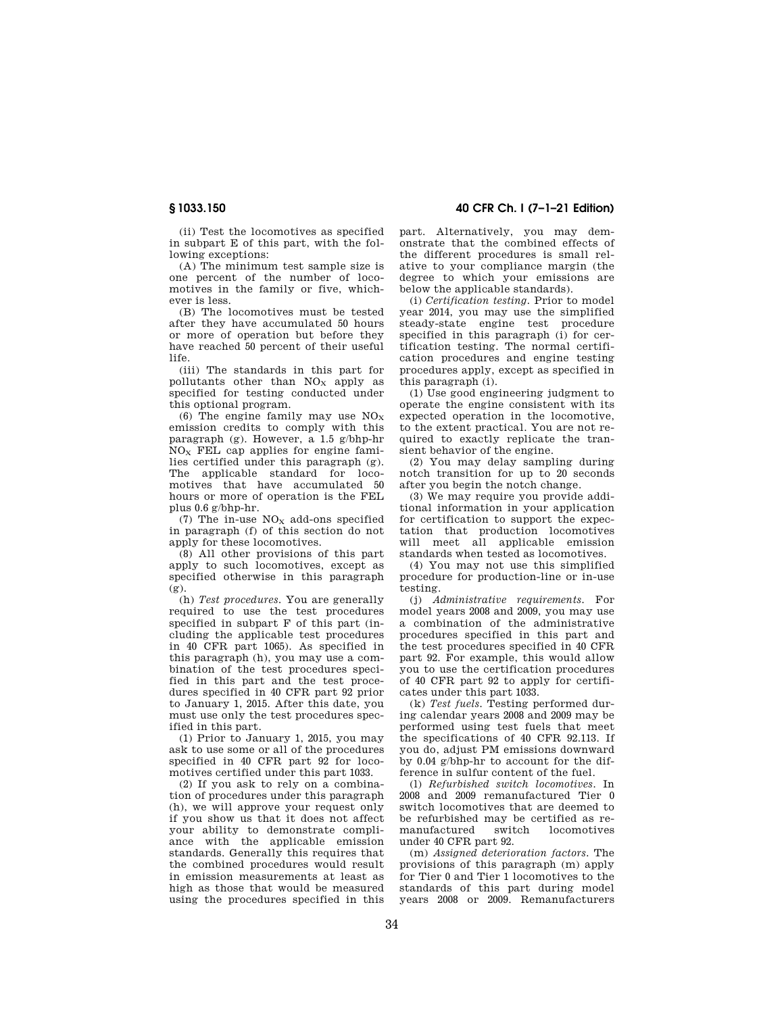(ii) Test the locomotives as specified in subpart E of this part, with the following exceptions:

(A) The minimum test sample size is one percent of the number of locomotives in the family or five, whichever is less.

(B) The locomotives must be tested after they have accumulated 50 hours or more of operation but before they have reached 50 percent of their useful life.

(iii) The standards in this part for pollutants other than  $NO<sub>x</sub>$  apply as specified for testing conducted under this optional program.

(6) The engine family may use  $NO<sub>x</sub>$ emission credits to comply with this paragraph (g). However, a 1.5 g/bhp-hr  $NO<sub>x</sub>$  FEL cap applies for engine families certified under this paragraph (g). The applicable standard for locomotives that have accumulated 50 hours or more of operation is the FEL plus 0.6 g/bhp-hr.

(7) The in-use  $NO<sub>x</sub>$  add-ons specified in paragraph (f) of this section do not apply for these locomotives.

(8) All other provisions of this part apply to such locomotives, except as specified otherwise in this paragraph (g).

(h) *Test procedures.* You are generally required to use the test procedures specified in subpart F of this part (including the applicable test procedures in 40 CFR part 1065). As specified in this paragraph (h), you may use a combination of the test procedures specified in this part and the test procedures specified in 40 CFR part 92 prior to January 1, 2015. After this date, you must use only the test procedures specified in this part.

(1) Prior to January 1, 2015, you may ask to use some or all of the procedures specified in 40 CFR part 92 for locomotives certified under this part 1033.

(2) If you ask to rely on a combination of procedures under this paragraph (h), we will approve your request only if you show us that it does not affect your ability to demonstrate compliance with the applicable emission standards. Generally this requires that the combined procedures would result in emission measurements at least as high as those that would be measured using the procedures specified in this

# **§ 1033.150 40 CFR Ch. I (7–1–21 Edition)**

part. Alternatively, you may demonstrate that the combined effects of the different procedures is small relative to your compliance margin (the degree to which your emissions are below the applicable standards).

(i) *Certification testing.* Prior to model year 2014, you may use the simplified steady-state engine test procedure specified in this paragraph (i) for certification testing. The normal certification procedures and engine testing procedures apply, except as specified in this paragraph (i).

(1) Use good engineering judgment to operate the engine consistent with its expected operation in the locomotive, to the extent practical. You are not required to exactly replicate the transient behavior of the engine.

(2) You may delay sampling during notch transition for up to 20 seconds after you begin the notch change.

(3) We may require you provide additional information in your application for certification to support the expectation that production locomotives will meet all applicable emission standards when tested as locomotives.

(4) You may not use this simplified procedure for production-line or in-use testing.

(j) *Administrative requirements.* For model years 2008 and 2009, you may use a combination of the administrative procedures specified in this part and the test procedures specified in 40 CFR part 92. For example, this would allow you to use the certification procedures of 40 CFR part 92 to apply for certificates under this part 1033.

(k) *Test fuels.* Testing performed during calendar years 2008 and 2009 may be performed using test fuels that meet the specifications of 40 CFR 92.113. If you do, adjust PM emissions downward by 0.04 g/bhp-hr to account for the difference in sulfur content of the fuel.

(l) *Refurbished switch locomotives.* In 2008 and 2009 remanufactured Tier 0 switch locomotives that are deemed to be refurbished may be certified as re-<br>manufactured switch locomotives manufactured under 40 CFR part 92.

(m) *Assigned deterioration factors.* The provisions of this paragraph (m) apply for Tier 0 and Tier 1 locomotives to the standards of this part during model years 2008 or 2009. Remanufacturers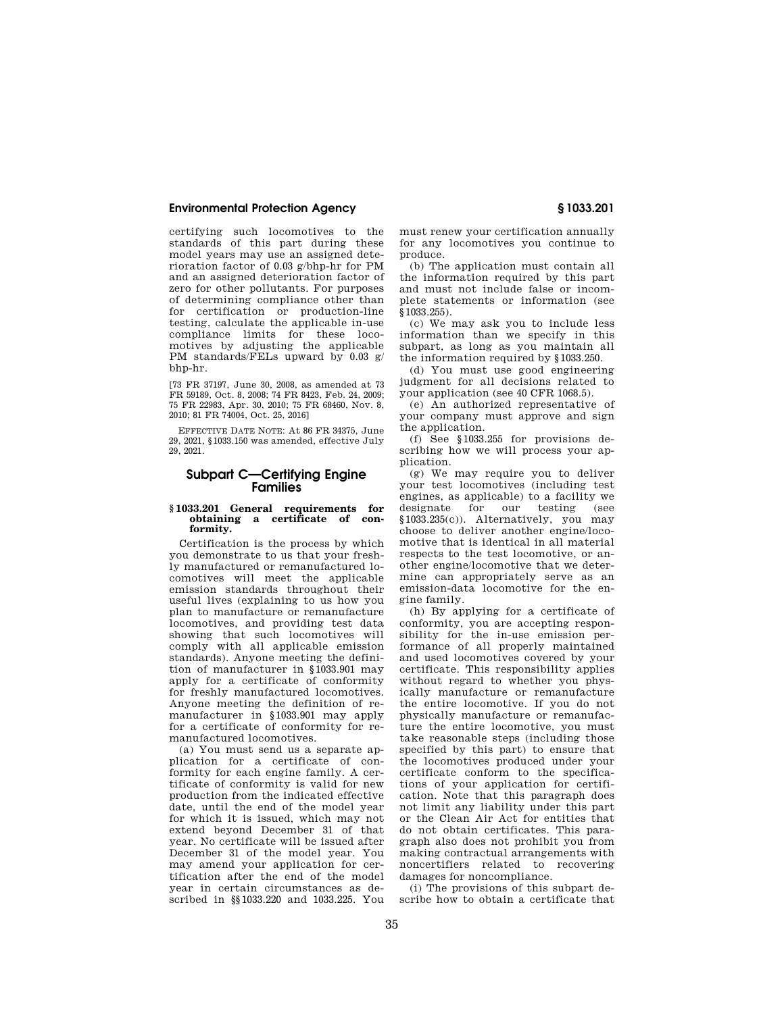certifying such locomotives to the standards of this part during these model years may use an assigned deterioration factor of 0.03 g/bhp-hr for PM and an assigned deterioration factor of zero for other pollutants. For purposes of determining compliance other than for certification or production-line testing, calculate the applicable in-use compliance limits for these locomotives by adjusting the applicable PM standards/FELs upward by 0.03 g/ bhp-hr.

[73 FR 37197, June 30, 2008, as amended at 73 FR 59189, Oct. 8, 2008; 74 FR 8423, Feb. 24, 2009; 75 FR 22983, Apr. 30, 2010; 75 FR 68460, Nov. 8, 2010; 81 FR 74004, Oct. 25, 2016]

EFFECTIVE DATE NOTE: At 86 FR 34375, June 29, 2021, §1033.150 was amended, effective July 29, 2021.

# **Subpart C—Certifying Engine Families**

# **§ 1033.201 General requirements for obtaining a certificate of conformity.**

Certification is the process by which you demonstrate to us that your freshly manufactured or remanufactured locomotives will meet the applicable emission standards throughout their useful lives (explaining to us how you plan to manufacture or remanufacture locomotives, and providing test data showing that such locomotives will comply with all applicable emission standards). Anyone meeting the definition of manufacturer in §1033.901 may apply for a certificate of conformity for freshly manufactured locomotives. Anyone meeting the definition of remanufacturer in §1033.901 may apply for a certificate of conformity for remanufactured locomotives.

(a) You must send us a separate application for a certificate of conformity for each engine family. A certificate of conformity is valid for new production from the indicated effective date, until the end of the model year for which it is issued, which may not extend beyond December 31 of that year. No certificate will be issued after December 31 of the model year. You may amend your application for certification after the end of the model year in certain circumstances as described in §§1033.220 and 1033.225. You

must renew your certification annually for any locomotives you continue to produce.

(b) The application must contain all the information required by this part and must not include false or incomplete statements or information (see §1033.255).

(c) We may ask you to include less information than we specify in this subpart, as long as you maintain all the information required by §1033.250.

(d) You must use good engineering judgment for all decisions related to your application (see 40 CFR 1068.5).

(e) An authorized representative of your company must approve and sign the application.

(f) See §1033.255 for provisions describing how we will process your application.

(g) We may require you to deliver your test locomotives (including test engines, as applicable) to a facility we designate for our testing (see §1033.235(c)). Alternatively, you may choose to deliver another engine/locomotive that is identical in all material respects to the test locomotive, or another engine/locomotive that we determine can appropriately serve as an emission-data locomotive for the engine family.

(h) By applying for a certificate of conformity, you are accepting responsibility for the in-use emission performance of all properly maintained and used locomotives covered by your certificate. This responsibility applies without regard to whether you physically manufacture or remanufacture the entire locomotive. If you do not physically manufacture or remanufacture the entire locomotive, you must take reasonable steps (including those specified by this part) to ensure that the locomotives produced under your certificate conform to the specifications of your application for certification. Note that this paragraph does not limit any liability under this part or the Clean Air Act for entities that do not obtain certificates. This paragraph also does not prohibit you from making contractual arrangements with noncertifiers related to recovering damages for noncompliance.

(i) The provisions of this subpart describe how to obtain a certificate that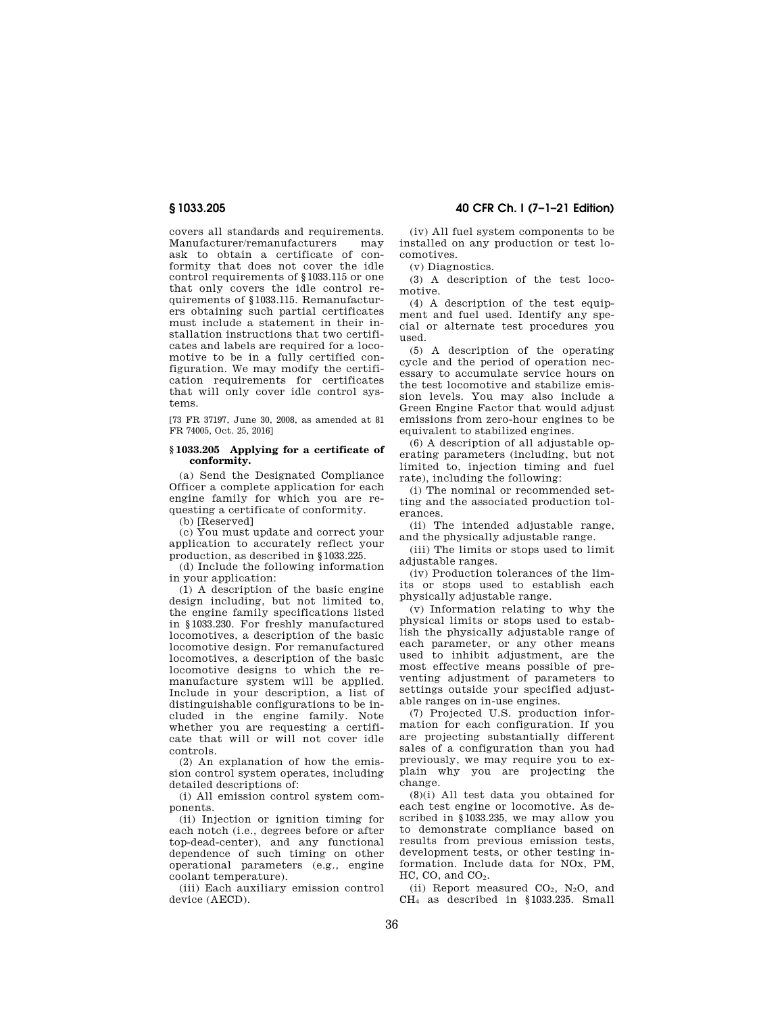covers all standards and requirements. Manufacturer/remanufacturers may ask to obtain a certificate of conformity that does not cover the idle control requirements of §1033.115 or one that only covers the idle control requirements of §1033.115. Remanufacturers obtaining such partial certificates must include a statement in their installation instructions that two certificates and labels are required for a locomotive to be in a fully certified configuration. We may modify the certification requirements for certificates that will only cover idle control systems.

[73 FR 37197, June 30, 2008, as amended at 81 FR 74005, Oct. 25, 2016]

## **§ 1033.205 Applying for a certificate of conformity.**

(a) Send the Designated Compliance Officer a complete application for each engine family for which you are requesting a certificate of conformity.

(b) [Reserved]

(c) You must update and correct your application to accurately reflect your production, as described in §1033.225.

(d) Include the following information in your application:

(1) A description of the basic engine design including, but not limited to, the engine family specifications listed in §1033.230. For freshly manufactured locomotives, a description of the basic locomotive design. For remanufactured locomotives, a description of the basic locomotive designs to which the remanufacture system will be applied. Include in your description, a list of distinguishable configurations to be included in the engine family. Note whether you are requesting a certificate that will or will not cover idle controls.

(2) An explanation of how the emission control system operates, including detailed descriptions of:

(i) All emission control system components.

(ii) Injection or ignition timing for each notch (i.e., degrees before or after top-dead-center), and any functional dependence of such timing on other operational parameters (e.g., engine coolant temperature).

(iii) Each auxiliary emission control device (AECD).

**§ 1033.205 40 CFR Ch. I (7–1–21 Edition)** 

(iv) All fuel system components to be installed on any production or test locomotives.

(v) Diagnostics.

(3) A description of the test locomotive.

(4) A description of the test equipment and fuel used. Identify any special or alternate test procedures you used.

(5) A description of the operating cycle and the period of operation necessary to accumulate service hours on the test locomotive and stabilize emission levels. You may also include a Green Engine Factor that would adjust emissions from zero-hour engines to be equivalent to stabilized engines.

(6) A description of all adjustable operating parameters (including, but not limited to, injection timing and fuel rate), including the following:

(i) The nominal or recommended setting and the associated production tolerances.

(ii) The intended adjustable range, and the physically adjustable range.

(iii) The limits or stops used to limit adjustable ranges.

(iv) Production tolerances of the limits or stops used to establish each physically adjustable range.

(v) Information relating to why the physical limits or stops used to establish the physically adjustable range of each parameter, or any other means used to inhibit adjustment, are the most effective means possible of preventing adjustment of parameters to settings outside your specified adjustable ranges on in-use engines.

(7) Projected U.S. production information for each configuration. If you are projecting substantially different sales of a configuration than you had previously, we may require you to explain why you are projecting the change.

(8)(i) All test data you obtained for each test engine or locomotive. As described in §1033.235, we may allow you to demonstrate compliance based on results from previous emission tests, development tests, or other testing information. Include data for NOx, PM,  $HC$ ,  $CO$ , and  $CO<sub>2</sub>$ .

(ii) Report measured  $CO<sub>2</sub>$ , N<sub>2</sub>O, and CH<sup>4</sup> as described in §1033.235. Small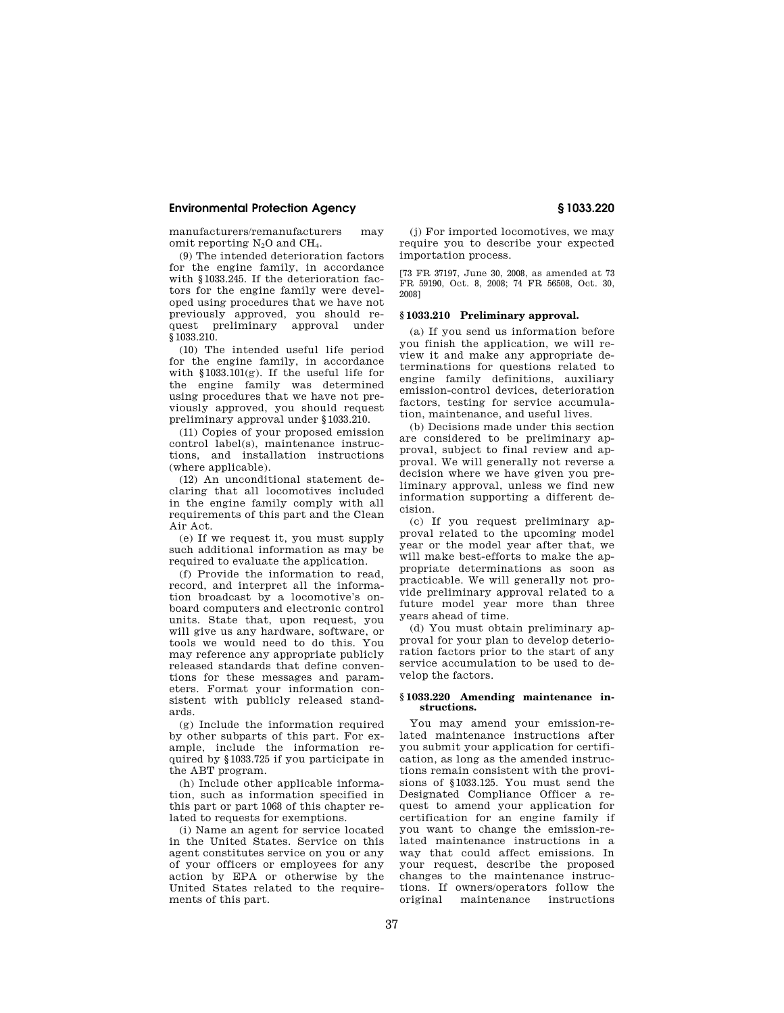manufacturers/remanufacturers may omit reporting  $N_2O$  and  $CH_4$ .

(9) The intended deterioration factors for the engine family, in accordance with §1033.245. If the deterioration factors for the engine family were developed using procedures that we have not previously approved, you should request preliminary approval under §1033.210.

(10) The intended useful life period for the engine family, in accordance with §1033.101(g). If the useful life for the engine family was determined using procedures that we have not previously approved, you should request preliminary approval under §1033.210.

(11) Copies of your proposed emission control label(s), maintenance instructions, and installation instructions (where applicable).

(12) An unconditional statement declaring that all locomotives included in the engine family comply with all requirements of this part and the Clean Air Act.

(e) If we request it, you must supply such additional information as may be required to evaluate the application.

(f) Provide the information to read, record, and interpret all the information broadcast by a locomotive's onboard computers and electronic control units. State that, upon request, you will give us any hardware, software, or tools we would need to do this. You may reference any appropriate publicly released standards that define conventions for these messages and parameters. Format your information consistent with publicly released standards.

(g) Include the information required by other subparts of this part. For example, include the information required by §1033.725 if you participate in the ABT program.

(h) Include other applicable information, such as information specified in this part or part 1068 of this chapter related to requests for exemptions.

(i) Name an agent for service located in the United States. Service on this agent constitutes service on you or any of your officers or employees for any action by EPA or otherwise by the United States related to the requirements of this part.

(j) For imported locomotives, we may require you to describe your expected importation process.

[73 FR 37197, June 30, 2008, as amended at 73 FR 59190, Oct. 8, 2008; 74 FR 56508, Oct. 30, 2008]

# **§ 1033.210 Preliminary approval.**

(a) If you send us information before you finish the application, we will review it and make any appropriate determinations for questions related to engine family definitions, auxiliary emission-control devices, deterioration factors, testing for service accumulation, maintenance, and useful lives.

(b) Decisions made under this section are considered to be preliminary approval, subject to final review and approval. We will generally not reverse a decision where we have given you preliminary approval, unless we find new information supporting a different decision.

(c) If you request preliminary approval related to the upcoming model year or the model year after that, we will make best-efforts to make the appropriate determinations as soon as practicable. We will generally not provide preliminary approval related to a future model year more than three years ahead of time.

(d) You must obtain preliminary approval for your plan to develop deterioration factors prior to the start of any service accumulation to be used to develop the factors.

# **§ 1033.220 Amending maintenance instructions.**

You may amend your emission-related maintenance instructions after you submit your application for certification, as long as the amended instructions remain consistent with the provisions of §1033.125. You must send the Designated Compliance Officer a request to amend your application for certification for an engine family if you want to change the emission-related maintenance instructions in a way that could affect emissions. In your request, describe the proposed changes to the maintenance instructions. If owners/operators follow the maintenance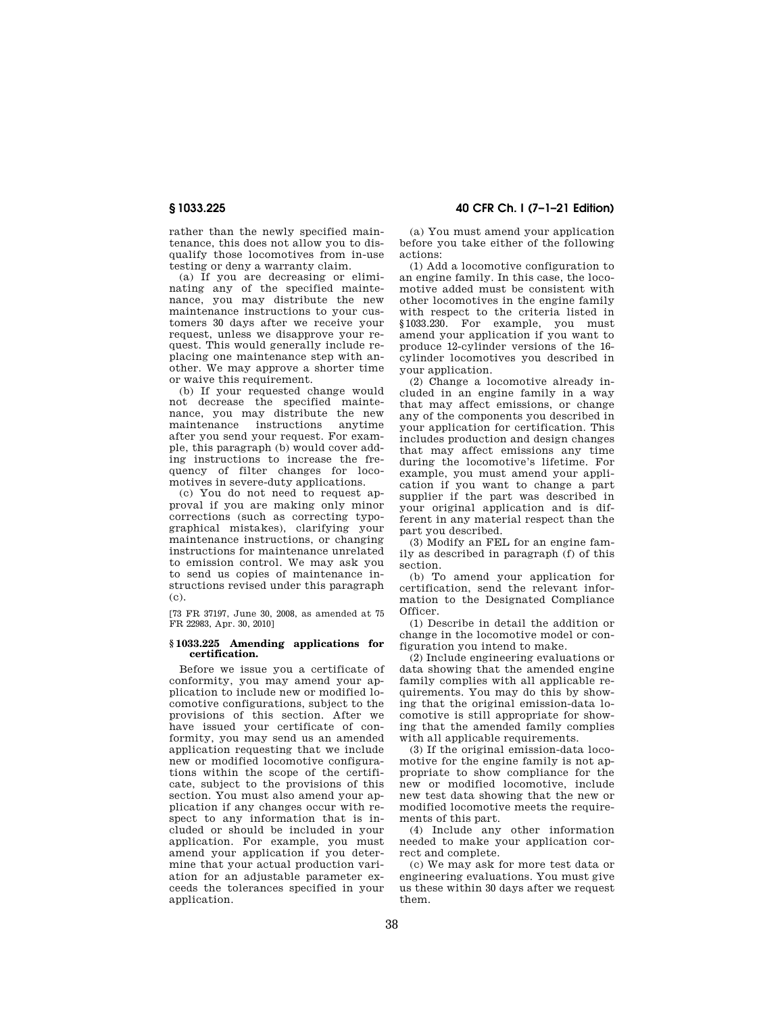rather than the newly specified maintenance, this does not allow you to disqualify those locomotives from in-use testing or deny a warranty claim.

(a) If you are decreasing or eliminating any of the specified maintenance, you may distribute the new maintenance instructions to your customers 30 days after we receive your request, unless we disapprove your request. This would generally include replacing one maintenance step with another. We may approve a shorter time or waive this requirement.

(b) If your requested change would not decrease the specified maintenance, you may distribute the new maintenance instructions anytime after you send your request. For example, this paragraph (b) would cover adding instructions to increase the frequency of filter changes for locomotives in severe-duty applications.

(c) You do not need to request approval if you are making only minor corrections (such as correcting typographical mistakes), clarifying your maintenance instructions, or changing instructions for maintenance unrelated to emission control. We may ask you to send us copies of maintenance instructions revised under this paragraph (c).

[73 FR 37197, June 30, 2008, as amended at 75 FR 22983, Apr. 30, 2010]

## **§ 1033.225 Amending applications for certification.**

Before we issue you a certificate of conformity, you may amend your application to include new or modified locomotive configurations, subject to the provisions of this section. After we have issued your certificate of conformity, you may send us an amended application requesting that we include new or modified locomotive configurations within the scope of the certificate, subject to the provisions of this section. You must also amend your application if any changes occur with respect to any information that is included or should be included in your application. For example, you must amend your application if you determine that your actual production variation for an adjustable parameter exceeds the tolerances specified in your application

# **§ 1033.225 40 CFR Ch. I (7–1–21 Edition)**

(a) You must amend your application before you take either of the following actions:

(1) Add a locomotive configuration to an engine family. In this case, the locomotive added must be consistent with other locomotives in the engine family with respect to the criteria listed in §1033.230. For example, you must amend your application if you want to produce 12-cylinder versions of the 16 cylinder locomotives you described in your application.

(2) Change a locomotive already included in an engine family in a way that may affect emissions, or change any of the components you described in your application for certification. This includes production and design changes that may affect emissions any time during the locomotive's lifetime. For example, you must amend your application if you want to change a part supplier if the part was described in your original application and is different in any material respect than the part you described.

(3) Modify an FEL for an engine family as described in paragraph (f) of this section.

(b) To amend your application for certification, send the relevant information to the Designated Compliance Officer.

(1) Describe in detail the addition or change in the locomotive model or configuration you intend to make.

(2) Include engineering evaluations or data showing that the amended engine family complies with all applicable requirements. You may do this by showing that the original emission-data locomotive is still appropriate for showing that the amended family complies with all applicable requirements.

(3) If the original emission-data locomotive for the engine family is not appropriate to show compliance for the new or modified locomotive, include new test data showing that the new or modified locomotive meets the requirements of this part.

(4) Include any other information needed to make your application correct and complete.

(c) We may ask for more test data or engineering evaluations. You must give us these within 30 days after we request them.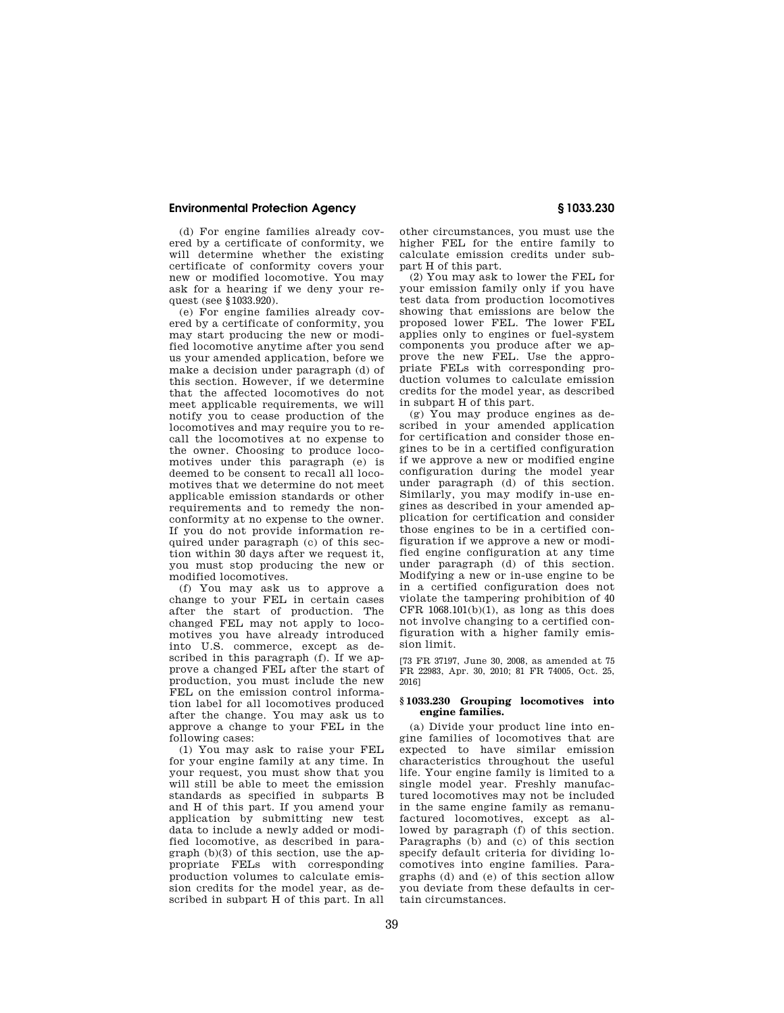(d) For engine families already covered by a certificate of conformity, we will determine whether the existing certificate of conformity covers your new or modified locomotive. You may ask for a hearing if we deny your request (see §1033.920).

(e) For engine families already covered by a certificate of conformity, you may start producing the new or modified locomotive anytime after you send us your amended application, before we make a decision under paragraph (d) of this section. However, if we determine that the affected locomotives do not meet applicable requirements, we will notify you to cease production of the locomotives and may require you to recall the locomotives at no expense to the owner. Choosing to produce locomotives under this paragraph (e) is deemed to be consent to recall all locomotives that we determine do not meet applicable emission standards or other requirements and to remedy the nonconformity at no expense to the owner. If you do not provide information required under paragraph (c) of this section within 30 days after we request it, you must stop producing the new or modified locomotives.

(f) You may ask us to approve a change to your FEL in certain cases after the start of production. The changed FEL may not apply to locomotives you have already introduced into U.S. commerce, except as described in this paragraph (f). If we approve a changed FEL after the start of production, you must include the new FEL on the emission control information label for all locomotives produced after the change. You may ask us to approve a change to your FEL in the following cases:

(1) You may ask to raise your FEL for your engine family at any time. In your request, you must show that you will still be able to meet the emission standards as specified in subparts B and H of this part. If you amend your application by submitting new test data to include a newly added or modified locomotive, as described in paragraph (b)(3) of this section, use the appropriate FELs with corresponding production volumes to calculate emission credits for the model year, as described in subpart H of this part. In all

other circumstances, you must use the higher FEL for the entire family to calculate emission credits under subpart H of this part.

(2) You may ask to lower the FEL for your emission family only if you have test data from production locomotives showing that emissions are below the proposed lower FEL. The lower FEL applies only to engines or fuel-system components you produce after we approve the new FEL. Use the appropriate FELs with corresponding production volumes to calculate emission credits for the model year, as described in subpart H of this part.

(g) You may produce engines as described in your amended application for certification and consider those engines to be in a certified configuration if we approve a new or modified engine configuration during the model year under paragraph (d) of this section. Similarly, you may modify in-use engines as described in your amended application for certification and consider those engines to be in a certified configuration if we approve a new or modified engine configuration at any time under paragraph (d) of this section. Modifying a new or in-use engine to be in a certified configuration does not violate the tampering prohibition of 40 CFR  $1068.101(b)(1)$ , as long as this does not involve changing to a certified configuration with a higher family emission limit.

[73 FR 37197, June 30, 2008, as amended at 75 FR 22983, Apr. 30, 2010; 81 FR 74005, Oct. 25, 2016]

## **§ 1033.230 Grouping locomotives into engine families.**

(a) Divide your product line into engine families of locomotives that are expected to have similar emission characteristics throughout the useful life. Your engine family is limited to a single model year. Freshly manufactured locomotives may not be included in the same engine family as remanufactured locomotives, except as allowed by paragraph (f) of this section. Paragraphs (b) and (c) of this section specify default criteria for dividing locomotives into engine families. Paragraphs (d) and (e) of this section allow you deviate from these defaults in certain circumstances.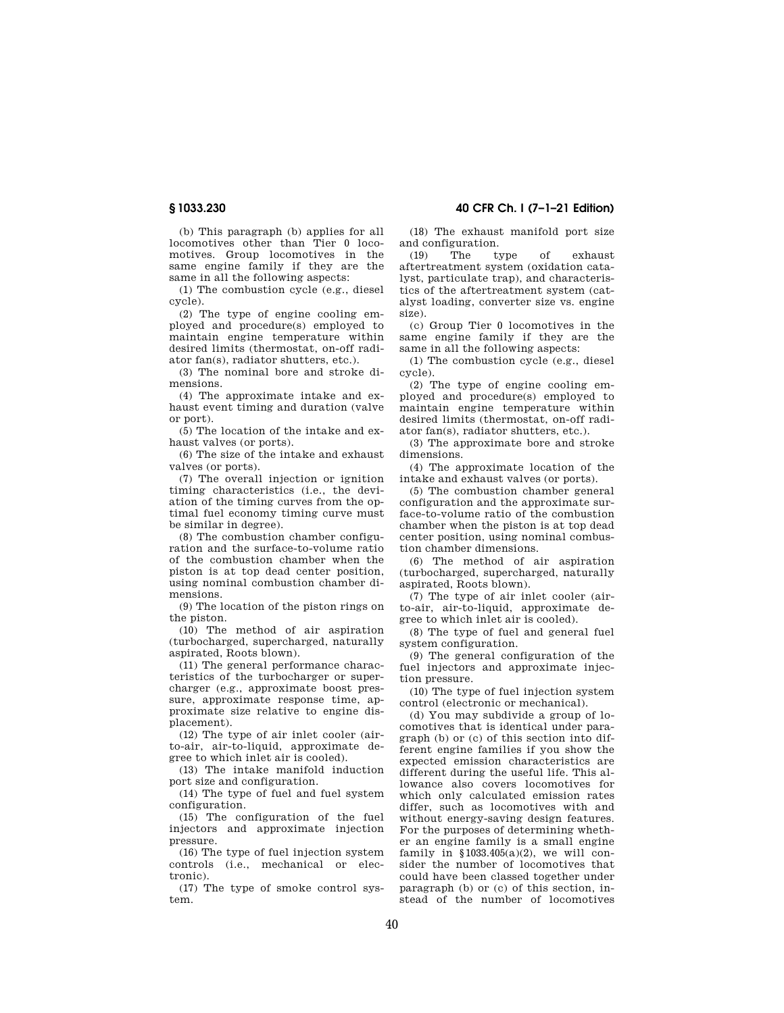(b) This paragraph (b) applies for all locomotives other than Tier 0 locomotives. Group locomotives in the same engine family if they are the same in all the following aspects:

(1) The combustion cycle (e.g., diesel cycle).

(2) The type of engine cooling employed and procedure(s) employed to maintain engine temperature within desired limits (thermostat, on-off radiator fan(s), radiator shutters, etc.).

(3) The nominal bore and stroke dimensions.

(4) The approximate intake and exhaust event timing and duration (valve or port).

(5) The location of the intake and exhaust valves (or ports).

(6) The size of the intake and exhaust valves (or ports).

(7) The overall injection or ignition timing characteristics (i.e., the deviation of the timing curves from the optimal fuel economy timing curve must be similar in degree).

(8) The combustion chamber configuration and the surface-to-volume ratio of the combustion chamber when the piston is at top dead center position, using nominal combustion chamber dimensions.

(9) The location of the piston rings on the piston.

(10) The method of air aspiration (turbocharged, supercharged, naturally aspirated, Roots blown).

(11) The general performance characteristics of the turbocharger or supercharger (e.g., approximate boost pressure, approximate response time, approximate size relative to engine displacement).

(12) The type of air inlet cooler (airto-air, air-to-liquid, approximate degree to which inlet air is cooled).

(13) The intake manifold induction port size and configuration.

(14) The type of fuel and fuel system configuration.

(15) The configuration of the fuel injectors and approximate injection pressure.

(16) The type of fuel injection system controls (i.e., mechanical or electronic).

(17) The type of smoke control system.

# **§ 1033.230 40 CFR Ch. I (7–1–21 Edition)**

(18) The exhaust manifold port size and configuration.

(19) The type of exhaust aftertreatment system (oxidation catalyst, particulate trap), and characteristics of the aftertreatment system (catalyst loading, converter size vs. engine size).

(c) Group Tier 0 locomotives in the same engine family if they are the same in all the following aspects:

(1) The combustion cycle (e.g., diesel cycle).

(2) The type of engine cooling employed and procedure(s) employed to maintain engine temperature within desired limits (thermostat, on-off radiator fan(s), radiator shutters, etc.).

(3) The approximate bore and stroke dimensions.

(4) The approximate location of the intake and exhaust valves (or ports).

(5) The combustion chamber general configuration and the approximate surface-to-volume ratio of the combustion chamber when the piston is at top dead center position, using nominal combustion chamber dimensions.

(6) The method of air aspiration (turbocharged, supercharged, naturally aspirated, Roots blown).

(7) The type of air inlet cooler (airto-air, air-to-liquid, approximate degree to which inlet air is cooled).

(8) The type of fuel and general fuel system configuration.

(9) The general configuration of the fuel injectors and approximate injection pressure.

(10) The type of fuel injection system control (electronic or mechanical).

(d) You may subdivide a group of locomotives that is identical under paragraph (b) or (c) of this section into different engine families if you show the expected emission characteristics are different during the useful life. This allowance also covers locomotives for which only calculated emission rates differ, such as locomotives with and without energy-saving design features. For the purposes of determining whether an engine family is a small engine family in  $$1033.405(a)(2)$ , we will consider the number of locomotives that could have been classed together under paragraph (b) or (c) of this section, instead of the number of locomotives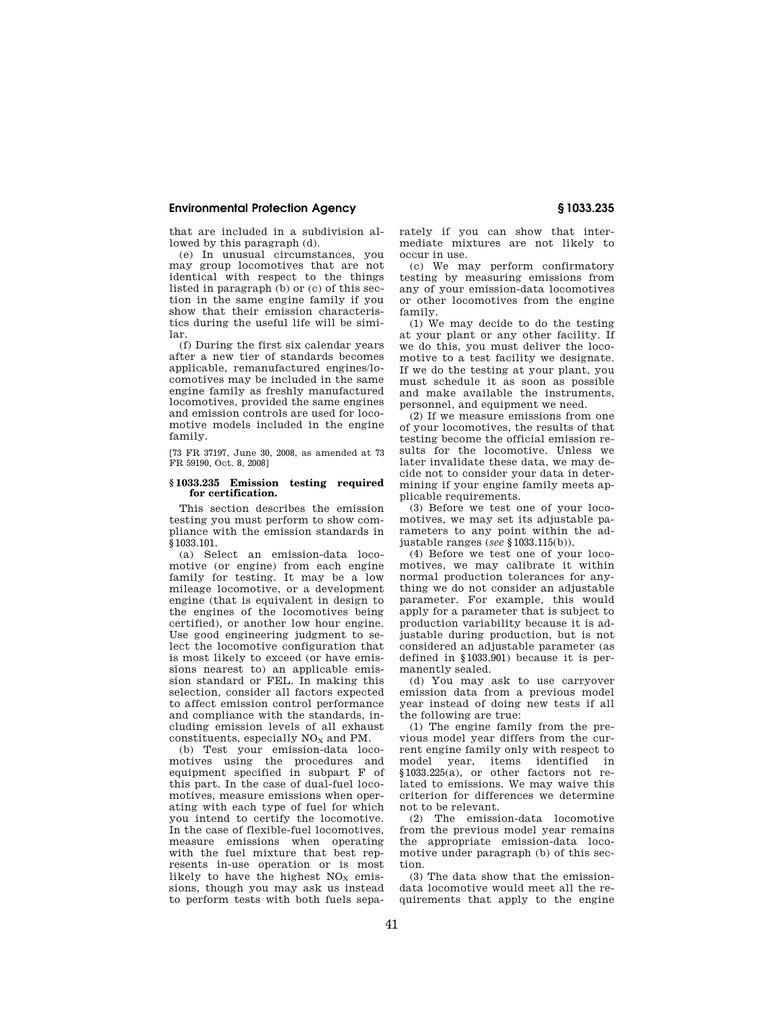that are included in a subdivision allowed by this paragraph (d).

(e) In unusual circumstances, you may group locomotives that are not identical with respect to the things listed in paragraph (b) or (c) of this section in the same engine family if you show that their emission characteristics during the useful life will be similar.

(f) During the first six calendar years after a new tier of standards becomes applicable, remanufactured engines/locomotives may be included in the same engine family as freshly manufactured locomotives, provided the same engines and emission controls are used for locomotive models included in the engine family.

[73 FR 37197, June 30, 2008, as amended at 73 FR 59190, Oct. 8, 2008]

## **§ 1033.235 Emission testing required for certification.**

This section describes the emission testing you must perform to show compliance with the emission standards in §1033.101.

(a) Select an emission-data locomotive (or engine) from each engine family for testing. It may be a low mileage locomotive, or a development engine (that is equivalent in design to the engines of the locomotives being certified), or another low hour engine. Use good engineering judgment to select the locomotive configuration that is most likely to exceed (or have emissions nearest to) an applicable emission standard or FEL. In making this selection, consider all factors expected to affect emission control performance and compliance with the standards, including emission levels of all exhaust constituents, especially  $NO<sub>X</sub>$  and PM.

(b) Test your emission-data locomotives using the procedures and equipment specified in subpart F of this part. In the case of dual-fuel locomotives, measure emissions when operating with each type of fuel for which you intend to certify the locomotive. In the case of flexible-fuel locomotives, measure emissions when operating with the fuel mixture that best represents in-use operation or is most likely to have the highest  $NO<sub>x</sub>$  emissions, though you may ask us instead to perform tests with both fuels separately if you can show that intermediate mixtures are not likely to occur in use.

(c) We may perform confirmatory testing by measuring emissions from any of your emission-data locomotives or other locomotives from the engine family.

(1) We may decide to do the testing at your plant or any other facility. If we do this, you must deliver the locomotive to a test facility we designate. If we do the testing at your plant, you must schedule it as soon as possible and make available the instruments, personnel, and equipment we need.

(2) If we measure emissions from one of your locomotives, the results of that testing become the official emission results for the locomotive. Unless we later invalidate these data, we may decide not to consider your data in determining if your engine family meets applicable requirements.

(3) Before we test one of your locomotives, we may set its adjustable parameters to any point within the adjustable ranges (*see* §1033.115(b)).

(4) Before we test one of your locomotives, we may calibrate it within normal production tolerances for anything we do not consider an adjustable parameter. For example, this would apply for a parameter that is subject to production variability because it is adjustable during production, but is not considered an adjustable parameter (as defined in §1033.901) because it is permanently sealed.

(d) You may ask to use carryover emission data from a previous model year instead of doing new tests if all the following are true:

(1) The engine family from the previous model year differs from the current engine family only with respect to model year, items identified in §1033.225(a), or other factors not related to emissions. We may waive this criterion for differences we determine not to be relevant.

(2) The emission-data locomotive from the previous model year remains the appropriate emission-data locomotive under paragraph (b) of this section.

(3) The data show that the emissiondata locomotive would meet all the requirements that apply to the engine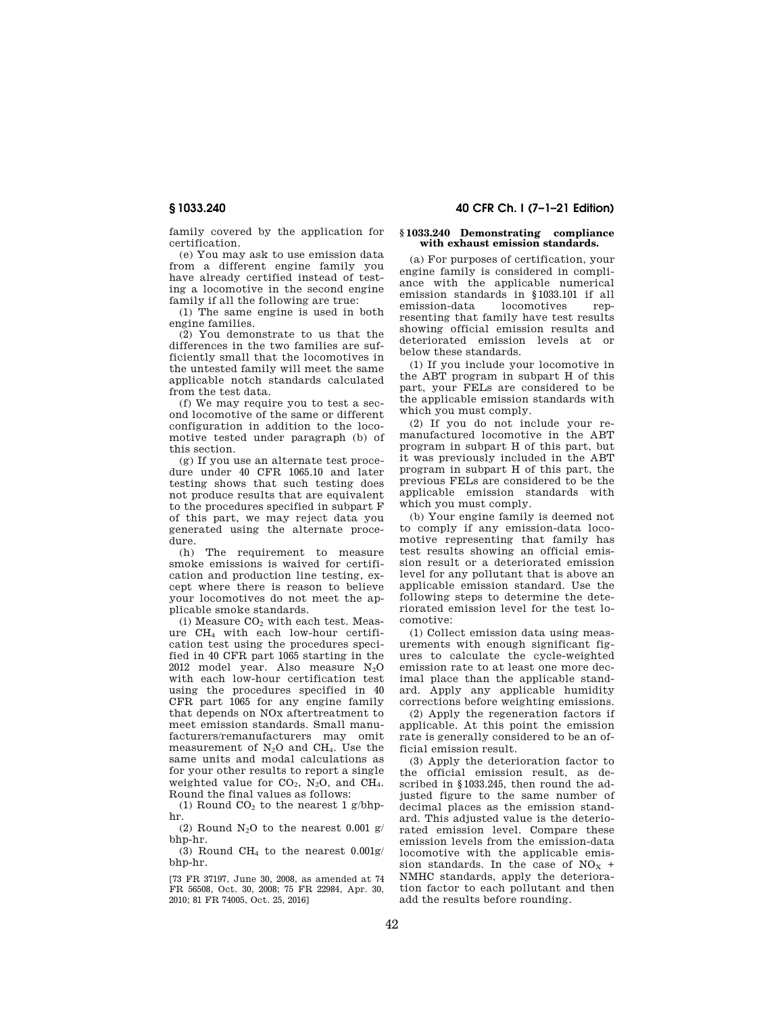**§ 1033.240 40 CFR Ch. I (7–1–21 Edition)** 

family covered by the application for certification.

(e) You may ask to use emission data from a different engine family you have already certified instead of testing a locomotive in the second engine family if all the following are true:

(1) The same engine is used in both engine families.

(2) You demonstrate to us that the differences in the two families are sufficiently small that the locomotives in the untested family will meet the same applicable notch standards calculated from the test data.

(f) We may require you to test a second locomotive of the same or different configuration in addition to the locomotive tested under paragraph (b) of this section.

(g) If you use an alternate test procedure under 40 CFR 1065.10 and later testing shows that such testing does not produce results that are equivalent to the procedures specified in subpart F of this part, we may reject data you generated using the alternate procedure.

(h) The requirement to measure smoke emissions is waived for certification and production line testing, except where there is reason to believe your locomotives do not meet the applicable smoke standards.

(i) Measure  $CO<sub>2</sub>$  with each test. Measure CH<sup>4</sup> with each low-hour certification test using the procedures specified in 40 CFR part 1065 starting in the 2012 model year. Also measure N2O with each low-hour certification test using the procedures specified in 40 CFR part 1065 for any engine family that depends on NOx aftertreatment to meet emission standards. Small manufacturers/remanufacturers may omit measurement of N<sub>2</sub>O and CH<sub>4</sub>. Use the same units and modal calculations as for your other results to report a single weighted value for  $CO<sub>2</sub>$ , N<sub>2</sub>O, and CH<sub>4</sub>. Round the final values as follows:

(1) Round  $CO<sub>2</sub>$  to the nearest 1 g/bhphr.

(2) Round  $N_2O$  to the nearest 0.001 g/ bhp-hr.

(3) Round CH<sub>4</sub> to the nearest  $0.001$ g/ bhp-hr.

[73 FR 37197, June 30, 2008, as amended at 74 FR 56508, Oct. 30, 2008; 75 FR 22984, Apr. 30, 2010; 81 FR 74005, Oct. 25, 2016]

## **§ 1033.240 Demonstrating compliance with exhaust emission standards.**

(a) For purposes of certification, your engine family is considered in compliance with the applicable numerical emission standards in §1033.101 if all emission-data locomotives representing that family have test results showing official emission results and deteriorated emission levels at or below these standards.

(1) If you include your locomotive in the ABT program in subpart H of this part, your FELs are considered to be the applicable emission standards with which you must comply.

(2) If you do not include your remanufactured locomotive in the ABT program in subpart H of this part, but it was previously included in the ABT program in subpart H of this part, the previous FELs are considered to be the applicable emission standards with which you must comply.

(b) Your engine family is deemed not to comply if any emission-data locomotive representing that family has test results showing an official emission result or a deteriorated emission level for any pollutant that is above an applicable emission standard. Use the following steps to determine the deteriorated emission level for the test locomotive:

(1) Collect emission data using measurements with enough significant figures to calculate the cycle-weighted emission rate to at least one more decimal place than the applicable standard. Apply any applicable humidity corrections before weighting emissions.

(2) Apply the regeneration factors if applicable. At this point the emission rate is generally considered to be an official emission result.

(3) Apply the deterioration factor to the official emission result, as described in §1033.245, then round the adjusted figure to the same number of decimal places as the emission standard. This adjusted value is the deteriorated emission level. Compare these emission levels from the emission-data locomotive with the applicable emission standards. In the case of  $NO<sub>x</sub>$  + NMHC standards, apply the deterioration factor to each pollutant and then add the results before rounding.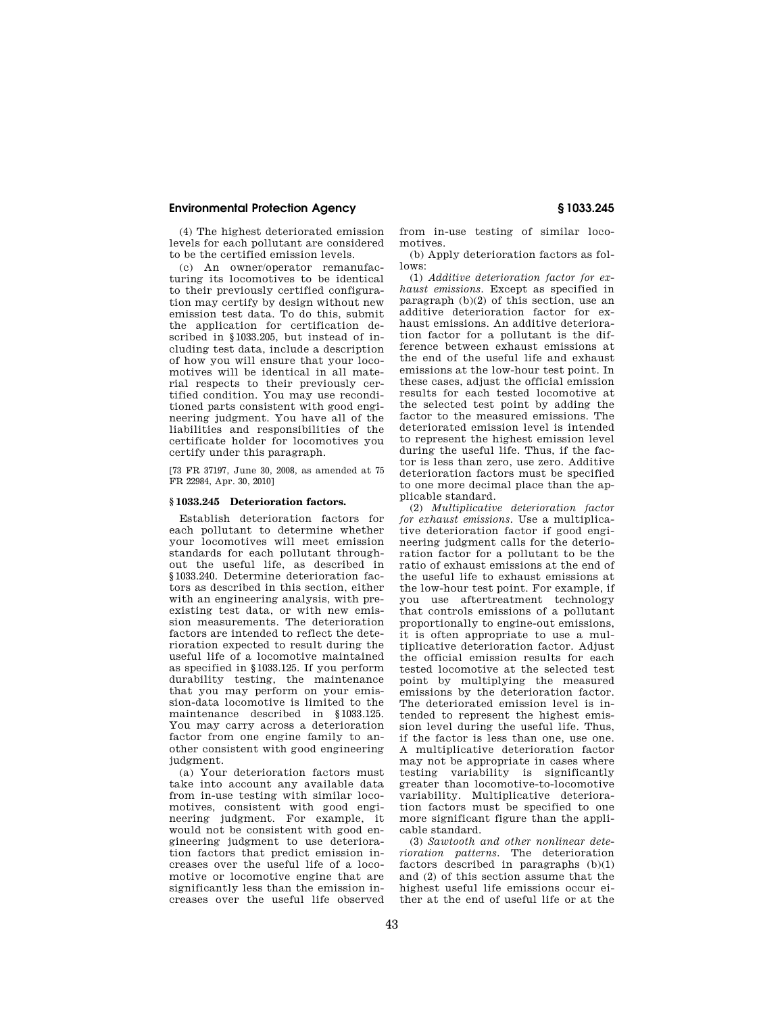(4) The highest deteriorated emission levels for each pollutant are considered to be the certified emission levels.

(c) An owner/operator remanufacturing its locomotives to be identical to their previously certified configuration may certify by design without new emission test data. To do this, submit the application for certification described in §1033.205, but instead of including test data, include a description of how you will ensure that your locomotives will be identical in all material respects to their previously certified condition. You may use reconditioned parts consistent with good engineering judgment. You have all of the liabilities and responsibilities of the certificate holder for locomotives you certify under this paragraph.

[73 FR 37197, June 30, 2008, as amended at 75 FR 22984, Apr. 30, 2010]

### **§ 1033.245 Deterioration factors.**

Establish deterioration factors for each pollutant to determine whether your locomotives will meet emission standards for each pollutant throughout the useful life, as described in §1033.240. Determine deterioration factors as described in this section, either with an engineering analysis, with preexisting test data, or with new emission measurements. The deterioration factors are intended to reflect the deterioration expected to result during the useful life of a locomotive maintained as specified in §1033.125. If you perform durability testing, the maintenance that you may perform on your emission-data locomotive is limited to the maintenance described in §1033.125. You may carry across a deterioration factor from one engine family to another consistent with good engineering judgment.

(a) Your deterioration factors must take into account any available data from in-use testing with similar locomotives, consistent with good engineering judgment. For example, it would not be consistent with good engineering judgment to use deterioration factors that predict emission increases over the useful life of a locomotive or locomotive engine that are significantly less than the emission increases over the useful life observed

from in-use testing of similar locomotives.

(b) Apply deterioration factors as follows:

(1) *Additive deterioration factor for exhaust emissions.* Except as specified in paragraph (b)(2) of this section, use an additive deterioration factor for exhaust emissions. An additive deterioration factor for a pollutant is the difference between exhaust emissions at the end of the useful life and exhaust emissions at the low-hour test point. In these cases, adjust the official emission results for each tested locomotive at the selected test point by adding the factor to the measured emissions. The deteriorated emission level is intended to represent the highest emission level during the useful life. Thus, if the factor is less than zero, use zero. Additive deterioration factors must be specified to one more decimal place than the applicable standard.

(2) *Multiplicative deterioration factor for exhaust emissions.* Use a multiplicative deterioration factor if good engineering judgment calls for the deterioration factor for a pollutant to be the ratio of exhaust emissions at the end of the useful life to exhaust emissions at the low-hour test point. For example, if you use aftertreatment technology that controls emissions of a pollutant proportionally to engine-out emissions, it is often appropriate to use a multiplicative deterioration factor. Adjust the official emission results for each tested locomotive at the selected test point by multiplying the measured emissions by the deterioration factor. The deteriorated emission level is intended to represent the highest emission level during the useful life. Thus, if the factor is less than one, use one. A multiplicative deterioration factor may not be appropriate in cases where testing variability is significantly greater than locomotive-to-locomotive variability. Multiplicative deterioration factors must be specified to one more significant figure than the applicable standard.

(3) *Sawtooth and other nonlinear deterioration patterns.* The deterioration factors described in paragraphs  $(b)(1)$ and (2) of this section assume that the highest useful life emissions occur either at the end of useful life or at the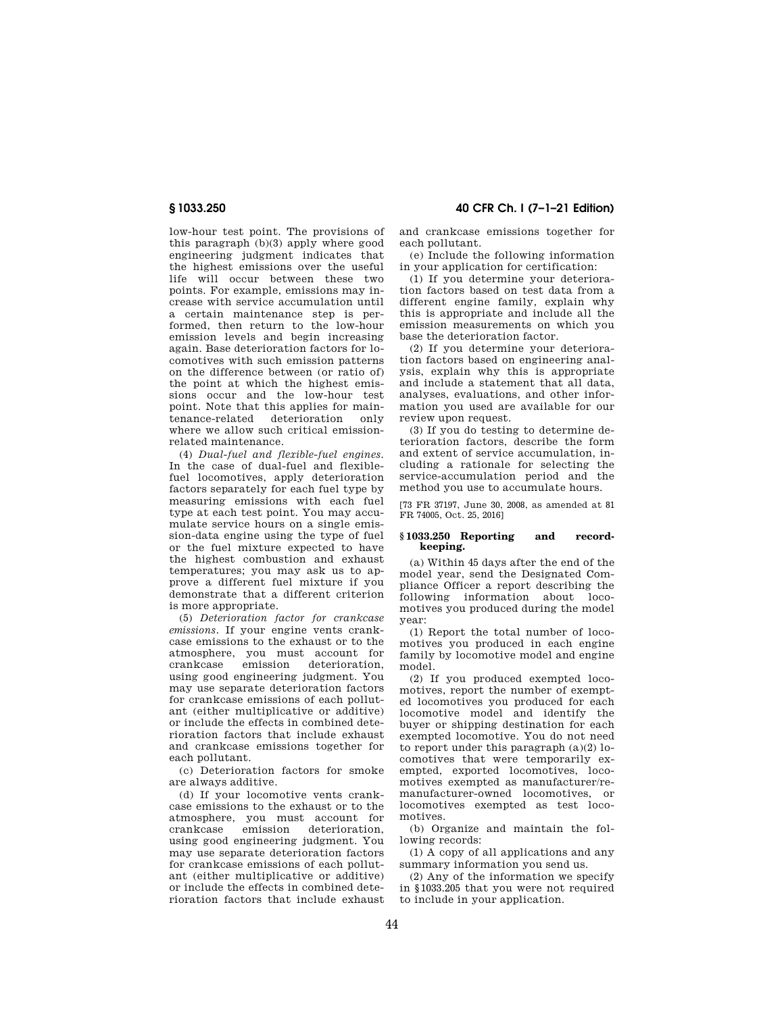low-hour test point. The provisions of this paragraph (b)(3) apply where good engineering judgment indicates that the highest emissions over the useful life will occur between these two points. For example, emissions may increase with service accumulation until a certain maintenance step is performed, then return to the low-hour emission levels and begin increasing again. Base deterioration factors for locomotives with such emission patterns on the difference between (or ratio of) the point at which the highest emissions occur and the low-hour test point. Note that this applies for maintenance-related deterioration only where we allow such critical emissionrelated maintenance.

(4) *Dual-fuel and flexible-fuel engines.*  In the case of dual-fuel and flexiblefuel locomotives, apply deterioration factors separately for each fuel type by measuring emissions with each fuel type at each test point. You may accumulate service hours on a single emission-data engine using the type of fuel or the fuel mixture expected to have the highest combustion and exhaust temperatures; you may ask us to approve a different fuel mixture if you demonstrate that a different criterion is more appropriate.

(5) *Deterioration factor for crankcase emissions.* If your engine vents crankcase emissions to the exhaust or to the atmosphere, you must account for crankcase emission deterioration, using good engineering judgment. You may use separate deterioration factors for crankcase emissions of each pollutant (either multiplicative or additive) or include the effects in combined deterioration factors that include exhaust and crankcase emissions together for each pollutant.

(c) Deterioration factors for smoke are always additive.

(d) If your locomotive vents crankcase emissions to the exhaust or to the atmosphere, you must account for crankcase emission deterioration, using good engineering judgment. You may use separate deterioration factors for crankcase emissions of each pollutant (either multiplicative or additive) or include the effects in combined deterioration factors that include exhaust

**§ 1033.250 40 CFR Ch. I (7–1–21 Edition)** 

and crankcase emissions together for each pollutant.

(e) Include the following information in your application for certification:

(1) If you determine your deterioration factors based on test data from a different engine family, explain why this is appropriate and include all the emission measurements on which you base the deterioration factor.

(2) If you determine your deterioration factors based on engineering analysis, explain why this is appropriate and include a statement that all data, analyses, evaluations, and other information you used are available for our review upon request.

(3) If you do testing to determine deterioration factors, describe the form and extent of service accumulation, including a rationale for selecting the service-accumulation period and the method you use to accumulate hours.

[73 FR 37197, June 30, 2008, as amended at 81 FR 74005, Oct. 25, 2016]

## **§ 1033.250 Reporting and recordkeeping.**

(a) Within 45 days after the end of the model year, send the Designated Compliance Officer a report describing the following information about locomotives you produced during the model year:

(1) Report the total number of locomotives you produced in each engine family by locomotive model and engine model.

(2) If you produced exempted locomotives, report the number of exempted locomotives you produced for each locomotive model and identify the buyer or shipping destination for each exempted locomotive. You do not need to report under this paragraph (a)(2) locomotives that were temporarily exempted, exported locomotives, locomotives exempted as manufacturer/remanufacturer-owned locomotives, or locomotives exempted as test locomotives.

(b) Organize and maintain the following records:

(1) A copy of all applications and any summary information you send us.

 $(2)$  Any of the information we specify in §1033.205 that you were not required to include in your application.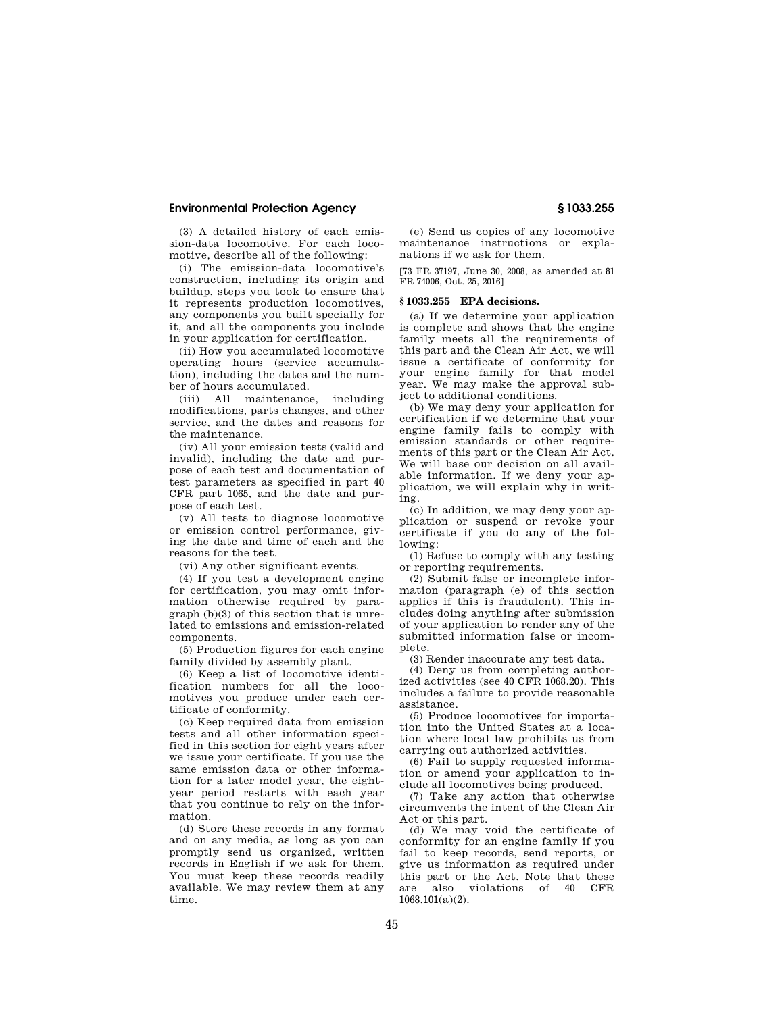(3) A detailed history of each emission-data locomotive. For each locomotive, describe all of the following:

(i) The emission-data locomotive's construction, including its origin and buildup, steps you took to ensure that it represents production locomotives, any components you built specially for it, and all the components you include in your application for certification.

(ii) How you accumulated locomotive operating hours (service accumulation), including the dates and the number of hours accumulated.

(iii) All maintenance, including modifications, parts changes, and other service, and the dates and reasons for the maintenance.

(iv) All your emission tests (valid and invalid), including the date and purpose of each test and documentation of test parameters as specified in part 40 CFR part 1065, and the date and purpose of each test.

(v) All tests to diagnose locomotive or emission control performance, giving the date and time of each and the reasons for the test.

(vi) Any other significant events.

(4) If you test a development engine for certification, you may omit information otherwise required by paragraph (b)(3) of this section that is unrelated to emissions and emission-related components.

(5) Production figures for each engine family divided by assembly plant.

(6) Keep a list of locomotive identification numbers for all the locomotives you produce under each certificate of conformity.

(c) Keep required data from emission tests and all other information specified in this section for eight years after we issue your certificate. If you use the same emission data or other information for a later model year, the eightyear period restarts with each year that you continue to rely on the information.

(d) Store these records in any format and on any media, as long as you can promptly send us organized, written records in English if we ask for them. You must keep these records readily available. We may review them at any time.

(e) Send us copies of any locomotive maintenance instructions or explanations if we ask for them.

[73 FR 37197, June 30, 2008, as amended at 81 FR 74006, Oct. 25, 2016]

## **§ 1033.255 EPA decisions.**

(a) If we determine your application is complete and shows that the engine family meets all the requirements of this part and the Clean Air Act, we will issue a certificate of conformity for your engine family for that model year. We may make the approval subject to additional conditions.

(b) We may deny your application for certification if we determine that your engine family fails to comply with emission standards or other requirements of this part or the Clean Air Act. We will base our decision on all available information. If we deny your application, we will explain why in writing.

(c) In addition, we may deny your application or suspend or revoke your certificate if you do any of the following:

(1) Refuse to comply with any testing or reporting requirements.

(2) Submit false or incomplete information (paragraph (e) of this section applies if this is fraudulent). This includes doing anything after submission of your application to render any of the submitted information false or incomplete.

(3) Render inaccurate any test data.

(4) Deny us from completing authorized activities (see 40 CFR 1068.20). This includes a failure to provide reasonable assistance.

(5) Produce locomotives for importation into the United States at a location where local law prohibits us from carrying out authorized activities.

(6) Fail to supply requested information or amend your application to include all locomotives being produced.

(7) Take any action that otherwise circumvents the intent of the Clean Air Act or this part.

(d) We may void the certificate of conformity for an engine family if you fail to keep records, send reports, or give us information as required under this part or the Act. Note that these are also violations of 40 CFR 1068.101(a)(2).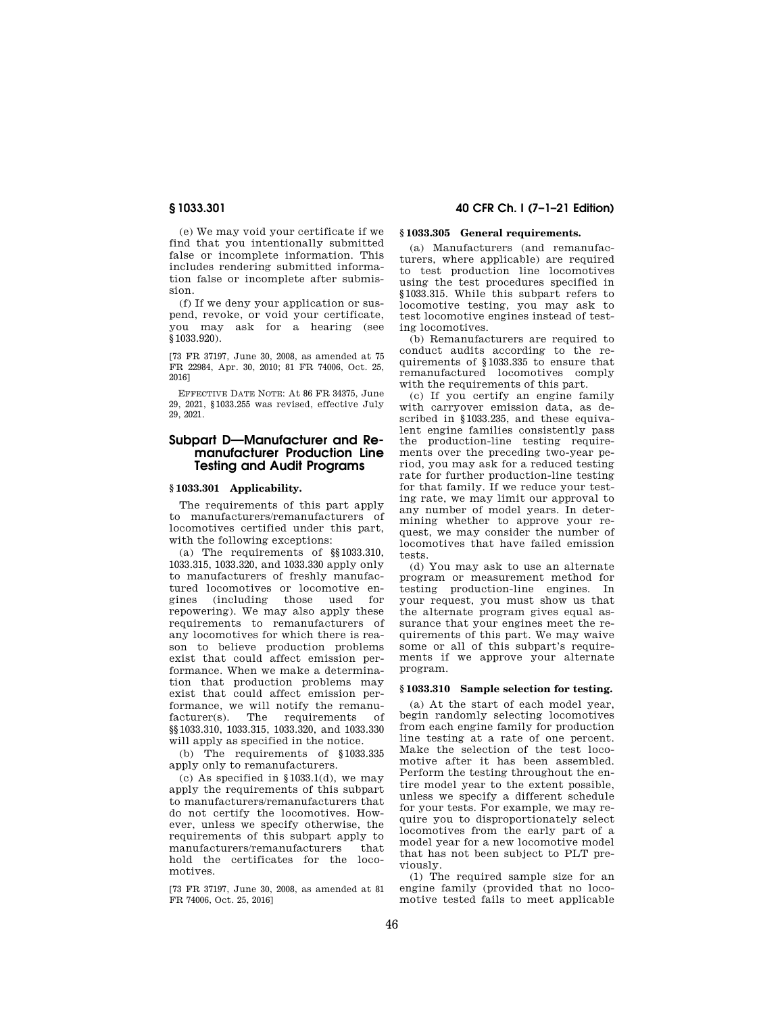(e) We may void your certificate if we find that you intentionally submitted false or incomplete information. This includes rendering submitted information false or incomplete after submission.

(f) If we deny your application or suspend, revoke, or void your certificate, you may ask for a hearing (see §1033.920).

[73 FR 37197, June 30, 2008, as amended at 75 FR 22984, Apr. 30, 2010; 81 FR 74006, Oct. 25, 2016]

EFFECTIVE DATE NOTE: At 86 FR 34375, June 29, 2021, §1033.255 was revised, effective July 29, 2021.

# **Subpart D—Manufacturer and Remanufacturer Production Line Testing and Audit Programs**

## **§ 1033.301 Applicability.**

The requirements of this part apply to manufacturers/remanufacturers of locomotives certified under this part, with the following exceptions:

(a) The requirements of §§1033.310, 1033.315, 1033.320, and 1033.330 apply only to manufacturers of freshly manufactured locomotives or locomotive engines (including those used for repowering). We may also apply these requirements to remanufacturers of any locomotives for which there is reason to believe production problems exist that could affect emission performance. When we make a determination that production problems may exist that could affect emission performance, we will notify the remanufacturer(s). The requirements of §§1033.310, 1033.315, 1033.320, and 1033.330 will apply as specified in the notice.

(b) The requirements of §1033.335 apply only to remanufacturers.

(c) As specified in  $§1033.1(d)$ , we may apply the requirements of this subpart to manufacturers/remanufacturers that do not certify the locomotives. However, unless we specify otherwise, the requirements of this subpart apply to<br>manufacturers/remanufacturers that manufacturers/remanufacturers hold the certificates for the locomotives.

[73 FR 37197, June 30, 2008, as amended at 81 FR 74006, Oct. 25, 2016]

# **§ 1033.301 40 CFR Ch. I (7–1–21 Edition)**

# **§ 1033.305 General requirements.**

(a) Manufacturers (and remanufacturers, where applicable) are required to test production line locomotives using the test procedures specified in §1033.315. While this subpart refers to locomotive testing, you may ask to test locomotive engines instead of testing locomotives.

(b) Remanufacturers are required to conduct audits according to the requirements of §1033.335 to ensure that remanufactured locomotives comply with the requirements of this part.

(c) If you certify an engine family with carryover emission data, as described in §1033.235, and these equivalent engine families consistently pass the production-line testing requirements over the preceding two-year period, you may ask for a reduced testing rate for further production-line testing for that family. If we reduce your testing rate, we may limit our approval to any number of model years. In determining whether to approve your request, we may consider the number of locomotives that have failed emission tests.

(d) You may ask to use an alternate program or measurement method for testing production-line engines. In your request, you must show us that the alternate program gives equal assurance that your engines meet the requirements of this part. We may waive some or all of this subpart's requirements if we approve your alternate program.

### **§ 1033.310 Sample selection for testing.**

(a) At the start of each model year, begin randomly selecting locomotives from each engine family for production line testing at a rate of one percent. Make the selection of the test locomotive after it has been assembled. Perform the testing throughout the entire model year to the extent possible, unless we specify a different schedule for your tests. For example, we may require you to disproportionately select locomotives from the early part of a model year for a new locomotive model that has not been subject to PLT previously.

(1) The required sample size for an engine family (provided that no locomotive tested fails to meet applicable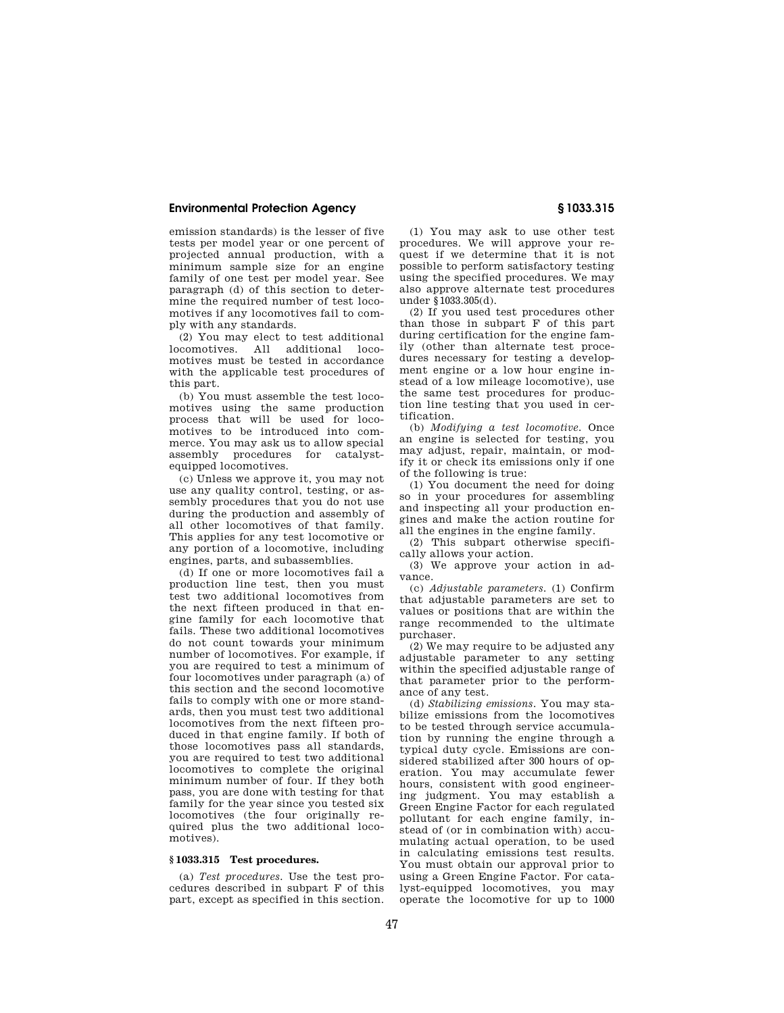emission standards) is the lesser of five tests per model year or one percent of projected annual production, with a minimum sample size for an engine family of one test per model year. See paragraph (d) of this section to determine the required number of test locomotives if any locomotives fail to comply with any standards.

(2) You may elect to test additional locomotives. All additional locomotives must be tested in accordance with the applicable test procedures of this part.

(b) You must assemble the test locomotives using the same production process that will be used for locomotives to be introduced into commerce. You may ask us to allow special assembly procedures for catalystequipped locomotives.

(c) Unless we approve it, you may not use any quality control, testing, or assembly procedures that you do not use during the production and assembly of all other locomotives of that family. This applies for any test locomotive or any portion of a locomotive, including engines, parts, and subassemblies.

(d) If one or more locomotives fail a production line test, then you must test two additional locomotives from the next fifteen produced in that engine family for each locomotive that fails. These two additional locomotives do not count towards your minimum number of locomotives. For example, if you are required to test a minimum of four locomotives under paragraph (a) of this section and the second locomotive fails to comply with one or more standards, then you must test two additional locomotives from the next fifteen produced in that engine family. If both of those locomotives pass all standards, you are required to test two additional locomotives to complete the original minimum number of four. If they both pass, you are done with testing for that family for the year since you tested six locomotives (the four originally required plus the two additional locomotives).

# **§ 1033.315 Test procedures.**

(a) *Test procedures.* Use the test procedures described in subpart F of this part, except as specified in this section.

(1) You may ask to use other test procedures. We will approve your request if we determine that it is not possible to perform satisfactory testing using the specified procedures. We may also approve alternate test procedures under §1033.305(d).

(2) If you used test procedures other than those in subpart F of this part during certification for the engine family (other than alternate test procedures necessary for testing a development engine or a low hour engine instead of a low mileage locomotive), use the same test procedures for production line testing that you used in certification.

(b) *Modifying a test locomotive.* Once an engine is selected for testing, you may adjust, repair, maintain, or modify it or check its emissions only if one of the following is true:

(1) You document the need for doing so in your procedures for assembling and inspecting all your production engines and make the action routine for all the engines in the engine family.

(2) This subpart otherwise specifically allows your action.

(3) We approve your action in advance.

(c) *Adjustable parameters.* (1) Confirm that adjustable parameters are set to values or positions that are within the range recommended to the ultimate purchaser.

(2) We may require to be adjusted any adjustable parameter to any setting within the specified adjustable range of that parameter prior to the performance of any test.

(d) *Stabilizing emissions.* You may stabilize emissions from the locomotives to be tested through service accumulation by running the engine through a typical duty cycle. Emissions are considered stabilized after 300 hours of operation. You may accumulate fewer hours, consistent with good engineering judgment. You may establish a Green Engine Factor for each regulated pollutant for each engine family, instead of (or in combination with) accumulating actual operation, to be used in calculating emissions test results. You must obtain our approval prior to using a Green Engine Factor. For catalyst-equipped locomotives, you may operate the locomotive for up to 1000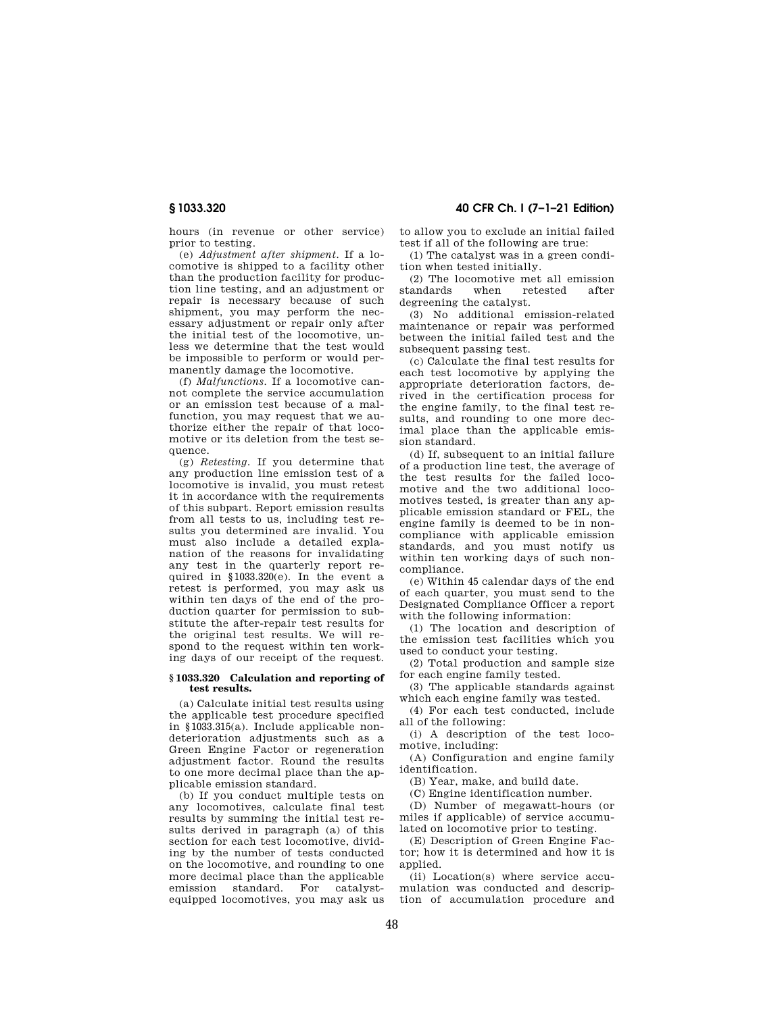**§ 1033.320 40 CFR Ch. I (7–1–21 Edition)** 

hours (in revenue or other service) prior to testing.

(e) *Adjustment after shipment.* If a locomotive is shipped to a facility other than the production facility for production line testing, and an adjustment or repair is necessary because of such shipment, you may perform the necessary adjustment or repair only after the initial test of the locomotive, unless we determine that the test would be impossible to perform or would permanently damage the locomotive.

(f) *Malfunctions.* If a locomotive cannot complete the service accumulation or an emission test because of a malfunction, you may request that we authorize either the repair of that locomotive or its deletion from the test sequence.

(g) *Retesting.* If you determine that any production line emission test of a locomotive is invalid, you must retest it in accordance with the requirements of this subpart. Report emission results from all tests to us, including test results you determined are invalid. You must also include a detailed explanation of the reasons for invalidating any test in the quarterly report required in §1033.320(e). In the event a retest is performed, you may ask us within ten days of the end of the production quarter for permission to substitute the after-repair test results for the original test results. We will respond to the request within ten working days of our receipt of the request.

## **§ 1033.320 Calculation and reporting of test results.**

(a) Calculate initial test results using the applicable test procedure specified in §1033.315(a). Include applicable nondeterioration adjustments such as a Green Engine Factor or regeneration adjustment factor. Round the results to one more decimal place than the applicable emission standard.

(b) If you conduct multiple tests on any locomotives, calculate final test results by summing the initial test results derived in paragraph (a) of this section for each test locomotive, dividing by the number of tests conducted on the locomotive, and rounding to one more decimal place than the applicable emission standard. For catalystequipped locomotives, you may ask us to allow you to exclude an initial failed test if all of the following are true:

(1) The catalyst was in a green condition when tested initially.

(2) The locomotive met all emission standards when retested degreening the catalyst.

(3) No additional emission-related maintenance or repair was performed between the initial failed test and the subsequent passing test.

(c) Calculate the final test results for each test locomotive by applying the appropriate deterioration factors, derived in the certification process for the engine family, to the final test results, and rounding to one more decimal place than the applicable emission standard.

(d) If, subsequent to an initial failure of a production line test, the average of the test results for the failed locomotive and the two additional locomotives tested, is greater than any applicable emission standard or FEL, the engine family is deemed to be in noncompliance with applicable emission standards, and you must notify us within ten working days of such noncompliance.

(e) Within 45 calendar days of the end of each quarter, you must send to the Designated Compliance Officer a report with the following information:

(1) The location and description of the emission test facilities which you used to conduct your testing.

(2) Total production and sample size for each engine family tested.

(3) The applicable standards against which each engine family was tested.

(4) For each test conducted, include all of the following:

(i) A description of the test locomotive, including:

(A) Configuration and engine family identification.

(B) Year, make, and build date.

(C) Engine identification number.

(D) Number of megawatt-hours (or miles if applicable) of service accumulated on locomotive prior to testing.

(E) Description of Green Engine Factor; how it is determined and how it is applied.

(ii) Location(s) where service accumulation was conducted and description of accumulation procedure and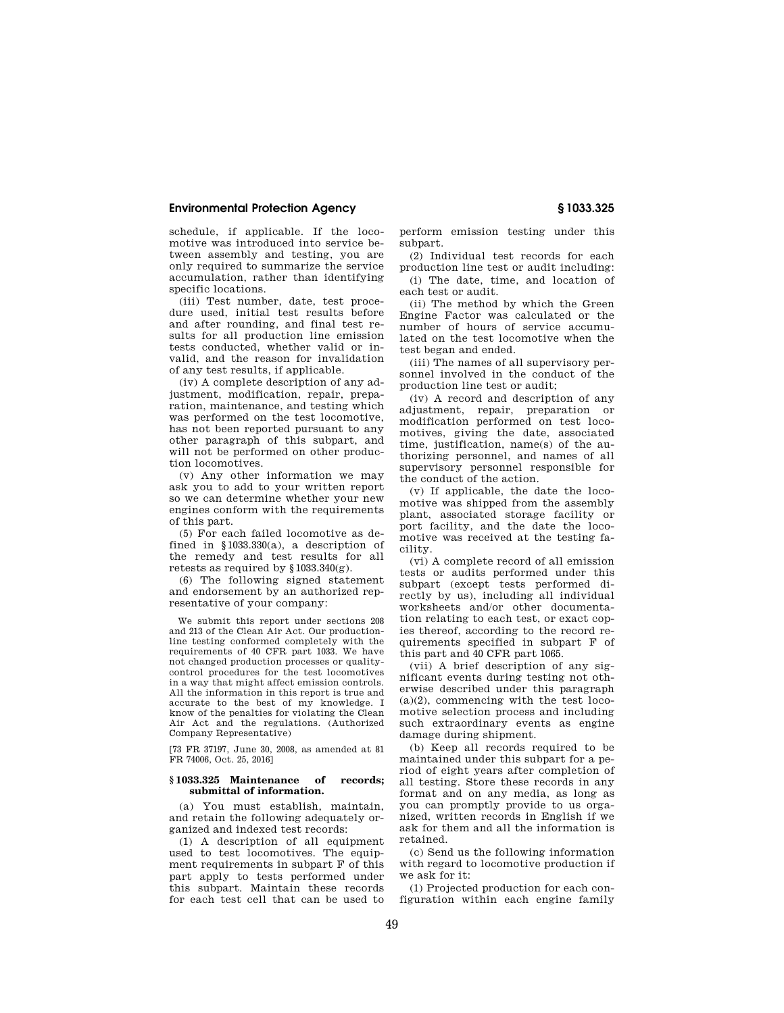schedule, if applicable. If the locomotive was introduced into service between assembly and testing, you are only required to summarize the service accumulation, rather than identifying specific locations.

(iii) Test number, date, test procedure used, initial test results before and after rounding, and final test results for all production line emission tests conducted, whether valid or invalid, and the reason for invalidation of any test results, if applicable.

(iv) A complete description of any adjustment, modification, repair, preparation, maintenance, and testing which was performed on the test locomotive, has not been reported pursuant to any other paragraph of this subpart, and will not be performed on other production locomotives.

(v) Any other information we may ask you to add to your written report so we can determine whether your new engines conform with the requirements of this part.

(5) For each failed locomotive as defined in §1033.330(a), a description of the remedy and test results for all retests as required by §1033.340(g).

(6) The following signed statement and endorsement by an authorized representative of your company:

We submit this report under sections 208 and 213 of the Clean Air Act. Our productionline testing conformed completely with the requirements of 40 CFR part 1033. We have not changed production processes or qualitycontrol procedures for the test locomotives in a way that might affect emission controls. All the information in this report is true and accurate to the best of my knowledge. I know of the penalties for violating the Clean Air Act and the regulations. (Authorized Company Representative)

[73 FR 37197, June 30, 2008, as amended at 81 FR 74006, Oct. 25, 2016]

## **§ 1033.325 Maintenance of records; submittal of information.**

(a) You must establish, maintain, and retain the following adequately organized and indexed test records:

(1) A description of all equipment used to test locomotives. The equipment requirements in subpart F of this part apply to tests performed under this subpart. Maintain these records for each test cell that can be used to

perform emission testing under this subpart.

(2) Individual test records for each production line test or audit including:

(i) The date, time, and location of each test or audit.

(ii) The method by which the Green Engine Factor was calculated or the number of hours of service accumulated on the test locomotive when the test began and ended.

(iii) The names of all supervisory personnel involved in the conduct of the production line test or audit;

(iv) A record and description of any adjustment, repair, preparation or modification performed on test locomotives, giving the date, associated time, justification, name(s) of the authorizing personnel, and names of all supervisory personnel responsible for the conduct of the action.

(v) If applicable, the date the locomotive was shipped from the assembly plant, associated storage facility or port facility, and the date the locomotive was received at the testing facility.

(vi) A complete record of all emission tests or audits performed under this subpart (except tests performed directly by us), including all individual worksheets and/or other documentation relating to each test, or exact copies thereof, according to the record requirements specified in subpart F of this part and 40 CFR part 1065.

(vii) A brief description of any significant events during testing not otherwise described under this paragraph (a)(2), commencing with the test locomotive selection process and including such extraordinary events as engine damage during shipment.

(b) Keep all records required to be maintained under this subpart for a period of eight years after completion of all testing. Store these records in any format and on any media, as long as you can promptly provide to us organized, written records in English if we ask for them and all the information is retained.

(c) Send us the following information with regard to locomotive production if we ask for it:

(1) Projected production for each configuration within each engine family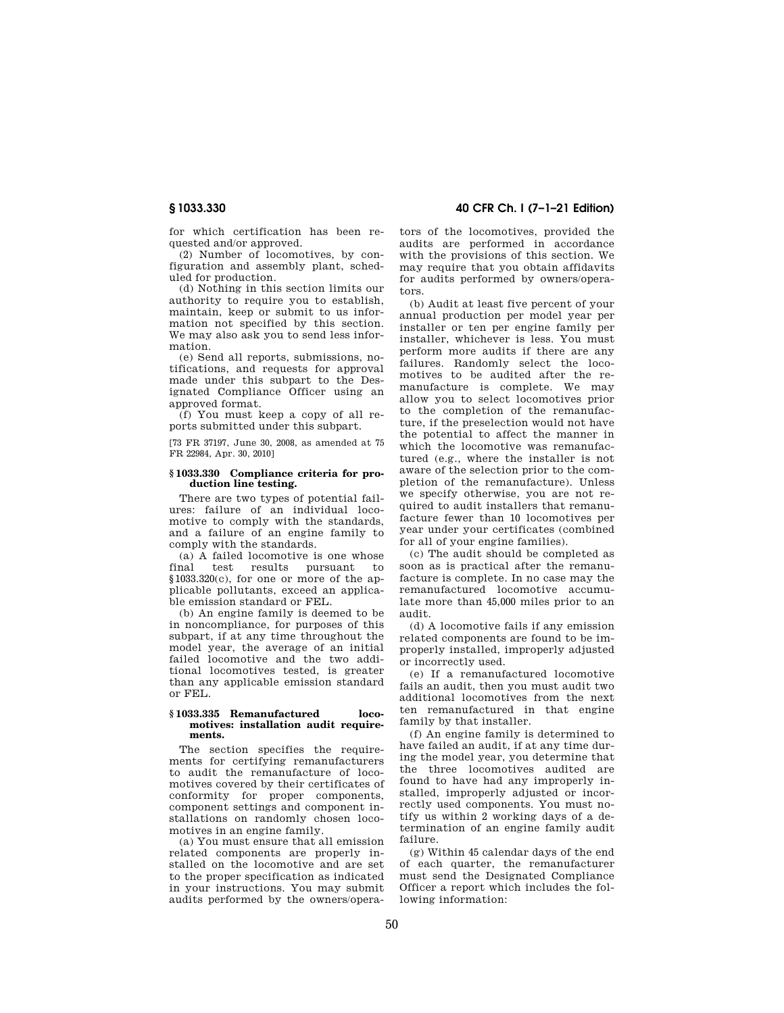for which certification has been requested and/or approved.

(2) Number of locomotives, by configuration and assembly plant, scheduled for production.

(d) Nothing in this section limits our authority to require you to establish, maintain, keep or submit to us information not specified by this section. We may also ask you to send less information.

(e) Send all reports, submissions, notifications, and requests for approval made under this subpart to the Designated Compliance Officer using an approved format.

(f) You must keep a copy of all reports submitted under this subpart.

[73 FR 37197, June 30, 2008, as amended at 75 FR 22984, Apr. 30, 2010]

## **§ 1033.330 Compliance criteria for production line testing.**

There are two types of potential failures: failure of an individual locomotive to comply with the standards, and a failure of an engine family to comply with the standards.

(a) A failed locomotive is one whose<br>final test results pursuant to pursuant §1033.320(c), for one or more of the applicable pollutants, exceed an applicable emission standard or FEL.

(b) An engine family is deemed to be in noncompliance, for purposes of this subpart, if at any time throughout the model year, the average of an initial failed locomotive and the two additional locomotives tested, is greater than any applicable emission standard or FEL.

## **§ 1033.335 Remanufactured locomotives: installation audit requirements.**

The section specifies the requirements for certifying remanufacturers to audit the remanufacture of locomotives covered by their certificates of conformity for proper components, component settings and component installations on randomly chosen locomotives in an engine family.

(a) You must ensure that all emission related components are properly installed on the locomotive and are set to the proper specification as indicated in your instructions. You may submit audits performed by the owners/opera-

**§ 1033.330 40 CFR Ch. I (7–1–21 Edition)** 

tors of the locomotives, provided the audits are performed in accordance with the provisions of this section. We may require that you obtain affidavits for audits performed by owners/operators.

(b) Audit at least five percent of your annual production per model year per installer or ten per engine family per installer, whichever is less. You must perform more audits if there are any failures. Randomly select the locomotives to be audited after the remanufacture is complete. We may allow you to select locomotives prior to the completion of the remanufacture, if the preselection would not have the potential to affect the manner in which the locomotive was remanufactured (e.g., where the installer is not aware of the selection prior to the completion of the remanufacture). Unless we specify otherwise, you are not required to audit installers that remanufacture fewer than 10 locomotives per year under your certificates (combined for all of your engine families).

(c) The audit should be completed as soon as is practical after the remanufacture is complete. In no case may the remanufactured locomotive accumulate more than 45,000 miles prior to an audit.

(d) A locomotive fails if any emission related components are found to be improperly installed, improperly adjusted or incorrectly used.

(e) If a remanufactured locomotive fails an audit, then you must audit two additional locomotives from the next ten remanufactured in that engine family by that installer.

(f) An engine family is determined to have failed an audit, if at any time during the model year, you determine that the three locomotives audited are found to have had any improperly installed, improperly adjusted or incorrectly used components. You must notify us within 2 working days of a determination of an engine family audit failure.

(g) Within 45 calendar days of the end of each quarter, the remanufacturer must send the Designated Compliance Officer a report which includes the following information: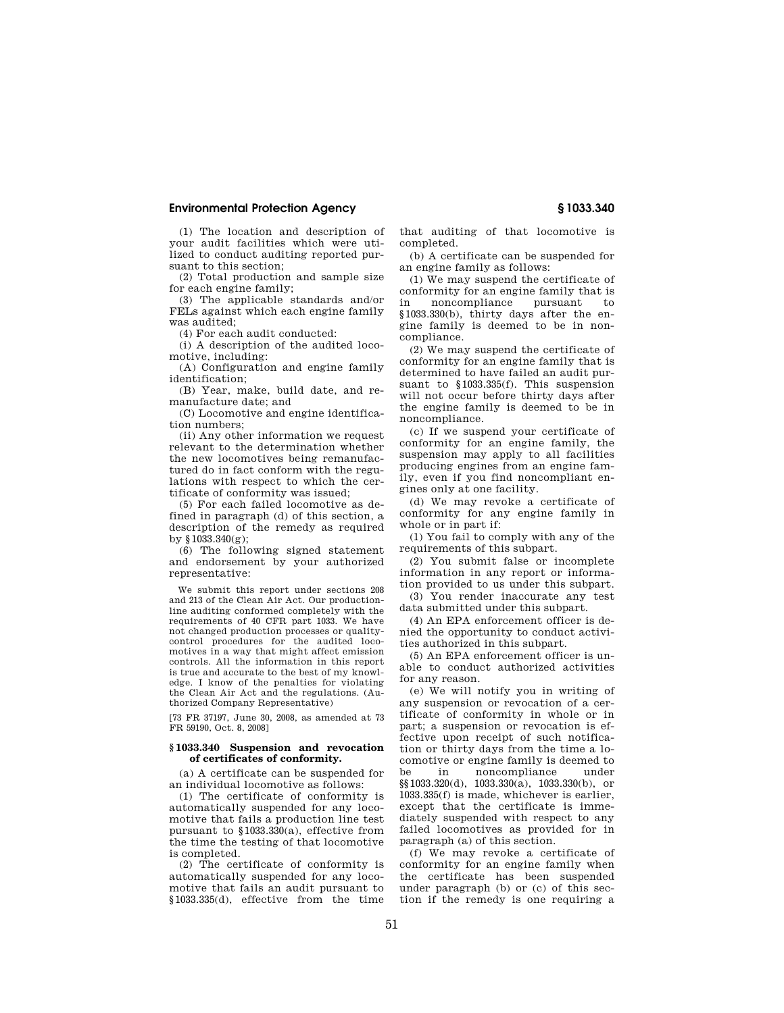(1) The location and description of your audit facilities which were utilized to conduct auditing reported pursuant to this section;

(2) Total production and sample size for each engine family;

(3) The applicable standards and/or FELs against which each engine family was audited;

(4) For each audit conducted:

(i) A description of the audited locomotive, including:

(A) Configuration and engine family identification;

(B) Year, make, build date, and remanufacture date; and

(C) Locomotive and engine identification numbers;

(ii) Any other information we request relevant to the determination whether the new locomotives being remanufactured do in fact conform with the regulations with respect to which the certificate of conformity was issued;

(5) For each failed locomotive as defined in paragraph (d) of this section, a description of the remedy as required by §1033.340(g);

(6) The following signed statement and endorsement by your authorized representative:

We submit this report under sections 208 and 213 of the Clean Air Act. Our productionline auditing conformed completely with the requirements of 40 CFR part 1033. We have not changed production processes or qualitycontrol procedures for the audited locomotives in a way that might affect emission controls. All the information in this report is true and accurate to the best of my knowledge. I know of the penalties for violating the Clean Air Act and the regulations. (Authorized Company Representative)

[73 FR 37197, June 30, 2008, as amended at 73 FR 59190, Oct. 8, 2008]

## **§ 1033.340 Suspension and revocation of certificates of conformity.**

(a) A certificate can be suspended for an individual locomotive as follows:

(1) The certificate of conformity is automatically suspended for any locomotive that fails a production line test pursuant to §1033.330(a), effective from the time the testing of that locomotive is completed.

(2) The certificate of conformity is automatically suspended for any locomotive that fails an audit pursuant to §1033.335(d), effective from the time that auditing of that locomotive is completed.

(b) A certificate can be suspended for an engine family as follows:

(1) We may suspend the certificate of conformity for an engine family that is in noncompliance pursuant to §1033.330(b), thirty days after the engine family is deemed to be in noncompliance.

(2) We may suspend the certificate of conformity for an engine family that is determined to have failed an audit pursuant to §1033.335(f). This suspension will not occur before thirty days after the engine family is deemed to be in noncompliance.

(c) If we suspend your certificate of conformity for an engine family, the suspension may apply to all facilities producing engines from an engine family, even if you find noncompliant engines only at one facility.

(d) We may revoke a certificate of conformity for any engine family in whole or in part if:

(1) You fail to comply with any of the requirements of this subpart.

(2) You submit false or incomplete information in any report or information provided to us under this subpart.

(3) You render inaccurate any test data submitted under this subpart.

(4) An EPA enforcement officer is denied the opportunity to conduct activities authorized in this subpart.

(5) An EPA enforcement officer is unable to conduct authorized activities for any reason.

(e) We will notify you in writing of any suspension or revocation of a certificate of conformity in whole or in part; a suspension or revocation is effective upon receipt of such notification or thirty days from the time a locomotive or engine family is deemed to be in noncompliance under §§1033.320(d), 1033.330(a), 1033.330(b), or 1033.335(f) is made, whichever is earlier, except that the certificate is immediately suspended with respect to any failed locomotives as provided for in paragraph (a) of this section.

(f) We may revoke a certificate of conformity for an engine family when the certificate has been suspended under paragraph (b) or (c) of this section if the remedy is one requiring a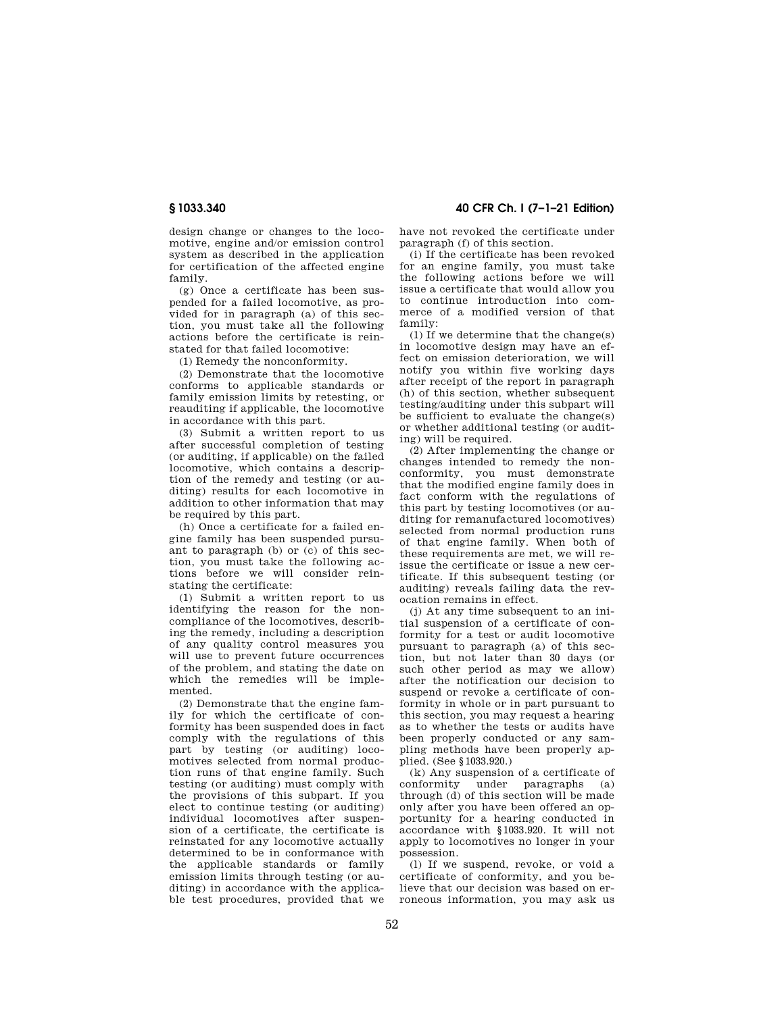design change or changes to the locomotive, engine and/or emission control system as described in the application for certification of the affected engine family.

(g) Once a certificate has been suspended for a failed locomotive, as provided for in paragraph (a) of this section, you must take all the following actions before the certificate is reinstated for that failed locomotive:

(1) Remedy the nonconformity.

(2) Demonstrate that the locomotive conforms to applicable standards or family emission limits by retesting, or reauditing if applicable, the locomotive in accordance with this part.

(3) Submit a written report to us after successful completion of testing (or auditing, if applicable) on the failed locomotive, which contains a description of the remedy and testing (or auditing) results for each locomotive in addition to other information that may be required by this part.

(h) Once a certificate for a failed engine family has been suspended pursuant to paragraph (b) or (c) of this section, you must take the following actions before we will consider reinstating the certificate:

(1) Submit a written report to us identifying the reason for the noncompliance of the locomotives, describing the remedy, including a description of any quality control measures you will use to prevent future occurrences of the problem, and stating the date on which the remedies will be implemented.

(2) Demonstrate that the engine family for which the certificate of conformity has been suspended does in fact comply with the regulations of this part by testing (or auditing) locomotives selected from normal production runs of that engine family. Such testing (or auditing) must comply with the provisions of this subpart. If you elect to continue testing (or auditing) individual locomotives after suspension of a certificate, the certificate is reinstated for any locomotive actually determined to be in conformance with the applicable standards or family emission limits through testing (or auditing) in accordance with the applicable test procedures, provided that we

**§ 1033.340 40 CFR Ch. I (7–1–21 Edition)** 

have not revoked the certificate under paragraph (f) of this section.

(i) If the certificate has been revoked for an engine family, you must take the following actions before we will issue a certificate that would allow you to continue introduction into commerce of a modified version of that family:

(1) If we determine that the change(s) in locomotive design may have an effect on emission deterioration, we will notify you within five working days after receipt of the report in paragraph (h) of this section, whether subsequent testing/auditing under this subpart will be sufficient to evaluate the change(s) or whether additional testing (or auditing) will be required.

(2) After implementing the change or changes intended to remedy the nonconformity, you must demonstrate that the modified engine family does in fact conform with the regulations of this part by testing locomotives (or auditing for remanufactured locomotives) selected from normal production runs of that engine family. When both of these requirements are met, we will reissue the certificate or issue a new certificate. If this subsequent testing (or auditing) reveals failing data the revocation remains in effect.

(j) At any time subsequent to an initial suspension of a certificate of conformity for a test or audit locomotive pursuant to paragraph (a) of this section, but not later than 30 days (or such other period as may we allow) after the notification our decision to suspend or revoke a certificate of conformity in whole or in part pursuant to this section, you may request a hearing as to whether the tests or audits have been properly conducted or any sampling methods have been properly applied. (See §1033.920.)

(k) Any suspension of a certificate of<br>conformity under paragraphs (a) under paragraphs (a) through (d) of this section will be made only after you have been offered an opportunity for a hearing conducted in accordance with §1033.920. It will not apply to locomotives no longer in your possession.

(l) If we suspend, revoke, or void a certificate of conformity, and you believe that our decision was based on erroneous information, you may ask us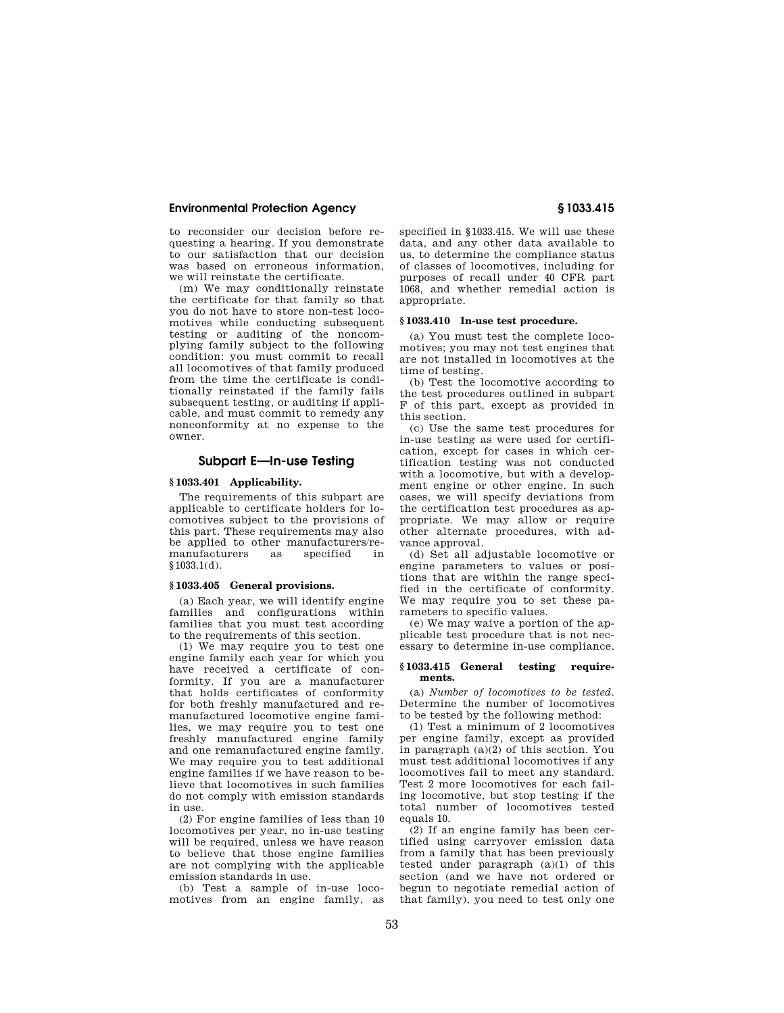to reconsider our decision before requesting a hearing. If you demonstrate to our satisfaction that our decision was based on erroneous information, we will reinstate the certificate.

(m) We may conditionally reinstate the certificate for that family so that you do not have to store non-test locomotives while conducting subsequent testing or auditing of the noncomplying family subject to the following condition: you must commit to recall all locomotives of that family produced from the time the certificate is conditionally reinstated if the family fails subsequent testing, or auditing if applicable, and must commit to remedy any nonconformity at no expense to the owner.

## **Subpart E—In-use Testing**

#### **§ 1033.401 Applicability.**

The requirements of this subpart are applicable to certificate holders for locomotives subject to the provisions of this part. These requirements may also be applied to other manufacturers/remanufacturers §1033.1(d).

# **§ 1033.405 General provisions.**

(a) Each year, we will identify engine families and configurations within families that you must test according to the requirements of this section.

(1) We may require you to test one engine family each year for which you have received a certificate of conformity. If you are a manufacturer that holds certificates of conformity for both freshly manufactured and remanufactured locomotive engine families, we may require you to test one freshly manufactured engine family and one remanufactured engine family. We may require you to test additional engine families if we have reason to believe that locomotives in such families do not comply with emission standards in use.

(2) For engine families of less than 10 locomotives per year, no in-use testing will be required, unless we have reason to believe that those engine families are not complying with the applicable emission standards in use.

(b) Test a sample of in-use locomotives from an engine family, as specified in §1033.415. We will use these data, and any other data available to us, to determine the compliance status of classes of locomotives, including for purposes of recall under 40 CFR part 1068, and whether remedial action is appropriate.

## **§ 1033.410 In-use test procedure.**

(a) You must test the complete locomotives; you may not test engines that are not installed in locomotives at the time of testing.

(b) Test the locomotive according to the test procedures outlined in subpart F of this part, except as provided in this section.

(c) Use the same test procedures for in-use testing as were used for certification, except for cases in which certification testing was not conducted with a locomotive, but with a development engine or other engine. In such cases, we will specify deviations from the certification test procedures as appropriate. We may allow or require other alternate procedures, with advance approval.

(d) Set all adjustable locomotive or engine parameters to values or positions that are within the range specified in the certificate of conformity. We may require you to set these parameters to specific values.

(e) We may waive a portion of the applicable test procedure that is not necessary to determine in-use compliance.

## **§ 1033.415 General testing requirements.**

(a) *Number of locomotives to be tested.*  Determine the number of locomotives to be tested by the following method:

(1) Test a minimum of 2 locomotives per engine family, except as provided in paragraph (a)(2) of this section. You must test additional locomotives if any locomotives fail to meet any standard. Test 2 more locomotives for each failing locomotive, but stop testing if the total number of locomotives tested equals 10.

(2) If an engine family has been certified using carryover emission data from a family that has been previously tested under paragraph  $(a)(1)$  of this section (and we have not ordered or begun to negotiate remedial action of that family), you need to test only one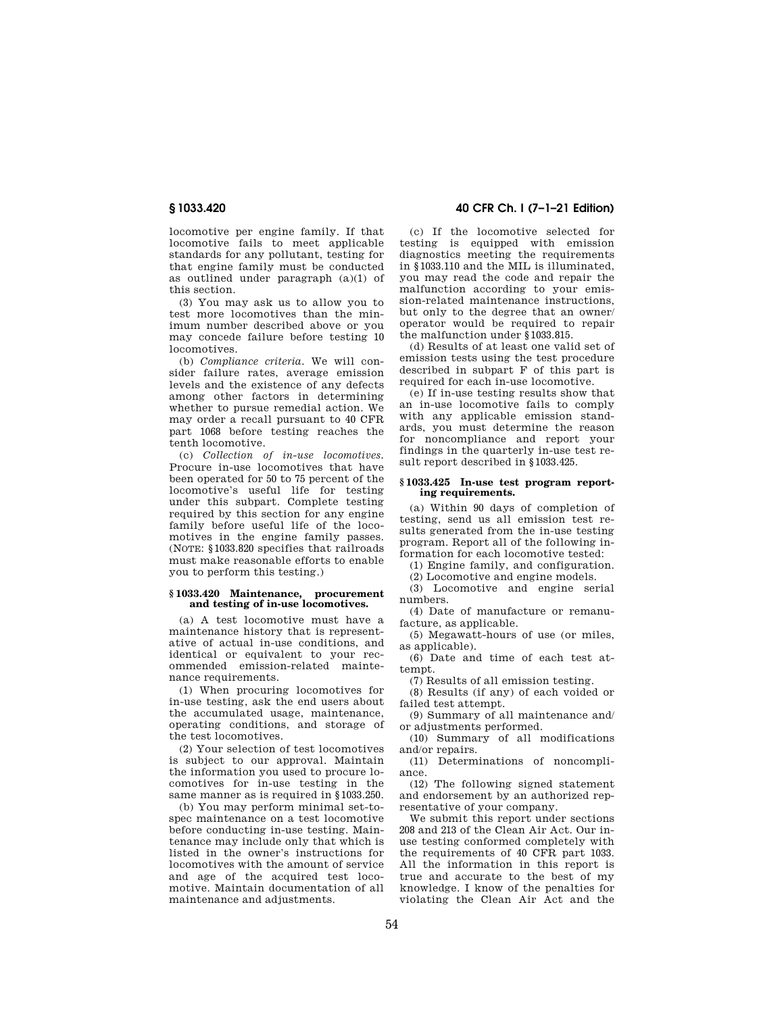locomotive per engine family. If that locomotive fails to meet applicable standards for any pollutant, testing for that engine family must be conducted as outlined under paragraph (a)(1) of this section.

(3) You may ask us to allow you to test more locomotives than the minimum number described above or you may concede failure before testing 10 locomotives.

(b) *Compliance criteria.* We will consider failure rates, average emission levels and the existence of any defects among other factors in determining whether to pursue remedial action. We may order a recall pursuant to 40 CFR part 1068 before testing reaches the tenth locomotive.

(c) *Collection of in-use locomotives.*  Procure in-use locomotives that have been operated for 50 to 75 percent of the locomotive's useful life for testing under this subpart. Complete testing required by this section for any engine family before useful life of the locomotives in the engine family passes. (NOTE: §1033.820 specifies that railroads must make reasonable efforts to enable you to perform this testing.)

#### **§ 1033.420 Maintenance, procurement and testing of in-use locomotives.**

(a) A test locomotive must have a maintenance history that is representative of actual in-use conditions, and identical or equivalent to your recommended emission-related maintenance requirements.

(1) When procuring locomotives for in-use testing, ask the end users about the accumulated usage, maintenance, operating conditions, and storage of the test locomotives.

(2) Your selection of test locomotives is subject to our approval. Maintain the information you used to procure locomotives for in-use testing in the same manner as is required in §1033.250.

(b) You may perform minimal set-tospec maintenance on a test locomotive before conducting in-use testing. Maintenance may include only that which is listed in the owner's instructions for locomotives with the amount of service and age of the acquired test locomotive. Maintain documentation of all maintenance and adjustments.

**§ 1033.420 40 CFR Ch. I (7–1–21 Edition)** 

(c) If the locomotive selected for testing is equipped with emission diagnostics meeting the requirements in §1033.110 and the MIL is illuminated, you may read the code and repair the malfunction according to your emission-related maintenance instructions, but only to the degree that an owner/ operator would be required to repair the malfunction under §1033.815.

(d) Results of at least one valid set of emission tests using the test procedure described in subpart F of this part is required for each in-use locomotive.

(e) If in-use testing results show that an in-use locomotive fails to comply with any applicable emission standards, you must determine the reason for noncompliance and report your findings in the quarterly in-use test result report described in §1033.425.

#### **§ 1033.425 In-use test program reporting requirements.**

(a) Within 90 days of completion of testing, send us all emission test results generated from the in-use testing program. Report all of the following information for each locomotive tested:

(1) Engine family, and configuration.

(2) Locomotive and engine models.

(3) Locomotive and engine serial numbers.

(4) Date of manufacture or remanufacture, as applicable.

(5) Megawatt-hours of use (or miles, as applicable).

(6) Date and time of each test attempt.

(7) Results of all emission testing.

(8) Results (if any) of each voided or failed test attempt.

(9) Summary of all maintenance and/ or adjustments performed.

(10) Summary of all modifications and/or repairs.

(11) Determinations of noncompliance.

(12) The following signed statement and endorsement by an authorized representative of your company.

We submit this report under sections 208 and 213 of the Clean Air Act. Our inuse testing conformed completely with the requirements of 40 CFR part 1033. All the information in this report is true and accurate to the best of my knowledge. I know of the penalties for violating the Clean Air Act and the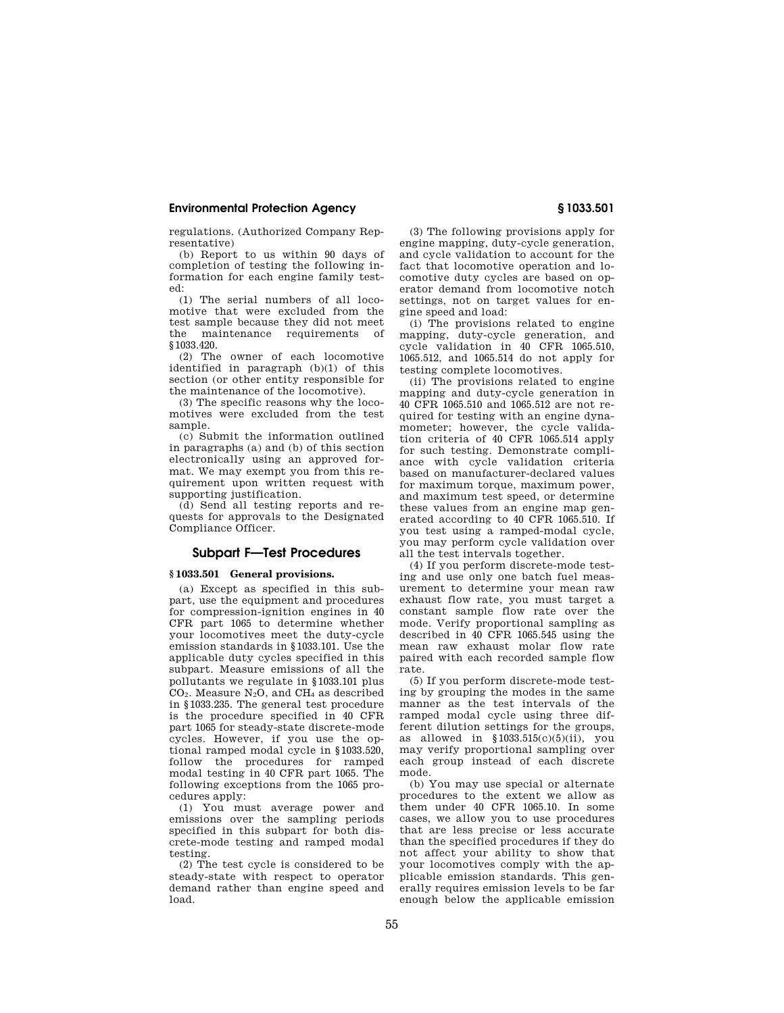regulations. (Authorized Company Representative)

(b) Report to us within 90 days of completion of testing the following information for each engine family tested:

(1) The serial numbers of all locomotive that were excluded from the test sample because they did not meet the maintenance requirements of §1033.420.

(2) The owner of each locomotive identified in paragraph (b)(1) of this section (or other entity responsible for the maintenance of the locomotive).

(3) The specific reasons why the locomotives were excluded from the test sample.

(c) Submit the information outlined in paragraphs (a) and (b) of this section electronically using an approved format. We may exempt you from this requirement upon written request with supporting justification.

(d) Send all testing reports and requests for approvals to the Designated Compliance Officer.

## **Subpart F—Test Procedures**

## **§ 1033.501 General provisions.**

(a) Except as specified in this subpart, use the equipment and procedures for compression-ignition engines in 40 CFR part 1065 to determine whether your locomotives meet the duty-cycle emission standards in §1033.101. Use the applicable duty cycles specified in this subpart. Measure emissions of all the pollutants we regulate in §1033.101 plus  $CO<sub>2</sub>$ . Measure N<sub>2</sub>O, and CH<sub>4</sub> as described in §1033.235. The general test procedure is the procedure specified in 40 CFR part 1065 for steady-state discrete-mode cycles. However, if you use the optional ramped modal cycle in §1033.520, follow the procedures for ramped modal testing in 40 CFR part 1065. The following exceptions from the 1065 procedures apply:

(1) You must average power and emissions over the sampling periods specified in this subpart for both discrete-mode testing and ramped modal testing.

(2) The test cycle is considered to be steady-state with respect to operator demand rather than engine speed and load.

(3) The following provisions apply for engine mapping, duty-cycle generation, and cycle validation to account for the fact that locomotive operation and locomotive duty cycles are based on operator demand from locomotive notch settings, not on target values for engine speed and load:

(i) The provisions related to engine mapping, duty-cycle generation, and cycle validation in 40 CFR 1065.510, 1065.512, and 1065.514 do not apply for testing complete locomotives.

(ii) The provisions related to engine mapping and duty-cycle generation in 40 CFR 1065.510 and 1065.512 are not required for testing with an engine dynamometer; however, the cycle validation criteria of 40 CFR 1065.514 apply for such testing. Demonstrate compliance with cycle validation criteria based on manufacturer-declared values for maximum torque, maximum power, and maximum test speed, or determine these values from an engine map generated according to 40 CFR 1065.510. If you test using a ramped-modal cycle, you may perform cycle validation over all the test intervals together.

(4) If you perform discrete-mode testing and use only one batch fuel measurement to determine your mean raw exhaust flow rate, you must target a constant sample flow rate over the mode. Verify proportional sampling as described in 40 CFR 1065.545 using the mean raw exhaust molar flow rate paired with each recorded sample flow rate.

(5) If you perform discrete-mode testing by grouping the modes in the same manner as the test intervals of the ramped modal cycle using three different dilution settings for the groups, as allowed in  $$1033.515(c)(5)(ii)$ , you may verify proportional sampling over each group instead of each discrete mode.

(b) You may use special or alternate procedures to the extent we allow as them under 40 CFR 1065.10. In some cases, we allow you to use procedures that are less precise or less accurate than the specified procedures if they do not affect your ability to show that your locomotives comply with the applicable emission standards. This generally requires emission levels to be far enough below the applicable emission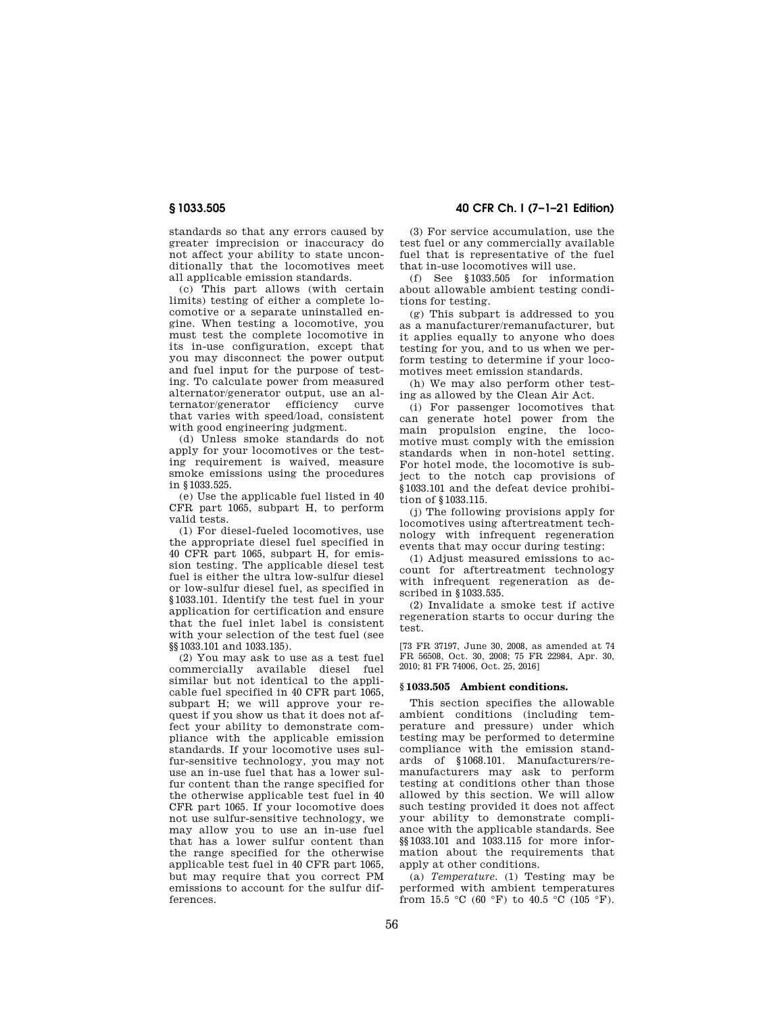standards so that any errors caused by greater imprecision or inaccuracy do not affect your ability to state unconditionally that the locomotives meet all applicable emission standards.

(c) This part allows (with certain limits) testing of either a complete locomotive or a separate uninstalled engine. When testing a locomotive, you must test the complete locomotive in its in-use configuration, except that you may disconnect the power output and fuel input for the purpose of testing. To calculate power from measured alternator/generator output, use an alternator/generator efficiency curve that varies with speed/load, consistent with good engineering judgment.

(d) Unless smoke standards do not apply for your locomotives or the testing requirement is waived, measure smoke emissions using the procedures in §1033.525.

(e) Use the applicable fuel listed in 40 CFR part 1065, subpart H, to perform valid tests.

(1) For diesel-fueled locomotives, use the appropriate diesel fuel specified in 40 CFR part 1065, subpart H, for emission testing. The applicable diesel test fuel is either the ultra low-sulfur diesel or low-sulfur diesel fuel, as specified in §1033.101. Identify the test fuel in your application for certification and ensure that the fuel inlet label is consistent with your selection of the test fuel (see §§1033.101 and 1033.135).

(2) You may ask to use as a test fuel commercially available diesel fuel similar but not identical to the applicable fuel specified in 40 CFR part 1065, subpart H; we will approve your request if you show us that it does not affect your ability to demonstrate compliance with the applicable emission standards. If your locomotive uses sulfur-sensitive technology, you may not use an in-use fuel that has a lower sulfur content than the range specified for the otherwise applicable test fuel in 40 CFR part 1065. If your locomotive does not use sulfur-sensitive technology, we may allow you to use an in-use fuel that has a lower sulfur content than the range specified for the otherwise applicable test fuel in 40 CFR part 1065, but may require that you correct PM emissions to account for the sulfur differences.

**§ 1033.505 40 CFR Ch. I (7–1–21 Edition)** 

(3) For service accumulation, use the test fuel or any commercially available fuel that is representative of the fuel that in-use locomotives will use.

(f) See §1033.505 for information about allowable ambient testing conditions for testing.

(g) This subpart is addressed to you as a manufacturer/remanufacturer, but it applies equally to anyone who does testing for you, and to us when we perform testing to determine if your locomotives meet emission standards.

(h) We may also perform other testing as allowed by the Clean Air Act.

(i) For passenger locomotives that can generate hotel power from the main propulsion engine, the locomotive must comply with the emission standards when in non-hotel setting. For hotel mode, the locomotive is subject to the notch cap provisions of §1033.101 and the defeat device prohibition of §1033.115.

(j) The following provisions apply for locomotives using aftertreatment technology with infrequent regeneration events that may occur during testing:

(1) Adjust measured emissions to account for aftertreatment technology with infrequent regeneration as described in §1033.535.

(2) Invalidate a smoke test if active regeneration starts to occur during the test.

[73 FR 37197, June 30, 2008, as amended at 74 FR 56508, Oct. 30, 2008; 75 FR 22984, Apr. 30, 2010; 81 FR 74006, Oct. 25, 2016]

#### **§ 1033.505 Ambient conditions.**

This section specifies the allowable ambient conditions (including temperature and pressure) under which testing may be performed to determine compliance with the emission standards of §1068.101. Manufacturers/remanufacturers may ask to perform testing at conditions other than those allowed by this section. We will allow such testing provided it does not affect your ability to demonstrate compliance with the applicable standards. See §§1033.101 and 1033.115 for more information about the requirements that apply at other conditions.

(a) *Temperature.* (1) Testing may be performed with ambient temperatures from 15.5 °C (60 °F) to 40.5 °C (105 °F).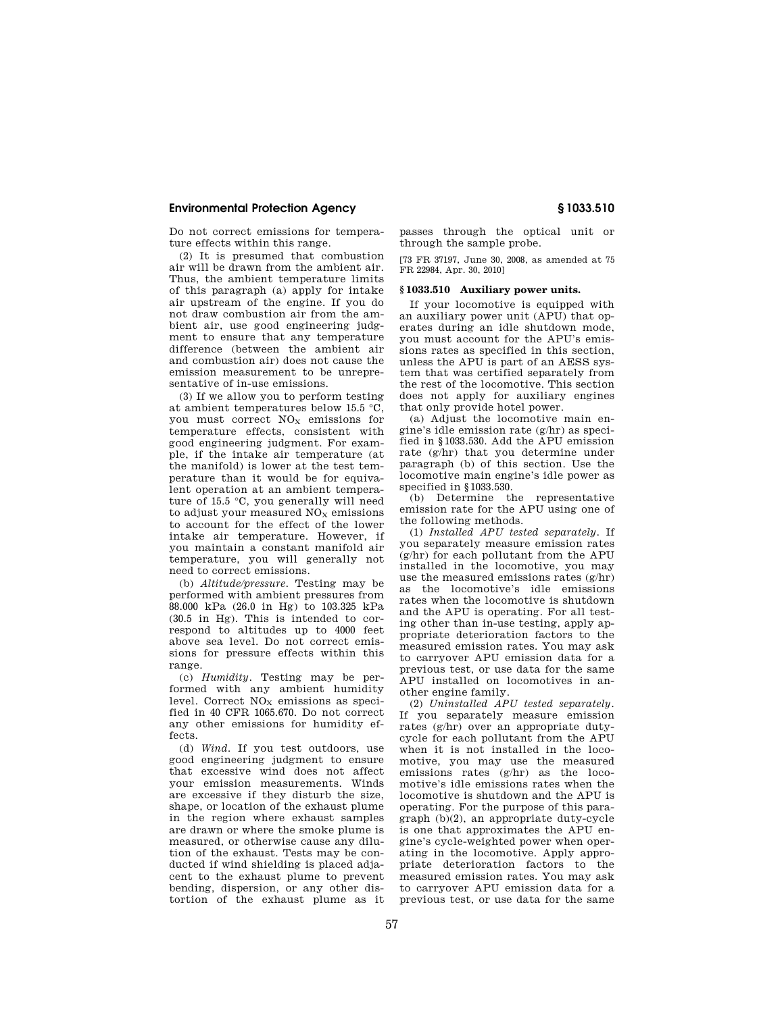Do not correct emissions for temperature effects within this range.

(2) It is presumed that combustion air will be drawn from the ambient air. Thus, the ambient temperature limits of this paragraph (a) apply for intake air upstream of the engine. If you do not draw combustion air from the ambient air, use good engineering judgment to ensure that any temperature difference (between the ambient air and combustion air) does not cause the emission measurement to be unrepresentative of in-use emissions.

(3) If we allow you to perform testing at ambient temperatures below 15.5 °C, you must correct  $NO<sub>x</sub>$  emissions for temperature effects, consistent with good engineering judgment. For example, if the intake air temperature (at the manifold) is lower at the test temperature than it would be for equivalent operation at an ambient temperature of 15.5 °C, you generally will need to adjust your measured  $NO<sub>X</sub>$  emissions to account for the effect of the lower intake air temperature. However, if you maintain a constant manifold air temperature, you will generally not need to correct emissions.

(b) *Altitude/pressure.* Testing may be performed with ambient pressures from 88.000 kPa (26.0 in Hg) to 103.325 kPa (30.5 in Hg). This is intended to correspond to altitudes up to 4000 feet above sea level. Do not correct emissions for pressure effects within this range.

(c) *Humidity.* Testing may be performed with any ambient humidity level. Correct  $NO<sub>x</sub>$  emissions as specified in 40 CFR 1065.670. Do not correct any other emissions for humidity effects.

(d) *Wind.* If you test outdoors, use good engineering judgment to ensure that excessive wind does not affect your emission measurements. Winds are excessive if they disturb the size, shape, or location of the exhaust plume in the region where exhaust samples are drawn or where the smoke plume is measured, or otherwise cause any dilution of the exhaust. Tests may be conducted if wind shielding is placed adjacent to the exhaust plume to prevent bending, dispersion, or any other distortion of the exhaust plume as it

passes through the optical unit or through the sample probe.

[73 FR 37197, June 30, 2008, as amended at 75 FR 22984, Apr. 30, 2010]

#### **§ 1033.510 Auxiliary power units.**

If your locomotive is equipped with an auxiliary power unit (APU) that operates during an idle shutdown mode, you must account for the APU's emissions rates as specified in this section, unless the APU is part of an AESS system that was certified separately from the rest of the locomotive. This section does not apply for auxiliary engines that only provide hotel power.

(a) Adjust the locomotive main engine's idle emission rate (g/hr) as specified in §1033.530. Add the APU emission rate (g/hr) that you determine under paragraph (b) of this section. Use the locomotive main engine's idle power as specified in §1033.530.

(b) Determine the representative emission rate for the APU using one of the following methods.

(1) *Installed APU tested separately.* If you separately measure emission rates (g/hr) for each pollutant from the APU installed in the locomotive, you may use the measured emissions rates (g/hr) as the locomotive's idle emissions rates when the locomotive is shutdown and the APU is operating. For all testing other than in-use testing, apply appropriate deterioration factors to the measured emission rates. You may ask to carryover APU emission data for a previous test, or use data for the same APU installed on locomotives in another engine family.

(2) *Uninstalled APU tested separately.*  If you separately measure emission rates (g/hr) over an appropriate dutycycle for each pollutant from the APU when it is not installed in the locomotive, you may use the measured emissions rates (g/hr) as the locomotive's idle emissions rates when the locomotive is shutdown and the APU is operating. For the purpose of this paragraph (b)(2), an appropriate duty-cycle is one that approximates the APU engine's cycle-weighted power when operating in the locomotive. Apply appropriate deterioration factors to the measured emission rates. You may ask to carryover APU emission data for a previous test, or use data for the same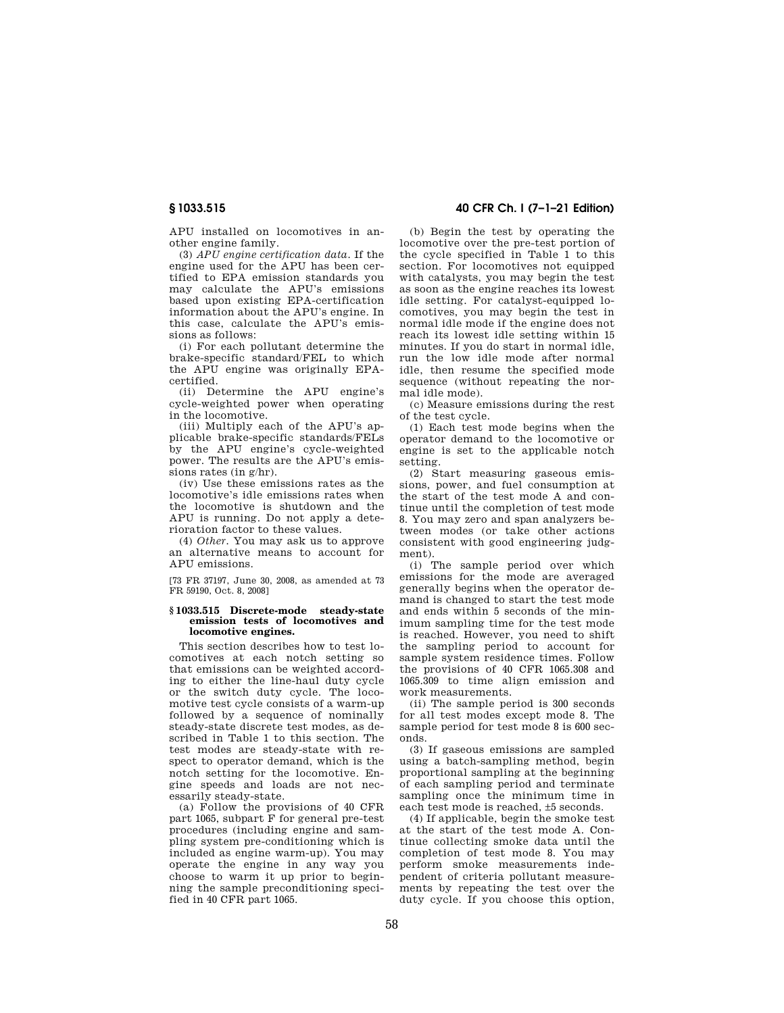APU installed on locomotives in another engine family.

(3) *APU engine certification data.* If the engine used for the APU has been certified to EPA emission standards you may calculate the APU's emissions based upon existing EPA-certification information about the APU's engine. In this case, calculate the APU's emissions as follows:

(i) For each pollutant determine the brake-specific standard/FEL to which the APU engine was originally EPAcertified.

(ii) Determine the APU engine's cycle-weighted power when operating in the locomotive.

(iii) Multiply each of the APU's applicable brake-specific standards/FELs by the APU engine's cycle-weighted power. The results are the APU's emissions rates (in g/hr).

(iv) Use these emissions rates as the locomotive's idle emissions rates when the locomotive is shutdown and the APU is running. Do not apply a deterioration factor to these values.

(4) *Other.* You may ask us to approve an alternative means to account for APU emissions.

[73 FR 37197, June 30, 2008, as amended at 73 FR 59190, Oct. 8, 2008]

#### **§ 1033.515 Discrete-mode steady-state emission tests of locomotives and locomotive engines.**

This section describes how to test locomotives at each notch setting so that emissions can be weighted according to either the line-haul duty cycle or the switch duty cycle. The locomotive test cycle consists of a warm-up followed by a sequence of nominally steady-state discrete test modes, as described in Table 1 to this section. The test modes are steady-state with respect to operator demand, which is the notch setting for the locomotive. Engine speeds and loads are not necessarily steady-state.

(a) Follow the provisions of 40 CFR part 1065, subpart F for general pre-test procedures (including engine and sampling system pre-conditioning which is included as engine warm-up). You may operate the engine in any way you choose to warm it up prior to beginning the sample preconditioning specified in 40 CFR part 1065.

# **§ 1033.515 40 CFR Ch. I (7–1–21 Edition)**

(b) Begin the test by operating the locomotive over the pre-test portion of the cycle specified in Table 1 to this section. For locomotives not equipped with catalysts, you may begin the test as soon as the engine reaches its lowest idle setting. For catalyst-equipped locomotives, you may begin the test in normal idle mode if the engine does not reach its lowest idle setting within 15 minutes. If you do start in normal idle, run the low idle mode after normal idle, then resume the specified mode sequence (without repeating the normal idle mode).

(c) Measure emissions during the rest of the test cycle.

(1) Each test mode begins when the operator demand to the locomotive or engine is set to the applicable notch setting.

(2) Start measuring gaseous emissions, power, and fuel consumption at the start of the test mode A and continue until the completion of test mode 8. You may zero and span analyzers between modes (or take other actions consistent with good engineering judgment).

(i) The sample period over which emissions for the mode are averaged generally begins when the operator demand is changed to start the test mode and ends within 5 seconds of the minimum sampling time for the test mode is reached. However, you need to shift the sampling period to account for sample system residence times. Follow the provisions of 40 CFR 1065.308 and 1065.309 to time align emission and work measurements.

(ii) The sample period is 300 seconds for all test modes except mode 8. The sample period for test mode 8 is 600 seconds.

(3) If gaseous emissions are sampled using a batch-sampling method, begin proportional sampling at the beginning of each sampling period and terminate sampling once the minimum time in each test mode is reached, ±5 seconds.

(4) If applicable, begin the smoke test at the start of the test mode A. Continue collecting smoke data until the completion of test mode 8. You may perform smoke measurements independent of criteria pollutant measurements by repeating the test over the duty cycle. If you choose this option,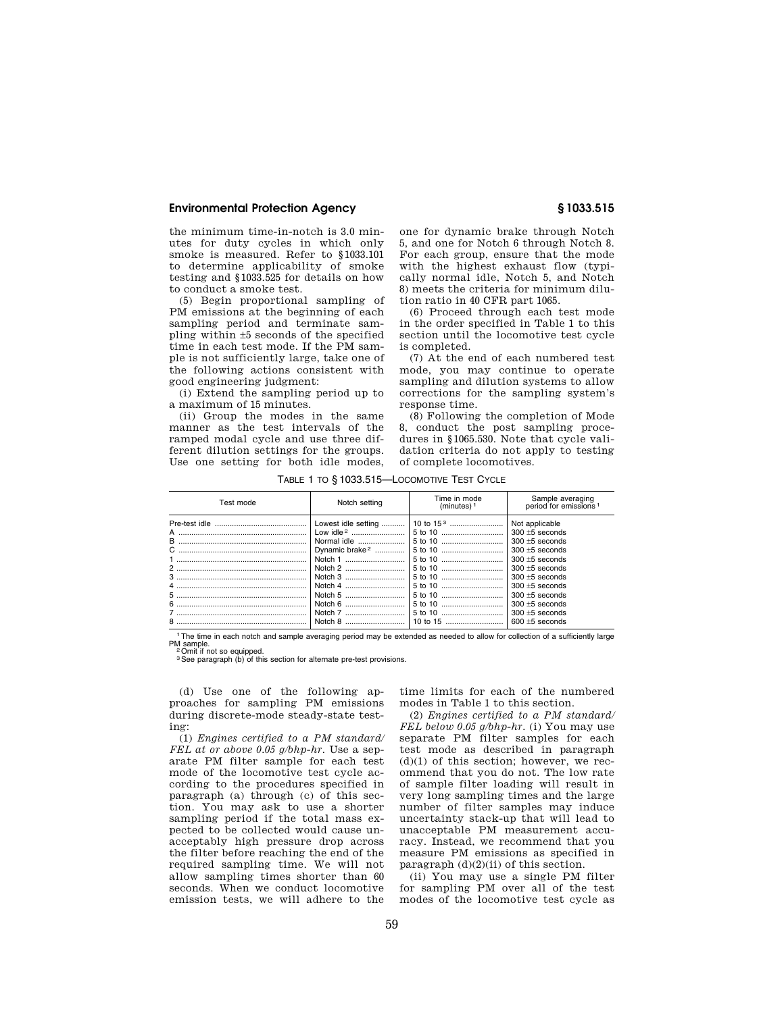the minimum time-in-notch is 3.0 minutes for duty cycles in which only smoke is measured. Refer to §1033.101 to determine applicability of smoke testing and §1033.525 for details on how to conduct a smoke test.

(5) Begin proportional sampling of PM emissions at the beginning of each sampling period and terminate sampling within ±5 seconds of the specified time in each test mode. If the PM sample is not sufficiently large, take one of the following actions consistent with good engineering judgment:

(i) Extend the sampling period up to a maximum of 15 minutes.

(ii) Group the modes in the same manner as the test intervals of the ramped modal cycle and use three different dilution settings for the groups. Use one setting for both idle modes,

one for dynamic brake through Notch 5, and one for Notch 6 through Notch 8. For each group, ensure that the mode with the highest exhaust flow (typically normal idle, Notch 5, and Notch 8) meets the criteria for minimum dilution ratio in 40 CFR part 1065.

(6) Proceed through each test mode in the order specified in Table 1 to this section until the locomotive test cycle is completed.

(7) At the end of each numbered test mode, you may continue to operate sampling and dilution systems to allow corrections for the sampling system's response time.

(8) Following the completion of Mode 8, conduct the post sampling procedures in §1065.530. Note that cycle validation criteria do not apply to testing of complete locomotives.

Test mode **Time in mode**<br>
Notch setting **Time in mode** (minutes)<sup>1</sup> Sample averaging<br>period for emissions<sup>1</sup> Pre-test idle ........................................... Lowest idle setting ........... 10 to 15 3 ......................... Not applicable A ............................................................ Low idle <sup>2</sup> ......................... 5 to 10 ............................. 300 ±5 seconds B ............................................................ Normal idle ...................... 5 to 10 ............................. 300 ±5 seconds C ............................................................ Dynamic brake <sup>2</sup> .............. 5 to 10 ............................. 300 ±5 seconds 1 ............................................................. Notch 1 ............................ 5 to 10 ............................. 300 ±5 seconds 2 ............................................................. Notch 2 ............................ 5 to 10 ............................. 300 ±5 seconds 3 ............................................................. Notch 3 ............................ 5 to 10 ............................. 300 ±5 seconds 4 ............................................................. Notch 4 ............................ 5 to 10 ............................. 300 ±5 seconds 5 ............................................................. Notch 5 ............................ 5 to 10 ............................. 300 ±5 seconds 6 ............................................................. Notch 6 ............................ 5 to 10 ............................. 300 ±5 seconds 7 ............................................................. Notch 7 ............................ 5 to 10 ............................. 300 ±5 seconds 8 ............................................................. Notch 8 ............................ 10 to 15 ........................... 600 ±5 seconds

TABLE 1 TO § 1033.515—LOCOMOTIVE TEST CYCLE

<sup>1</sup>The time in each notch and sample averaging period may be extended as needed to allow for collection of a sufficiently large<br>PM sample PM sample.<br><sup>2</sup> Omit if not so equipped.<br><sup>3</sup> See paragraph (b) of this section for alternate pre-test provisions.

(d) Use one of the following approaches for sampling PM emissions during discrete-mode steady-state testing:

(1) *Engines certified to a PM standard/ FEL at or above 0.05 g/bhp-hr.* Use a separate PM filter sample for each test mode of the locomotive test cycle according to the procedures specified in paragraph (a) through (c) of this section. You may ask to use a shorter sampling period if the total mass expected to be collected would cause unacceptably high pressure drop across the filter before reaching the end of the required sampling time. We will not allow sampling times shorter than 60 seconds. When we conduct locomotive emission tests, we will adhere to the

time limits for each of the numbered modes in Table 1 to this section.

(2) *Engines certified to a PM standard/ FEL below 0.05 g/bhp-hr.* (i) You may use separate PM filter samples for each test mode as described in paragraph (d)(1) of this section; however, we recommend that you do not. The low rate of sample filter loading will result in very long sampling times and the large number of filter samples may induce uncertainty stack-up that will lead to unacceptable PM measurement accuracy. Instead, we recommend that you measure PM emissions as specified in paragraph  $(d)(2)(ii)$  of this section.

(ii) You may use a single PM filter for sampling PM over all of the test modes of the locomotive test cycle as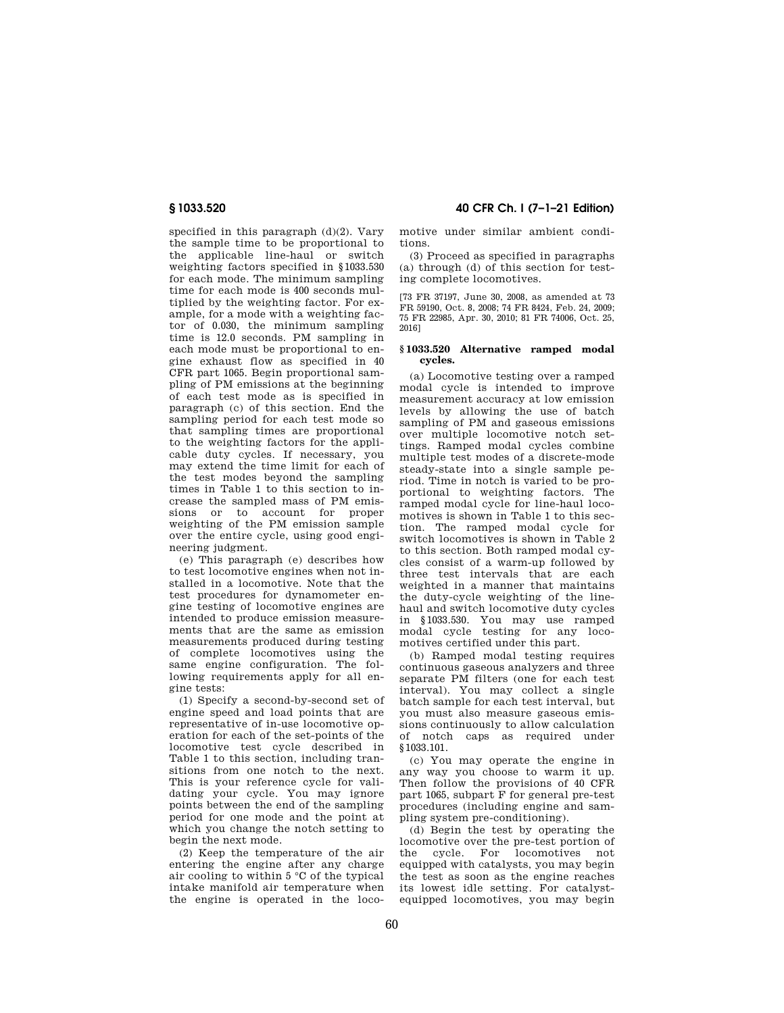specified in this paragraph (d)(2). Vary the sample time to be proportional to the applicable line-haul or switch weighting factors specified in §1033.530 for each mode. The minimum sampling time for each mode is 400 seconds multiplied by the weighting factor. For example, for a mode with a weighting factor of 0.030, the minimum sampling time is 12.0 seconds. PM sampling in each mode must be proportional to engine exhaust flow as specified in 40 CFR part 1065. Begin proportional sampling of PM emissions at the beginning of each test mode as is specified in paragraph (c) of this section. End the sampling period for each test mode so that sampling times are proportional to the weighting factors for the applicable duty cycles. If necessary, you may extend the time limit for each of the test modes beyond the sampling times in Table 1 to this section to increase the sampled mass of PM emissions or to account for proper weighting of the PM emission sample over the entire cycle, using good engineering judgment.

(e) This paragraph (e) describes how to test locomotive engines when not installed in a locomotive. Note that the test procedures for dynamometer engine testing of locomotive engines are intended to produce emission measurements that are the same as emission measurements produced during testing of complete locomotives using the same engine configuration. The following requirements apply for all engine tests:

(1) Specify a second-by-second set of engine speed and load points that are representative of in-use locomotive operation for each of the set-points of the locomotive test cycle described in Table 1 to this section, including transitions from one notch to the next. This is your reference cycle for validating your cycle. You may ignore points between the end of the sampling period for one mode and the point at which you change the notch setting to begin the next mode.

(2) Keep the temperature of the air entering the engine after any charge air cooling to within 5 °C of the typical intake manifold air temperature when the engine is operated in the loco-

# **§ 1033.520 40 CFR Ch. I (7–1–21 Edition)**

motive under similar ambient conditions.

(3) Proceed as specified in paragraphs (a) through (d) of this section for testing complete locomotives.

[73 FR 37197, June 30, 2008, as amended at 73 FR 59190, Oct. 8, 2008; 74 FR 8424, Feb. 24, 2009; 75 FR 22985, Apr. 30, 2010; 81 FR 74006, Oct. 25, 2016]

## **§ 1033.520 Alternative ramped modal cycles.**

(a) Locomotive testing over a ramped modal cycle is intended to improve measurement accuracy at low emission levels by allowing the use of batch sampling of PM and gaseous emissions over multiple locomotive notch settings. Ramped modal cycles combine multiple test modes of a discrete-mode steady-state into a single sample period. Time in notch is varied to be proportional to weighting factors. The ramped modal cycle for line-haul locomotives is shown in Table 1 to this section. The ramped modal cycle for switch locomotives is shown in Table 2 to this section. Both ramped modal cycles consist of a warm-up followed by three test intervals that are each weighted in a manner that maintains the duty-cycle weighting of the linehaul and switch locomotive duty cycles in §1033.530. You may use ramped modal cycle testing for any locomotives certified under this part.

(b) Ramped modal testing requires continuous gaseous analyzers and three separate PM filters (one for each test interval). You may collect a single batch sample for each test interval, but you must also measure gaseous emissions continuously to allow calculation of notch caps as required under §1033.101.

(c) You may operate the engine in any way you choose to warm it up. Then follow the provisions of 40 CFR part 1065, subpart F for general pre-test procedures (including engine and sampling system pre-conditioning).

(d) Begin the test by operating the locomotive over the pre-test portion of the cycle. For locomotives not equipped with catalysts, you may begin the test as soon as the engine reaches its lowest idle setting. For catalystequipped locomotives, you may begin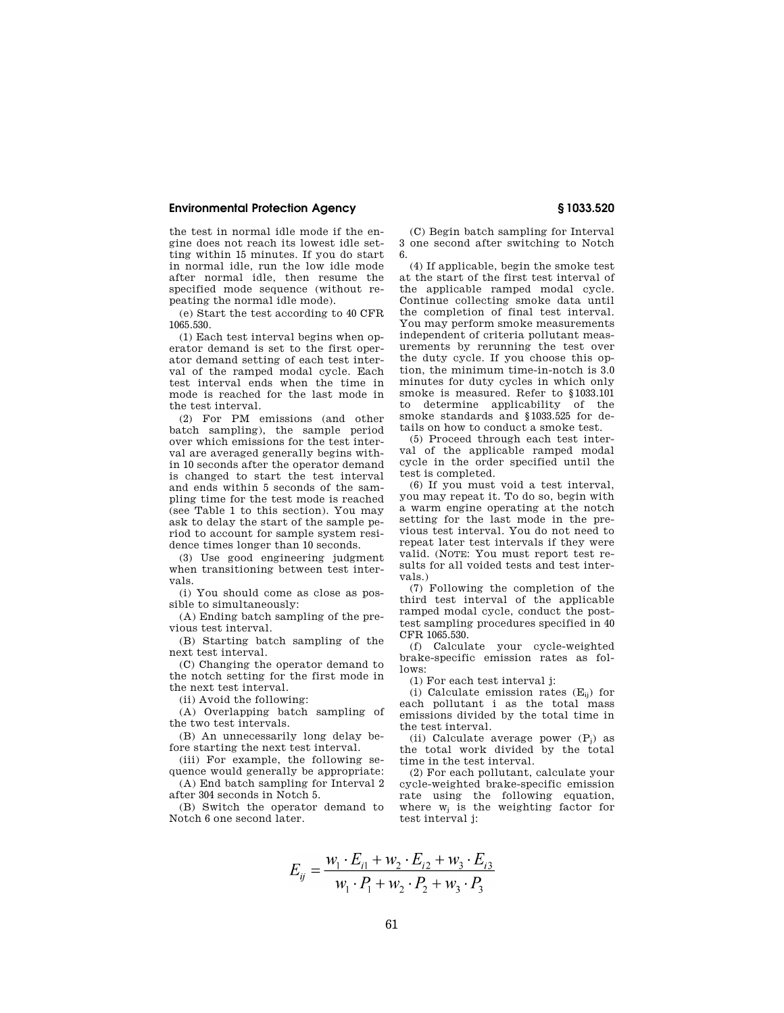the test in normal idle mode if the engine does not reach its lowest idle setting within 15 minutes. If you do start in normal idle, run the low idle mode after normal idle, then resume the specified mode sequence (without repeating the normal idle mode).

(e) Start the test according to 40 CFR 1065.530.

(1) Each test interval begins when operator demand is set to the first operator demand setting of each test interval of the ramped modal cycle. Each test interval ends when the time in mode is reached for the last mode in the test interval.

(2) For PM emissions (and other batch sampling), the sample period over which emissions for the test interval are averaged generally begins within 10 seconds after the operator demand is changed to start the test interval and ends within 5 seconds of the sampling time for the test mode is reached (see Table 1 to this section). You may ask to delay the start of the sample period to account for sample system residence times longer than 10 seconds.

(3) Use good engineering judgment when transitioning between test intervals.

(i) You should come as close as possible to simultaneously:

(A) Ending batch sampling of the previous test interval.

(B) Starting batch sampling of the next test interval.

(C) Changing the operator demand to the notch setting for the first mode in the next test interval.

(ii) Avoid the following:

(A) Overlapping batch sampling of the two test intervals.

(B) An unnecessarily long delay before starting the next test interval.

(iii) For example, the following sequence would generally be appropriate:

(A) End batch sampling for Interval 2 after 304 seconds in Notch 5.

(B) Switch the operator demand to Notch 6 one second later.

(C) Begin batch sampling for Interval 3 one second after switching to Notch 6.

(4) If applicable, begin the smoke test at the start of the first test interval of the applicable ramped modal cycle. Continue collecting smoke data until the completion of final test interval. You may perform smoke measurements independent of criteria pollutant measurements by rerunning the test over the duty cycle. If you choose this option, the minimum time-in-notch is 3.0 minutes for duty cycles in which only smoke is measured. Refer to §1033.101 to determine applicability of the smoke standards and §1033.525 for details on how to conduct a smoke test.

(5) Proceed through each test interval of the applicable ramped modal cycle in the order specified until the test is completed.

(6) If you must void a test interval, you may repeat it. To do so, begin with a warm engine operating at the notch setting for the last mode in the previous test interval. You do not need to repeat later test intervals if they were valid. (NOTE: You must report test results for all voided tests and test intervals.)

(7) Following the completion of the third test interval of the applicable ramped modal cycle, conduct the posttest sampling procedures specified in 40 CFR 1065.530.

(f) Calculate your cycle-weighted brake-specific emission rates as follows:

(1) For each test interval j:

(i) Calculate emission rates  $(E_{ii})$  for each pollutant i as the total mass emissions divided by the total time in the test interval.

(ii) Calculate average power  $(P_i)$  as the total work divided by the total time in the test interval.

(2) For each pollutant, calculate your cycle-weighted brake-specific emission rate using the following equation, where  $w_i$  is the weighting factor for test interval j:

$$
E_{ij} = \frac{w_1 \cdot E_{i1} + w_2 \cdot E_{i2} + w_3 \cdot E_{i3}}{w_1 \cdot P_1 + w_2 \cdot P_2 + w_3 \cdot P_3}
$$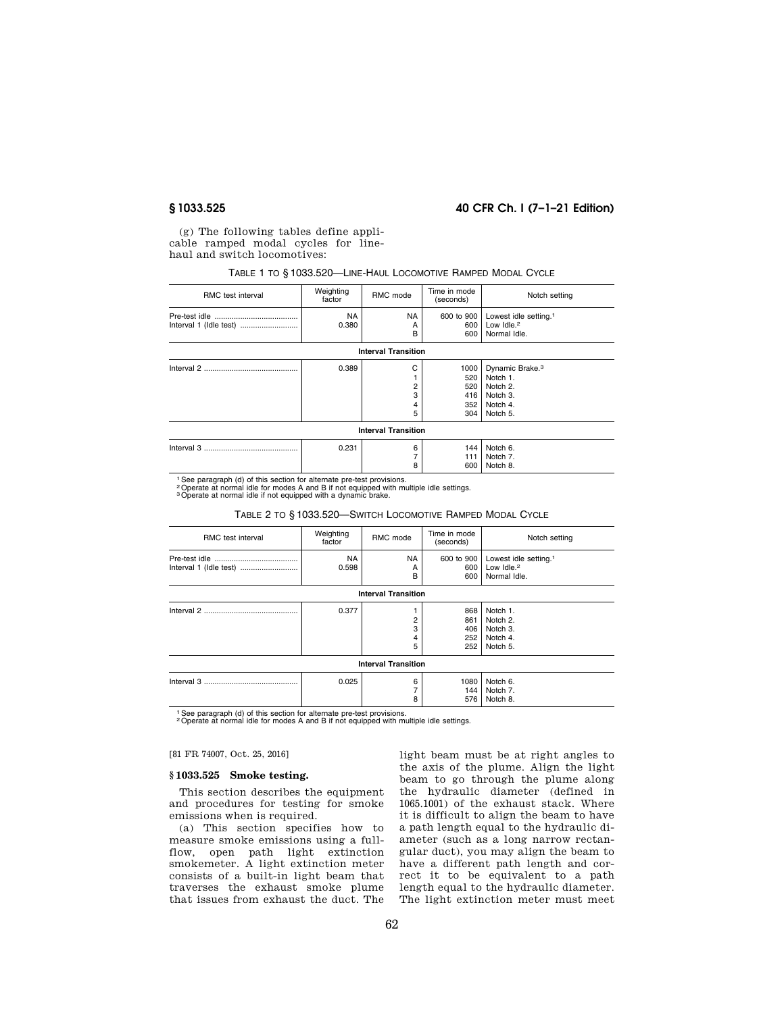# **§ 1033.525 40 CFR Ch. I (7–1–21 Edition)**

(g) The following tables define applicable ramped modal cycles for linehaul and switch locomotives:

# TABLE 1 TO § 1033.520—LINE-HAUL LOCOMOTIVE RAMPED MODAL CYCLE

| RMC test interval | Weighting<br>factor | RMC mode                   | Time in mode<br>(seconds) | Notch setting                                    |
|-------------------|---------------------|----------------------------|---------------------------|--------------------------------------------------|
|                   | <b>NA</b><br>0.380  | <b>NA</b><br>А             | 600 to 900<br>600         | Lowest idle setting. <sup>1</sup><br>Low $Idle2$ |
|                   |                     | B                          | 600                       | Normal Idle.                                     |
|                   |                     | <b>Interval Transition</b> |                           |                                                  |
|                   | 0.389               | С                          | 1000                      | Dynamic Brake. <sup>3</sup>                      |
|                   |                     |                            | 520                       | Notch 1.                                         |
|                   |                     |                            | 520                       | Notch 2.                                         |
|                   |                     | 3                          | 416                       | Notch 3.                                         |
|                   |                     |                            | 352                       | Notch 4.                                         |
|                   |                     | 5                          | 304                       | Notch 5.                                         |
|                   |                     | <b>Interval Transition</b> |                           |                                                  |
|                   | 0.231               | 6                          | 144                       | Notch 6.                                         |
|                   |                     |                            | 111                       | Notch 7.                                         |
|                   |                     | 8                          | 600                       | Notch 8.                                         |

1See paragraph (d) of this section for alternate pre-test provisions. 2Operate at normal idle for modes A and B if not equipped with multiple idle settings. 3Operate at normal idle if not equipped with a dynamic brake.

#### TABLE 2 TO § 1033.520—SWITCH LOCOMOTIVE RAMPED MODAL CYCLE

| RMC test interval          | Weighting<br>factor | RMC mode            | Time in mode<br>(seconds)       | Notch setting                                                               |  |
|----------------------------|---------------------|---------------------|---------------------------------|-----------------------------------------------------------------------------|--|
|                            | <b>NA</b><br>0.598  | <b>NA</b><br>А<br>в | 600 to 900<br>600<br>600        | Lowest idle setting. <sup>1</sup><br>Low Idle. <sup>2</sup><br>Normal Idle. |  |
| <b>Interval Transition</b> |                     |                     |                                 |                                                                             |  |
|                            | 0.377               | 2<br>3<br>4<br>5    | 868<br>861<br>406<br>252<br>252 | Notch 1.<br>Notch 2.<br>Notch 3.<br>Notch 4.<br>Notch 5.                    |  |
| <b>Interval Transition</b> |                     |                     |                                 |                                                                             |  |
|                            | 0.025               | 6<br>8              | 1080<br>144<br>576              | Notch 6.<br>Notch 7.<br>Notch 8.                                            |  |

<sup>1</sup> See paragraph (d) of this section for alternate pre-test provisions.

2Operate at normal idle for modes A and B if not equipped with multiple idle settings.

## [81 FR 74007, Oct. 25, 2016]

## **§ 1033.525 Smoke testing.**

This section describes the equipment and procedures for testing for smoke emissions when is required.

(a) This section specifies how to measure smoke emissions using a fullflow, open path light extinction smokemeter. A light extinction meter consists of a built-in light beam that traverses the exhaust smoke plume that issues from exhaust the duct. The

light beam must be at right angles to the axis of the plume. Align the light beam to go through the plume along the hydraulic diameter (defined in 1065.1001) of the exhaust stack. Where it is difficult to align the beam to have a path length equal to the hydraulic diameter (such as a long narrow rectangular duct), you may align the beam to have a different path length and correct it to be equivalent to a path length equal to the hydraulic diameter. The light extinction meter must meet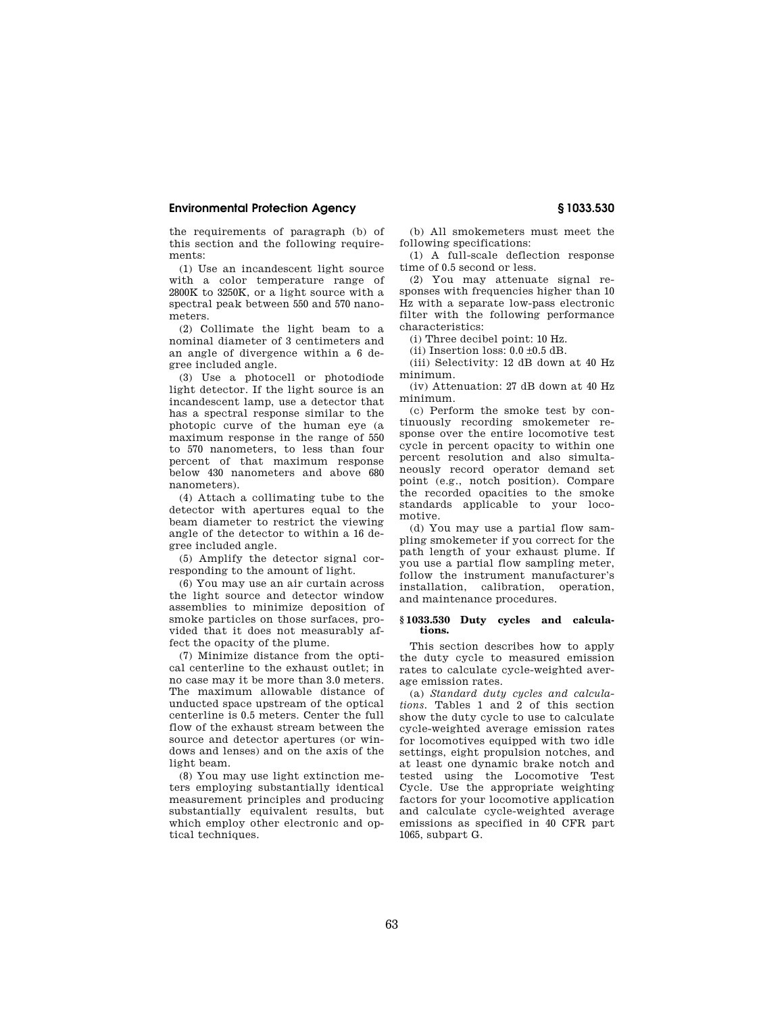the requirements of paragraph (b) of this section and the following requirements:

(1) Use an incandescent light source with a color temperature range of 2800K to 3250K, or a light source with a spectral peak between 550 and 570 nanometers.

(2) Collimate the light beam to a nominal diameter of 3 centimeters and an angle of divergence within a 6 degree included angle.

(3) Use a photocell or photodiode light detector. If the light source is an incandescent lamp, use a detector that has a spectral response similar to the photopic curve of the human eye (a maximum response in the range of 550 to 570 nanometers, to less than four percent of that maximum response below 430 nanometers and above 680 nanometers).

(4) Attach a collimating tube to the detector with apertures equal to the beam diameter to restrict the viewing angle of the detector to within a 16 degree included angle.

(5) Amplify the detector signal corresponding to the amount of light.

(6) You may use an air curtain across the light source and detector window assemblies to minimize deposition of smoke particles on those surfaces, provided that it does not measurably affect the opacity of the plume.

(7) Minimize distance from the optical centerline to the exhaust outlet; in no case may it be more than 3.0 meters. The maximum allowable distance of unducted space upstream of the optical centerline is 0.5 meters. Center the full flow of the exhaust stream between the source and detector apertures (or windows and lenses) and on the axis of the light beam.

(8) You may use light extinction meters employing substantially identical measurement principles and producing substantially equivalent results, but which employ other electronic and optical techniques.

(b) All smokemeters must meet the following specifications:

(1) A full-scale deflection response time of 0.5 second or less.

(2) You may attenuate signal responses with frequencies higher than 10 Hz with a separate low-pass electronic filter with the following performance characteristics:

(i) Three decibel point: 10 Hz.

(ii) Insertion loss:  $0.0 \pm 0.5$  dB.

(iii) Selectivity: 12 dB down at 40 Hz minimum.

(iv) Attenuation: 27 dB down at 40 Hz minimum.

(c) Perform the smoke test by continuously recording smokemeter response over the entire locomotive test cycle in percent opacity to within one percent resolution and also simultaneously record operator demand set point (e.g., notch position). Compare the recorded opacities to the smoke standards applicable to your locomotive.

(d) You may use a partial flow sampling smokemeter if you correct for the path length of your exhaust plume. If you use a partial flow sampling meter, follow the instrument manufacturer's installation, calibration, operation, and maintenance procedures.

### **§ 1033.530 Duty cycles and calculations.**

This section describes how to apply the duty cycle to measured emission rates to calculate cycle-weighted average emission rates.

(a) *Standard duty cycles and calculations.* Tables 1 and 2 of this section show the duty cycle to use to calculate cycle-weighted average emission rates for locomotives equipped with two idle settings, eight propulsion notches, and at least one dynamic brake notch and tested using the Locomotive Test Cycle. Use the appropriate weighting factors for your locomotive application and calculate cycle-weighted average emissions as specified in 40 CFR part 1065, subpart G.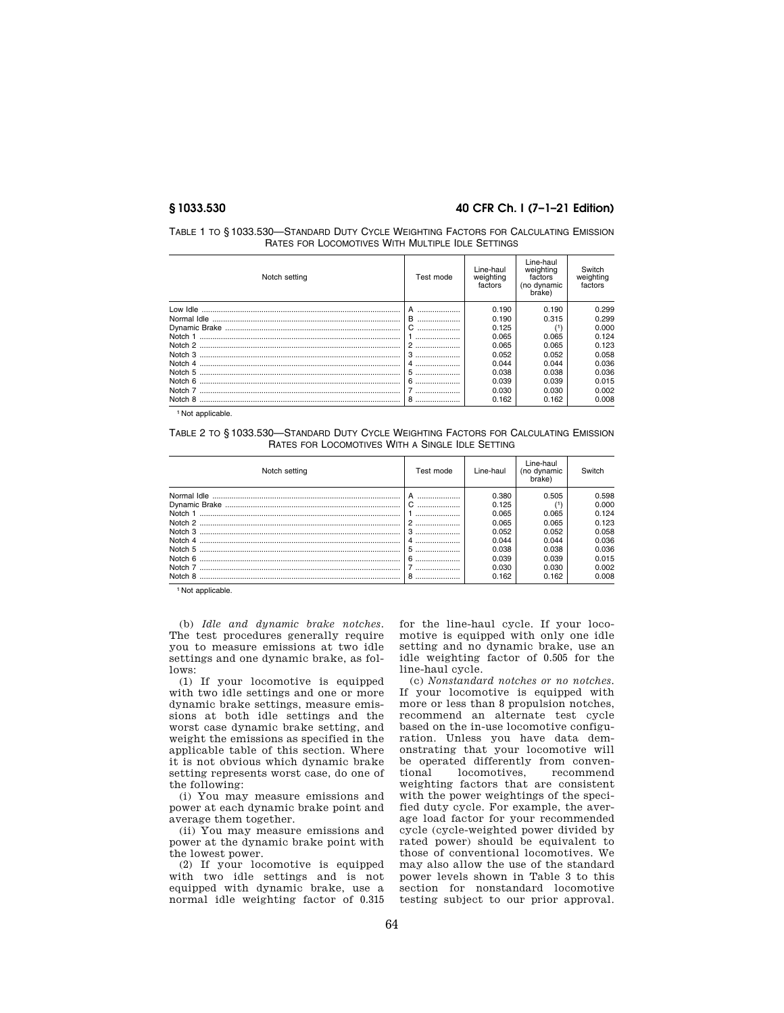# **§ 1033.530 40 CFR Ch. I (7–1–21 Edition)**

| TABLE 1 TO § 1033.530-STANDARD DUTY CYCLE WEIGHTING FACTORS FOR CALCULATING EMISSION |
|--------------------------------------------------------------------------------------|
| RATES FOR LOCOMOTIVES WITH MULTIPLE IDLE SETTINGS                                    |

| Notch setting | Test mode | Line-haul<br>weighting<br>factors | Line-haul<br>weighting<br>factors<br>(no dynamic<br>brake) | Switch<br>weighting<br>factors |
|---------------|-----------|-----------------------------------|------------------------------------------------------------|--------------------------------|
|               |           | 0.190                             | 0.190                                                      | 0.299                          |
|               | B         | 0.190                             | 0.315                                                      | 0.299                          |
|               |           | 0.125                             | /1١                                                        | 0.000                          |
| Notch 1       |           | 0.065                             | 0.065                                                      | 0.124                          |
|               | 2         | 0.065                             | 0.065                                                      | 0.123                          |
|               |           | 0.052                             | 0.052                                                      | 0.058                          |
|               | 4         | 0.044                             | 0.044                                                      | 0.036                          |
|               | 5         | 0.038                             | 0.038                                                      | 0.036                          |
| Notch 6       | 6         | 0.039                             | 0.039                                                      | 0.015                          |
|               |           | 0.030                             | 0.030                                                      | 0.002                          |
| Notch 8       | 8         | 0.162                             | 0.162                                                      | 0.008                          |

<sup>1</sup> Not applicable.

TABLE 2 TO § 1033.530—STANDARD DUTY CYCLE WEIGHTING FACTORS FOR CALCULATING EMISSION RATES FOR LOCOMOTIVES WITH A SINGLE IDLE SETTING

| Notch setting      | Test mode | Line-haul                                                                     | Line-haul<br>(no dynamic<br>brake)                                   | Switch                                                                        |
|--------------------|-----------|-------------------------------------------------------------------------------|----------------------------------------------------------------------|-------------------------------------------------------------------------------|
| Notch 5<br>Notch 6 | 5         | 0.380<br>0.125<br>0.065<br>0.065<br>0.052<br>0.044<br>0.038<br>0.039<br>0.030 | 0.505<br>0.065<br>0.065<br>0.052<br>0.044<br>0.038<br>0.039<br>0.030 | 0.598<br>0.000<br>0.124<br>0.123<br>0.058<br>0.036<br>0.036<br>0.015<br>0.002 |
| Notch 8            |           | 0.162                                                                         | 0.162                                                                | 0.008                                                                         |

1 Not applicable.

(b) *Idle and dynamic brake notches.*  The test procedures generally require you to measure emissions at two idle settings and one dynamic brake, as follows:

(1) If your locomotive is equipped with two idle settings and one or more dynamic brake settings, measure emissions at both idle settings and the worst case dynamic brake setting, and weight the emissions as specified in the applicable table of this section. Where it is not obvious which dynamic brake setting represents worst case, do one of the following:

(i) You may measure emissions and power at each dynamic brake point and average them together.

(ii) You may measure emissions and power at the dynamic brake point with the lowest power.

(2) If your locomotive is equipped with two idle settings and is not equipped with dynamic brake, use a normal idle weighting factor of 0.315 for the line-haul cycle. If your locomotive is equipped with only one idle setting and no dynamic brake, use an idle weighting factor of 0.505 for the line-haul cycle.

(c) *Nonstandard notches or no notches.*  If your locomotive is equipped with more or less than 8 propulsion notches, recommend an alternate test cycle based on the in-use locomotive configuration. Unless you have data demonstrating that your locomotive will be operated differently from conven-<br>tional locomotives, recommend locomotives, weighting factors that are consistent with the power weightings of the specified duty cycle. For example, the average load factor for your recommended cycle (cycle-weighted power divided by rated power) should be equivalent to those of conventional locomotives. We may also allow the use of the standard power levels shown in Table 3 to this section for nonstandard locomotive testing subject to our prior approval.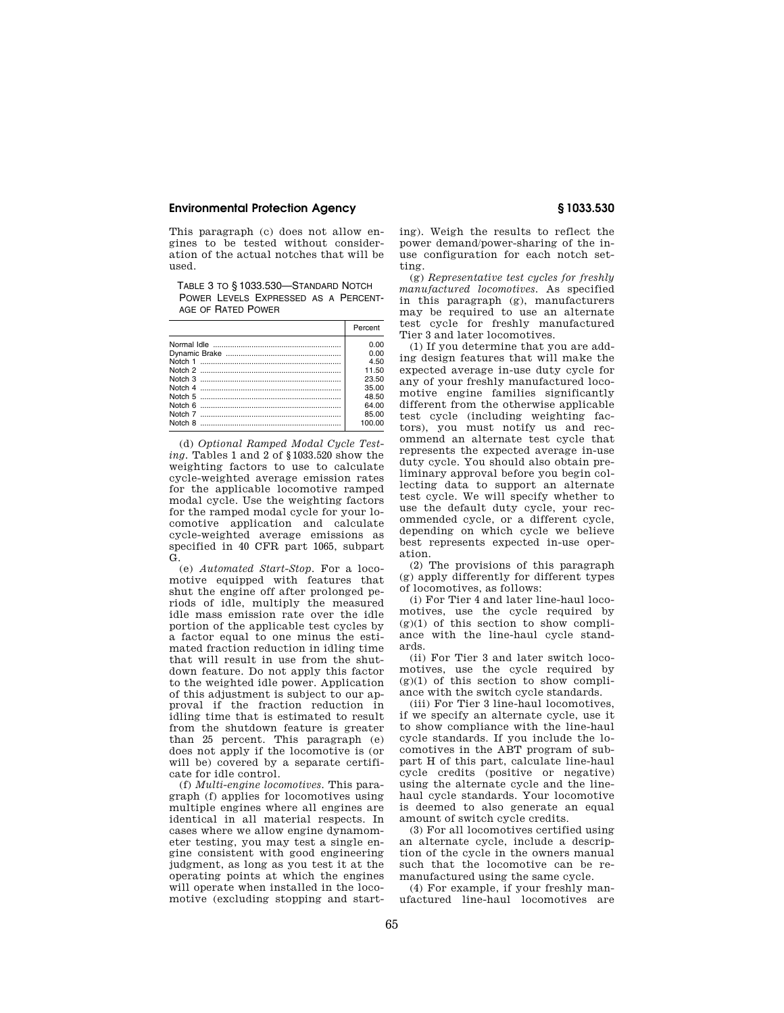This paragraph (c) does not allow engines to be tested without consideration of the actual notches that will be used.

TABLE 3 TO § 1033.530—STANDARD NOTCH POWER LEVELS EXPRESSED AS A PERCENT-AGE OF RATED POWER

| Percent |
|---------|
| 0.00    |
| n nn    |
| 4.50    |
| 11.50   |
| 23.50   |
| 35.00   |
| 48.50   |
| 64.00   |
| 85.00   |
| 100.00  |
|         |

(d) *Optional Ramped Modal Cycle Testing.* Tables 1 and 2 of §1033.520 show the weighting factors to use to calculate cycle-weighted average emission rates for the applicable locomotive ramped modal cycle. Use the weighting factors for the ramped modal cycle for your locomotive application and calculate cycle-weighted average emissions as specified in 40 CFR part 1065, subpart G.

(e) *Automated Start-Stop.* For a locomotive equipped with features that shut the engine off after prolonged periods of idle, multiply the measured idle mass emission rate over the idle portion of the applicable test cycles by a factor equal to one minus the estimated fraction reduction in idling time that will result in use from the shutdown feature. Do not apply this factor to the weighted idle power. Application of this adjustment is subject to our approval if the fraction reduction in idling time that is estimated to result from the shutdown feature is greater than 25 percent. This paragraph (e) does not apply if the locomotive is (or will be) covered by a separate certificate for idle control.

(f) *Multi-engine locomotives.* This paragraph (f) applies for locomotives using multiple engines where all engines are identical in all material respects. In cases where we allow engine dynamometer testing, you may test a single engine consistent with good engineering judgment, as long as you test it at the operating points at which the engines will operate when installed in the locomotive (excluding stopping and start-

ing). Weigh the results to reflect the power demand/power-sharing of the inuse configuration for each notch setting.

(g) *Representative test cycles for freshly manufactured locomotives.* As specified in this paragraph (g), manufacturers may be required to use an alternate test cycle for freshly manufactured Tier 3 and later locomotives.

(1) If you determine that you are adding design features that will make the expected average in-use duty cycle for any of your freshly manufactured locomotive engine families significantly different from the otherwise applicable test cycle (including weighting factors), you must notify us and recommend an alternate test cycle that represents the expected average in-use duty cycle. You should also obtain preliminary approval before you begin collecting data to support an alternate test cycle. We will specify whether to use the default duty cycle, your recommended cycle, or a different cycle, depending on which cycle we believe best represents expected in-use operation.

(2) The provisions of this paragraph (g) apply differently for different types of locomotives, as follows:

(i) For Tier 4 and later line-haul locomotives, use the cycle required by  $(g)(1)$  of this section to show compliance with the line-haul cycle standards.

(ii) For Tier 3 and later switch locomotives, use the cycle required by  $(g)(1)$  of this section to show compliance with the switch cycle standards.

(iii) For Tier 3 line-haul locomotives, if we specify an alternate cycle, use it to show compliance with the line-haul cycle standards. If you include the locomotives in the ABT program of subpart H of this part, calculate line-haul cycle credits (positive or negative) using the alternate cycle and the linehaul cycle standards. Your locomotive is deemed to also generate an equal amount of switch cycle credits.

(3) For all locomotives certified using an alternate cycle, include a description of the cycle in the owners manual such that the locomotive can be remanufactured using the same cycle.

(4) For example, if your freshly manufactured line-haul locomotives are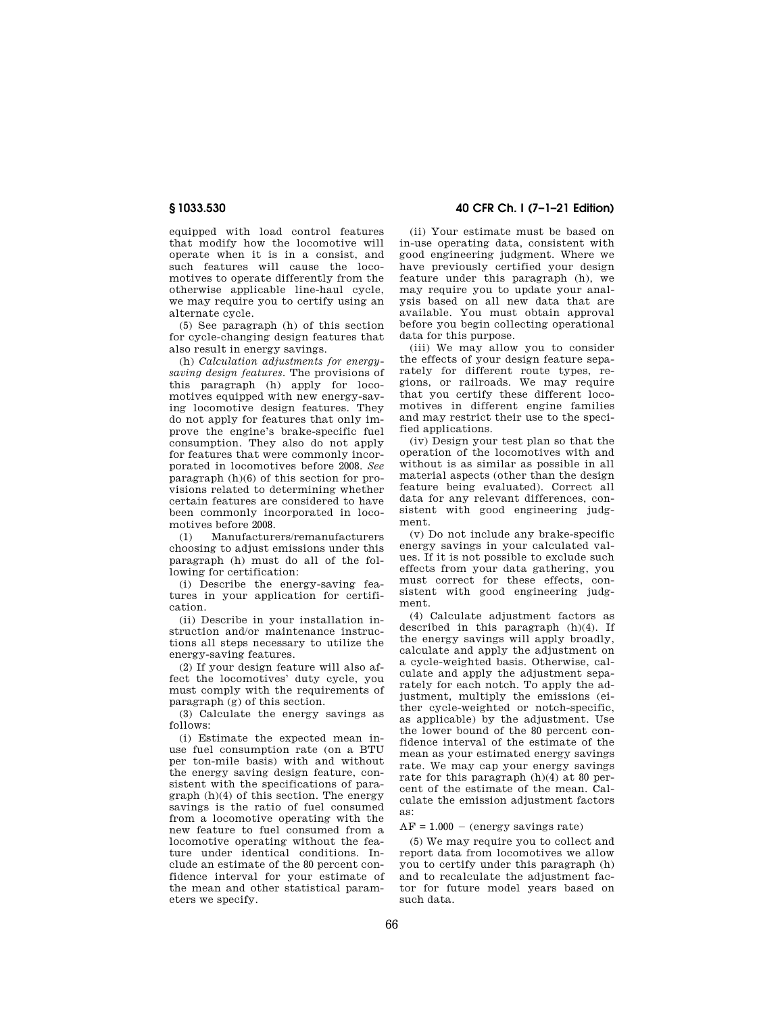equipped with load control features that modify how the locomotive will operate when it is in a consist, and such features will cause the locomotives to operate differently from the otherwise applicable line-haul cycle, we may require you to certify using an alternate cycle.

(5) See paragraph (h) of this section for cycle-changing design features that also result in energy savings.

(h) *Calculation adjustments for energysaving design features.* The provisions of this paragraph (h) apply for locomotives equipped with new energy-saving locomotive design features. They do not apply for features that only improve the engine's brake-specific fuel consumption. They also do not apply for features that were commonly incorporated in locomotives before 2008. *See*  paragraph (h)(6) of this section for provisions related to determining whether certain features are considered to have been commonly incorporated in locomotives before 2008.

(1) Manufacturers/remanufacturers choosing to adjust emissions under this paragraph (h) must do all of the following for certification:

(i) Describe the energy-saving features in your application for certification.

(ii) Describe in your installation instruction and/or maintenance instructions all steps necessary to utilize the energy-saving features.

(2) If your design feature will also affect the locomotives' duty cycle, you must comply with the requirements of paragraph (g) of this section.

(3) Calculate the energy savings as follows:

(i) Estimate the expected mean inuse fuel consumption rate (on a BTU per ton-mile basis) with and without the energy saving design feature, consistent with the specifications of paragraph (h)(4) of this section. The energy savings is the ratio of fuel consumed from a locomotive operating with the new feature to fuel consumed from a locomotive operating without the feature under identical conditions. Include an estimate of the 80 percent confidence interval for your estimate of the mean and other statistical parameters we specify.

**§ 1033.530 40 CFR Ch. I (7–1–21 Edition)** 

(ii) Your estimate must be based on in-use operating data, consistent with good engineering judgment. Where we have previously certified your design feature under this paragraph (h), we may require you to update your analysis based on all new data that are available. You must obtain approval before you begin collecting operational data for this purpose.

(iii) We may allow you to consider the effects of your design feature separately for different route types, regions, or railroads. We may require that you certify these different locomotives in different engine families and may restrict their use to the specified applications.

(iv) Design your test plan so that the operation of the locomotives with and without is as similar as possible in all material aspects (other than the design feature being evaluated). Correct all data for any relevant differences, consistent with good engineering judgment.

(v) Do not include any brake-specific energy savings in your calculated values. If it is not possible to exclude such effects from your data gathering, you must correct for these effects, consistent with good engineering judgment.

(4) Calculate adjustment factors as described in this paragraph (h)(4). If the energy savings will apply broadly, calculate and apply the adjustment on a cycle-weighted basis. Otherwise, calculate and apply the adjustment separately for each notch. To apply the adjustment, multiply the emissions (either cycle-weighted or notch-specific, as applicable) by the adjustment. Use the lower bound of the 80 percent confidence interval of the estimate of the mean as your estimated energy savings rate. We may cap your energy savings rate for this paragraph (h)(4) at 80 percent of the estimate of the mean. Calculate the emission adjustment factors as:

#### $AF = 1.000 - (energy \, savings rate)$

(5) We may require you to collect and report data from locomotives we allow you to certify under this paragraph (h) and to recalculate the adjustment factor for future model years based on such data.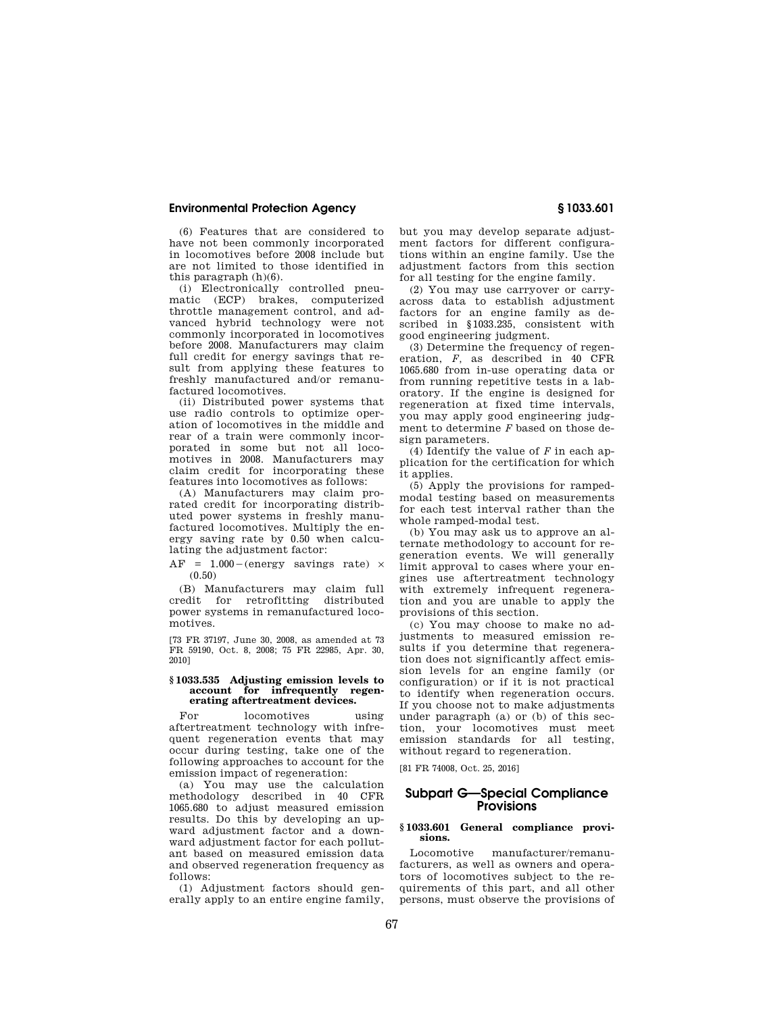(6) Features that are considered to have not been commonly incorporated in locomotives before 2008 include but are not limited to those identified in this paragraph (h)(6).

(i) Electronically controlled pneumatic (ECP) brakes, computerized throttle management control, and advanced hybrid technology were not commonly incorporated in locomotives before 2008. Manufacturers may claim full credit for energy savings that result from applying these features to freshly manufactured and/or remanufactured locomotives.

(ii) Distributed power systems that use radio controls to optimize operation of locomotives in the middle and rear of a train were commonly incorporated in some but not all locomotives in 2008. Manufacturers may claim credit for incorporating these features into locomotives as follows:

(A) Manufacturers may claim prorated credit for incorporating distributed power systems in freshly manufactured locomotives. Multiply the energy saving rate by 0.50 when calculating the adjustment factor:

 $AF = 1.000-(energy \text{ savings rate}) \times$ (0.50)

(B) Manufacturers may claim full credit for retrofitting distributed power systems in remanufactured locomotives.

[73 FR 37197, June 30, 2008, as amended at 73 FR 59190, Oct. 8, 2008; 75 FR 22985, Apr. 30, 2010]

#### **§ 1033.535 Adjusting emission levels to account for infrequently regenerating aftertreatment devices.**

For locomotives using aftertreatment technology with infrequent regeneration events that may occur during testing, take one of the following approaches to account for the emission impact of regeneration:

(a) You may use the calculation methodology described in 40 CFR 1065.680 to adjust measured emission results. Do this by developing an upward adjustment factor and a downward adjustment factor for each pollutant based on measured emission data and observed regeneration frequency as follows:

(1) Adjustment factors should generally apply to an entire engine family, but you may develop separate adjustment factors for different configurations within an engine family. Use the adjustment factors from this section for all testing for the engine family.

(2) You may use carryover or carryacross data to establish adjustment factors for an engine family as described in §1033.235, consistent with good engineering judgment.

(3) Determine the frequency of regeneration, *F,* as described in 40 CFR 1065.680 from in-use operating data or from running repetitive tests in a laboratory. If the engine is designed for regeneration at fixed time intervals, you may apply good engineering judgment to determine *F* based on those design parameters.

(4) Identify the value of *F* in each application for the certification for which it applies.

(5) Apply the provisions for rampedmodal testing based on measurements for each test interval rather than the whole ramped-modal test.

(b) You may ask us to approve an alternate methodology to account for regeneration events. We will generally limit approval to cases where your engines use aftertreatment technology with extremely infrequent regeneration and you are unable to apply the provisions of this section.

(c) You may choose to make no adjustments to measured emission results if you determine that regeneration does not significantly affect emission levels for an engine family (or configuration) or if it is not practical to identify when regeneration occurs. If you choose not to make adjustments under paragraph (a) or (b) of this section, your locomotives must meet emission standards for all testing, without regard to regeneration.

[81 FR 74008, Oct. 25, 2016]

# **Subpart G—Special Compliance Provisions**

## **§ 1033.601 General compliance provisions.**

Locomotive manufacturer/remanufacturers, as well as owners and operators of locomotives subject to the requirements of this part, and all other persons, must observe the provisions of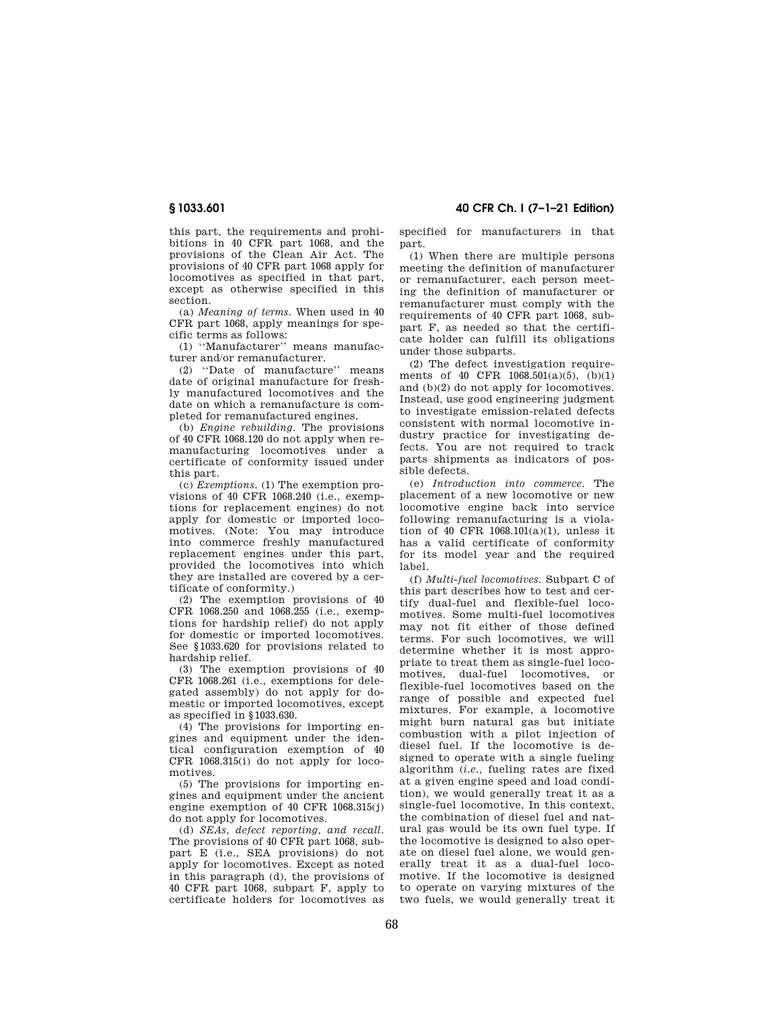this part, the requirements and prohibitions in 40 CFR part 1068, and the provisions of the Clean Air Act. The provisions of 40 CFR part 1068 apply for locomotives as specified in that part, except as otherwise specified in this section.

(a) *Meaning of terms.* When used in 40 CFR part 1068, apply meanings for specific terms as follows:

(1) ''Manufacturer'' means manufacturer and/or remanufacturer.

(2) ''Date of manufacture'' means date of original manufacture for freshly manufactured locomotives and the date on which a remanufacture is completed for remanufactured engines.

(b) *Engine rebuilding.* The provisions of 40 CFR 1068.120 do not apply when remanufacturing locomotives under a certificate of conformity issued under this part.

(c) *Exemptions.* (1) The exemption provisions of 40 CFR 1068.240 (i.e., exemptions for replacement engines) do not apply for domestic or imported locomotives. (Note: You may introduce into commerce freshly manufactured replacement engines under this part, provided the locomotives into which they are installed are covered by a certificate of conformity.)

(2) The exemption provisions of 40 CFR 1068.250 and 1068.255 (i.e., exemptions for hardship relief) do not apply for domestic or imported locomotives. See §1033.620 for provisions related to hardship relief.

(3) The exemption provisions of 40 CFR 1068.261 (i.e., exemptions for delegated assembly) do not apply for domestic or imported locomotives, except as specified in §1033.630.

(4) The provisions for importing engines and equipment under the identical configuration exemption of 40 CFR 1068.315(i) do not apply for locomotives.

(5) The provisions for importing engines and equipment under the ancient engine exemption of 40 CFR 1068.315(i) do not apply for locomotives.

(d) *SEAs, defect reporting, and recall.*  The provisions of 40 CFR part 1068, subpart E (i.e., SEA provisions) do not apply for locomotives. Except as noted in this paragraph (d), the provisions of 40 CFR part 1068, subpart F, apply to certificate holders for locomotives as

**§ 1033.601 40 CFR Ch. I (7–1–21 Edition)** 

specified for manufacturers in that part.

(1) When there are multiple persons meeting the definition of manufacturer or remanufacturer, each person meeting the definition of manufacturer or remanufacturer must comply with the requirements of 40 CFR part 1068, subpart F, as needed so that the certificate holder can fulfill its obligations under those subparts.

(2) The defect investigation requirements of 40 CFR 1068.501(a)(5), (b)(1) and (b)(2) do not apply for locomotives. Instead, use good engineering judgment to investigate emission-related defects consistent with normal locomotive industry practice for investigating defects. You are not required to track parts shipments as indicators of possible defects.

(e) *Introduction into commerce.* The placement of a new locomotive or new locomotive engine back into service following remanufacturing is a violation of 40 CFR 1068.101(a)(1), unless it has a valid certificate of conformity for its model year and the required label.

(f) *Multi-fuel locomotives.* Subpart C of this part describes how to test and certify dual-fuel and flexible-fuel locomotives. Some multi-fuel locomotives may not fit either of those defined terms. For such locomotives, we will determine whether it is most appropriate to treat them as single-fuel locomotives, dual-fuel locomotives, or flexible-fuel locomotives based on the range of possible and expected fuel mixtures. For example, a locomotive might burn natural gas but initiate combustion with a pilot injection of diesel fuel. If the locomotive is designed to operate with a single fueling algorithm (*i.e.,* fueling rates are fixed at a given engine speed and load condition), we would generally treat it as a single-fuel locomotive, In this context, the combination of diesel fuel and natural gas would be its own fuel type. If the locomotive is designed to also operate on diesel fuel alone, we would generally treat it as a dual-fuel locomotive. If the locomotive is designed to operate on varying mixtures of the two fuels, we would generally treat it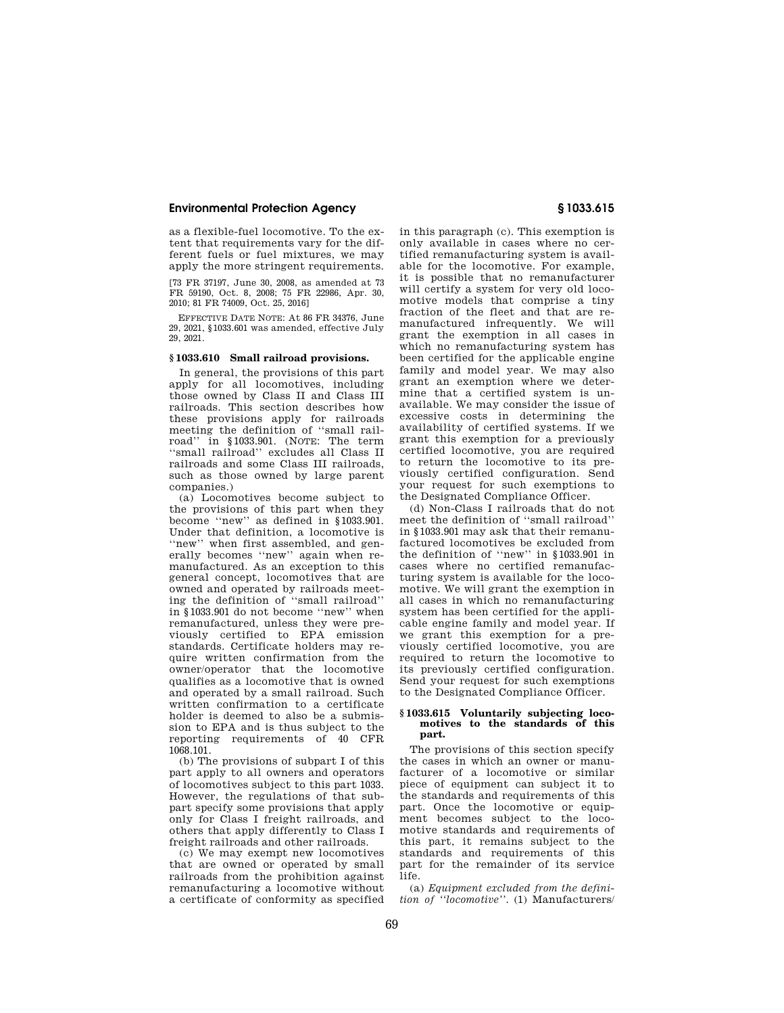as a flexible-fuel locomotive. To the extent that requirements vary for the different fuels or fuel mixtures, we may apply the more stringent requirements.

[73 FR 37197, June 30, 2008, as amended at 73 FR 59190, Oct. 8, 2008; 75 FR 22986, Apr. 30, 2010; 81 FR 74009, Oct. 25, 2016]

EFFECTIVE DATE NOTE: At 86 FR 34376, June 29, 2021, §1033.601 was amended, effective July 29, 2021.

## **§ 1033.610 Small railroad provisions.**

In general, the provisions of this part apply for all locomotives, including those owned by Class II and Class III railroads. This section describes how these provisions apply for railroads meeting the definition of ''small railroad'' in §1033.901. (NOTE: The term ''small railroad'' excludes all Class II railroads and some Class III railroads, such as those owned by large parent companies.)

(a) Locomotives become subject to the provisions of this part when they become ''new'' as defined in §1033.901. Under that definition, a locomotive is ''new'' when first assembled, and generally becomes ''new'' again when remanufactured. As an exception to this general concept, locomotives that are owned and operated by railroads meeting the definition of ''small railroad'' in §1033.901 do not become ''new'' when remanufactured, unless they were previously certified to EPA emission standards. Certificate holders may require written confirmation from the owner/operator that the locomotive qualifies as a locomotive that is owned and operated by a small railroad. Such written confirmation to a certificate holder is deemed to also be a submission to EPA and is thus subject to the reporting requirements of 40 CFR 1068.101.

(b) The provisions of subpart I of this part apply to all owners and operators of locomotives subject to this part 1033. However, the regulations of that subpart specify some provisions that apply only for Class I freight railroads, and others that apply differently to Class I freight railroads and other railroads.

(c) We may exempt new locomotives that are owned or operated by small railroads from the prohibition against remanufacturing a locomotive without a certificate of conformity as specified

in this paragraph (c). This exemption is only available in cases where no certified remanufacturing system is available for the locomotive. For example, it is possible that no remanufacturer will certify a system for very old locomotive models that comprise a tiny fraction of the fleet and that are remanufactured infrequently. We will grant the exemption in all cases in which no remanufacturing system has been certified for the applicable engine family and model year. We may also grant an exemption where we determine that a certified system is unavailable. We may consider the issue of excessive costs in determining the availability of certified systems. If we grant this exemption for a previously certified locomotive, you are required to return the locomotive to its previously certified configuration. Send your request for such exemptions to the Designated Compliance Officer.

(d) Non-Class I railroads that do not meet the definition of ''small railroad'' in §1033.901 may ask that their remanufactured locomotives be excluded from the definition of ''new'' in §1033.901 in cases where no certified remanufacturing system is available for the locomotive. We will grant the exemption in all cases in which no remanufacturing system has been certified for the applicable engine family and model year. If we grant this exemption for a previously certified locomotive, you are required to return the locomotive to its previously certified configuration. Send your request for such exemptions to the Designated Compliance Officer.

### **§ 1033.615 Voluntarily subjecting locomotives to the standards of this part.**

The provisions of this section specify the cases in which an owner or manufacturer of a locomotive or similar piece of equipment can subject it to the standards and requirements of this part. Once the locomotive or equipment becomes subject to the locomotive standards and requirements of this part, it remains subject to the standards and requirements of this part for the remainder of its service life.

(a) *Equipment excluded from the definition of ''locomotive''.* (1) Manufacturers/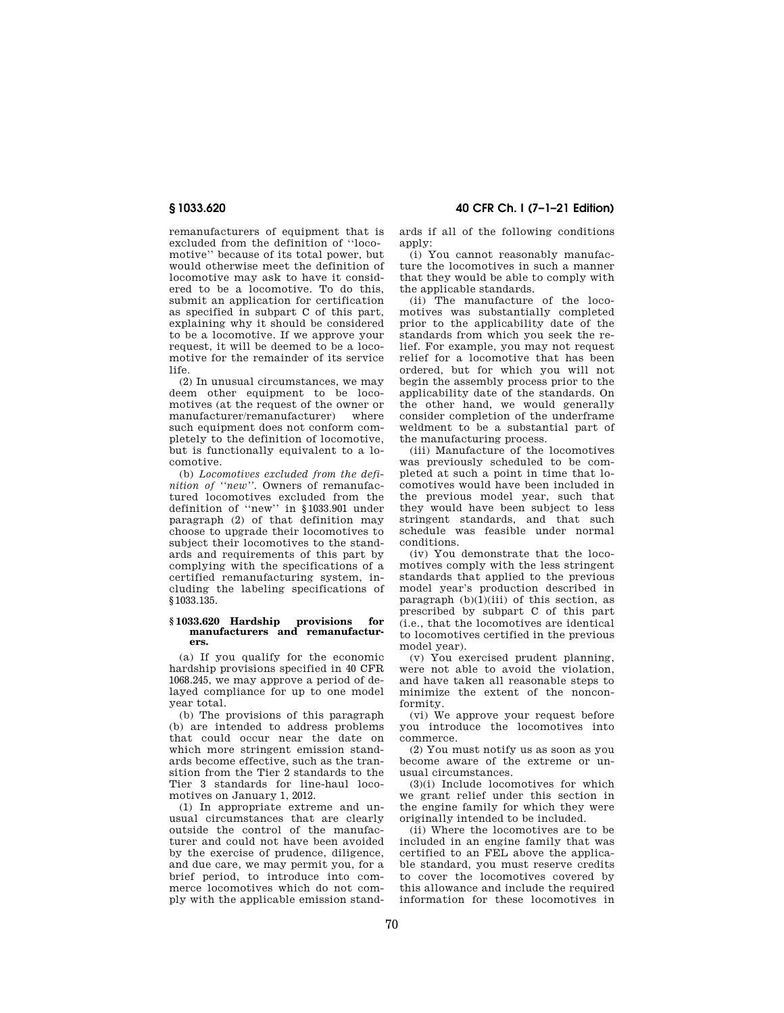**§ 1033.620 40 CFR Ch. I (7–1–21 Edition)** 

remanufacturers of equipment that is excluded from the definition of ''locomotive'' because of its total power, but would otherwise meet the definition of locomotive may ask to have it considered to be a locomotive. To do this, submit an application for certification as specified in subpart C of this part, explaining why it should be considered to be a locomotive. If we approve your request, it will be deemed to be a locomotive for the remainder of its service life.

(2) In unusual circumstances, we may deem other equipment to be locomotives (at the request of the owner or manufacturer/remanufacturer) where such equipment does not conform completely to the definition of locomotive, but is functionally equivalent to a locomotive.

(b) *Locomotives excluded from the definition of ''new''.* Owners of remanufactured locomotives excluded from the definition of ''new'' in §1033.901 under paragraph (2) of that definition may choose to upgrade their locomotives to subject their locomotives to the standards and requirements of this part by complying with the specifications of a certified remanufacturing system, including the labeling specifications of §1033.135.

#### **§ 1033.620 Hardship provisions for manufacturers and remanufacturers.**

(a) If you qualify for the economic hardship provisions specified in 40 CFR 1068.245, we may approve a period of delayed compliance for up to one model year total.

(b) The provisions of this paragraph (b) are intended to address problems that could occur near the date on which more stringent emission standards become effective, such as the transition from the Tier 2 standards to the Tier 3 standards for line-haul locomotives on January 1, 2012.

(1) In appropriate extreme and unusual circumstances that are clearly outside the control of the manufacturer and could not have been avoided by the exercise of prudence, diligence, and due care, we may permit you, for a brief period, to introduce into commerce locomotives which do not comply with the applicable emission standapply: (i) You cannot reasonably manufacture the locomotives in such a manner that they would be able to comply with

ards if all of the following conditions

the applicable standards. (ii) The manufacture of the locomotives was substantially completed prior to the applicability date of the standards from which you seek the relief. For example, you may not request relief for a locomotive that has been ordered, but for which you will not begin the assembly process prior to the applicability date of the standards. On the other hand, we would generally consider completion of the underframe weldment to be a substantial part of the manufacturing process.

(iii) Manufacture of the locomotives was previously scheduled to be completed at such a point in time that locomotives would have been included in the previous model year, such that they would have been subject to less stringent standards, and that such schedule was feasible under normal conditions.

(iv) You demonstrate that the locomotives comply with the less stringent standards that applied to the previous model year's production described in paragraph  $(b)(1)(iii)$  of this section, as prescribed by subpart C of this part (i.e., that the locomotives are identical to locomotives certified in the previous model year).

(v) You exercised prudent planning, were not able to avoid the violation, and have taken all reasonable steps to minimize the extent of the nonconformity.

(vi) We approve your request before you introduce the locomotives into commerce.

(2) You must notify us as soon as you become aware of the extreme or unusual circumstances.

(3)(i) Include locomotives for which we grant relief under this section in the engine family for which they were originally intended to be included.

(ii) Where the locomotives are to be included in an engine family that was certified to an FEL above the applicable standard, you must reserve credits to cover the locomotives covered by this allowance and include the required information for these locomotives in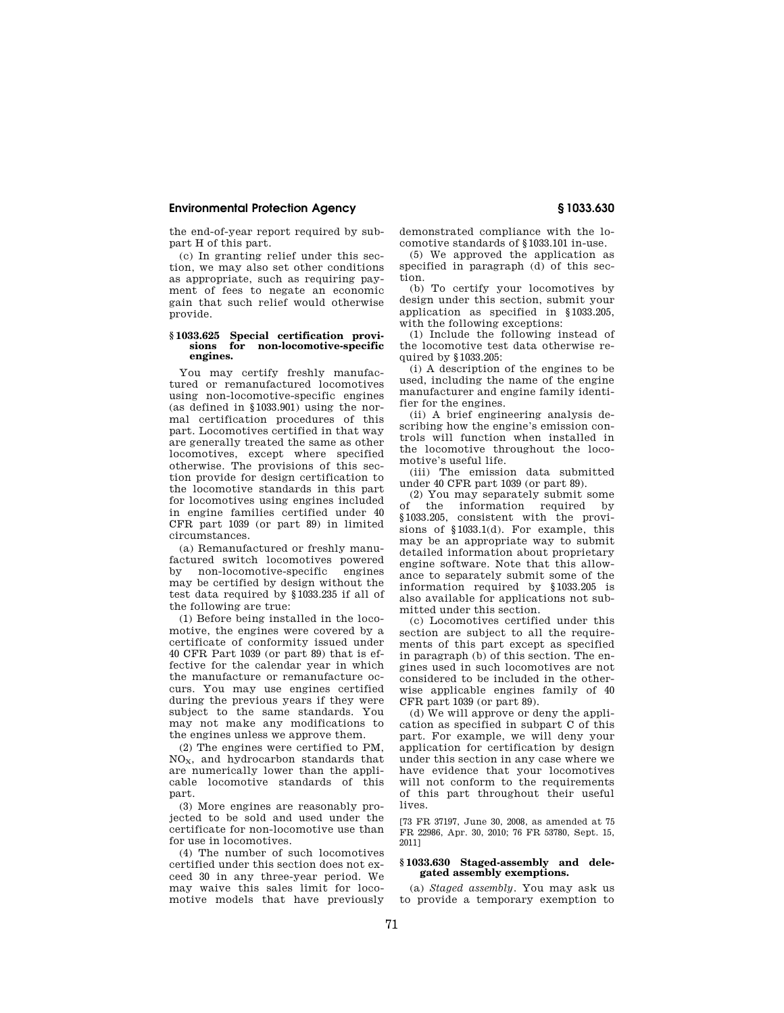the end-of-year report required by subpart H of this part.

(c) In granting relief under this section, we may also set other conditions as appropriate, such as requiring payment of fees to negate an economic gain that such relief would otherwise provide.

#### **§ 1033.625 Special certification provisions for non-locomotive-specific engines.**

You may certify freshly manufactured or remanufactured locomotives using non-locomotive-specific engines (as defined in §1033.901) using the normal certification procedures of this part. Locomotives certified in that way are generally treated the same as other locomotives, except where specified otherwise. The provisions of this section provide for design certification to the locomotive standards in this part for locomotives using engines included in engine families certified under 40 CFR part 1039 (or part 89) in limited circumstances.

(a) Remanufactured or freshly manufactured switch locomotives powered<br>by non-locomotive-specific engines by non-locomotive-specific may be certified by design without the test data required by §1033.235 if all of the following are true:

(1) Before being installed in the locomotive, the engines were covered by a certificate of conformity issued under 40 CFR Part 1039 (or part 89) that is effective for the calendar year in which the manufacture or remanufacture occurs. You may use engines certified during the previous years if they were subject to the same standards. You may not make any modifications to the engines unless we approve them.

(2) The engines were certified to PM, NOX, and hydrocarbon standards that are numerically lower than the applicable locomotive standards of this part.

(3) More engines are reasonably projected to be sold and used under the certificate for non-locomotive use than for use in locomotives.

(4) The number of such locomotives certified under this section does not exceed 30 in any three-year period. We may waive this sales limit for locomotive models that have previously demonstrated compliance with the locomotive standards of §1033.101 in-use.

(5) We approved the application as specified in paragraph (d) of this section.

(b) To certify your locomotives by design under this section, submit your application as specified in §1033.205, with the following exceptions:

(1) Include the following instead of the locomotive test data otherwise required by §1033.205:

(i) A description of the engines to be used, including the name of the engine manufacturer and engine family identifier for the engines.

(ii) A brief engineering analysis describing how the engine's emission controls will function when installed in the locomotive throughout the locomotive's useful life.

(iii) The emission data submitted under 40 CFR part 1039 (or part 89).

(2) You may separately submit some<br>of the information required by the information required by §1033.205, consistent with the provisions of §1033.1(d). For example, this may be an appropriate way to submit detailed information about proprietary engine software. Note that this allowance to separately submit some of the information required by §1033.205 is also available for applications not submitted under this section.

(c) Locomotives certified under this section are subject to all the requirements of this part except as specified in paragraph (b) of this section. The engines used in such locomotives are not considered to be included in the otherwise applicable engines family of 40 CFR part 1039 (or part 89).

(d) We will approve or deny the application as specified in subpart C of this part. For example, we will deny your application for certification by design under this section in any case where we have evidence that your locomotives will not conform to the requirements of this part throughout their useful lives.

[73 FR 37197, June 30, 2008, as amended at 75 FR 22986, Apr. 30, 2010; 76 FR 53780, Sept. 15, 2011]

### **§ 1033.630 Staged-assembly and delegated assembly exemptions.**

(a) *Staged assembly.* You may ask us to provide a temporary exemption to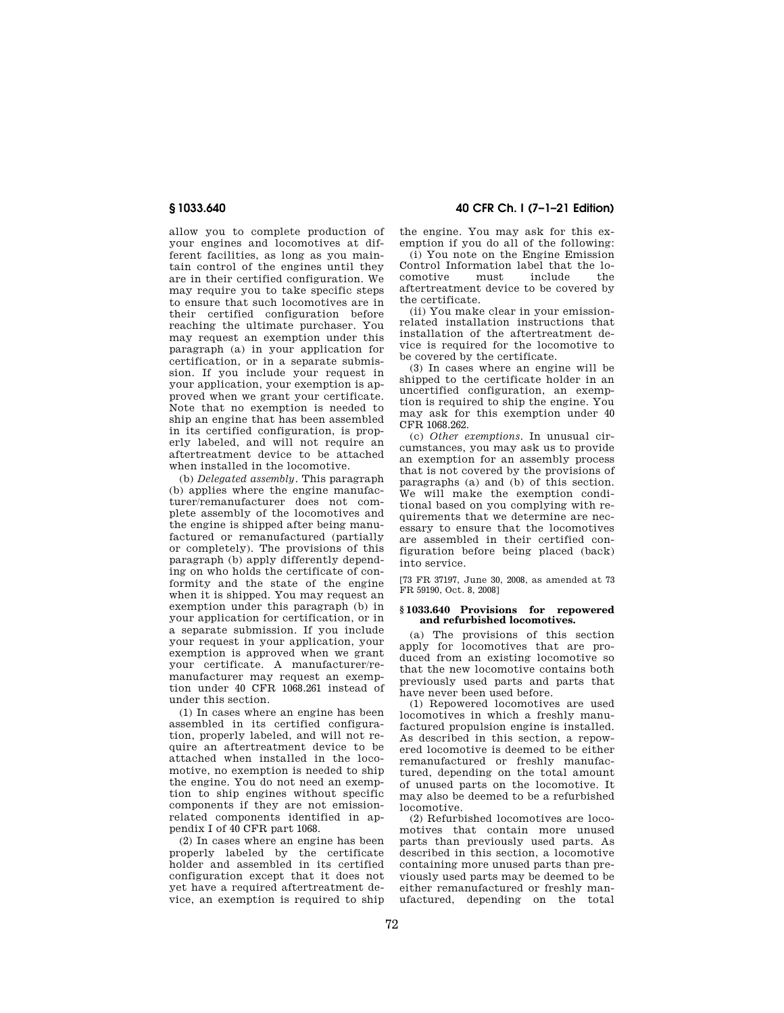allow you to complete production of your engines and locomotives at different facilities, as long as you maintain control of the engines until they are in their certified configuration. We may require you to take specific steps to ensure that such locomotives are in their certified configuration before reaching the ultimate purchaser. You may request an exemption under this paragraph (a) in your application for certification, or in a separate submission. If you include your request in your application, your exemption is approved when we grant your certificate. Note that no exemption is needed to ship an engine that has been assembled in its certified configuration, is properly labeled, and will not require an aftertreatment device to be attached when installed in the locomotive.

(b) *Delegated assembly.* This paragraph (b) applies where the engine manufacturer/remanufacturer does not complete assembly of the locomotives and the engine is shipped after being manufactured or remanufactured (partially or completely). The provisions of this paragraph (b) apply differently depending on who holds the certificate of conformity and the state of the engine when it is shipped. You may request an exemption under this paragraph (b) in your application for certification, or in a separate submission. If you include your request in your application, your exemption is approved when we grant your certificate. A manufacturer/remanufacturer may request an exemption under 40 CFR 1068.261 instead of under this section.

(1) In cases where an engine has been assembled in its certified configuration, properly labeled, and will not require an aftertreatment device to be attached when installed in the locomotive, no exemption is needed to ship the engine. You do not need an exemption to ship engines without specific components if they are not emissionrelated components identified in appendix I of 40 CFR part 1068.

(2) In cases where an engine has been properly labeled by the certificate holder and assembled in its certified configuration except that it does not yet have a required aftertreatment device, an exemption is required to ship

**§ 1033.640 40 CFR Ch. I (7–1–21 Edition)** 

the engine. You may ask for this exemption if you do all of the following:

(i) You note on the Engine Emission Control Information label that the locomotive must include the aftertreatment device to be covered by the certificate.

(ii) You make clear in your emissionrelated installation instructions that installation of the aftertreatment device is required for the locomotive to be covered by the certificate.

(3) In cases where an engine will be shipped to the certificate holder in an uncertified configuration, an exemption is required to ship the engine. You may ask for this exemption under 40 CFR 1068.262.

(c) *Other exemptions.* In unusual circumstances, you may ask us to provide an exemption for an assembly process that is not covered by the provisions of paragraphs (a) and (b) of this section. We will make the exemption conditional based on you complying with requirements that we determine are necessary to ensure that the locomotives are assembled in their certified configuration before being placed (back) into service.

[73 FR 37197, June 30, 2008, as amended at 73 FR 59190, Oct. 8, 2008]

## **§ 1033.640 Provisions for repowered and refurbished locomotives.**

(a) The provisions of this section apply for locomotives that are produced from an existing locomotive so that the new locomotive contains both previously used parts and parts that have never been used before.

(1) Repowered locomotives are used locomotives in which a freshly manufactured propulsion engine is installed. As described in this section, a repowered locomotive is deemed to be either remanufactured or freshly manufactured, depending on the total amount of unused parts on the locomotive. It may also be deemed to be a refurbished locomotive.

(2) Refurbished locomotives are locomotives that contain more unused parts than previously used parts. As described in this section, a locomotive containing more unused parts than previously used parts may be deemed to be either remanufactured or freshly manufactured, depending on the total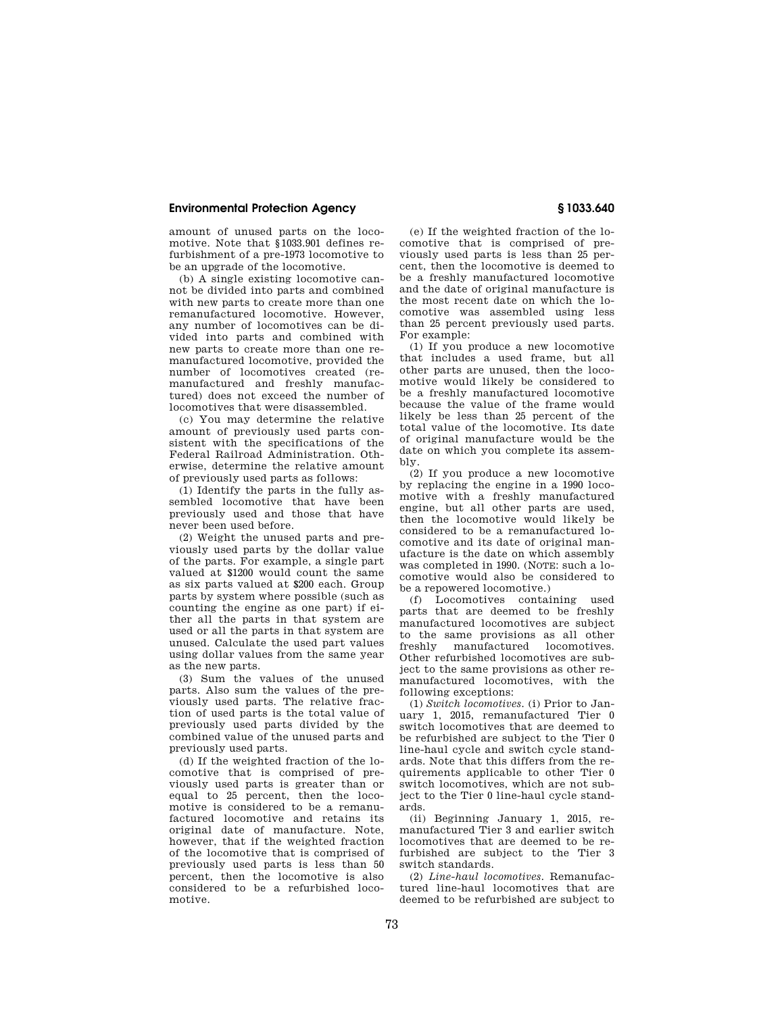amount of unused parts on the locomotive. Note that §1033.901 defines refurbishment of a pre-1973 locomotive to be an upgrade of the locomotive.

(b) A single existing locomotive cannot be divided into parts and combined with new parts to create more than one remanufactured locomotive. However, any number of locomotives can be divided into parts and combined with new parts to create more than one remanufactured locomotive, provided the number of locomotives created (remanufactured and freshly manufactured) does not exceed the number of locomotives that were disassembled.

(c) You may determine the relative amount of previously used parts consistent with the specifications of the Federal Railroad Administration. Otherwise, determine the relative amount of previously used parts as follows:

(1) Identify the parts in the fully assembled locomotive that have been previously used and those that have never been used before.

(2) Weight the unused parts and previously used parts by the dollar value of the parts. For example, a single part valued at \$1200 would count the same as six parts valued at \$200 each. Group parts by system where possible (such as counting the engine as one part) if either all the parts in that system are used or all the parts in that system are unused. Calculate the used part values using dollar values from the same year as the new parts.

(3) Sum the values of the unused parts. Also sum the values of the previously used parts. The relative fraction of used parts is the total value of previously used parts divided by the combined value of the unused parts and previously used parts.

(d) If the weighted fraction of the locomotive that is comprised of previously used parts is greater than or equal to 25 percent, then the locomotive is considered to be a remanufactured locomotive and retains its original date of manufacture. Note, however, that if the weighted fraction of the locomotive that is comprised of previously used parts is less than 50 percent, then the locomotive is also considered to be a refurbished locomotive.

(e) If the weighted fraction of the locomotive that is comprised of previously used parts is less than 25 percent, then the locomotive is deemed to be a freshly manufactured locomotive and the date of original manufacture is the most recent date on which the locomotive was assembled using less than 25 percent previously used parts. For example:

(1) If you produce a new locomotive that includes a used frame, but all other parts are unused, then the locomotive would likely be considered to be a freshly manufactured locomotive because the value of the frame would likely be less than 25 percent of the total value of the locomotive. Its date of original manufacture would be the date on which you complete its assembly.

(2) If you produce a new locomotive by replacing the engine in a 1990 locomotive with a freshly manufactured engine, but all other parts are used, then the locomotive would likely be considered to be a remanufactured locomotive and its date of original manufacture is the date on which assembly was completed in 1990. (NOTE: such a locomotive would also be considered to be a repowered locomotive.)

(f) Locomotives containing used parts that are deemed to be freshly manufactured locomotives are subject to the same provisions as all other freshly manufactured locomotives. Other refurbished locomotives are subject to the same provisions as other remanufactured locomotives, with the following exceptions:

(1) *Switch locomotives.* (i) Prior to January 1, 2015, remanufactured Tier 0 switch locomotives that are deemed to be refurbished are subject to the Tier 0 line-haul cycle and switch cycle standards. Note that this differs from the requirements applicable to other Tier 0 switch locomotives, which are not subject to the Tier 0 line-haul cycle standards.

(ii) Beginning January 1, 2015, remanufactured Tier 3 and earlier switch locomotives that are deemed to be refurbished are subject to the Tier 3 switch standards.

(2) *Line-haul locomotives.* Remanufactured line-haul locomotives that are deemed to be refurbished are subject to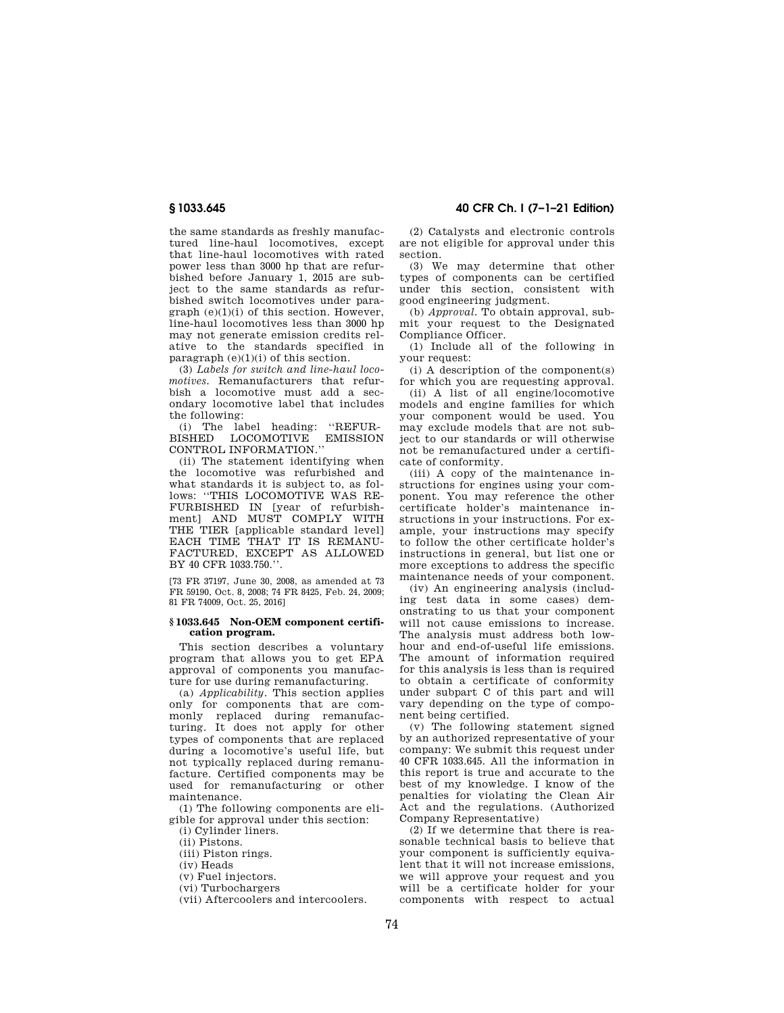the same standards as freshly manufactured line-haul locomotives, except that line-haul locomotives with rated power less than 3000 hp that are refurbished before January 1, 2015 are subject to the same standards as refurbished switch locomotives under paragraph (e)(1)(i) of this section. However, line-haul locomotives less than 3000 hp may not generate emission credits relative to the standards specified in paragraph  $(e)(1)(i)$  of this section.

(3) *Labels for switch and line-haul locomotives.* Remanufacturers that refurbish a locomotive must add a secondary locomotive label that includes the following:

(i) The label heading: ''REFUR-BISHED LOCOMOTIVE EMISSION CONTROL INFORMATION.''

(ii) The statement identifying when the locomotive was refurbished and what standards it is subject to, as follows: ''THIS LOCOMOTIVE WAS RE-FURBISHED IN [year of refurbishment] AND MUST COMPLY WITH THE TIER [applicable standard level] EACH TIME THAT IT IS REMANU-FACTURED, EXCEPT AS ALLOWED BY 40 CFR 1033.750.''.

[73 FR 37197, June 30, 2008, as amended at 73 FR 59190, Oct. 8, 2008; 74 FR 8425, Feb. 24, 2009; 81 FR 74009, Oct. 25, 2016]

### **§ 1033.645 Non-OEM component certification program.**

This section describes a voluntary program that allows you to get EPA approval of components you manufacture for use during remanufacturing.

(a) *Applicability.* This section applies only for components that are commonly replaced during remanufacturing. It does not apply for other types of components that are replaced during a locomotive's useful life, but not typically replaced during remanufacture. Certified components may be used for remanufacturing or other maintenance.

(1) The following components are eligible for approval under this section:

(i) Cylinder liners.

(ii) Pistons.

(iii) Piston rings.

(iv) Heads

(v) Fuel injectors.

(vi) Turbochargers

(vii) Aftercoolers and intercoolers.

**§ 1033.645 40 CFR Ch. I (7–1–21 Edition)** 

(2) Catalysts and electronic controls are not eligible for approval under this section.

(3) We may determine that other types of components can be certified under this section, consistent with good engineering judgment.

(b) *Approval.* To obtain approval, submit your request to the Designated Compliance Officer.

(1) Include all of the following in your request:

(i) A description of the component(s) for which you are requesting approval.

(ii) A list of all engine/locomotive models and engine families for which your component would be used. You may exclude models that are not subject to our standards or will otherwise not be remanufactured under a certificate of conformity.

(iii) A copy of the maintenance instructions for engines using your component. You may reference the other certificate holder's maintenance instructions in your instructions. For example, your instructions may specify to follow the other certificate holder's instructions in general, but list one or more exceptions to address the specific maintenance needs of your component.

(iv) An engineering analysis (including test data in some cases) demonstrating to us that your component will not cause emissions to increase. The analysis must address both lowhour and end-of-useful life emissions. The amount of information required for this analysis is less than is required to obtain a certificate of conformity under subpart C of this part and will vary depending on the type of component being certified.

(v) The following statement signed by an authorized representative of your company: We submit this request under 40 CFR 1033.645. All the information in this report is true and accurate to the best of my knowledge. I know of the penalties for violating the Clean Air Act and the regulations. (Authorized Company Representative)

(2) If we determine that there is reasonable technical basis to believe that your component is sufficiently equivalent that it will not increase emissions, we will approve your request and you will be a certificate holder for your components with respect to actual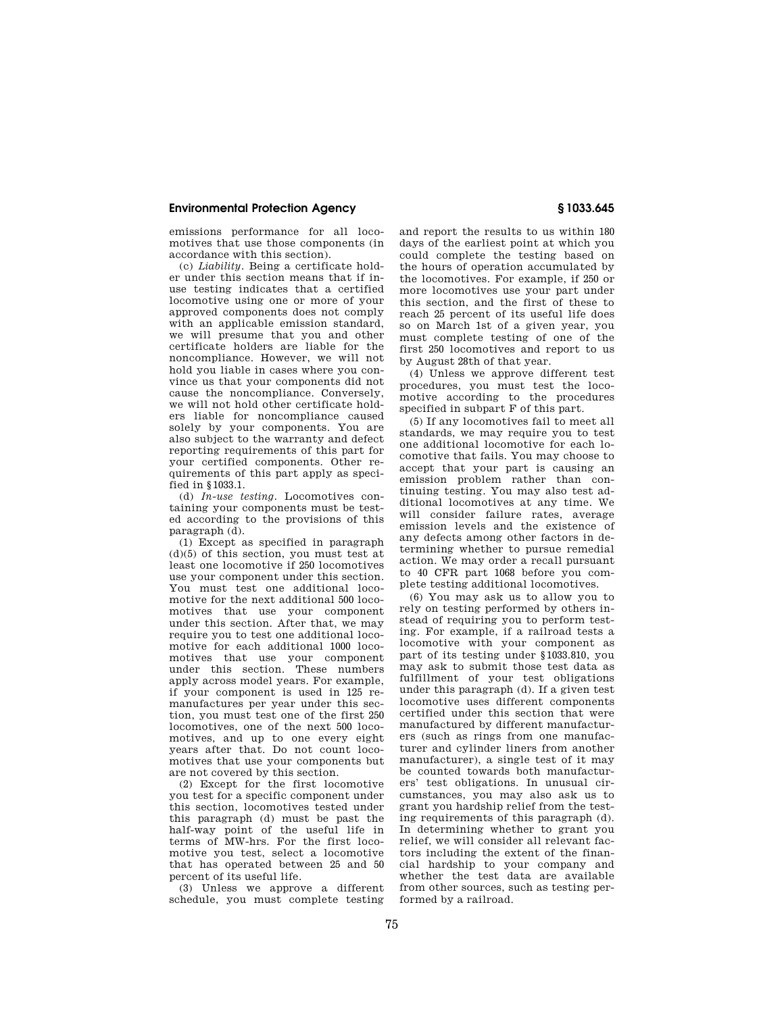emissions performance for all locomotives that use those components (in accordance with this section).

(c) *Liability.* Being a certificate holder under this section means that if inuse testing indicates that a certified locomotive using one or more of your approved components does not comply with an applicable emission standard, we will presume that you and other certificate holders are liable for the noncompliance. However, we will not hold you liable in cases where you convince us that your components did not cause the noncompliance. Conversely, we will not hold other certificate holders liable for noncompliance caused solely by your components. You are also subject to the warranty and defect reporting requirements of this part for your certified components. Other requirements of this part apply as specified in §1033.1.

(d) *In-use testing.* Locomotives containing your components must be tested according to the provisions of this paragraph (d).

(1) Except as specified in paragraph (d)(5) of this section, you must test at least one locomotive if 250 locomotives use your component under this section. You must test one additional locomotive for the next additional 500 locomotives that use your component under this section. After that, we may require you to test one additional locomotive for each additional 1000 locomotives that use your component under this section. These numbers apply across model years. For example, if your component is used in 125 remanufactures per year under this section, you must test one of the first 250 locomotives, one of the next 500 locomotives, and up to one every eight years after that. Do not count locomotives that use your components but are not covered by this section.

(2) Except for the first locomotive you test for a specific component under this section, locomotives tested under this paragraph (d) must be past the half-way point of the useful life in terms of MW-hrs. For the first locomotive you test, select a locomotive that has operated between 25 and 50 percent of its useful life.

(3) Unless we approve a different schedule, you must complete testing and report the results to us within 180 days of the earliest point at which you could complete the testing based on the hours of operation accumulated by the locomotives. For example, if 250 or more locomotives use your part under this section, and the first of these to reach 25 percent of its useful life does so on March 1st of a given year, you must complete testing of one of the first 250 locomotives and report to us by August 28th of that year.

(4) Unless we approve different test procedures, you must test the locomotive according to the procedures specified in subpart F of this part.

(5) If any locomotives fail to meet all standards, we may require you to test one additional locomotive for each locomotive that fails. You may choose to accept that your part is causing an emission problem rather than continuing testing. You may also test additional locomotives at any time. We will consider failure rates, average emission levels and the existence of any defects among other factors in determining whether to pursue remedial action. We may order a recall pursuant to 40 CFR part 1068 before you complete testing additional locomotives.

(6) You may ask us to allow you to rely on testing performed by others instead of requiring you to perform testing. For example, if a railroad tests a locomotive with your component as part of its testing under §1033.810, you may ask to submit those test data as fulfillment of your test obligations under this paragraph (d). If a given test locomotive uses different components certified under this section that were manufactured by different manufacturers (such as rings from one manufacturer and cylinder liners from another manufacturer), a single test of it may be counted towards both manufacturers' test obligations. In unusual circumstances, you may also ask us to grant you hardship relief from the testing requirements of this paragraph (d). In determining whether to grant you relief, we will consider all relevant factors including the extent of the financial hardship to your company and whether the test data are available from other sources, such as testing performed by a railroad.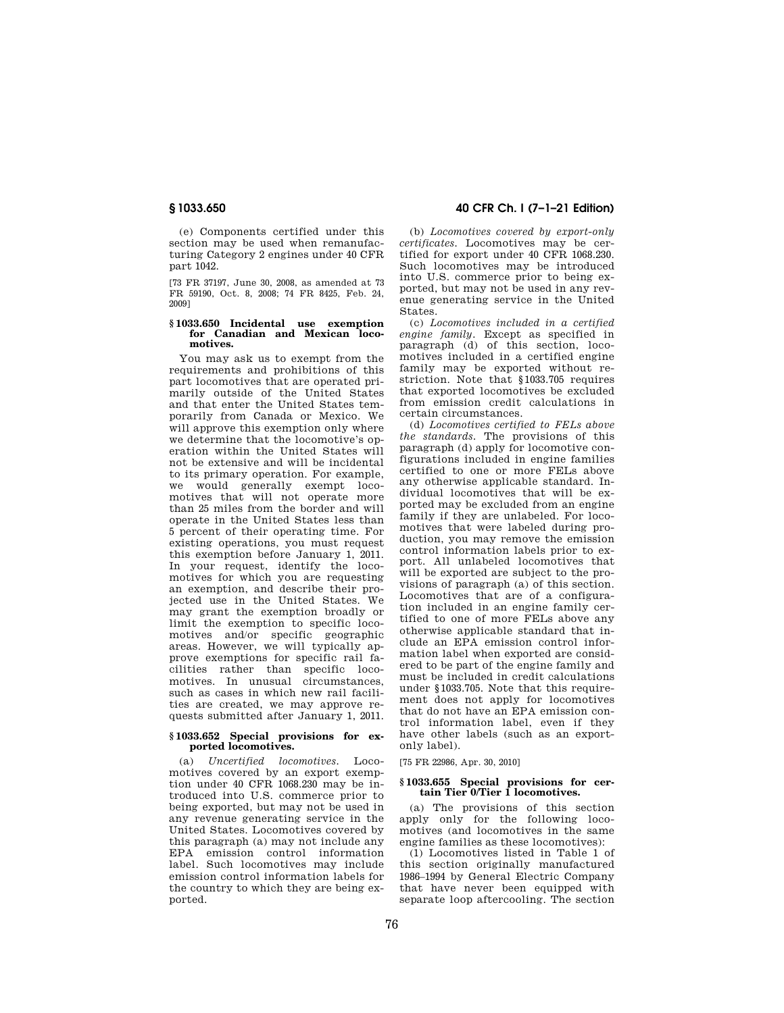(e) Components certified under this section may be used when remanufacturing Category 2 engines under 40 CFR part 1042.

[73 FR 37197, June 30, 2008, as amended at 73 FR 59190, Oct. 8, 2008; 74 FR 8425, Feb. 24, 2009]

#### **§ 1033.650 Incidental use exemption for Canadian and Mexican locomotives.**

You may ask us to exempt from the requirements and prohibitions of this part locomotives that are operated primarily outside of the United States and that enter the United States temporarily from Canada or Mexico. We will approve this exemption only where we determine that the locomotive's operation within the United States will not be extensive and will be incidental to its primary operation. For example, we would generally exempt locomotives that will not operate more than 25 miles from the border and will operate in the United States less than 5 percent of their operating time. For existing operations, you must request this exemption before January 1, 2011. In your request, identify the locomotives for which you are requesting an exemption, and describe their projected use in the United States. We may grant the exemption broadly or limit the exemption to specific locomotives and/or specific geographic areas. However, we will typically approve exemptions for specific rail facilities rather than specific locomotives. In unusual circumstances, such as cases in which new rail facilities are created, we may approve requests submitted after January 1, 2011.

#### **§ 1033.652 Special provisions for exported locomotives.**

(a) *Uncertified locomotives.* Locomotives covered by an export exemption under 40 CFR 1068.230 may be introduced into U.S. commerce prior to being exported, but may not be used in any revenue generating service in the United States. Locomotives covered by this paragraph (a) may not include any EPA emission control information label. Such locomotives may include emission control information labels for the country to which they are being exported.

# **§ 1033.650 40 CFR Ch. I (7–1–21 Edition)**

(b) *Locomotives covered by export-only certificates.* Locomotives may be certified for export under 40 CFR 1068.230. Such locomotives may be introduced into U.S. commerce prior to being exported, but may not be used in any revenue generating service in the United States.

(c) *Locomotives included in a certified engine family.* Except as specified in paragraph (d) of this section, locomotives included in a certified engine family may be exported without restriction. Note that §1033.705 requires that exported locomotives be excluded from emission credit calculations in certain circumstances.

(d) *Locomotives certified to FELs above the standards.* The provisions of this paragraph (d) apply for locomotive configurations included in engine families certified to one or more FELs above any otherwise applicable standard. Individual locomotives that will be exported may be excluded from an engine family if they are unlabeled. For locomotives that were labeled during production, you may remove the emission control information labels prior to export. All unlabeled locomotives that will be exported are subject to the provisions of paragraph (a) of this section. Locomotives that are of a configuration included in an engine family certified to one of more FELs above any otherwise applicable standard that include an EPA emission control information label when exported are considered to be part of the engine family and must be included in credit calculations under §1033.705. Note that this requirement does not apply for locomotives that do not have an EPA emission control information label, even if they have other labels (such as an exportonly label).

[75 FR 22986, Apr. 30, 2010]

## **§ 1033.655 Special provisions for certain Tier 0/Tier 1 locomotives.**

(a) The provisions of this section apply only for the following locomotives (and locomotives in the same engine families as these locomotives):

(1) Locomotives listed in Table 1 of this section originally manufactured 1986–1994 by General Electric Company that have never been equipped with separate loop aftercooling. The section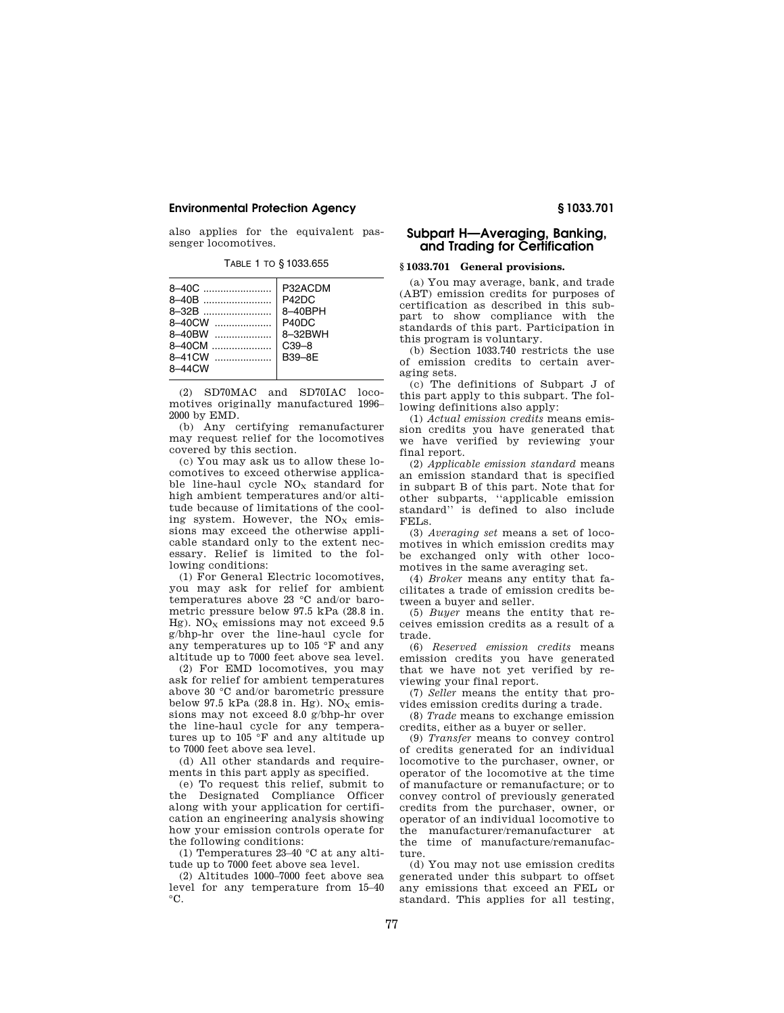also applies for the equivalent passenger locomotives.

TABLE 1 TO § 1033.655

(2) SD70MAC and SD70IAC locomotives originally manufactured 1996– 2000 by EMD.

(b) Any certifying remanufacturer may request relief for the locomotives covered by this section.

(c) You may ask us to allow these locomotives to exceed otherwise applicable line-haul cycle  $NO<sub>x</sub>$  standard for high ambient temperatures and/or altitude because of limitations of the cooling system. However, the  $NO<sub>x</sub>$  emissions may exceed the otherwise applicable standard only to the extent necessary. Relief is limited to the following conditions:

(1) For General Electric locomotives, you may ask for relief for ambient temperatures above 23 °C and/or barometric pressure below 97.5 kPa (28.8 in. Hg). NO<sub>x</sub> emissions may not exceed  $9.5$ g/bhp-hr over the line-haul cycle for any temperatures up to 105 °F and any altitude up to 7000 feet above sea level.

(2) For EMD locomotives, you may ask for relief for ambient temperatures above 30 °C and/or barometric pressure below 97.5 kPa (28.8 in. Hg).  $NO<sub>x</sub>$  emissions may not exceed 8.0 g/bhp-hr over the line-haul cycle for any temperatures up to 105 °F and any altitude up to 7000 feet above sea level.

(d) All other standards and requirements in this part apply as specified.

(e) To request this relief, submit to the Designated Compliance Officer along with your application for certification an engineering analysis showing how your emission controls operate for the following conditions:

(1) Temperatures 23–40 °C at any altitude up to 7000 feet above sea level.

(2) Altitudes 1000–7000 feet above sea level for any temperature from 15–40  $^{\circ}C.$ 

# **Subpart H—Averaging, Banking, and Trading for Certification**

## **§ 1033.701 General provisions.**

(a) You may average, bank, and trade (ABT) emission credits for purposes of certification as described in this subpart to show compliance with the standards of this part. Participation in this program is voluntary.

(b) Section 1033.740 restricts the use of emission credits to certain averaging sets.

(c) The definitions of Subpart J of this part apply to this subpart. The following definitions also apply:

(1) *Actual emission credits* means emission credits you have generated that we have verified by reviewing your final report.

(2) *Applicable emission standard* means an emission standard that is specified in subpart B of this part. Note that for other subparts, ''applicable emission standard'' is defined to also include FELs.

(3) *Averaging set* means a set of locomotives in which emission credits may be exchanged only with other locomotives in the same averaging set.

(4) *Broker* means any entity that facilitates a trade of emission credits between a buyer and seller.

(5) *Buyer* means the entity that receives emission credits as a result of a trade.

(6) *Reserved emission credits* means emission credits you have generated that we have not yet verified by reviewing your final report.

(7) *Seller* means the entity that provides emission credits during a trade.

(8) *Trade* means to exchange emission credits, either as a buyer or seller.

(9) *Transfer* means to convey control of credits generated for an individual locomotive to the purchaser, owner, or operator of the locomotive at the time of manufacture or remanufacture; or to convey control of previously generated credits from the purchaser, owner, or operator of an individual locomotive to the manufacturer/remanufacturer at the time of manufacture/remanufacture.

(d) You may not use emission credits generated under this subpart to offset any emissions that exceed an FEL or standard. This applies for all testing,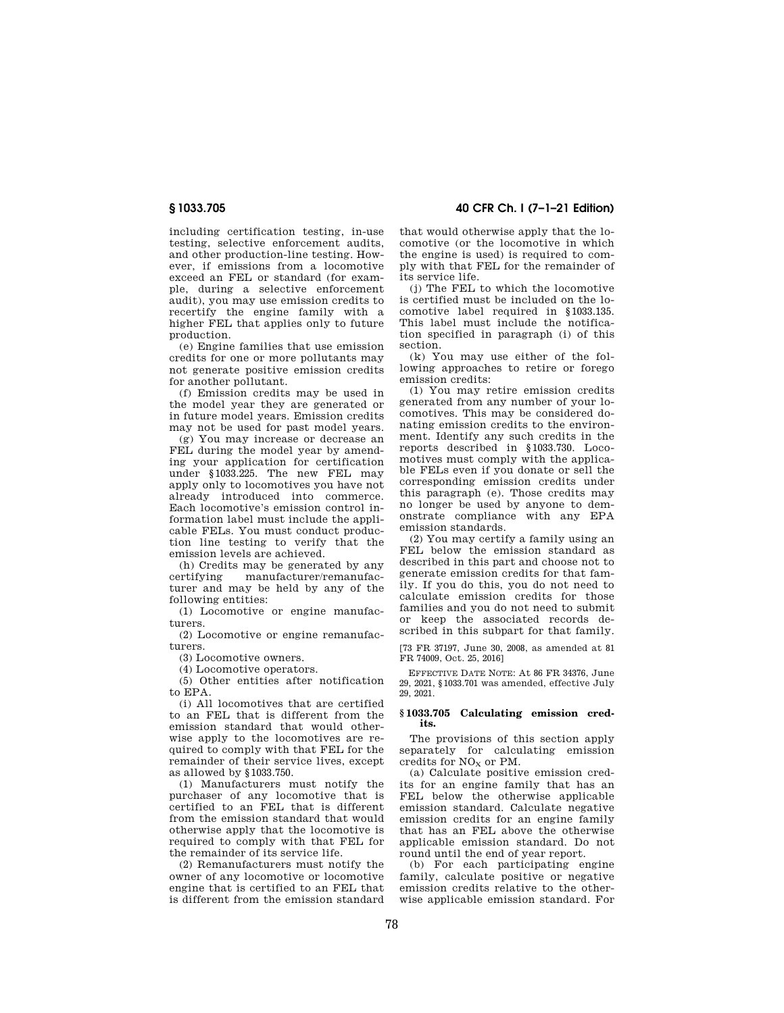including certification testing, in-use testing, selective enforcement audits, and other production-line testing. However, if emissions from a locomotive exceed an FEL or standard (for example, during a selective enforcement audit), you may use emission credits to recertify the engine family with a higher FEL that applies only to future production.

(e) Engine families that use emission credits for one or more pollutants may not generate positive emission credits for another pollutant.

(f) Emission credits may be used in the model year they are generated or in future model years. Emission credits may not be used for past model years.

(g) You may increase or decrease an FEL during the model year by amending your application for certification under §1033.225. The new FEL may apply only to locomotives you have not already introduced into commerce. Each locomotive's emission control information label must include the applicable FELs. You must conduct production line testing to verify that the emission levels are achieved.

(h) Credits may be generated by any<br>certifying manufacturer/remanufacmanufacturer/remanufacturer and may be held by any of the following entities:

(1) Locomotive or engine manufacturers.

(2) Locomotive or engine remanufacturers.

(3) Locomotive owners.

(4) Locomotive operators.

(5) Other entities after notification to EPA.

(i) All locomotives that are certified to an FEL that is different from the emission standard that would otherwise apply to the locomotives are required to comply with that FEL for the remainder of their service lives, except as allowed by §1033.750.

(1) Manufacturers must notify the purchaser of any locomotive that is certified to an FEL that is different from the emission standard that would otherwise apply that the locomotive is required to comply with that FEL for the remainder of its service life.

(2) Remanufacturers must notify the owner of any locomotive or locomotive engine that is certified to an FEL that is different from the emission standard

**§ 1033.705 40 CFR Ch. I (7–1–21 Edition)** 

that would otherwise apply that the locomotive (or the locomotive in which the engine is used) is required to comply with that FEL for the remainder of its service life.

(j) The FEL to which the locomotive is certified must be included on the locomotive label required in §1033.135. This label must include the notification specified in paragraph (i) of this section.

(k) You may use either of the following approaches to retire or forego emission credits:

(1) You may retire emission credits generated from any number of your locomotives. This may be considered donating emission credits to the environment. Identify any such credits in the reports described in §1033.730. Locomotives must comply with the applicable FELs even if you donate or sell the corresponding emission credits under this paragraph (e). Those credits may no longer be used by anyone to demonstrate compliance with any EPA emission standards.

(2) You may certify a family using an FEL below the emission standard as described in this part and choose not to generate emission credits for that family. If you do this, you do not need to calculate emission credits for those families and you do not need to submit or keep the associated records described in this subpart for that family.

[73 FR 37197, June 30, 2008, as amended at 81 FR 74009, Oct. 25, 2016]

EFFECTIVE DATE NOTE: At 86 FR 34376, June 29, 2021, §1033.701 was amended, effective July 29, 2021.

## **§ 1033.705 Calculating emission credits.**

The provisions of this section apply separately for calculating emission credits for  $NO<sub>X</sub>$  or PM.

(a) Calculate positive emission credits for an engine family that has an FEL below the otherwise applicable emission standard. Calculate negative emission credits for an engine family that has an FEL above the otherwise applicable emission standard. Do not round until the end of year report.

(b) For each participating engine family, calculate positive or negative emission credits relative to the otherwise applicable emission standard. For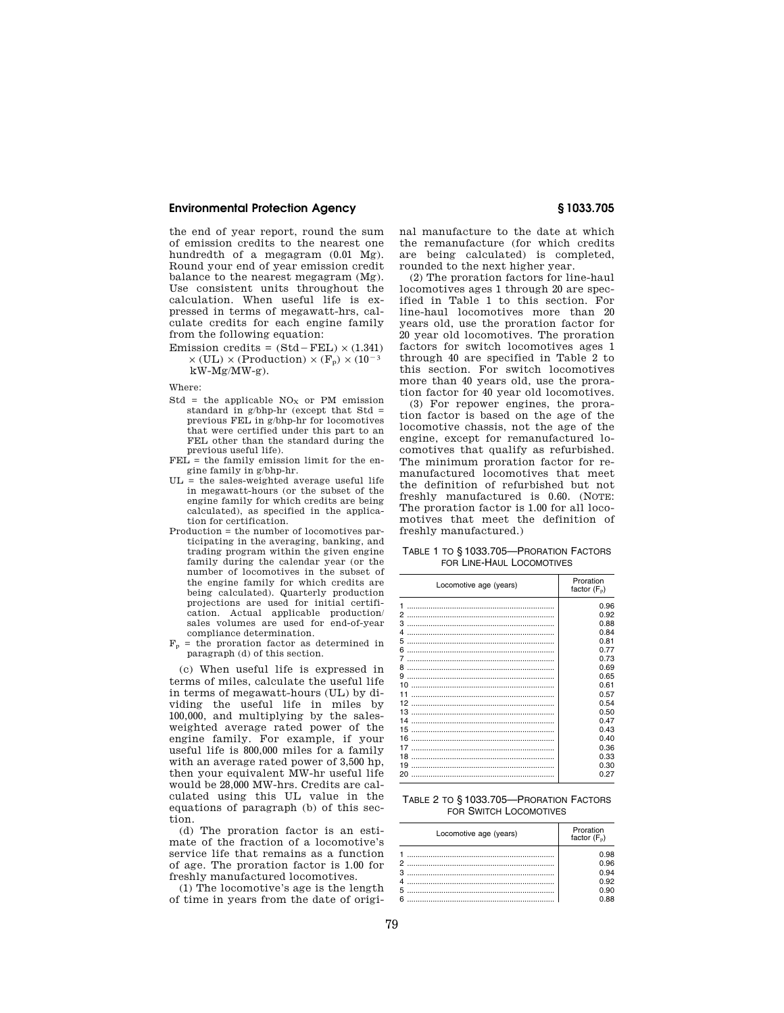the end of year report, round the sum of emission credits to the nearest one hundredth of a megagram (0.01 Mg). Round your end of year emission credit balance to the nearest megagram (Mg). Use consistent units throughout the calculation. When useful life is expressed in terms of megawatt-hrs, calculate credits for each engine family from the following equation:

Emission credits =  $(Std - FEL) \times (1.341)$  $\times$  (UL)  $\times$  (Production)  $\times$  (F<sub>p</sub>)  $\times$  (10<sup>-3</sup> kW-Mg/MW-g).

Where:

- Std = the applicable  $NO<sub>x</sub>$  or PM emission standard in g/bhp-hr (except that Std = previous FEL in g/bhp-hr for locomotives that were certified under this part to an FEL other than the standard during the previous useful life).
- $FEL =$  the family emission limit for the engine family in g/bhp-hr.
- $UL$  = the sales-weighted average useful life in megawatt-hours (or the subset of the engine family for which credits are being calculated), as specified in the application for certification.
- Production = the number of locomotives participating in the averaging, banking, and trading program within the given engine family during the calendar year (or the number of locomotives in the subset of the engine family for which credits are being calculated). Quarterly production projections are used for initial certification. Actual applicable production/ sales volumes are used for end-of-year compliance determination.
- $F_p$  = the proration factor as determined in paragraph (d) of this section.

(c) When useful life is expressed in terms of miles, calculate the useful life in terms of megawatt-hours (UL) by dividing the useful life in miles by 100,000, and multiplying by the salesweighted average rated power of the engine family. For example, if your useful life is 800,000 miles for a family with an average rated power of 3,500 hp, then your equivalent MW-hr useful life would be 28,000 MW-hrs. Credits are calculated using this UL value in the equations of paragraph (b) of this section.

(d) The proration factor is an estimate of the fraction of a locomotive's service life that remains as a function of age. The proration factor is 1.00 for freshly manufactured locomotives.

(1) The locomotive's age is the length of time in years from the date of original manufacture to the date at which the remanufacture (for which credits are being calculated) is completed, rounded to the next higher year.

(2) The proration factors for line-haul locomotives ages 1 through 20 are specified in Table 1 to this section. For line-haul locomotives more than 20 years old, use the proration factor for 20 year old locomotives. The proration factors for switch locomotives ages 1 through 40 are specified in Table 2 to this section. For switch locomotives more than 40 years old, use the proration factor for 40 year old locomotives.

(3) For repower engines, the proration factor is based on the age of the locomotive chassis, not the age of the engine, except for remanufactured locomotives that qualify as refurbished. The minimum proration factor for remanufactured locomotives that meet the definition of refurbished but not freshly manufactured is 0.60. (NOTE: The proration factor is 1.00 for all locomotives that meet the definition of freshly manufactured.)

### TABLE 1 TO § 1033.705—PRORATION FACTORS FOR LINE-HAUL LOCOMOTIVES

| Locomotive age (years) | Proration<br>factor $(F_p)$ |
|------------------------|-----------------------------|
| 1                      | 0.96                        |
| 2                      | 0.92                        |
| з                      | 0.88                        |
|                        | 0.84                        |
| 5                      | 0.81                        |
| 6                      | 0.77                        |
| 7                      | 0.73                        |
| 8                      | 0.69                        |
| 9                      | 0.65                        |
| 10                     | 0.61                        |
| 11                     | 0.57                        |
| 12                     | 0.54                        |
| 13                     | 0.50                        |
| 14                     | 0.47                        |
| 15                     | 0.43                        |
|                        |                             |
| 16                     | 0.40                        |
| 17                     | 0.36                        |
| 18                     | 0.33                        |
| 19                     | 0.30                        |
| 20                     | 0.27                        |

TABLE 2 TO § 1033.705—PRORATION FACTORS FOR SWITCH LOCOMOTIVES

| Locomotive age (years)                                                                                        | Proration<br>factor $(F_n)$ |
|---------------------------------------------------------------------------------------------------------------|-----------------------------|
|                                                                                                               | በ 98                        |
|                                                                                                               | በ 96                        |
| a se provincia de la construcción de la construcción de la construcción de la construcción de la construcción | 0.94                        |
|                                                                                                               | በ 92                        |
|                                                                                                               | n an                        |
|                                                                                                               | n aa                        |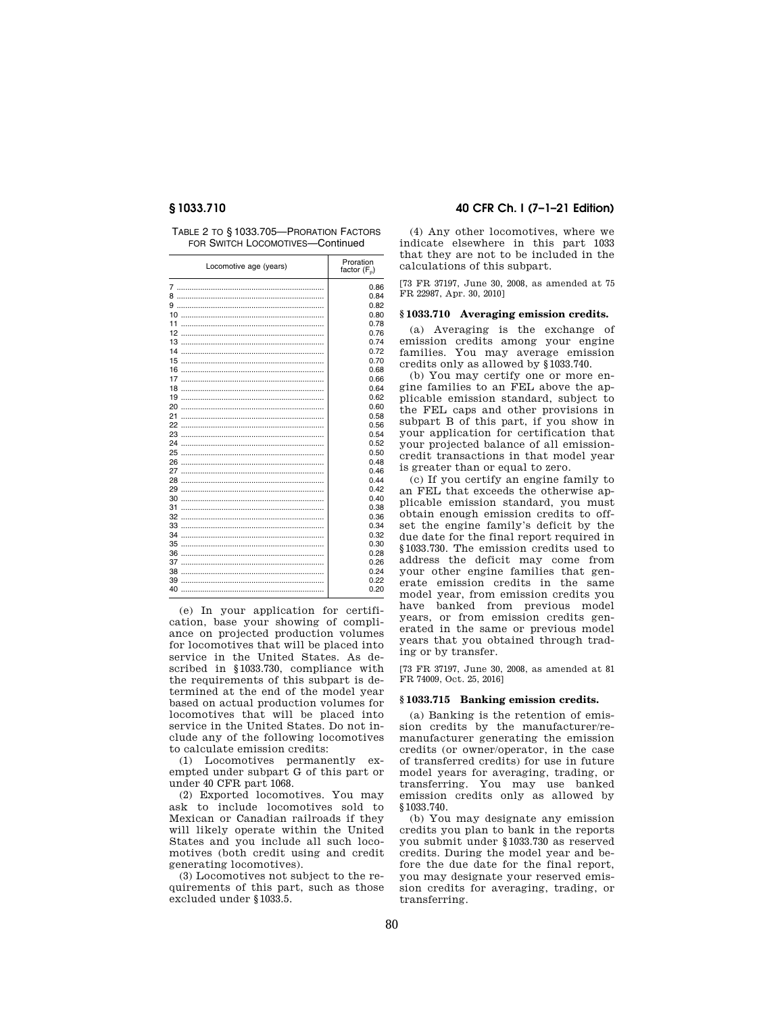| TABLE 2 TO §1033.705-PRORATION FACTORS |
|----------------------------------------|
| FOR SWITCH LOCOMOTIVES-Continued       |

| Locomotive age (years) | Proration<br>factor $(F_n)$ |
|------------------------|-----------------------------|
|                        | 0.86                        |
| 8                      | 0.84                        |
|                        | 0.82                        |
|                        | 0.80                        |
| 11                     | 0.78                        |
|                        | 0.76                        |
|                        | 0.74                        |
| 14                     | 0.72                        |
|                        | 0.70                        |
|                        | 0.68                        |
|                        | 0.66                        |
|                        | 0.64                        |
|                        | 0.62                        |
|                        | 0.60                        |
| 21                     | 0.58                        |
|                        | 0.56                        |
|                        | 0.54                        |
|                        | 0.52                        |
|                        | 0.50                        |
|                        | 0.48                        |
|                        | 0.46                        |
|                        | 0.44                        |
|                        | 0.42                        |
|                        | 0.40                        |
|                        | 0.38                        |
|                        | 0.36                        |
|                        | 0.34                        |
| 34                     | 0.32                        |
|                        | 0.30                        |
|                        | 0.28                        |
|                        | 0.26                        |
|                        | 0.24                        |
|                        | 0.22                        |
|                        | 0.20                        |

(e) In your application for certification, base your showing of compliance on projected production volumes for locomotives that will be placed into service in the United States. As described in §1033.730, compliance with the requirements of this subpart is determined at the end of the model year based on actual production volumes for locomotives that will be placed into service in the United States. Do not include any of the following locomotives to calculate emission credits:

(1) Locomotives permanently exempted under subpart G of this part or under 40 CFR part 1068.

(2) Exported locomotives. You may ask to include locomotives sold to Mexican or Canadian railroads if they will likely operate within the United States and you include all such locomotives (both credit using and credit generating locomotives).

(3) Locomotives not subject to the requirements of this part, such as those excluded under §1033.5.

# **§ 1033.710 40 CFR Ch. I (7–1–21 Edition)**

(4) Any other locomotives, where we indicate elsewhere in this part 1033 that they are not to be included in the calculations of this subpart.

[73 FR 37197, June 30, 2008, as amended at 75 FR 22987, Apr. 30, 2010]

## **§ 1033.710 Averaging emission credits.**

(a) Averaging is the exchange of emission credits among your engine families. You may average emission credits only as allowed by §1033.740.

(b) You may certify one or more engine families to an FEL above the applicable emission standard, subject to the FEL caps and other provisions in subpart B of this part, if you show in your application for certification that your projected balance of all emissioncredit transactions in that model year is greater than or equal to zero.

(c) If you certify an engine family to an FEL that exceeds the otherwise applicable emission standard, you must obtain enough emission credits to offset the engine family's deficit by the due date for the final report required in §1033.730. The emission credits used to address the deficit may come from your other engine families that generate emission credits in the same model year, from emission credits you have banked from previous model years, or from emission credits generated in the same or previous model years that you obtained through trading or by transfer.

[73 FR 37197, June 30, 2008, as amended at 81 FR 74009, Oct. 25, 2016]

## **§ 1033.715 Banking emission credits.**

(a) Banking is the retention of emission credits by the manufacturer/remanufacturer generating the emission credits (or owner/operator, in the case of transferred credits) for use in future model years for averaging, trading, or transferring. You may use banked emission credits only as allowed by §1033.740.

(b) You may designate any emission credits you plan to bank in the reports you submit under §1033.730 as reserved credits. During the model year and before the due date for the final report, you may designate your reserved emission credits for averaging, trading, or transferring.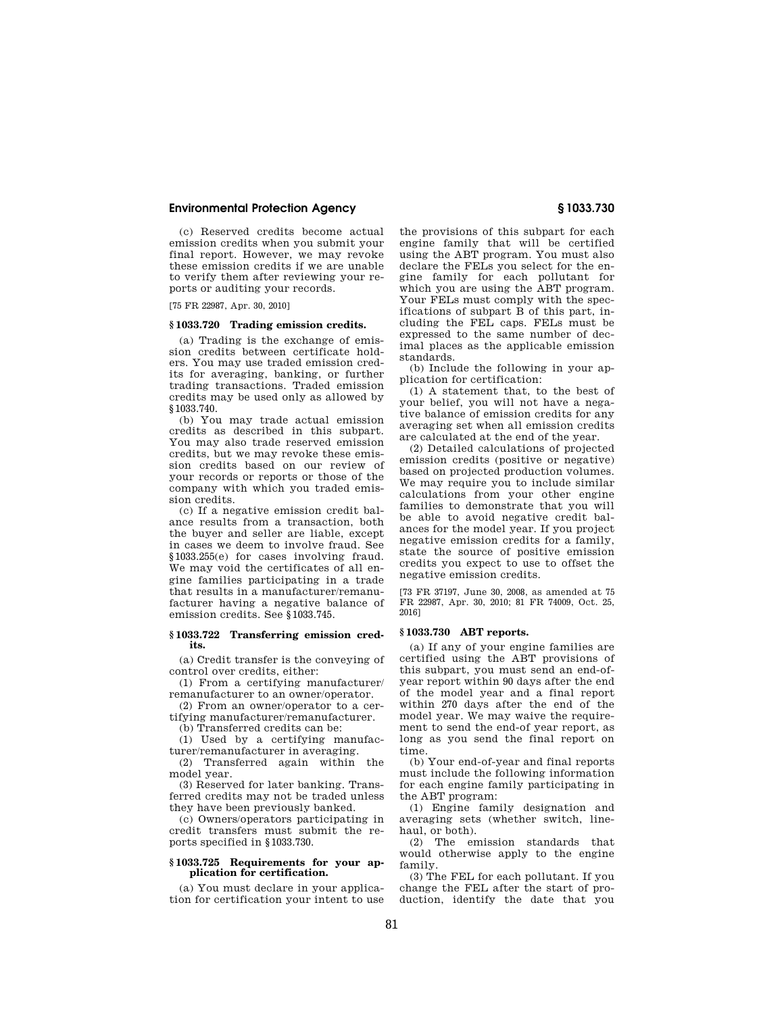(c) Reserved credits become actual emission credits when you submit your final report. However, we may revoke these emission credits if we are unable to verify them after reviewing your reports or auditing your records.

[75 FR 22987, Apr. 30, 2010]

### **§ 1033.720 Trading emission credits.**

(a) Trading is the exchange of emission credits between certificate holders. You may use traded emission credits for averaging, banking, or further trading transactions. Traded emission credits may be used only as allowed by §1033.740.

(b) You may trade actual emission credits as described in this subpart. You may also trade reserved emission credits, but we may revoke these emission credits based on our review of your records or reports or those of the company with which you traded emission credits.

(c) If a negative emission credit balance results from a transaction, both the buyer and seller are liable, except in cases we deem to involve fraud. See §1033.255(e) for cases involving fraud. We may void the certificates of all engine families participating in a trade that results in a manufacturer/remanufacturer having a negative balance of emission credits. See §1033.745.

### **§ 1033.722 Transferring emission credits.**

(a) Credit transfer is the conveying of control over credits, either:

(1) From a certifying manufacturer/ remanufacturer to an owner/operator.

(2) From an owner/operator to a certifying manufacturer/remanufacturer.

(b) Transferred credits can be:

(1) Used by a certifying manufacturer/remanufacturer in averaging.

(2) Transferred again within the model year.

(3) Reserved for later banking. Transferred credits may not be traded unless they have been previously banked.

(c) Owners/operators participating in credit transfers must submit the reports specified in §1033.730.

## **§ 1033.725 Requirements for your application for certification.**

(a) You must declare in your application for certification your intent to use

the provisions of this subpart for each engine family that will be certified using the ABT program. You must also declare the FELs you select for the engine family for each pollutant for which you are using the ABT program. Your FELs must comply with the specifications of subpart B of this part, including the FEL caps. FELs must be expressed to the same number of decimal places as the applicable emission standards.

(b) Include the following in your application for certification:

(1) A statement that, to the best of your belief, you will not have a negative balance of emission credits for any averaging set when all emission credits are calculated at the end of the year.

(2) Detailed calculations of projected emission credits (positive or negative) based on projected production volumes. We may require you to include similar calculations from your other engine families to demonstrate that you will be able to avoid negative credit balances for the model year. If you project negative emission credits for a family, state the source of positive emission credits you expect to use to offset the negative emission credits.

[73 FR 37197, June 30, 2008, as amended at 75 FR 22987, Apr. 30, 2010; 81 FR 74009, Oct. 25, 2016]

## **§ 1033.730 ABT reports.**

(a) If any of your engine families are certified using the ABT provisions of this subpart, you must send an end-ofyear report within 90 days after the end of the model year and a final report within 270 days after the end of the model year. We may waive the requirement to send the end-of year report, as long as you send the final report on time.

(b) Your end-of-year and final reports must include the following information for each engine family participating in the ABT program:

(1) Engine family designation and averaging sets (whether switch, linehaul, or both).

(2) The emission standards that would otherwise apply to the engine family.

(3) The FEL for each pollutant. If you change the FEL after the start of production, identify the date that you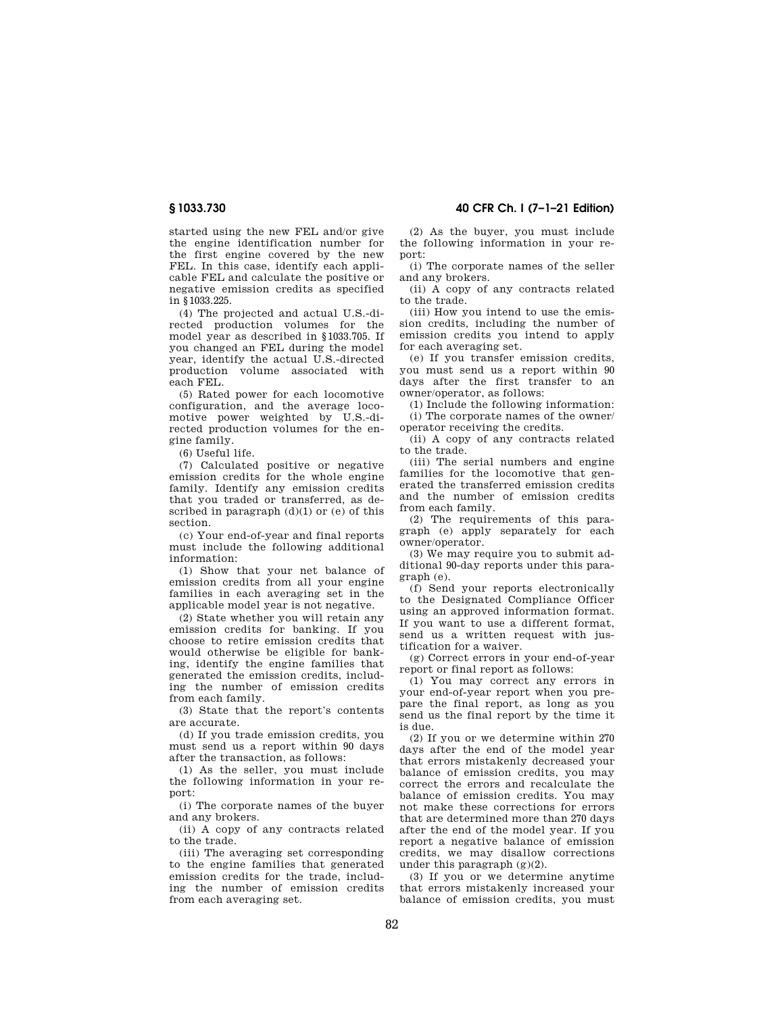started using the new FEL and/or give the engine identification number for the first engine covered by the new FEL. In this case, identify each applicable FEL and calculate the positive or negative emission credits as specified in §1033.225.

(4) The projected and actual U.S.-directed production volumes for the model year as described in §1033.705. If you changed an FEL during the model year, identify the actual U.S.-directed production volume associated with each FEL.

(5) Rated power for each locomotive configuration, and the average locomotive power weighted by U.S.-directed production volumes for the engine family.

(6) Useful life.

(7) Calculated positive or negative emission credits for the whole engine family. Identify any emission credits that you traded or transferred, as described in paragraph (d)(1) or (e) of this section.

(c) Your end-of-year and final reports must include the following additional information:

(1) Show that your net balance of emission credits from all your engine families in each averaging set in the applicable model year is not negative.

(2) State whether you will retain any emission credits for banking. If you choose to retire emission credits that would otherwise be eligible for banking, identify the engine families that generated the emission credits, including the number of emission credits from each family.

(3) State that the report's contents are accurate.

(d) If you trade emission credits, you must send us a report within 90 days after the transaction, as follows:

(1) As the seller, you must include the following information in your report:

(i) The corporate names of the buyer and any brokers.

(ii) A copy of any contracts related to the trade.

(iii) The averaging set corresponding to the engine families that generated emission credits for the trade, including the number of emission credits from each averaging set.

**§ 1033.730 40 CFR Ch. I (7–1–21 Edition)** 

(2) As the buyer, you must include the following information in your report:

(i) The corporate names of the seller and any brokers.

(ii) A copy of any contracts related to the trade.

(iii) How you intend to use the emission credits, including the number of emission credits you intend to apply for each averaging set.

(e) If you transfer emission credits, you must send us a report within 90 days after the first transfer to an owner/operator, as follows:

(1) Include the following information: (i) The corporate names of the owner/ operator receiving the credits.

(ii) A copy of any contracts related to the trade.

(iii) The serial numbers and engine families for the locomotive that generated the transferred emission credits and the number of emission credits from each family.

(2) The requirements of this paragraph (e) apply separately for each owner/operator.

(3) We may require you to submit additional 90-day reports under this paragraph (e).

(f) Send your reports electronically to the Designated Compliance Officer using an approved information format. If you want to use a different format, send us a written request with justification for a waiver.

(g) Correct errors in your end-of-year report or final report as follows:

(1) You may correct any errors in your end-of-year report when you prepare the final report, as long as you send us the final report by the time it is due.

(2) If you or we determine within 270 days after the end of the model year that errors mistakenly decreased your balance of emission credits, you may correct the errors and recalculate the balance of emission credits. You may not make these corrections for errors that are determined more than 270 days after the end of the model year. If you report a negative balance of emission credits, we may disallow corrections under this paragraph  $(g)(2)$ .

(3) If you or we determine anytime that errors mistakenly increased your balance of emission credits, you must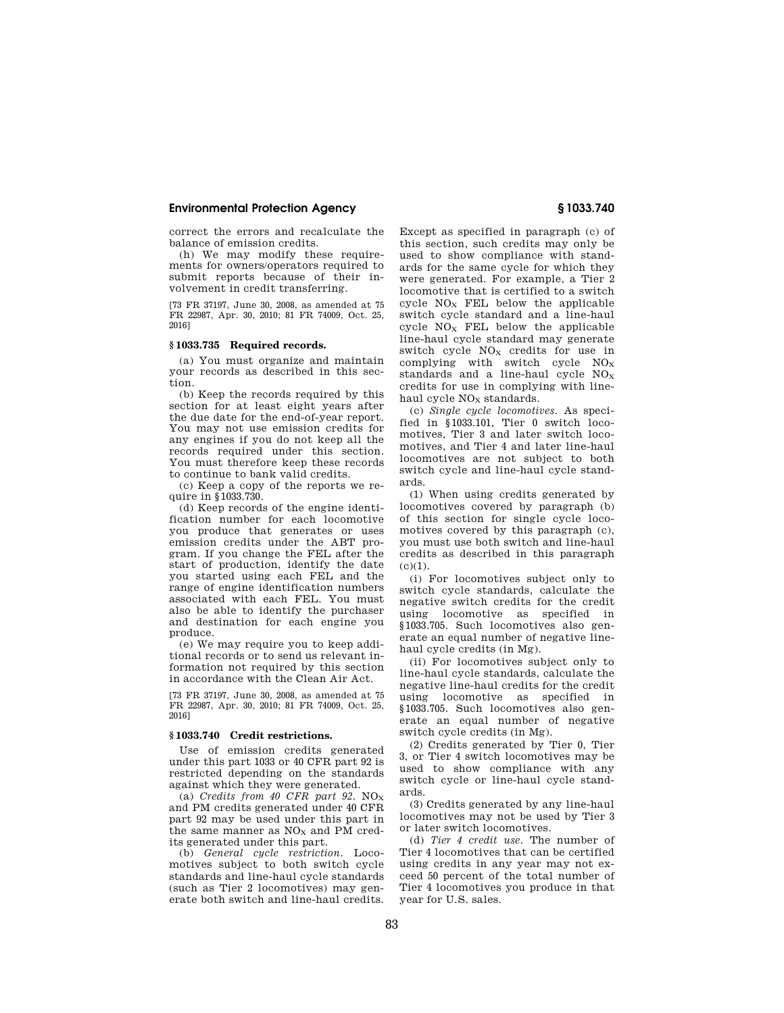correct the errors and recalculate the balance of emission credits.

(h) We may modify these requirements for owners/operators required to submit reports because of their involvement in credit transferring.

[73 FR 37197, June 30, 2008, as amended at 75 FR 22987, Apr. 30, 2010; 81 FR 74009, Oct. 25, 2016]

# **§ 1033.735 Required records.**

(a) You must organize and maintain your records as described in this section.

(b) Keep the records required by this section for at least eight years after the due date for the end-of-year report. You may not use emission credits for any engines if you do not keep all the records required under this section. You must therefore keep these records to continue to bank valid credits.

(c) Keep a copy of the reports we require in §1033.730.

(d) Keep records of the engine identification number for each locomotive you produce that generates or uses emission credits under the ABT program. If you change the FEL after the start of production, identify the date you started using each FEL and the range of engine identification numbers associated with each FEL. You must also be able to identify the purchaser and destination for each engine you produce.

(e) We may require you to keep additional records or to send us relevant information not required by this section in accordance with the Clean Air Act.

[73 FR 37197, June 30, 2008, as amended at 75 FR 22987, Apr. 30, 2010; 81 FR 74009, Oct. 25, 2016]

#### **§ 1033.740 Credit restrictions.**

Use of emission credits generated under this part 1033 or 40 CFR part 92 is restricted depending on the standards against which they were generated.

(a) *Credits from 40 CFR part 92.*  $NO_X$ and PM credits generated under 40 CFR part 92 may be used under this part in the same manner as  $NO<sub>X</sub>$  and PM credits generated under this part.

(b) *General cycle restriction.* Locomotives subject to both switch cycle standards and line-haul cycle standards (such as Tier 2 locomotives) may generate both switch and line-haul credits. Except as specified in paragraph (c) of this section, such credits may only be used to show compliance with standards for the same cycle for which they were generated. For example, a Tier 2 locomotive that is certified to a switch cycle  $NO<sub>X</sub>$  FEL below the applicable switch cycle standard and a line-haul cycle  $NO<sub>X</sub>$  FEL below the applicable line-haul cycle standard may generate switch cycle  $NO<sub>X</sub>$  credits for use in complying with switch cycle  $NO<sub>X</sub>$ standards and a line-haul cycle  $NO<sub>x</sub>$ credits for use in complying with linehaul cycle  $NO<sub>X</sub>$  standards.

(c) *Single cycle locomotives.* As specified in §1033.101, Tier 0 switch locomotives, Tier 3 and later switch locomotives, and Tier 4 and later line-haul locomotives are not subject to both switch cycle and line-haul cycle standards.

(1) When using credits generated by locomotives covered by paragraph (b) of this section for single cycle locomotives covered by this paragraph (c), you must use both switch and line-haul credits as described in this paragraph  $(c)(1)$ .

(i) For locomotives subject only to switch cycle standards, calculate the negative switch credits for the credit using locomotive as specified in §1033.705. Such locomotives also generate an equal number of negative linehaul cycle credits (in Mg).

(ii) For locomotives subject only to line-haul cycle standards, calculate the negative line-haul credits for the credit using locomotive as specified in §1033.705. Such locomotives also generate an equal number of negative switch cycle credits (in Mg).

(2) Credits generated by Tier 0, Tier 3, or Tier 4 switch locomotives may be used to show compliance with any switch cycle or line-haul cycle standards.

(3) Credits generated by any line-haul locomotives may not be used by Tier 3 or later switch locomotives.

(d) *Tier 4 credit use.* The number of Tier 4 locomotives that can be certified using credits in any year may not exceed 50 percent of the total number of Tier 4 locomotives you produce in that year for U.S. sales.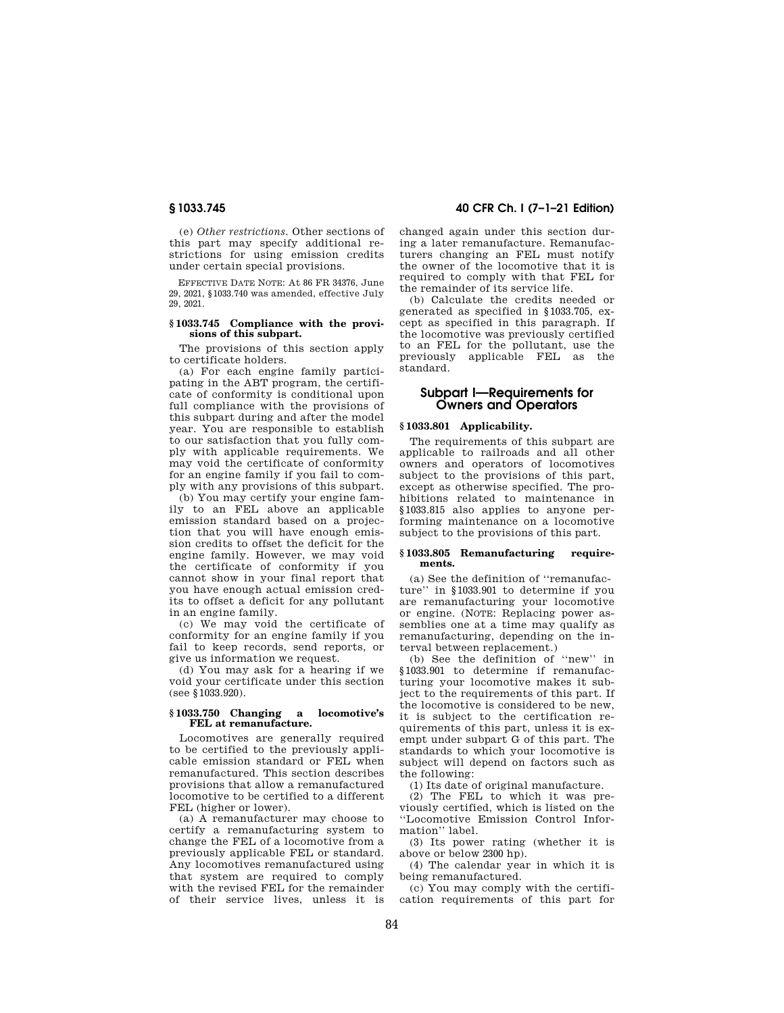(e) *Other restrictions.* Other sections of this part may specify additional restrictions for using emission credits under certain special provisions.

EFFECTIVE DATE NOTE: At 86 FR 34376, June 29, 2021, §1033.740 was amended, effective July 29, 2021.

#### **§ 1033.745 Compliance with the provisions of this subpart.**

The provisions of this section apply to certificate holders.

(a) For each engine family participating in the ABT program, the certificate of conformity is conditional upon full compliance with the provisions of this subpart during and after the model year. You are responsible to establish to our satisfaction that you fully comply with applicable requirements. We may void the certificate of conformity for an engine family if you fail to comply with any provisions of this subpart.

(b) You may certify your engine family to an FEL above an applicable emission standard based on a projection that you will have enough emission credits to offset the deficit for the engine family. However, we may void the certificate of conformity if you cannot show in your final report that you have enough actual emission credits to offset a deficit for any pollutant in an engine family.

(c) We may void the certificate of conformity for an engine family if you fail to keep records, send reports, or give us information we request.

(d) You may ask for a hearing if we void your certificate under this section (see §1033.920).

#### **§ 1033.750 Changing a locomotive's FEL at remanufacture.**

Locomotives are generally required to be certified to the previously applicable emission standard or FEL when remanufactured. This section describes provisions that allow a remanufactured locomotive to be certified to a different FEL (higher or lower).

(a) A remanufacturer may choose to certify a remanufacturing system to change the FEL of a locomotive from a previously applicable FEL or standard. Any locomotives remanufactured using that system are required to comply with the revised FEL for the remainder of their service lives, unless it is

**§ 1033.745 40 CFR Ch. I (7–1–21 Edition)** 

changed again under this section during a later remanufacture. Remanufacturers changing an FEL must notify the owner of the locomotive that it is required to comply with that FEL for the remainder of its service life.

(b) Calculate the credits needed or generated as specified in §1033.705, except as specified in this paragraph. If the locomotive was previously certified to an FEL for the pollutant, use the previously applicable FEL as the standard.

# **Subpart I—Requirements for Owners and Operators**

## **§ 1033.801 Applicability.**

The requirements of this subpart are applicable to railroads and all other owners and operators of locomotives subject to the provisions of this part, except as otherwise specified. The prohibitions related to maintenance in §1033.815 also applies to anyone performing maintenance on a locomotive subject to the provisions of this part.

#### **§ 1033.805 Remanufacturing requirements.**

(a) See the definition of ''remanufacture'' in §1033.901 to determine if you are remanufacturing your locomotive or engine. (NOTE: Replacing power assemblies one at a time may qualify as remanufacturing, depending on the interval between replacement.)

(b) See the definition of ''new'' in §1033.901 to determine if remanufacturing your locomotive makes it subject to the requirements of this part. If the locomotive is considered to be new, it is subject to the certification requirements of this part, unless it is exempt under subpart G of this part. The standards to which your locomotive is subject will depend on factors such as the following:

(1) Its date of original manufacture.

(2) The FEL to which it was previously certified, which is listed on the ''Locomotive Emission Control Information'' label.

(3) Its power rating (whether it is above or below 2300 hp).

(4) The calendar year in which it is being remanufactured.

(c) You may comply with the certification requirements of this part for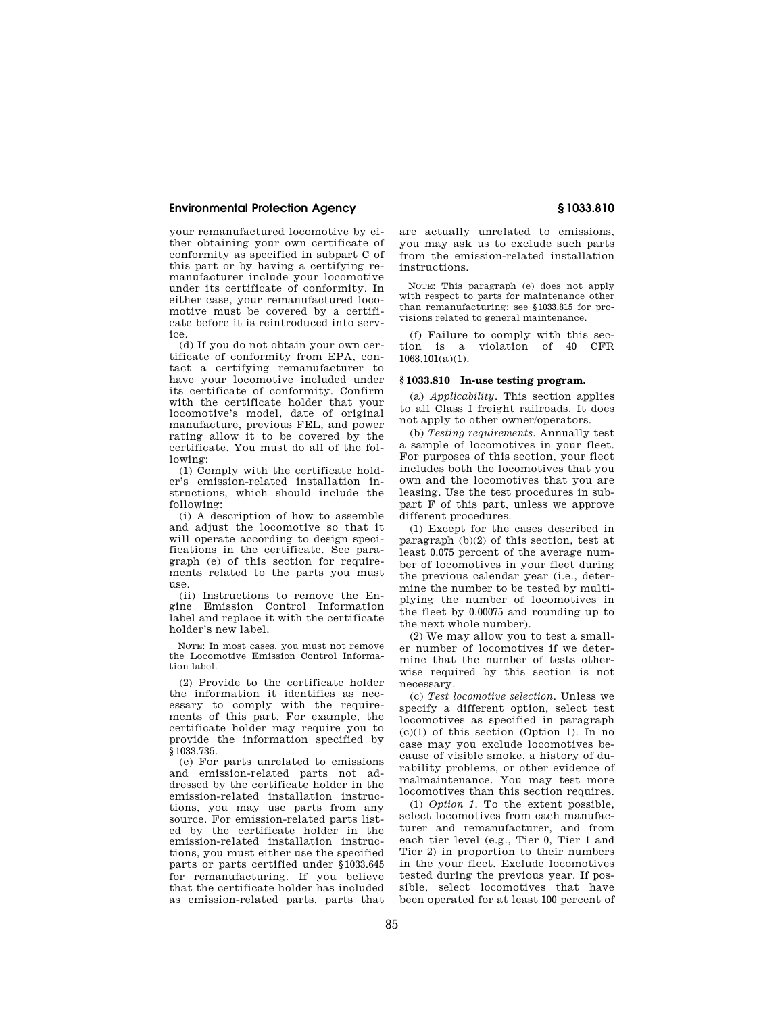your remanufactured locomotive by either obtaining your own certificate of conformity as specified in subpart C of this part or by having a certifying remanufacturer include your locomotive under its certificate of conformity. In either case, your remanufactured locomotive must be covered by a certificate before it is reintroduced into service.

(d) If you do not obtain your own certificate of conformity from EPA, contact a certifying remanufacturer to have your locomotive included under its certificate of conformity. Confirm with the certificate holder that your locomotive's model, date of original manufacture, previous FEL, and power rating allow it to be covered by the certificate. You must do all of the following:

(1) Comply with the certificate holder's emission-related installation instructions, which should include the following:

(i) A description of how to assemble and adjust the locomotive so that it will operate according to design specifications in the certificate. See paragraph (e) of this section for requirements related to the parts you must use.

(ii) Instructions to remove the Engine Emission Control Information label and replace it with the certificate holder's new label.

NOTE: In most cases, you must not remove the Locomotive Emission Control Information label.

(2) Provide to the certificate holder the information it identifies as necessary to comply with the requirements of this part. For example, the certificate holder may require you to provide the information specified by §1033.735.

(e) For parts unrelated to emissions and emission-related parts not addressed by the certificate holder in the emission-related installation instructions, you may use parts from any source. For emission-related parts listed by the certificate holder in the emission-related installation instructions, you must either use the specified parts or parts certified under §1033.645 for remanufacturing. If you believe that the certificate holder has included as emission-related parts, parts that are actually unrelated to emissions, you may ask us to exclude such parts from the emission-related installation instructions.

NOTE: This paragraph (e) does not apply with respect to parts for maintenance other than remanufacturing; see §1033.815 for provisions related to general maintenance.

(f) Failure to comply with this section is a violation of 40 CFR  $1068.101(a)(1)$ .

#### **§ 1033.810 In-use testing program.**

(a) *Applicability.* This section applies to all Class I freight railroads. It does not apply to other owner/operators.

(b) *Testing requirements.* Annually test a sample of locomotives in your fleet. For purposes of this section, your fleet includes both the locomotives that you own and the locomotives that you are leasing. Use the test procedures in subpart F of this part, unless we approve different procedures.

(1) Except for the cases described in paragraph (b)(2) of this section, test at least 0.075 percent of the average number of locomotives in your fleet during the previous calendar year (i.e., determine the number to be tested by multiplying the number of locomotives in the fleet by 0.00075 and rounding up to the next whole number).

(2) We may allow you to test a smaller number of locomotives if we determine that the number of tests otherwise required by this section is not necessary.

(c) *Test locomotive selection.* Unless we specify a different option, select test locomotives as specified in paragraph  $(c)(1)$  of this section (Option 1). In no case may you exclude locomotives because of visible smoke, a history of durability problems, or other evidence of malmaintenance. You may test more locomotives than this section requires.

(1) *Option 1.* To the extent possible, select locomotives from each manufacturer and remanufacturer, and from each tier level (e.g., Tier 0, Tier 1 and Tier 2) in proportion to their numbers in the your fleet. Exclude locomotives tested during the previous year. If possible, select locomotives that have been operated for at least 100 percent of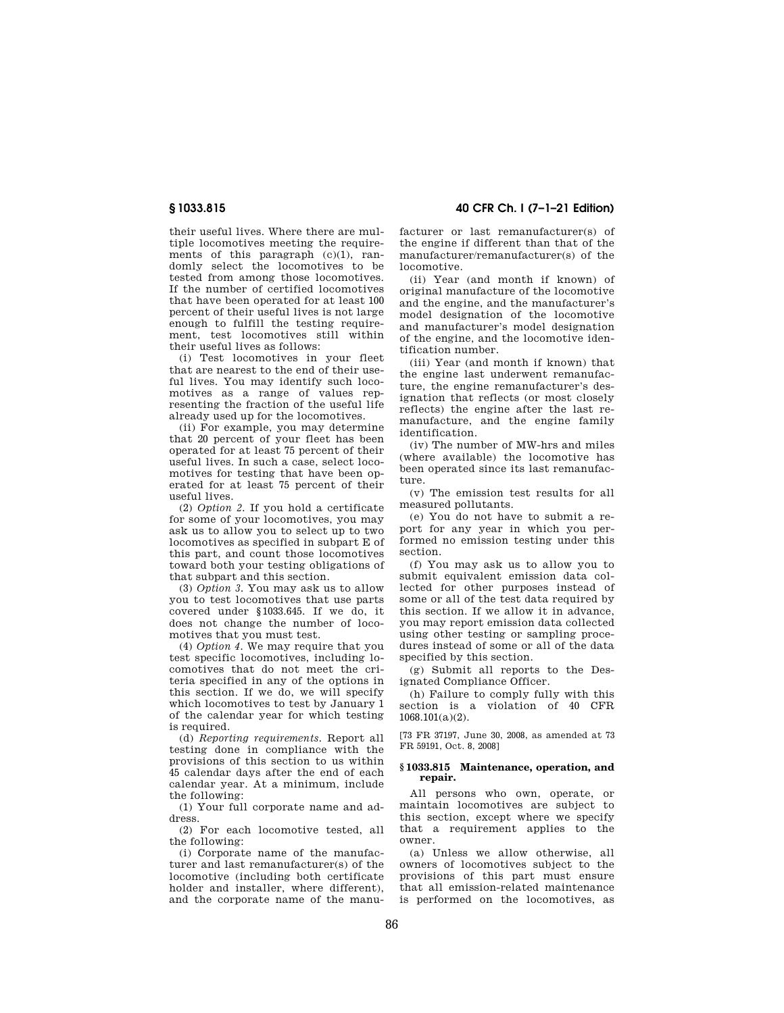their useful lives. Where there are multiple locomotives meeting the requirements of this paragraph  $(c)(1)$ , randomly select the locomotives to be tested from among those locomotives. If the number of certified locomotives that have been operated for at least 100 percent of their useful lives is not large enough to fulfill the testing requirement, test locomotives still within their useful lives as follows:

(i) Test locomotives in your fleet that are nearest to the end of their useful lives. You may identify such locomotives as a range of values representing the fraction of the useful life already used up for the locomotives.

(ii) For example, you may determine that 20 percent of your fleet has been operated for at least 75 percent of their useful lives. In such a case, select locomotives for testing that have been operated for at least 75 percent of their useful lives.

(2) *Option 2.* If you hold a certificate for some of your locomotives, you may ask us to allow you to select up to two locomotives as specified in subpart E of this part, and count those locomotives toward both your testing obligations of that subpart and this section.

(3) *Option 3.* You may ask us to allow you to test locomotives that use parts covered under §1033.645. If we do, it does not change the number of locomotives that you must test.

(4) *Option 4.* We may require that you test specific locomotives, including locomotives that do not meet the criteria specified in any of the options in this section. If we do, we will specify which locomotives to test by January 1 of the calendar year for which testing is required.

(d) *Reporting requirements.* Report all testing done in compliance with the provisions of this section to us within 45 calendar days after the end of each calendar year. At a minimum, include the following:

(1) Your full corporate name and address.

(2) For each locomotive tested, all the following:

(i) Corporate name of the manufacturer and last remanufacturer(s) of the locomotive (including both certificate holder and installer, where different), and the corporate name of the manu-

**§ 1033.815 40 CFR Ch. I (7–1–21 Edition)** 

facturer or last remanufacturer(s) of the engine if different than that of the manufacturer/remanufacturer(s) of the locomotive.

(ii) Year (and month if known) of original manufacture of the locomotive and the engine, and the manufacturer's model designation of the locomotive and manufacturer's model designation of the engine, and the locomotive identification number.

(iii) Year (and month if known) that the engine last underwent remanufacture, the engine remanufacturer's designation that reflects (or most closely reflects) the engine after the last remanufacture, and the engine family identification.

(iv) The number of MW-hrs and miles (where available) the locomotive has been operated since its last remanufacture.

(v) The emission test results for all measured pollutants.

(e) You do not have to submit a report for any year in which you performed no emission testing under this section.

(f) You may ask us to allow you to submit equivalent emission data collected for other purposes instead of some or all of the test data required by this section. If we allow it in advance, you may report emission data collected using other testing or sampling procedures instead of some or all of the data specified by this section.

(g) Submit all reports to the Designated Compliance Officer.

(h) Failure to comply fully with this section is a violation of 40 CFR 1068.101(a)(2).

[73 FR 37197, June 30, 2008, as amended at 73 FR 59191, Oct. 8, 2008]

#### **§ 1033.815 Maintenance, operation, and repair.**

All persons who own, operate, or maintain locomotives are subject to this section, except where we specify that a requirement applies to the owner.

(a) Unless we allow otherwise, all owners of locomotives subject to the provisions of this part must ensure that all emission-related maintenance is performed on the locomotives, as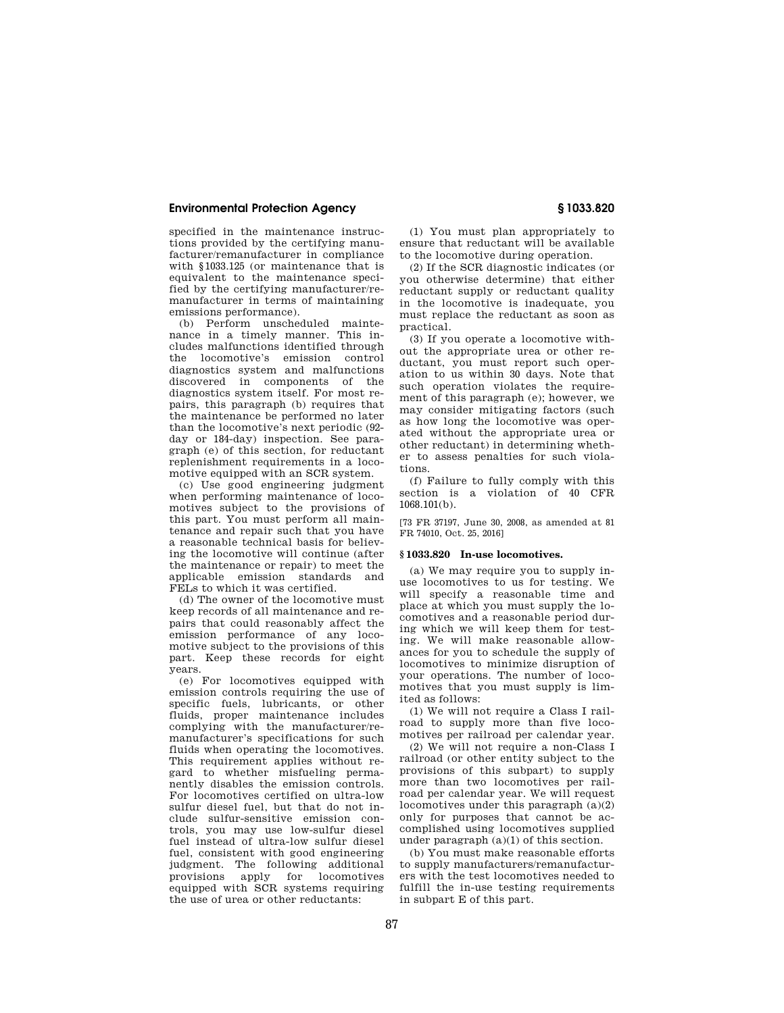specified in the maintenance instructions provided by the certifying manufacturer/remanufacturer in compliance with §1033.125 (or maintenance that is equivalent to the maintenance specified by the certifying manufacturer/remanufacturer in terms of maintaining emissions performance).

(b) Perform unscheduled maintenance in a timely manner. This includes malfunctions identified through the locomotive's emission control diagnostics system and malfunctions discovered in components of the diagnostics system itself. For most repairs, this paragraph (b) requires that the maintenance be performed no later than the locomotive's next periodic (92 day or 184-day) inspection. See paragraph (e) of this section, for reductant replenishment requirements in a locomotive equipped with an SCR system.

(c) Use good engineering judgment when performing maintenance of locomotives subject to the provisions of this part. You must perform all maintenance and repair such that you have a reasonable technical basis for believing the locomotive will continue (after the maintenance or repair) to meet the applicable emission standards and FELs to which it was certified.

(d) The owner of the locomotive must keep records of all maintenance and repairs that could reasonably affect the emission performance of any locomotive subject to the provisions of this part. Keep these records for eight years.

(e) For locomotives equipped with emission controls requiring the use of specific fuels, lubricants, or other fluids, proper maintenance includes complying with the manufacturer/remanufacturer's specifications for such fluids when operating the locomotives. This requirement applies without regard to whether misfueling permanently disables the emission controls. For locomotives certified on ultra-low sulfur diesel fuel, but that do not include sulfur-sensitive emission controls, you may use low-sulfur diesel fuel instead of ultra-low sulfur diesel fuel, consistent with good engineering judgment. The following additional provisions apply for locomotives equipped with SCR systems requiring the use of urea or other reductants:

(1) You must plan appropriately to ensure that reductant will be available to the locomotive during operation.

(2) If the SCR diagnostic indicates (or you otherwise determine) that either reductant supply or reductant quality in the locomotive is inadequate, you must replace the reductant as soon as practical.

(3) If you operate a locomotive without the appropriate urea or other reductant, you must report such operation to us within 30 days. Note that such operation violates the requirement of this paragraph (e); however, we may consider mitigating factors (such as how long the locomotive was operated without the appropriate urea or other reductant) in determining whether to assess penalties for such violations.

(f) Failure to fully comply with this section is a violation of 40 CFR 1068.101(b).

[73 FR 37197, June 30, 2008, as amended at 81 FR 74010, Oct. 25, 2016]

#### **§ 1033.820 In-use locomotives.**

(a) We may require you to supply inuse locomotives to us for testing. We will specify a reasonable time and place at which you must supply the locomotives and a reasonable period during which we will keep them for testing. We will make reasonable allowances for you to schedule the supply of locomotives to minimize disruption of your operations. The number of locomotives that you must supply is limited as follows:

(1) We will not require a Class I railroad to supply more than five locomotives per railroad per calendar year.

(2) We will not require a non-Class I railroad (or other entity subject to the provisions of this subpart) to supply more than two locomotives per railroad per calendar year. We will request locomotives under this paragraph (a)(2) only for purposes that cannot be accomplished using locomotives supplied under paragraph (a)(1) of this section.

(b) You must make reasonable efforts to supply manufacturers/remanufacturers with the test locomotives needed to fulfill the in-use testing requirements in subpart E of this part.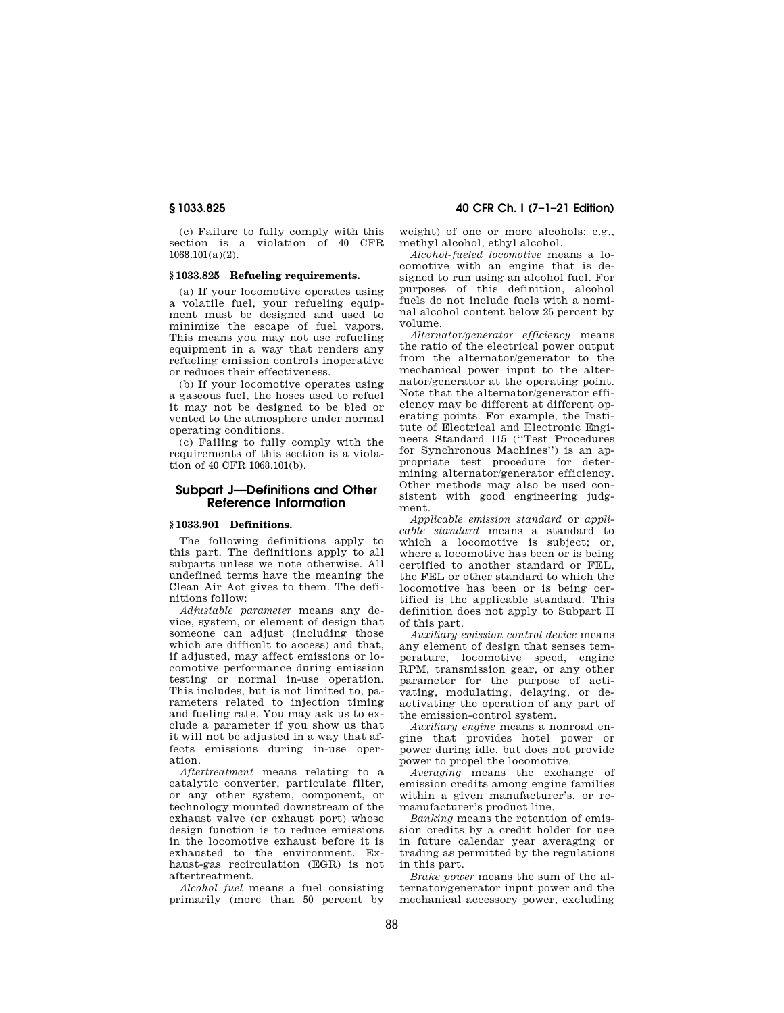(c) Failure to fully comply with this section is a violation of 40 CFR 1068.101(a)(2).

## **§ 1033.825 Refueling requirements.**

(a) If your locomotive operates using a volatile fuel, your refueling equipment must be designed and used to minimize the escape of fuel vapors. This means you may not use refueling equipment in a way that renders any refueling emission controls inoperative or reduces their effectiveness.

(b) If your locomotive operates using a gaseous fuel, the hoses used to refuel it may not be designed to be bled or vented to the atmosphere under normal operating conditions.

(c) Failing to fully comply with the requirements of this section is a violation of 40 CFR 1068.101(b).

## **Subpart J—Definitions and Other Reference Information**

### **§ 1033.901 Definitions.**

The following definitions apply to this part. The definitions apply to all subparts unless we note otherwise. All undefined terms have the meaning the Clean Air Act gives to them. The definitions follow:

*Adjustable parameter* means any device, system, or element of design that someone can adjust (including those which are difficult to access) and that, if adjusted, may affect emissions or locomotive performance during emission testing or normal in-use operation. This includes, but is not limited to, parameters related to injection timing and fueling rate. You may ask us to exclude a parameter if you show us that it will not be adjusted in a way that affects emissions during in-use operation.

*Aftertreatment* means relating to a catalytic converter, particulate filter, or any other system, component, or technology mounted downstream of the exhaust valve (or exhaust port) whose design function is to reduce emissions in the locomotive exhaust before it is exhausted to the environment. Exhaust-gas recirculation (EGR) is not aftertreatment.

*Alcohol fuel* means a fuel consisting primarily (more than 50 percent by

## **§ 1033.825 40 CFR Ch. I (7–1–21 Edition)**

weight) of one or more alcohols: e.g., methyl alcohol, ethyl alcohol.

*Alcohol-fueled locomotive* means a locomotive with an engine that is designed to run using an alcohol fuel. For purposes of this definition, alcohol fuels do not include fuels with a nominal alcohol content below 25 percent by volume.

*Alternator/generator efficiency* means the ratio of the electrical power output from the alternator/generator to the mechanical power input to the alternator/generator at the operating point. Note that the alternator/generator efficiency may be different at different operating points. For example, the Institute of Electrical and Electronic Engineers Standard 115 (''Test Procedures for Synchronous Machines'') is an appropriate test procedure for determining alternator/generator efficiency. Other methods may also be used consistent with good engineering judgment.

*Applicable emission standard* or *applicable standard* means a standard to which a locomotive is subject; or, where a locomotive has been or is being certified to another standard or FEL, the FEL or other standard to which the locomotive has been or is being certified is the applicable standard. This definition does not apply to Subpart H of this part.

*Auxiliary emission control device* means any element of design that senses temperature, locomotive speed, engine RPM, transmission gear, or any other parameter for the purpose of activating, modulating, delaying, or deactivating the operation of any part of the emission-control system.

*Auxiliary engine* means a nonroad engine that provides hotel power or power during idle, but does not provide power to propel the locomotive.

*Averaging* means the exchange of emission credits among engine families within a given manufacturer's, or remanufacturer's product line.

*Banking* means the retention of emission credits by a credit holder for use in future calendar year averaging or trading as permitted by the regulations in this part.

*Brake power* means the sum of the alternator/generator input power and the mechanical accessory power, excluding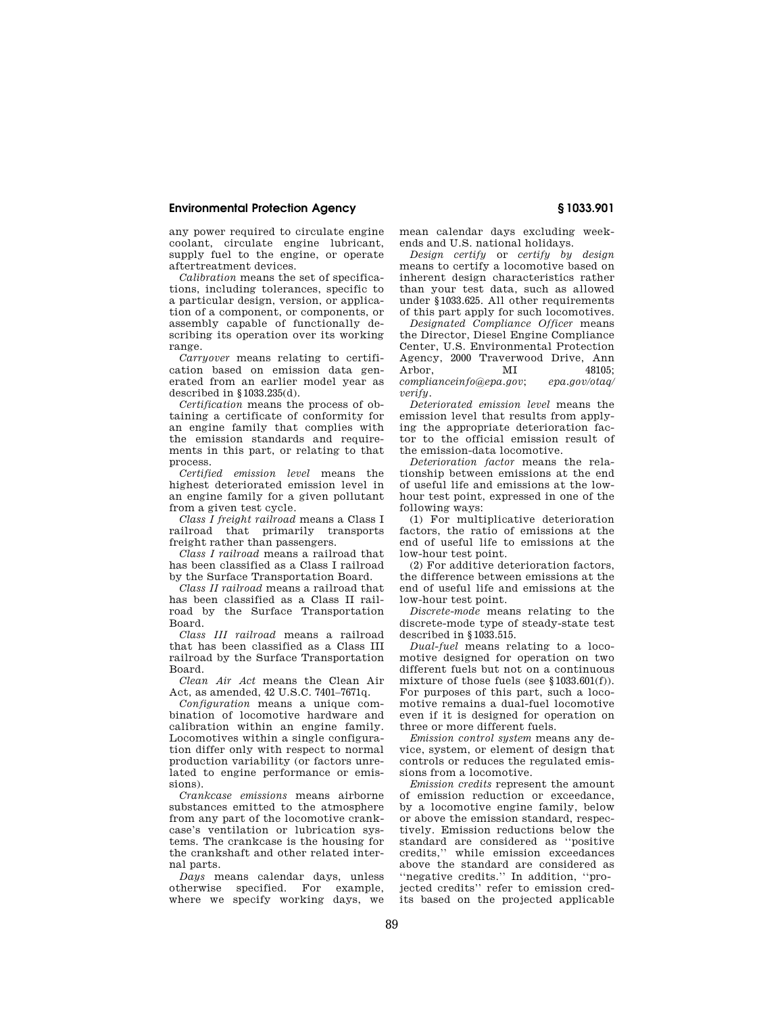any power required to circulate engine coolant, circulate engine lubricant, supply fuel to the engine, or operate aftertreatment devices.

*Calibration* means the set of specifications, including tolerances, specific to a particular design, version, or application of a component, or components, or assembly capable of functionally describing its operation over its working range.

*Carryover* means relating to certification based on emission data generated from an earlier model year as described in §1033.235(d).

*Certification* means the process of obtaining a certificate of conformity for an engine family that complies with the emission standards and requirements in this part, or relating to that process.

*Certified emission level* means the highest deteriorated emission level in an engine family for a given pollutant from a given test cycle.

*Class I freight railroad* means a Class I railroad that primarily transports freight rather than passengers.

*Class I railroad* means a railroad that has been classified as a Class I railroad by the Surface Transportation Board.

*Class II railroad* means a railroad that has been classified as a Class II railroad by the Surface Transportation Board.

*Class III railroad* means a railroad that has been classified as a Class III railroad by the Surface Transportation Board.

*Clean Air Act* means the Clean Air Act, as amended, 42 U.S.C. 7401–7671q.

*Configuration* means a unique combination of locomotive hardware and calibration within an engine family. Locomotives within a single configuration differ only with respect to normal production variability (or factors unrelated to engine performance or emissions).

*Crankcase emissions* means airborne substances emitted to the atmosphere from any part of the locomotive crankcase's ventilation or lubrication systems. The crankcase is the housing for the crankshaft and other related internal parts.

*Days* means calendar days, unless otherwise specified. For example, where we specify working days, we mean calendar days excluding weekends and U.S. national holidays.

*Design certify* or *certify by design*  means to certify a locomotive based on inherent design characteristics rather than your test data, such as allowed under §1033.625. All other requirements of this part apply for such locomotives.

*Designated Compliance Officer* means the Director, Diesel Engine Compliance Center, U.S. Environmental Protection Agency, 2000 Traverwood Drive, Ann Arbor, MI 48105; *complianceinfo@epa.gov*; *epa.gov/otaq/ verify*.

*Deteriorated emission level* means the emission level that results from applying the appropriate deterioration factor to the official emission result of the emission-data locomotive.

*Deterioration factor* means the relationship between emissions at the end of useful life and emissions at the lowhour test point, expressed in one of the following ways:

(1) For multiplicative deterioration factors, the ratio of emissions at the end of useful life to emissions at the low-hour test point.

(2) For additive deterioration factors, the difference between emissions at the end of useful life and emissions at the low-hour test point.

*Discrete-mode* means relating to the discrete-mode type of steady-state test described in §1033.515.

*Dual-fuel* means relating to a locomotive designed for operation on two different fuels but not on a continuous mixture of those fuels (see §1033.601(f)). For purposes of this part, such a locomotive remains a dual-fuel locomotive even if it is designed for operation on three or more different fuels.

*Emission control system* means any device, system, or element of design that controls or reduces the regulated emissions from a locomotive.

*Emission credits* represent the amount of emission reduction or exceedance, by a locomotive engine family, below or above the emission standard, respectively. Emission reductions below the standard are considered as ''positive credits,'' while emission exceedances above the standard are considered as ''negative credits.'' In addition, ''projected credits'' refer to emission credits based on the projected applicable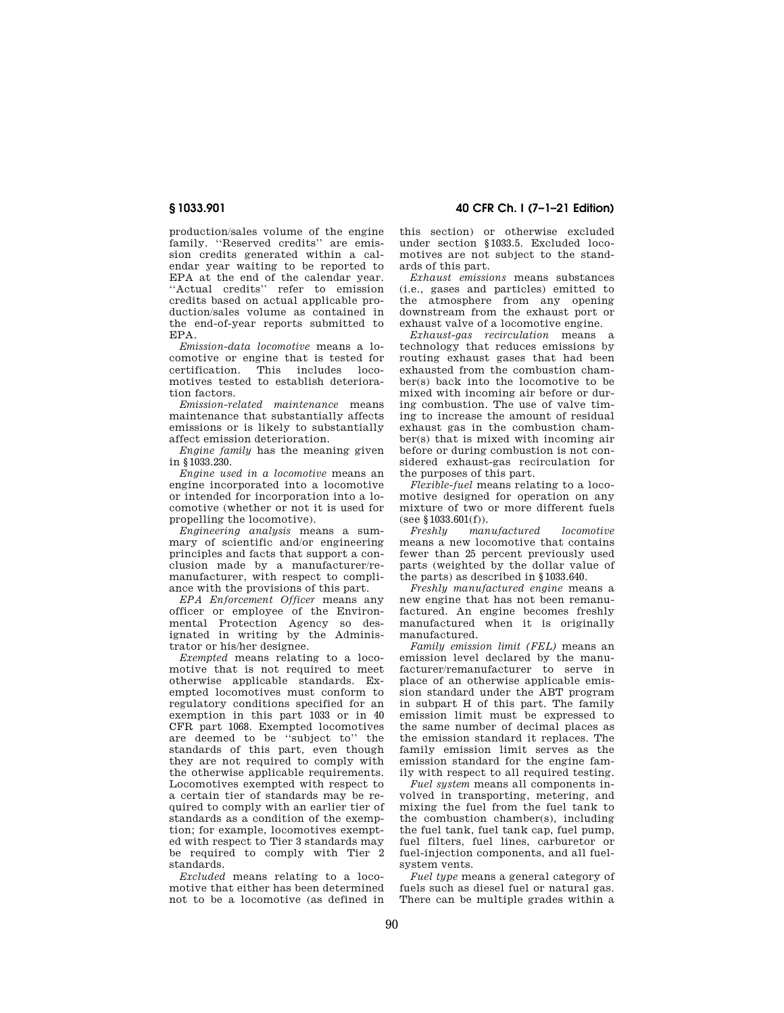production/sales volume of the engine family. ''Reserved credits'' are emission credits generated within a calendar year waiting to be reported to EPA at the end of the calendar year. ''Actual credits'' refer to emission credits based on actual applicable production/sales volume as contained in the end-of-year reports submitted to EPA.

*Emission-data locomotive* means a locomotive or engine that is tested for certification. This includes locomotives tested to establish deterioration factors.

*Emission-related maintenance* means maintenance that substantially affects emissions or is likely to substantially affect emission deterioration.

*Engine family* has the meaning given in §1033.230.

*Engine used in a locomotive* means an engine incorporated into a locomotive or intended for incorporation into a locomotive (whether or not it is used for propelling the locomotive).

*Engineering analysis* means a summary of scientific and/or engineering principles and facts that support a conclusion made by a manufacturer/remanufacturer, with respect to compliance with the provisions of this part.

*EPA Enforcement Officer* means any officer or employee of the Environmental Protection Agency so designated in writing by the Administrator or his/her designee.

*Exempted* means relating to a locomotive that is not required to meet otherwise applicable standards. Exempted locomotives must conform to regulatory conditions specified for an exemption in this part 1033 or in 40 CFR part 1068. Exempted locomotives are deemed to be ''subject to'' the standards of this part, even though they are not required to comply with the otherwise applicable requirements. Locomotives exempted with respect to a certain tier of standards may be required to comply with an earlier tier of standards as a condition of the exemption; for example, locomotives exempted with respect to Tier 3 standards may be required to comply with Tier 2 standards.

*Excluded* means relating to a locomotive that either has been determined not to be a locomotive (as defined in

**§ 1033.901 40 CFR Ch. I (7–1–21 Edition)** 

this section) or otherwise excluded under section §1033.5. Excluded locomotives are not subject to the standards of this part.

*Exhaust emissions* means substances (i.e., gases and particles) emitted to the atmosphere from any opening downstream from the exhaust port or exhaust valve of a locomotive engine.

*Exhaust-gas recirculation* means a technology that reduces emissions by routing exhaust gases that had been exhausted from the combustion chamber(s) back into the locomotive to be mixed with incoming air before or during combustion. The use of valve timing to increase the amount of residual exhaust gas in the combustion chamber(s) that is mixed with incoming air before or during combustion is not considered exhaust-gas recirculation for the purposes of this part.

*Flexible-fuel* means relating to a locomotive designed for operation on any mixture of two or more different fuels (see  $$1033.601(f)$ ).<br>Freshlu man

*Fregnantiactured locomotive* means a new locomotive that contains fewer than 25 percent previously used parts (weighted by the dollar value of the parts) as described in §1033.640.

*Freshly manufactured engine* means a new engine that has not been remanufactured. An engine becomes freshly manufactured when it is originally manufactured.

*Family emission limit (FEL)* means an emission level declared by the manufacturer/remanufacturer to serve in place of an otherwise applicable emission standard under the ABT program in subpart H of this part. The family emission limit must be expressed to the same number of decimal places as the emission standard it replaces. The family emission limit serves as the emission standard for the engine family with respect to all required testing.

*Fuel system* means all components involved in transporting, metering, and mixing the fuel from the fuel tank to the combustion chamber(s), including the fuel tank, fuel tank cap, fuel pump, fuel filters, fuel lines, carburetor or fuel-injection components, and all fuelsystem vents.

*Fuel type* means a general category of fuels such as diesel fuel or natural gas. There can be multiple grades within a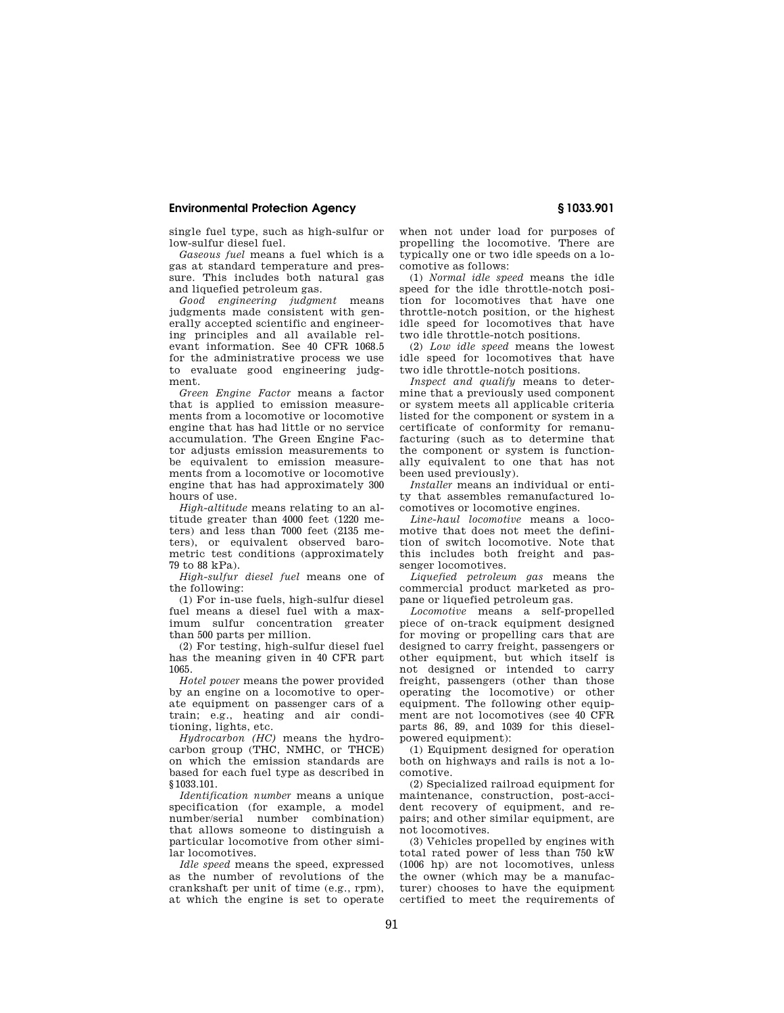single fuel type, such as high-sulfur or low-sulfur diesel fuel.

*Gaseous fuel* means a fuel which is a gas at standard temperature and pressure. This includes both natural gas and liquefied petroleum gas.

*Good engineering judgment* means judgments made consistent with generally accepted scientific and engineering principles and all available relevant information. See 40 CFR 1068.5 for the administrative process we use to evaluate good engineering judgment.

*Green Engine Factor* means a factor that is applied to emission measurements from a locomotive or locomotive engine that has had little or no service accumulation. The Green Engine Factor adjusts emission measurements to be equivalent to emission measurements from a locomotive or locomotive engine that has had approximately 300 hours of use.

*High-altitude* means relating to an altitude greater than 4000 feet (1220 meters) and less than 7000 feet (2135 meters), or equivalent observed barometric test conditions (approximately 79 to 88 kPa).

*High-sulfur diesel fuel* means one of the following:

(1) For in-use fuels, high-sulfur diesel fuel means a diesel fuel with a maximum sulfur concentration greater than 500 parts per million.

(2) For testing, high-sulfur diesel fuel has the meaning given in 40 CFR part 1065.

*Hotel power* means the power provided by an engine on a locomotive to operate equipment on passenger cars of a train; e.g., heating and air conditioning, lights, etc.

*Hydrocarbon (HC)* means the hydrocarbon group (THC, NMHC, or THCE) on which the emission standards are based for each fuel type as described in §1033.101.

*Identification number* means a unique specification (for example, a model number/serial number combination) that allows someone to distinguish a particular locomotive from other similar locomotives.

*Idle speed* means the speed, expressed as the number of revolutions of the crankshaft per unit of time (e.g., rpm), at which the engine is set to operate when not under load for purposes of propelling the locomotive. There are typically one or two idle speeds on a locomotive as follows:

(1) *Normal idle speed* means the idle speed for the idle throttle-notch position for locomotives that have one throttle-notch position, or the highest idle speed for locomotives that have two idle throttle-notch positions.

(2) *Low idle speed* means the lowest idle speed for locomotives that have two idle throttle-notch positions.

*Inspect and qualify* means to determine that a previously used component or system meets all applicable criteria listed for the component or system in a certificate of conformity for remanufacturing (such as to determine that the component or system is functionally equivalent to one that has not been used previously).

*Installer* means an individual or entity that assembles remanufactured locomotives or locomotive engines.

*Line-haul locomotive* means a locomotive that does not meet the definition of switch locomotive. Note that this includes both freight and passenger locomotives.

*Liquefied petroleum gas* means the commercial product marketed as propane or liquefied petroleum gas.

*Locomotive* means a self-propelled piece of on-track equipment designed for moving or propelling cars that are designed to carry freight, passengers or other equipment, but which itself is not designed or intended to carry freight, passengers (other than those operating the locomotive) or other equipment. The following other equipment are not locomotives (see 40 CFR parts 86, 89, and 1039 for this dieselpowered equipment):

(1) Equipment designed for operation both on highways and rails is not a locomotive.

(2) Specialized railroad equipment for maintenance, construction, post-accident recovery of equipment, and repairs; and other similar equipment, are not locomotives.

(3) Vehicles propelled by engines with total rated power of less than 750 kW (1006 hp) are not locomotives, unless the owner (which may be a manufacturer) chooses to have the equipment certified to meet the requirements of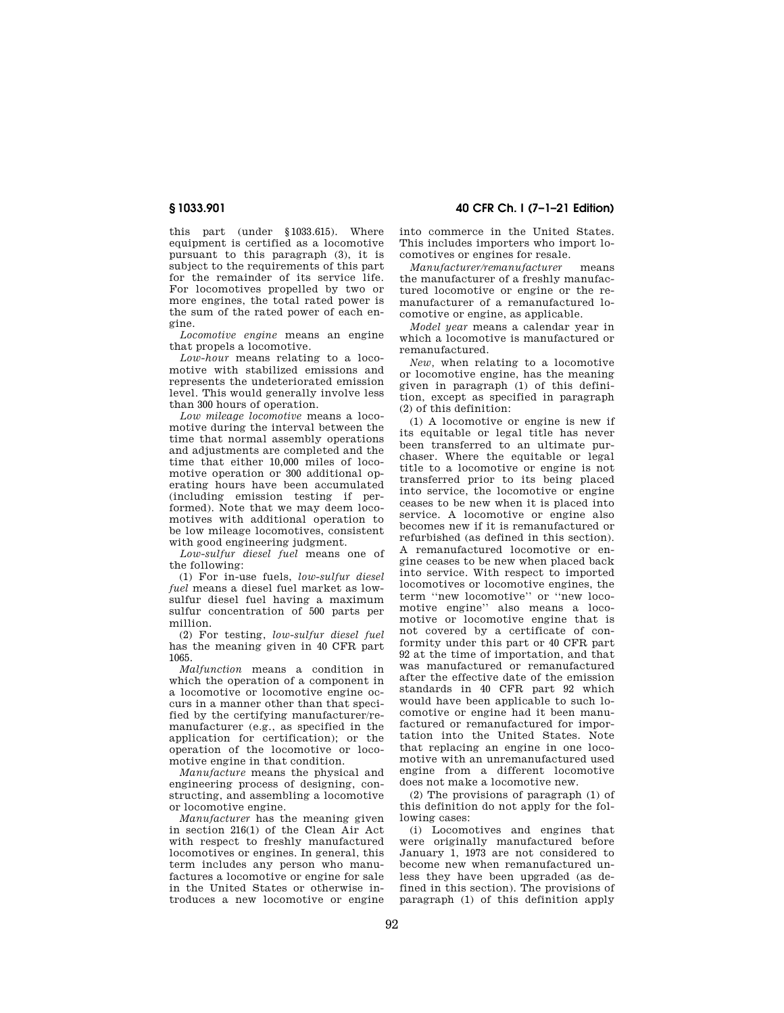this part (under §1033.615). Where equipment is certified as a locomotive pursuant to this paragraph (3), it is subject to the requirements of this part for the remainder of its service life. For locomotives propelled by two or more engines, the total rated power is the sum of the rated power of each engine.

*Locomotive engine* means an engine that propels a locomotive.

*Low-hour* means relating to a locomotive with stabilized emissions and represents the undeteriorated emission level. This would generally involve less than 300 hours of operation.

*Low mileage locomotive* means a locomotive during the interval between the time that normal assembly operations and adjustments are completed and the time that either 10,000 miles of locomotive operation or 300 additional operating hours have been accumulated (including emission testing if performed). Note that we may deem locomotives with additional operation to be low mileage locomotives, consistent with good engineering judgment.

*Low-sulfur diesel fuel* means one of the following:

(1) For in-use fuels, *low-sulfur diesel fuel* means a diesel fuel market as lowsulfur diesel fuel having a maximum sulfur concentration of 500 parts per million.

(2) For testing, *low-sulfur diesel fuel*  has the meaning given in 40 CFR part 1065.

*Malfunction* means a condition in which the operation of a component in a locomotive or locomotive engine occurs in a manner other than that specified by the certifying manufacturer/remanufacturer (e.g., as specified in the application for certification); or the operation of the locomotive or locomotive engine in that condition.

*Manufacture* means the physical and engineering process of designing, constructing, and assembling a locomotive or locomotive engine.

*Manufacturer* has the meaning given in section 216(1) of the Clean Air Act with respect to freshly manufactured locomotives or engines. In general, this term includes any person who manufactures a locomotive or engine for sale in the United States or otherwise introduces a new locomotive or engine into commerce in the United States. This includes importers who import locomotives or engines for resale.

*Manufacturer/remanufacturer* means the manufacturer of a freshly manufactured locomotive or engine or the remanufacturer of a remanufactured locomotive or engine, as applicable.

*Model year* means a calendar year in which a locomotive is manufactured or remanufactured.

*New,* when relating to a locomotive or locomotive engine, has the meaning given in paragraph (1) of this definition, except as specified in paragraph (2) of this definition:

(1) A locomotive or engine is new if its equitable or legal title has never been transferred to an ultimate purchaser. Where the equitable or legal title to a locomotive or engine is not transferred prior to its being placed into service, the locomotive or engine ceases to be new when it is placed into service. A locomotive or engine also becomes new if it is remanufactured or refurbished (as defined in this section). A remanufactured locomotive or engine ceases to be new when placed back into service. With respect to imported locomotives or locomotive engines, the term ''new locomotive'' or ''new locomotive engine'' also means a locomotive or locomotive engine that is not covered by a certificate of conformity under this part or 40 CFR part 92 at the time of importation, and that was manufactured or remanufactured after the effective date of the emission standards in 40 CFR part 92 which would have been applicable to such locomotive or engine had it been manufactured or remanufactured for importation into the United States. Note that replacing an engine in one locomotive with an unremanufactured used engine from a different locomotive does not make a locomotive new.

(2) The provisions of paragraph (1) of this definition do not apply for the following cases:

(i) Locomotives and engines that were originally manufactured before January 1, 1973 are not considered to become new when remanufactured unless they have been upgraded (as defined in this section). The provisions of paragraph (1) of this definition apply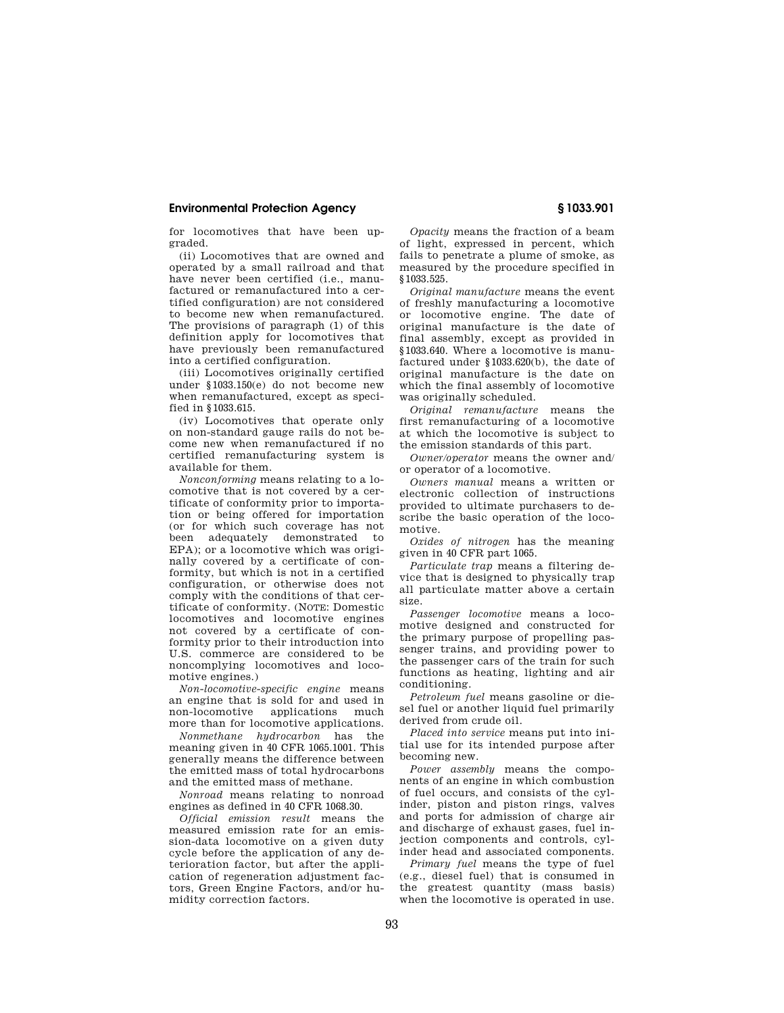for locomotives that have been upgraded.

(ii) Locomotives that are owned and operated by a small railroad and that have never been certified (i.e., manufactured or remanufactured into a certified configuration) are not considered to become new when remanufactured. The provisions of paragraph (1) of this definition apply for locomotives that have previously been remanufactured into a certified configuration.

(iii) Locomotives originally certified under §1033.150(e) do not become new when remanufactured, except as specified in §1033.615.

(iv) Locomotives that operate only on non-standard gauge rails do not become new when remanufactured if no certified remanufacturing system is available for them.

*Nonconforming* means relating to a locomotive that is not covered by a certificate of conformity prior to importation or being offered for importation (or for which such coverage has not been adequately demonstrated to EPA); or a locomotive which was originally covered by a certificate of conformity, but which is not in a certified configuration, or otherwise does not comply with the conditions of that certificate of conformity. (NOTE: Domestic locomotives and locomotive engines not covered by a certificate of conformity prior to their introduction into U.S. commerce are considered to be noncomplying locomotives and locomotive engines.)

*Non-locomotive-specific engine* means an engine that is sold for and used in non-locomotive applications much more than for locomotive applications.

*Nonmethane hydrocarbon* has the meaning given in 40 CFR 1065.1001. This generally means the difference between the emitted mass of total hydrocarbons and the emitted mass of methane.

*Nonroad* means relating to nonroad engines as defined in 40 CFR 1068.30.

*Official emission result* means the measured emission rate for an emission-data locomotive on a given duty cycle before the application of any deterioration factor, but after the application of regeneration adjustment factors, Green Engine Factors, and/or humidity correction factors.

*Opacity* means the fraction of a beam of light, expressed in percent, which fails to penetrate a plume of smoke, as measured by the procedure specified in §1033.525.

*Original manufacture* means the event of freshly manufacturing a locomotive or locomotive engine. The date of original manufacture is the date of final assembly, except as provided in §1033.640. Where a locomotive is manufactured under §1033.620(b), the date of original manufacture is the date on which the final assembly of locomotive was originally scheduled.

*Original remanufacture* means the first remanufacturing of a locomotive at which the locomotive is subject to the emission standards of this part.

*Owner/operator* means the owner and/ or operator of a locomotive.

*Owners manual* means a written or electronic collection of instructions provided to ultimate purchasers to describe the basic operation of the locomotive.

*Oxides of nitrogen* has the meaning given in 40 CFR part 1065.

*Particulate trap* means a filtering device that is designed to physically trap all particulate matter above a certain size.

*Passenger locomotive* means a locomotive designed and constructed for the primary purpose of propelling passenger trains, and providing power to the passenger cars of the train for such functions as heating, lighting and air conditioning.

*Petroleum fuel* means gasoline or diesel fuel or another liquid fuel primarily derived from crude oil.

*Placed into service* means put into initial use for its intended purpose after becoming new.

*Power assembly* means the components of an engine in which combustion of fuel occurs, and consists of the cylinder, piston and piston rings, valves and ports for admission of charge air and discharge of exhaust gases, fuel injection components and controls, cylinder head and associated components.

*Primary fuel* means the type of fuel (e.g., diesel fuel) that is consumed in the greatest quantity (mass basis) when the locomotive is operated in use.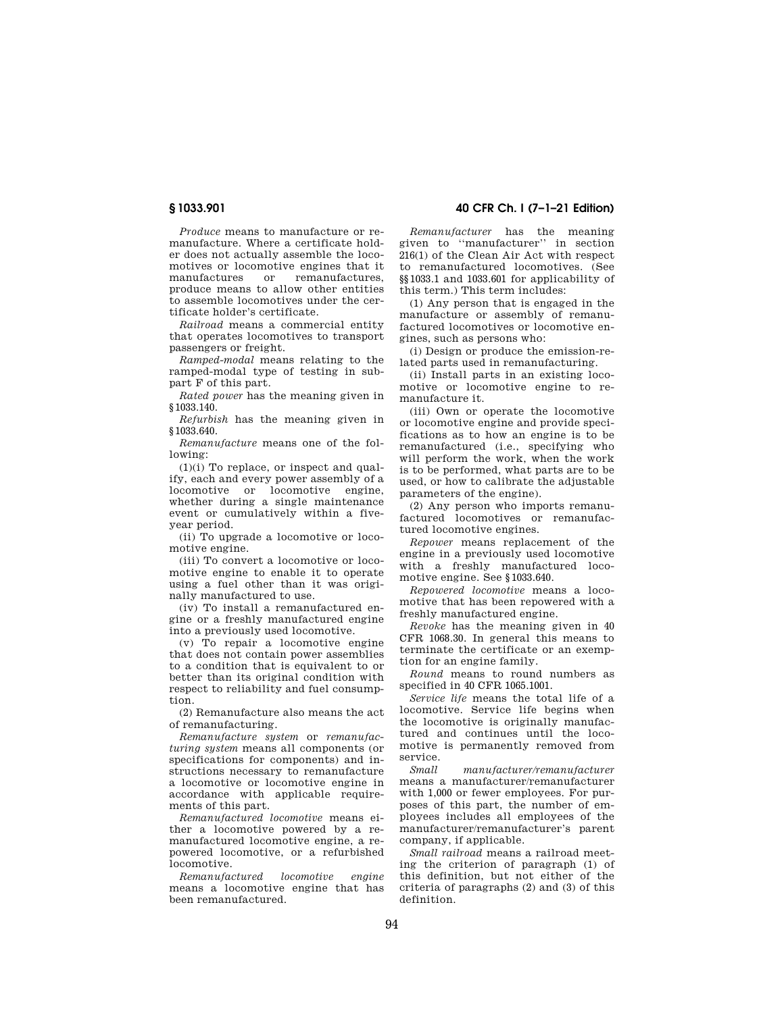*Produce* means to manufacture or remanufacture. Where a certificate holder does not actually assemble the locomotives or locomotive engines that it<br>manufactures or remanufactures. remanufactures. produce means to allow other entities to assemble locomotives under the certificate holder's certificate.

*Railroad* means a commercial entity that operates locomotives to transport passengers or freight.

*Ramped-modal* means relating to the ramped-modal type of testing in subpart F of this part.

*Rated power* has the meaning given in §1033.140.

*Refurbish* has the meaning given in §1033.640.

*Remanufacture* means one of the following:

(1)(i) To replace, or inspect and qualify, each and every power assembly of a locomotive or locomotive engine, whether during a single maintenance event or cumulatively within a fiveyear period.

(ii) To upgrade a locomotive or locomotive engine.

(iii) To convert a locomotive or locomotive engine to enable it to operate using a fuel other than it was originally manufactured to use.

(iv) To install a remanufactured engine or a freshly manufactured engine into a previously used locomotive.

(v) To repair a locomotive engine that does not contain power assemblies to a condition that is equivalent to or better than its original condition with respect to reliability and fuel consumption.

(2) Remanufacture also means the act of remanufacturing.

*Remanufacture system* or *remanufacturing system* means all components (or specifications for components) and instructions necessary to remanufacture a locomotive or locomotive engine in accordance with applicable requirements of this part.

*Remanufactured locomotive* means either a locomotive powered by a remanufactured locomotive engine, a repowered locomotive, or a refurbished locomotive.

*Remanufactured locomotive engine*  means a locomotive engine that has been remanufactured.

# **§ 1033.901 40 CFR Ch. I (7–1–21 Edition)**

*Remanufacturer* has the meaning given to ''manufacturer'' in section 216(1) of the Clean Air Act with respect to remanufactured locomotives. (See §§1033.1 and 1033.601 for applicability of this term.) This term includes:

(1) Any person that is engaged in the manufacture or assembly of remanufactured locomotives or locomotive engines, such as persons who:

(i) Design or produce the emission-related parts used in remanufacturing.

(ii) Install parts in an existing locomotive or locomotive engine to remanufacture it.

(iii) Own or operate the locomotive or locomotive engine and provide specifications as to how an engine is to be remanufactured (i.e., specifying who will perform the work, when the work is to be performed, what parts are to be used, or how to calibrate the adjustable parameters of the engine).

(2) Any person who imports remanufactured locomotives or remanufactured locomotive engines.

*Repower* means replacement of the engine in a previously used locomotive with a freshly manufactured locomotive engine. See §1033.640.

*Repowered locomotive* means a locomotive that has been repowered with a freshly manufactured engine.

*Revoke* has the meaning given in 40 CFR 1068.30. In general this means to terminate the certificate or an exemption for an engine family.

*Round* means to round numbers as specified in 40 CFR 1065.1001.

*Service life* means the total life of a locomotive. Service life begins when the locomotive is originally manufactured and continues until the locomotive is permanently removed from service.

*Small manufacturer/remanufacturer*  means a manufacturer/remanufacturer with 1,000 or fewer employees. For purposes of this part, the number of employees includes all employees of the manufacturer/remanufacturer's parent company, if applicable.

*Small railroad* means a railroad meeting the criterion of paragraph (1) of this definition, but not either of the criteria of paragraphs (2) and (3) of this definition.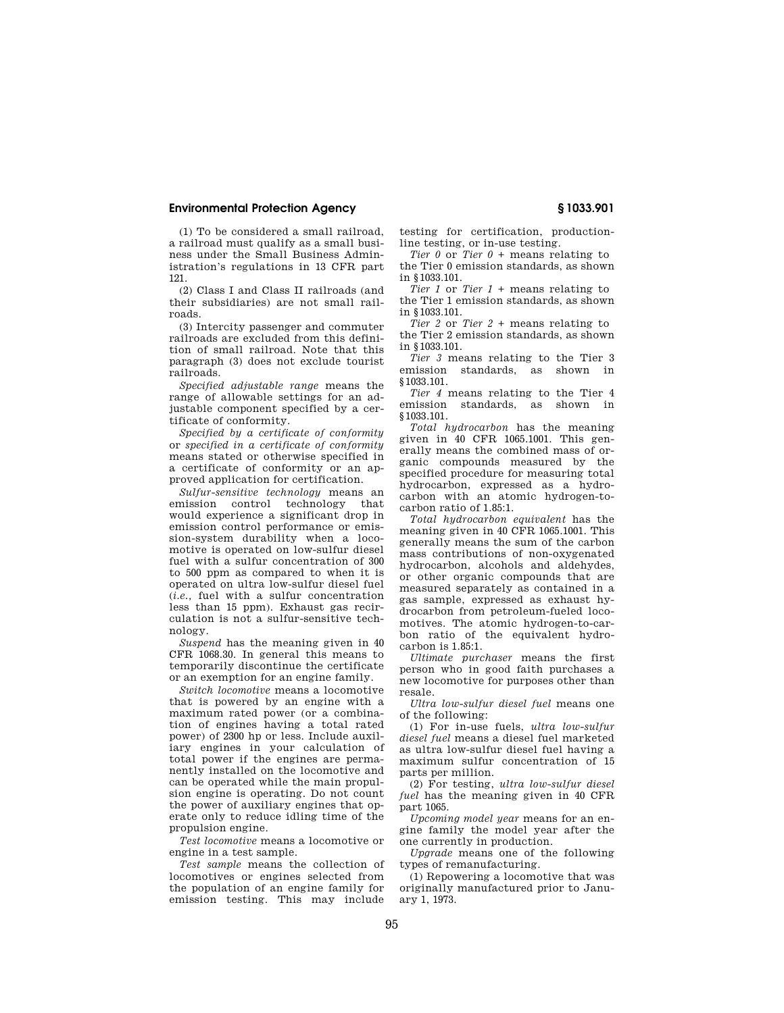(1) To be considered a small railroad, a railroad must qualify as a small business under the Small Business Administration's regulations in 13 CFR part 121.

(2) Class I and Class II railroads (and their subsidiaries) are not small railroads.

(3) Intercity passenger and commuter railroads are excluded from this definition of small railroad. Note that this paragraph (3) does not exclude tourist railroads.

*Specified adjustable range* means the range of allowable settings for an adjustable component specified by a certificate of conformity.

*Specified by a certificate of conformity*  or *specified in a certificate of conformity*  means stated or otherwise specified in a certificate of conformity or an approved application for certification.

*Sulfur-sensitive technology* means an emission control technology that would experience a significant drop in emission control performance or emission-system durability when a locomotive is operated on low-sulfur diesel fuel with a sulfur concentration of 300 to 500 ppm as compared to when it is operated on ultra low-sulfur diesel fuel (*i.e.,* fuel with a sulfur concentration less than 15 ppm). Exhaust gas recirculation is not a sulfur-sensitive technology.

*Suspend* has the meaning given in 40 CFR 1068.30. In general this means to temporarily discontinue the certificate or an exemption for an engine family.

*Switch locomotive* means a locomotive that is powered by an engine with a maximum rated power (or a combination of engines having a total rated power) of 2300 hp or less. Include auxiliary engines in your calculation of total power if the engines are permanently installed on the locomotive and can be operated while the main propulsion engine is operating. Do not count the power of auxiliary engines that operate only to reduce idling time of the propulsion engine.

*Test locomotive* means a locomotive or engine in a test sample.

*Test sample* means the collection of locomotives or engines selected from the population of an engine family for emission testing. This may include

testing for certification, productionline testing, or in-use testing.

*Tier 0* or *Tier 0 +* means relating to the Tier 0 emission standards, as shown in §1033.101.

*Tier 1* or *Tier 1 +* means relating to the Tier 1 emission standards, as shown in §1033.101.

*Tier 2* or *Tier 2 +* means relating to the Tier 2 emission standards, as shown in §1033.101.

*Tier 3* means relating to the Tier 3 emission standards, as shown in §1033.101.

*Tier 4* means relating to the Tier 4 emission standards, as shown in §1033.101.

*Total hydrocarbon* has the meaning given in 40 CFR 1065.1001. This generally means the combined mass of organic compounds measured by the specified procedure for measuring total hydrocarbon, expressed as a hydrocarbon with an atomic hydrogen-tocarbon ratio of 1.85:1.

*Total hydrocarbon equivalent* has the meaning given in 40 CFR 1065.1001. This generally means the sum of the carbon mass contributions of non-oxygenated hydrocarbon, alcohols and aldehydes, or other organic compounds that are measured separately as contained in a gas sample, expressed as exhaust hydrocarbon from petroleum-fueled locomotives. The atomic hydrogen-to-carbon ratio of the equivalent hydro $carbon$  is  $1.85:1$ .

*Ultimate purchaser* means the first person who in good faith purchases a new locomotive for purposes other than resale.

*Ultra low-sulfur diesel fuel* means one of the following:

(1) For in-use fuels, *ultra low-sulfur diesel fuel* means a diesel fuel marketed as ultra low-sulfur diesel fuel having a maximum sulfur concentration of 15 parts per million.

(2) For testing, *ultra low-sulfur diesel fuel* has the meaning given in 40 CFR part 1065.

*Upcoming model year* means for an engine family the model year after the one currently in production.

*Upgrade* means one of the following types of remanufacturing.

(1) Repowering a locomotive that was originally manufactured prior to January 1, 1973.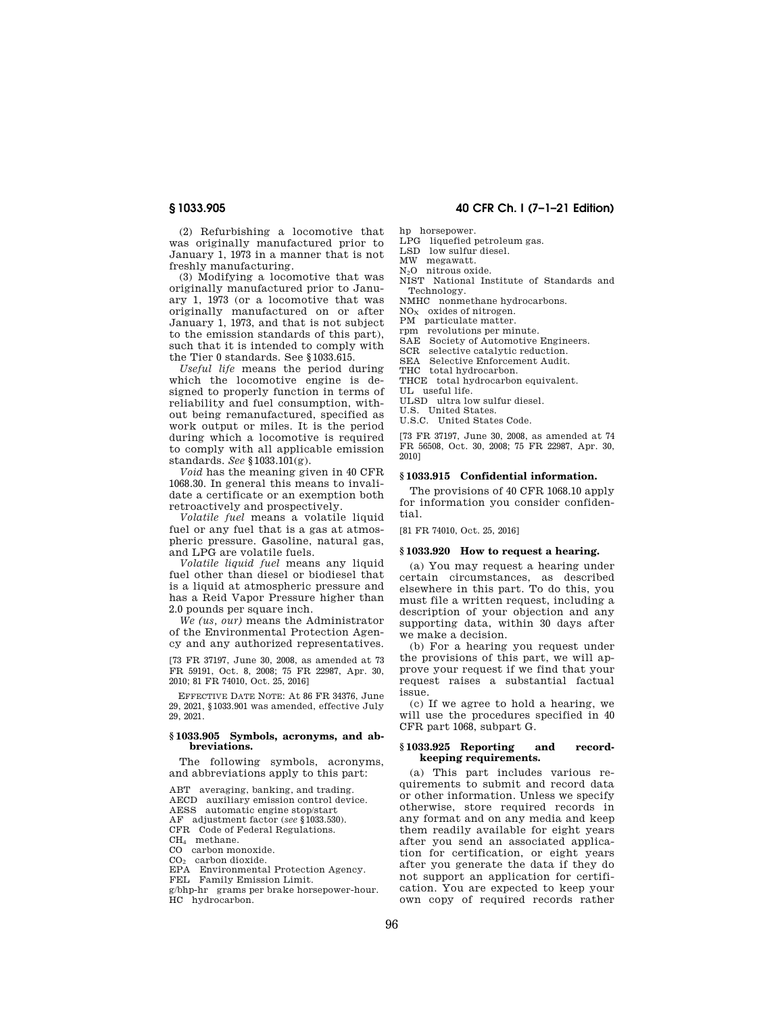(2) Refurbishing a locomotive that was originally manufactured prior to January 1, 1973 in a manner that is not freshly manufacturing.

(3) Modifying a locomotive that was originally manufactured prior to January 1, 1973 (or a locomotive that was originally manufactured on or after January 1, 1973, and that is not subject to the emission standards of this part), such that it is intended to comply with the Tier 0 standards. See §1033.615.

*Useful life* means the period during which the locomotive engine is designed to properly function in terms of reliability and fuel consumption, without being remanufactured, specified as work output or miles. It is the period during which a locomotive is required to comply with all applicable emission standards. *See* §1033.101(g).

*Void* has the meaning given in 40 CFR 1068.30. In general this means to invalidate a certificate or an exemption both retroactively and prospectively.

*Volatile fuel* means a volatile liquid fuel or any fuel that is a gas at atmospheric pressure. Gasoline, natural gas, and LPG are volatile fuels.

*Volatile liquid fuel* means any liquid fuel other than diesel or biodiesel that is a liquid at atmospheric pressure and has a Reid Vapor Pressure higher than 2.0 pounds per square inch.

*We (us, our)* means the Administrator of the Environmental Protection Agency and any authorized representatives.

[73 FR 37197, June 30, 2008, as amended at 73 FR 59191, Oct. 8, 2008; 75 FR 22987, Apr. 30, 2010; 81 FR 74010, Oct. 25, 2016]

EFFECTIVE DATE NOTE: At 86 FR 34376, June 29, 2021, §1033.901 was amended, effective July 29, 2021.

### **§ 1033.905 Symbols, acronyms, and abbreviations.**

The following symbols, acronyms, and abbreviations apply to this part:

ABT averaging, banking, and trading.

AECD auxiliary emission control device.

AESS automatic engine stop/start

AF adjustment factor (*see* §1033.530). CFR Code of Federal Regulations.

CH<sup>4</sup> methane.

CO carbon monoxide.

CO<sup>2</sup> carbon dioxide.

EPA Environmental Protection Agency.

FEL Family Emission Limit.

g/bhp-hr grams per brake horsepower-hour. HC hydrocarbon.

# **§ 1033.905 40 CFR Ch. I (7–1–21 Edition)**

hp horsepower.

LPG liquefied petroleum gas.

LSD low sulfur diesel.

MW megawatt.

N2O nitrous oxide.

NIST National Institute of Standards and Technology.

NMHC nonmethane hydrocarbons.

 $NO<sub>x</sub>$  oxides of nitrogen.

PM particulate matter.<br>rpm revolutions per mi

revolutions per minute.

SAE Society of Automotive Engineers.<br>SCR selective catalytic reduction.

selective catalytic reduction.

SEA Selective Enforcement Audit.

THC total hydrocarbon.

THCE total hydrocarbon equivalent.

UL useful life. ULSD ultra low sulfur diesel.

U.S. United States.

U.S.C. United States Code.

[73 FR 37197, June 30, 2008, as amended at 74 FR 56508, Oct. 30, 2008; 75 FR 22987, Apr. 30, 2010]

#### **§ 1033.915 Confidential information.**

The provisions of 40 CFR 1068.10 apply for information you consider confidential.

[81 FR 74010, Oct. 25, 2016]

#### **§ 1033.920 How to request a hearing.**

(a) You may request a hearing under certain circumstances, as described elsewhere in this part. To do this, you must file a written request, including a description of your objection and any supporting data, within 30 days after we make a decision.

(b) For a hearing you request under the provisions of this part, we will approve your request if we find that your request raises a substantial factual issue.

(c) If we agree to hold a hearing, we will use the procedures specified in 40 CFR part 1068, subpart G.

## **§ 1033.925 Reporting and recordkeeping requirements.**

(a) This part includes various requirements to submit and record data or other information. Unless we specify otherwise, store required records in any format and on any media and keep them readily available for eight years after you send an associated application for certification, or eight years after you generate the data if they do not support an application for certification. You are expected to keep your own copy of required records rather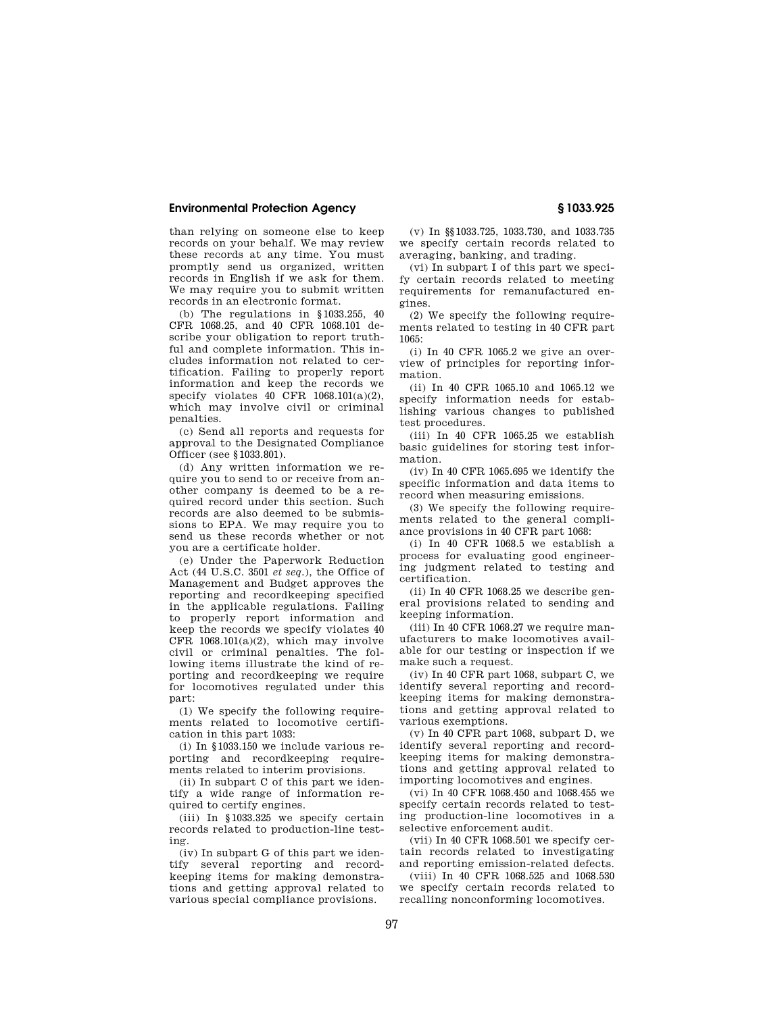than relying on someone else to keep records on your behalf. We may review these records at any time. You must promptly send us organized, written records in English if we ask for them. We may require you to submit written records in an electronic format.

(b) The regulations in §1033.255, 40 CFR 1068.25, and 40 CFR 1068.101 describe your obligation to report truthful and complete information. This includes information not related to certification. Failing to properly report information and keep the records we specify violates 40 CFR  $1068.101(a)(2)$ , which may involve civil or criminal penalties.

(c) Send all reports and requests for approval to the Designated Compliance Officer (see §1033.801).

(d) Any written information we require you to send to or receive from another company is deemed to be a required record under this section. Such records are also deemed to be submissions to EPA. We may require you to send us these records whether or not you are a certificate holder.

(e) Under the Paperwork Reduction Act (44 U.S.C. 3501 *et seq.*), the Office of Management and Budget approves the reporting and recordkeeping specified in the applicable regulations. Failing to properly report information and keep the records we specify violates 40 CFR 1068.101(a)(2), which may involve civil or criminal penalties. The following items illustrate the kind of reporting and recordkeeping we require for locomotives regulated under this part:

(1) We specify the following requirements related to locomotive certification in this part 1033:

(i) In §1033.150 we include various reporting and recordkeeping requirements related to interim provisions.

(ii) In subpart C of this part we identify a wide range of information required to certify engines.

(iii) In §1033.325 we specify certain records related to production-line testing.

(iv) In subpart G of this part we identify several reporting and recordkeeping items for making demonstrations and getting approval related to various special compliance provisions.

(v) In §§1033.725, 1033.730, and 1033.735 we specify certain records related to averaging, banking, and trading.

(vi) In subpart I of this part we specify certain records related to meeting requirements for remanufactured engines.

(2) We specify the following requirements related to testing in 40 CFR part 1065:

(i) In 40 CFR 1065.2 we give an overview of principles for reporting information.

(ii) In 40 CFR 1065.10 and 1065.12 we specify information needs for establishing various changes to published test procedures.

(iii) In 40 CFR 1065.25 we establish basic guidelines for storing test information.

(iv) In 40 CFR 1065.695 we identify the specific information and data items to record when measuring emissions.

(3) We specify the following requirements related to the general compliance provisions in 40 CFR part 1068:

(i) In 40 CFR 1068.5 we establish a process for evaluating good engineering judgment related to testing and certification.

(ii) In 40 CFR 1068.25 we describe general provisions related to sending and keeping information.

(iii) In 40 CFR 1068.27 we require manufacturers to make locomotives available for our testing or inspection if we make such a request.

(iv) In 40 CFR part 1068, subpart C, we identify several reporting and recordkeeping items for making demonstrations and getting approval related to various exemptions.

(v) In 40 CFR part 1068, subpart D, we identify several reporting and recordkeeping items for making demonstrations and getting approval related to importing locomotives and engines.

(vi) In 40 CFR 1068.450 and 1068.455 we specify certain records related to testing production-line locomotives in a selective enforcement audit.

(vii) In 40 CFR 1068.501 we specify certain records related to investigating and reporting emission-related defects.

(viii) In 40 CFR 1068.525 and 1068.530 we specify certain records related to recalling nonconforming locomotives.